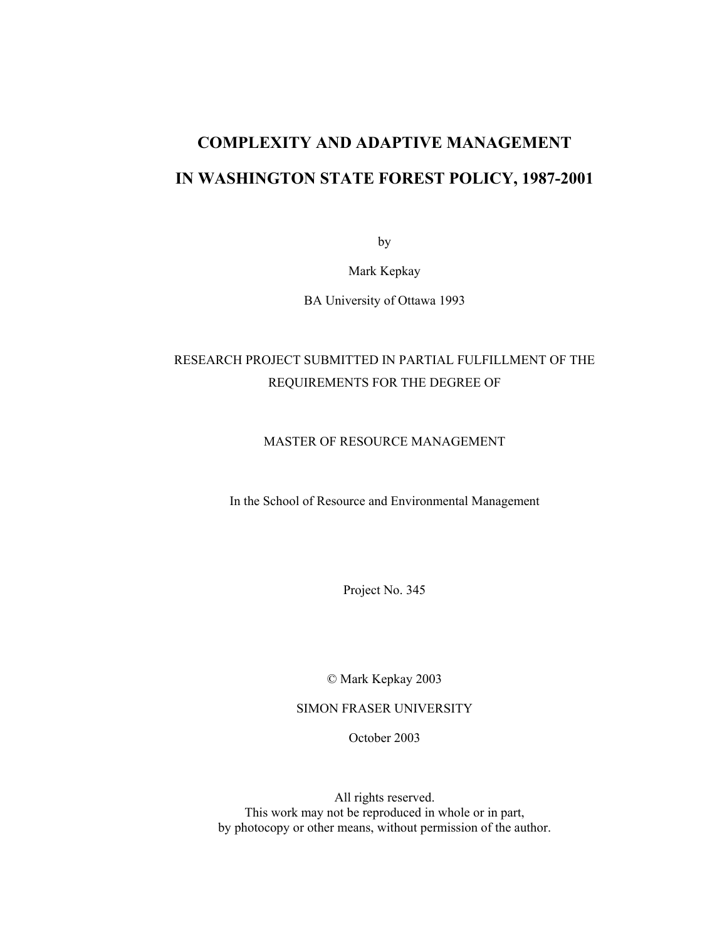# **COMPLEXITY AND ADAPTIVE MANAGEMENT IN WASHINGTON STATE FOREST POLICY, 1987-2001**

by

Mark Kepkay

BA University of Ottawa 1993

# RESEARCH PROJECT SUBMITTED IN PARTIAL FULFILLMENT OF THE REQUIREMENTS FOR THE DEGREE OF

### MASTER OF RESOURCE MANAGEMENT

In the School of Resource and Environmental Management

Project No. 345

© Mark Kepkay 2003

SIMON FRASER UNIVERSITY

October 2003

All rights reserved. This work may not be reproduced in whole or in part, by photocopy or other means, without permission of the author.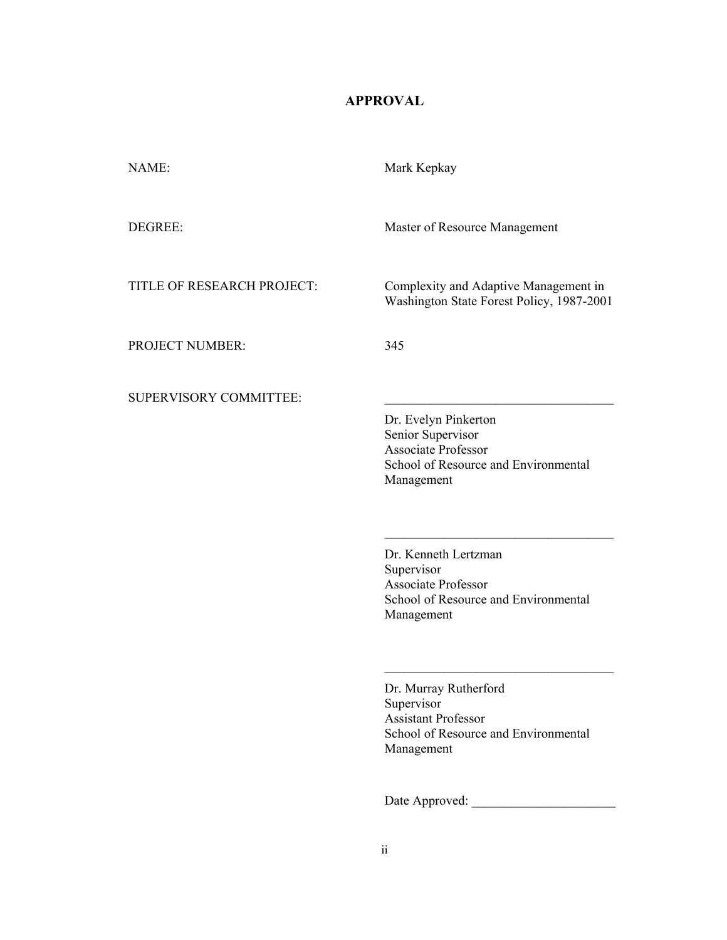# **APPROVAL**

<span id="page-1-0"></span>

| NAME:                         | Mark Kepkay                                                                                                                   |
|-------------------------------|-------------------------------------------------------------------------------------------------------------------------------|
| DEGREE:                       | Master of Resource Management                                                                                                 |
| TITLE OF RESEARCH PROJECT:    | Complexity and Adaptive Management in<br>Washington State Forest Policy, 1987-2001                                            |
| <b>PROJECT NUMBER:</b>        | 345                                                                                                                           |
| <b>SUPERVISORY COMMITTEE:</b> | Dr. Evelyn Pinkerton<br>Senior Supervisor<br><b>Associate Professor</b><br>School of Resource and Environmental<br>Management |
|                               | Dr. Kenneth Lertzman<br>Supervisor<br><b>Associate Professor</b><br>School of Resource and Environmental<br>Management        |

Dr. Murray Rutherford Supervisor Assistant Professor School of Resource and Environmental Management

\_\_\_\_\_\_\_\_\_\_\_\_\_\_\_\_\_\_\_\_\_\_\_\_\_\_\_\_\_\_\_\_\_\_\_

Date Approved: \_\_\_\_\_\_\_\_\_\_\_\_\_\_\_\_\_\_\_\_\_\_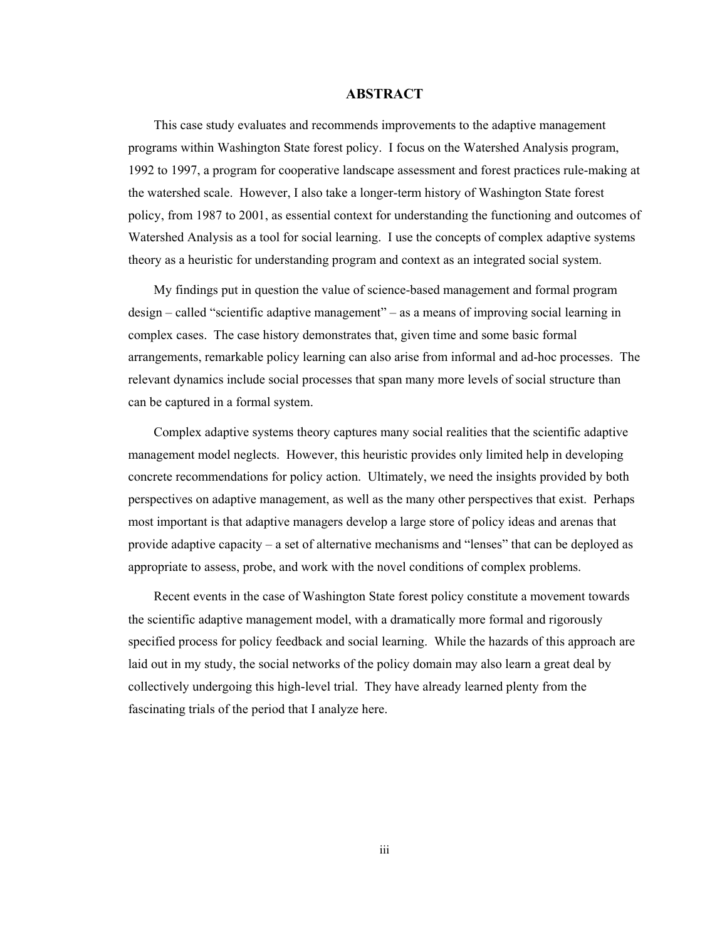### **ABSTRACT**

<span id="page-2-0"></span>This case study evaluates and recommends improvements to the adaptive management programs within Washington State forest policy. I focus on the Watershed Analysis program, 1992 to 1997, a program for cooperative landscape assessment and forest practices rule-making at the watershed scale. However, I also take a longer-term history of Washington State forest policy, from 1987 to 2001, as essential context for understanding the functioning and outcomes of Watershed Analysis as a tool for social learning. I use the concepts of complex adaptive systems theory as a heuristic for understanding program and context as an integrated social system.

My findings put in question the value of science-based management and formal program design – called "scientific adaptive management" – as a means of improving social learning in complex cases. The case history demonstrates that, given time and some basic formal arrangements, remarkable policy learning can also arise from informal and ad-hoc processes. The relevant dynamics include social processes that span many more levels of social structure than can be captured in a formal system.

Complex adaptive systems theory captures many social realities that the scientific adaptive management model neglects. However, this heuristic provides only limited help in developing concrete recommendations for policy action. Ultimately, we need the insights provided by both perspectives on adaptive management, as well as the many other perspectives that exist. Perhaps most important is that adaptive managers develop a large store of policy ideas and arenas that provide adaptive capacity – a set of alternative mechanisms and "lenses" that can be deployed as appropriate to assess, probe, and work with the novel conditions of complex problems.

Recent events in the case of Washington State forest policy constitute a movement towards the scientific adaptive management model, with a dramatically more formal and rigorously specified process for policy feedback and social learning. While the hazards of this approach are laid out in my study, the social networks of the policy domain may also learn a great deal by collectively undergoing this high-level trial. They have already learned plenty from the fascinating trials of the period that I analyze here.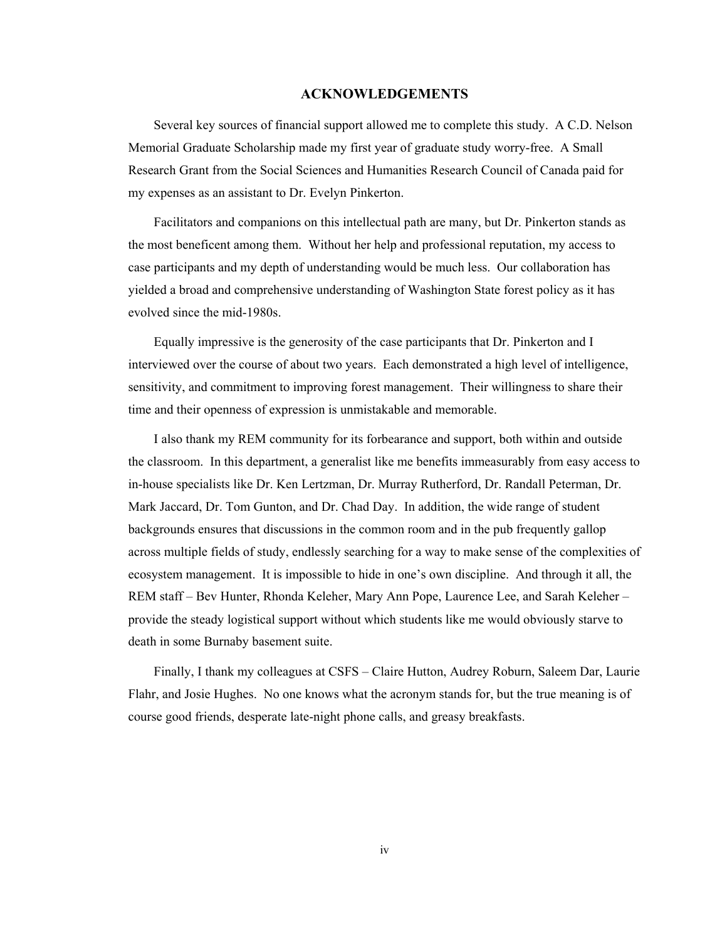### **ACKNOWLEDGEMENTS**

<span id="page-3-0"></span>Several key sources of financial support allowed me to complete this study. A C.D. Nelson Memorial Graduate Scholarship made my first year of graduate study worry-free. A Small Research Grant from the Social Sciences and Humanities Research Council of Canada paid for my expenses as an assistant to Dr. Evelyn Pinkerton.

Facilitators and companions on this intellectual path are many, but Dr. Pinkerton stands as the most beneficent among them. Without her help and professional reputation, my access to case participants and my depth of understanding would be much less. Our collaboration has yielded a broad and comprehensive understanding of Washington State forest policy as it has evolved since the mid-1980s.

Equally impressive is the generosity of the case participants that Dr. Pinkerton and I interviewed over the course of about two years. Each demonstrated a high level of intelligence, sensitivity, and commitment to improving forest management. Their willingness to share their time and their openness of expression is unmistakable and memorable.

I also thank my REM community for its forbearance and support, both within and outside the classroom. In this department, a generalist like me benefits immeasurably from easy access to in-house specialists like Dr. Ken Lertzman, Dr. Murray Rutherford, Dr. Randall Peterman, Dr. Mark Jaccard, Dr. Tom Gunton, and Dr. Chad Day. In addition, the wide range of student backgrounds ensures that discussions in the common room and in the pub frequently gallop across multiple fields of study, endlessly searching for a way to make sense of the complexities of ecosystem management. It is impossible to hide in one's own discipline. And through it all, the REM staff – Bev Hunter, Rhonda Keleher, Mary Ann Pope, Laurence Lee, and Sarah Keleher – provide the steady logistical support without which students like me would obviously starve to death in some Burnaby basement suite.

Finally, I thank my colleagues at CSFS – Claire Hutton, Audrey Roburn, Saleem Dar, Laurie Flahr, and Josie Hughes. No one knows what the acronym stands for, but the true meaning is of course good friends, desperate late-night phone calls, and greasy breakfasts.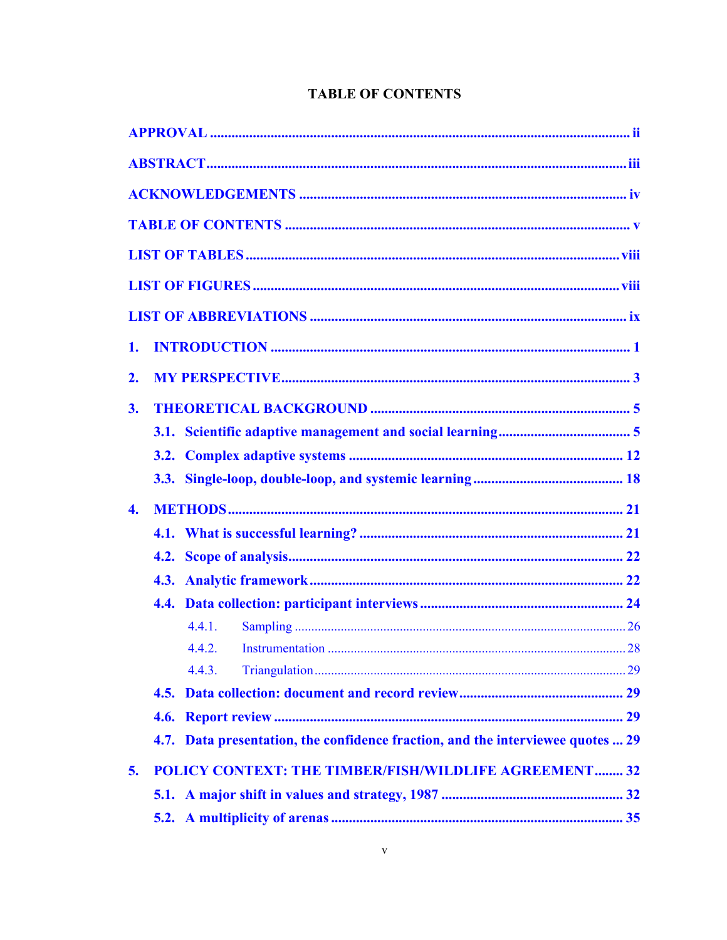| 1.               |        |                                                                                 |  |
|------------------|--------|---------------------------------------------------------------------------------|--|
| 2.               |        |                                                                                 |  |
| 3.               |        |                                                                                 |  |
|                  |        |                                                                                 |  |
|                  |        |                                                                                 |  |
|                  |        |                                                                                 |  |
| $\overline{4}$ . |        |                                                                                 |  |
|                  |        |                                                                                 |  |
|                  |        |                                                                                 |  |
|                  |        |                                                                                 |  |
|                  |        |                                                                                 |  |
|                  | 4.4.1. |                                                                                 |  |
|                  | 4.4.2. |                                                                                 |  |
|                  | 4.4.3. |                                                                                 |  |
|                  |        |                                                                                 |  |
|                  |        |                                                                                 |  |
|                  |        | 4.7. Data presentation, the confidence fraction, and the interviewee quotes  29 |  |
| 5.               |        | <b>POLICY CONTEXT: THE TIMBER/FISH/WILDLIFE AGREEMENT 32</b>                    |  |
|                  |        |                                                                                 |  |
|                  |        |                                                                                 |  |

# **TABLE OF CONTENTS**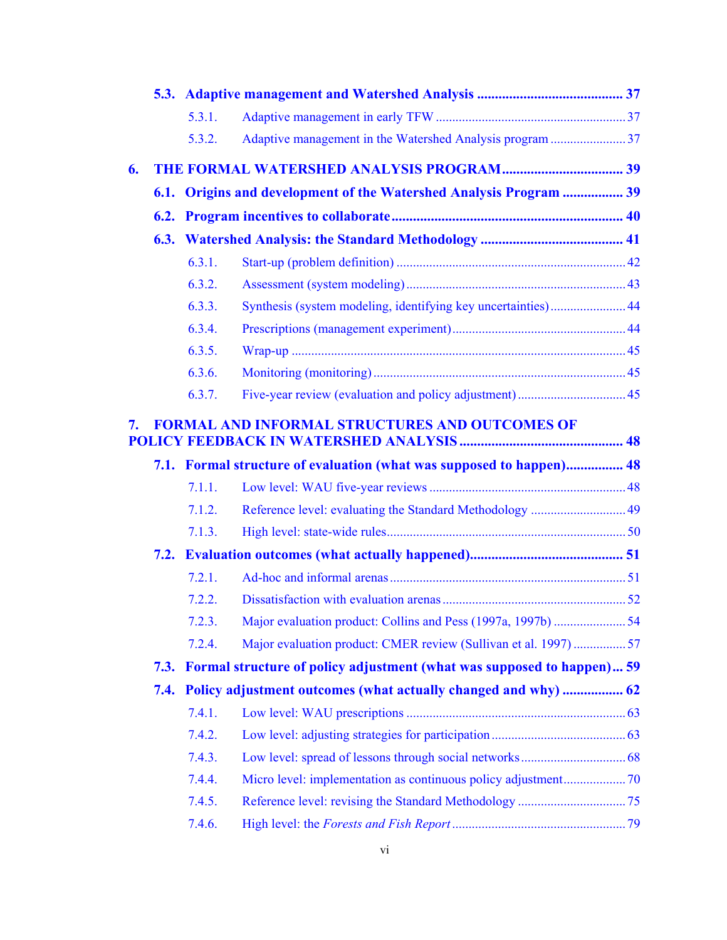|    |      | 5.3.1. |                                                                        |  |
|----|------|--------|------------------------------------------------------------------------|--|
|    |      | 5.3.2. | Adaptive management in the Watershed Analysis program 37               |  |
| 6. |      |        |                                                                        |  |
|    |      |        | 6.1. Origins and development of the Watershed Analysis Program  39     |  |
|    |      |        |                                                                        |  |
|    |      |        |                                                                        |  |
|    |      | 6.3.1. |                                                                        |  |
|    |      | 6.3.2. |                                                                        |  |
|    |      | 6.3.3. | Synthesis (system modeling, identifying key uncertainties) 44          |  |
|    |      | 6.3.4. |                                                                        |  |
|    |      | 6.3.5. |                                                                        |  |
|    |      | 6.3.6. |                                                                        |  |
|    |      | 6.3.7. |                                                                        |  |
| 7. |      |        | <b>FORMAL AND INFORMAL STRUCTURES AND OUTCOMES OF</b>                  |  |
|    |      |        | 7.1. Formal structure of evaluation (what was supposed to happen) 48   |  |
|    |      | 7.1.1. |                                                                        |  |
|    |      | 7.1.2. | Reference level: evaluating the Standard Methodology  49               |  |
|    |      | 7.1.3. |                                                                        |  |
|    |      |        |                                                                        |  |
|    |      | 7.2.1. |                                                                        |  |
|    |      | 7.2.2. |                                                                        |  |
|    |      | 7.2.3. |                                                                        |  |
|    |      | 7.2.4. | Major evaluation product: CMER review (Sullivan et al. 1997) 57        |  |
|    | 7.3. |        | Formal structure of policy adjustment (what was supposed to happen) 59 |  |
|    | 7.4. |        |                                                                        |  |
|    |      | 7.4.1. |                                                                        |  |
|    |      | 7.4.2. |                                                                        |  |
|    |      | 7.4.3. |                                                                        |  |
|    |      | 7.4.4. |                                                                        |  |
|    |      | 7.4.5. |                                                                        |  |
|    |      | 7.4.6. |                                                                        |  |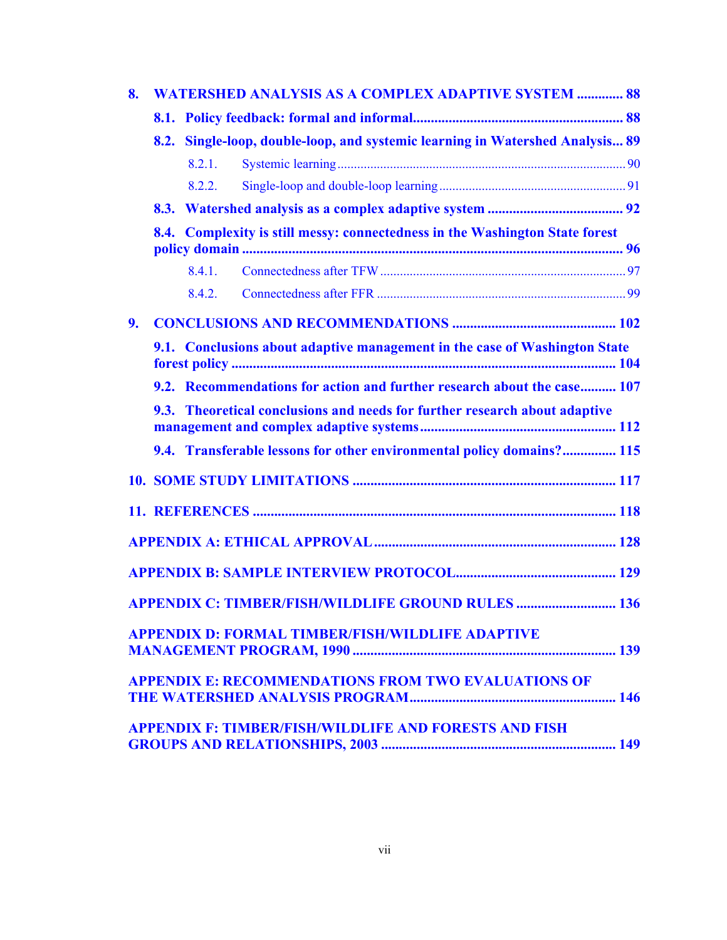| 8. |        | <b>WATERSHED ANALYSIS AS A COMPLEX ADAPTIVE SYSTEM  88</b>                    |  |
|----|--------|-------------------------------------------------------------------------------|--|
|    |        |                                                                               |  |
|    |        | 8.2. Single-loop, double-loop, and systemic learning in Watershed Analysis 89 |  |
|    | 8.2.1. |                                                                               |  |
|    | 8.2.2. |                                                                               |  |
|    |        |                                                                               |  |
|    |        | 8.4. Complexity is still messy: connectedness in the Washington State forest  |  |
|    | 8.4.1. |                                                                               |  |
|    | 842    |                                                                               |  |
| 9. |        |                                                                               |  |
|    |        | 9.1. Conclusions about adaptive management in the case of Washington State    |  |
|    |        | 9.2. Recommendations for action and further research about the case 107       |  |
|    |        | 9.3. Theoretical conclusions and needs for further research about adaptive    |  |
|    |        |                                                                               |  |
|    |        | 9.4. Transferable lessons for other environmental policy domains? 115         |  |
|    |        |                                                                               |  |
|    |        |                                                                               |  |
|    |        |                                                                               |  |
|    |        |                                                                               |  |
|    |        | <b>APPENDIX C: TIMBER/FISH/WILDLIFE GROUND RULES  136</b>                     |  |
|    |        | <b>APPENDIX D: FORMAL TIMBER/FISH/WILDLIFE ADAPTIVE</b>                       |  |
|    |        |                                                                               |  |
|    |        | <b>APPENDIX E: RECOMMENDATIONS FROM TWO EVALUATIONS OF</b>                    |  |
|    |        | <b>APPENDIX F: TIMBER/FISH/WILDLIFE AND FORESTS AND FISH</b>                  |  |
|    |        |                                                                               |  |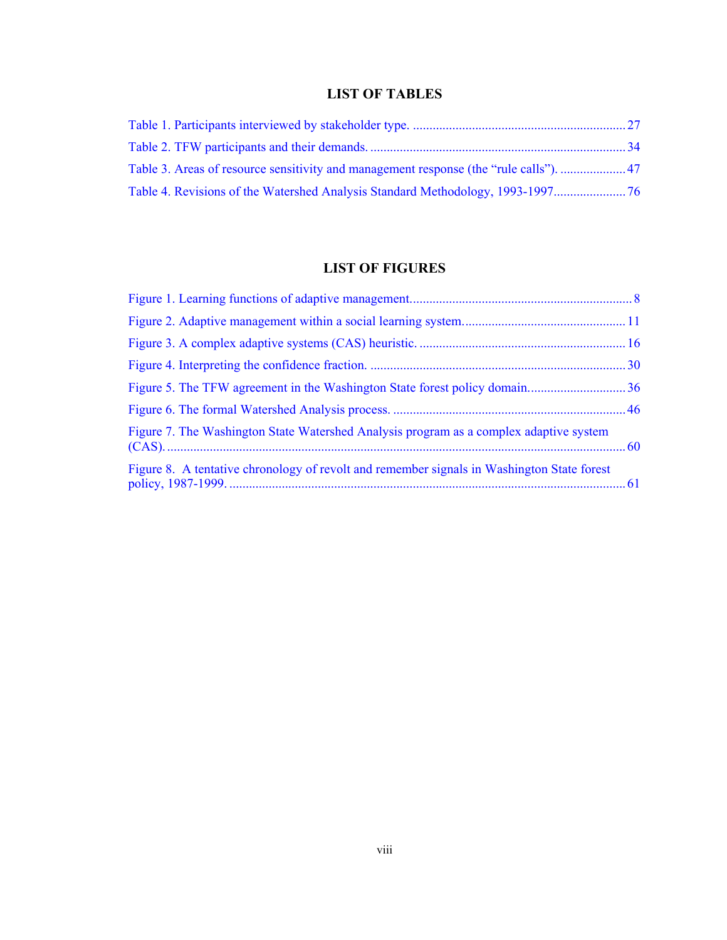# **LIST OF TABLES**

<span id="page-7-0"></span>

| Table 4. Revisions of the Watershed Analysis Standard Methodology, 1993-1997 |  |
|------------------------------------------------------------------------------|--|

# **LIST OF FIGURES**

| Figure 7. The Washington State Watershed Analysis program as a complex adaptive system     |  |
|--------------------------------------------------------------------------------------------|--|
| Figure 8. A tentative chronology of revolt and remember signals in Washington State forest |  |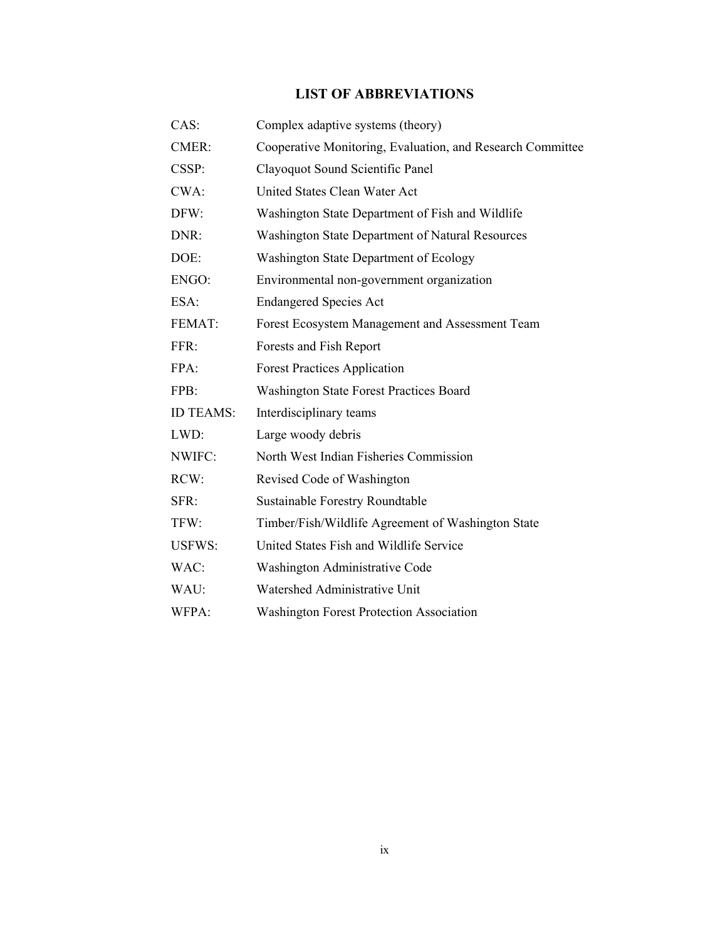# **LIST OF ABBREVIATIONS**

<span id="page-8-0"></span>

| CAS:             | Complex adaptive systems (theory)                          |
|------------------|------------------------------------------------------------|
| CMER:            | Cooperative Monitoring, Evaluation, and Research Committee |
| CSSP:            | Clayoquot Sound Scientific Panel                           |
| CWA:             | United States Clean Water Act                              |
| DFW:             | Washington State Department of Fish and Wildlife           |
| DNR:             | Washington State Department of Natural Resources           |
| DOE:             | Washington State Department of Ecology                     |
| ENGO:            | Environmental non-government organization                  |
| ESA:             | <b>Endangered Species Act</b>                              |
| FEMAT:           | Forest Ecosystem Management and Assessment Team            |
| FFR:             | Forests and Fish Report                                    |
| FPA:             | <b>Forest Practices Application</b>                        |
| FPB:             | <b>Washington State Forest Practices Board</b>             |
| <b>ID TEAMS:</b> | Interdisciplinary teams                                    |
| LWD:             | Large woody debris                                         |
| NWIFC:           | North West Indian Fisheries Commission                     |
| RCW:             | Revised Code of Washington                                 |
| SFR:             | <b>Sustainable Forestry Roundtable</b>                     |
| TFW:             | Timber/Fish/Wildlife Agreement of Washington State         |
| <b>USFWS:</b>    | United States Fish and Wildlife Service                    |
| WAC:             | Washington Administrative Code                             |
| WAU:             | Watershed Administrative Unit                              |
| WFPA:            | <b>Washington Forest Protection Association</b>            |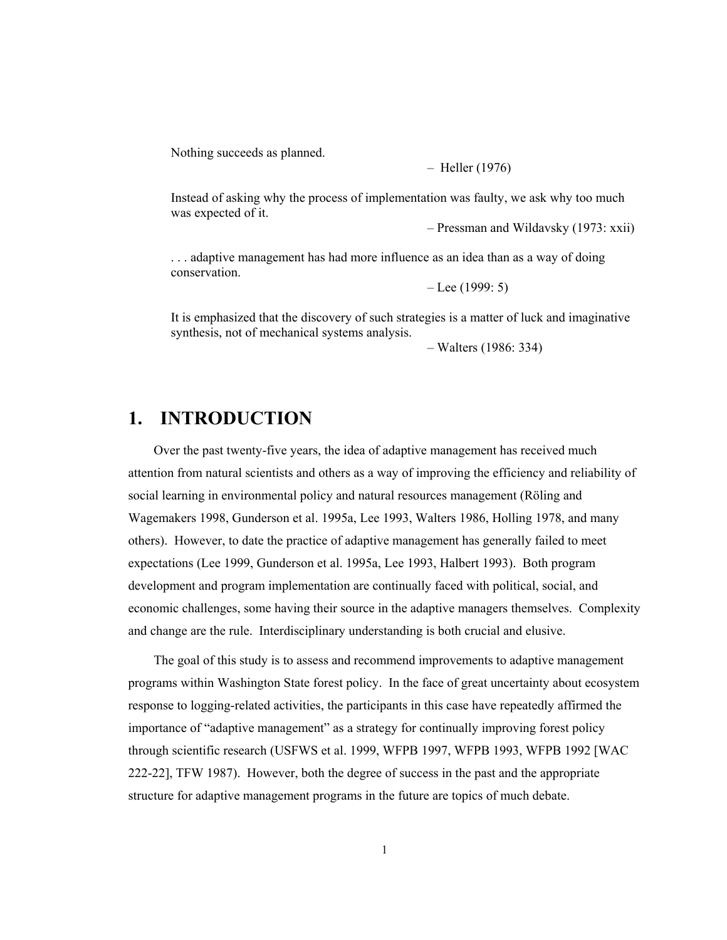<span id="page-9-0"></span>Nothing succeeds as planned.

– Heller (1976)

Instead of asking why the process of implementation was faulty, we ask why too much was expected of it.

– Pressman and Wildavsky (1973: xxii)

. . . adaptive management has had more influence as an idea than as a way of doing conservation.

– Lee (1999: 5)

It is emphasized that the discovery of such strategies is a matter of luck and imaginative synthesis, not of mechanical systems analysis.

– Walters (1986: 334)

# **1. INTRODUCTION**

Over the past twenty-five years, the idea of adaptive management has received much attention from natural scientists and others as a way of improving the efficiency and reliability of social learning in environmental policy and natural resources management (Röling and Wagemakers 1998, Gunderson et al. 1995a, Lee 1993, Walters 1986, Holling 1978, and many others). However, to date the practice of adaptive management has generally failed to meet expectations (Lee 1999, Gunderson et al. 1995a, Lee 1993, Halbert 1993). Both program development and program implementation are continually faced with political, social, and economic challenges, some having their source in the adaptive managers themselves. Complexity and change are the rule. Interdisciplinary understanding is both crucial and elusive.

The goal of this study is to assess and recommend improvements to adaptive management programs within Washington State forest policy. In the face of great uncertainty about ecosystem response to logging-related activities, the participants in this case have repeatedly affirmed the importance of "adaptive management" as a strategy for continually improving forest policy through scientific research (USFWS et al. 1999, WFPB 1997, WFPB 1993, WFPB 1992 [WAC 222-22], TFW 1987). However, both the degree of success in the past and the appropriate structure for adaptive management programs in the future are topics of much debate.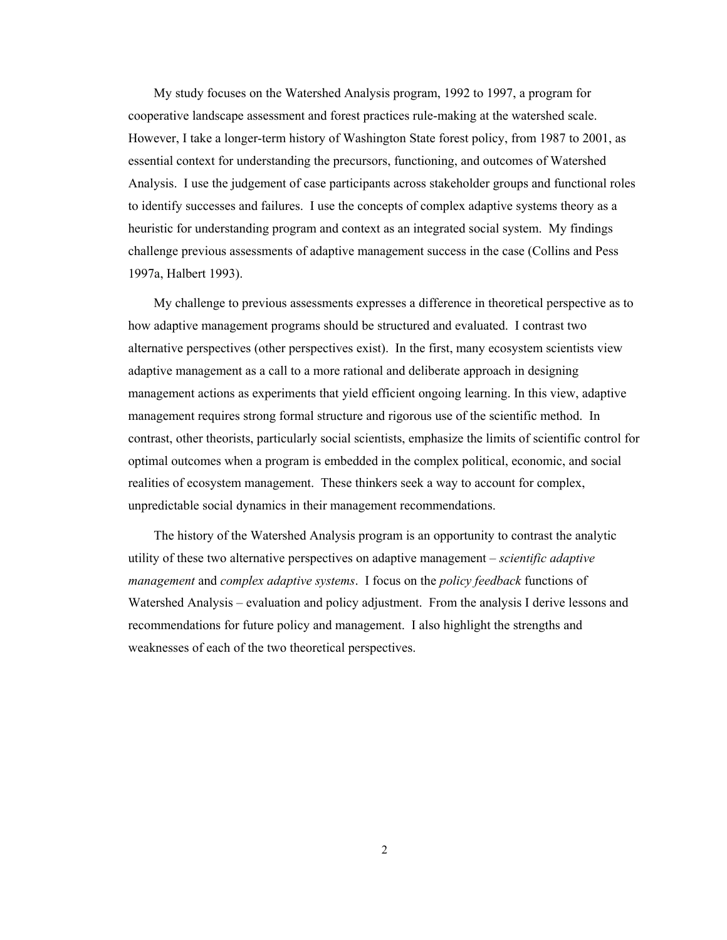My study focuses on the Watershed Analysis program, 1992 to 1997, a program for cooperative landscape assessment and forest practices rule-making at the watershed scale. However, I take a longer-term history of Washington State forest policy, from 1987 to 2001, as essential context for understanding the precursors, functioning, and outcomes of Watershed Analysis. I use the judgement of case participants across stakeholder groups and functional roles to identify successes and failures. I use the concepts of complex adaptive systems theory as a heuristic for understanding program and context as an integrated social system. My findings challenge previous assessments of adaptive management success in the case (Collins and Pess 1997a, Halbert 1993).

My challenge to previous assessments expresses a difference in theoretical perspective as to how adaptive management programs should be structured and evaluated. I contrast two alternative perspectives (other perspectives exist). In the first, many ecosystem scientists view adaptive management as a call to a more rational and deliberate approach in designing management actions as experiments that yield efficient ongoing learning. In this view, adaptive management requires strong formal structure and rigorous use of the scientific method. In contrast, other theorists, particularly social scientists, emphasize the limits of scientific control for optimal outcomes when a program is embedded in the complex political, economic, and social realities of ecosystem management. These thinkers seek a way to account for complex, unpredictable social dynamics in their management recommendations.

The history of the Watershed Analysis program is an opportunity to contrast the analytic utility of these two alternative perspectives on adaptive management – *scientific adaptive management* and *complex adaptive systems*. I focus on the *policy feedback* functions of Watershed Analysis – evaluation and policy adjustment. From the analysis I derive lessons and recommendations for future policy and management. I also highlight the strengths and weaknesses of each of the two theoretical perspectives.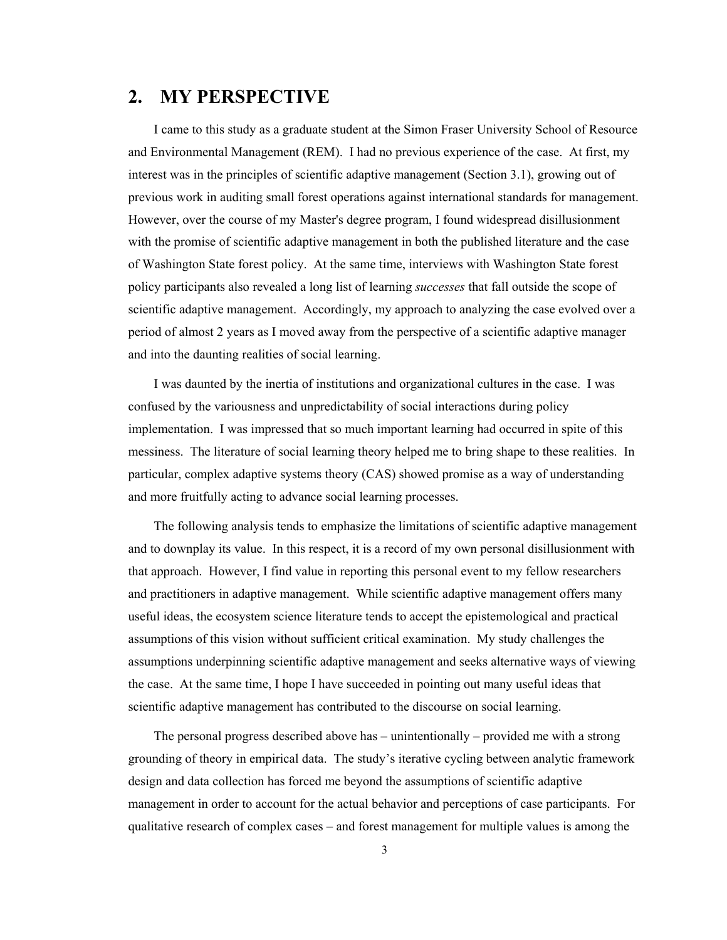# <span id="page-11-0"></span>**2. MY PERSPECTIVE**

I came to this study as a graduate student at the Simon Fraser University School of Resource and Environmental Management (REM). I had no previous experience of the case. At first, my interest was in the principles of scientific adaptive management (Section 3.1), growing out of previous work in auditing small forest operations against international standards for management. However, over the course of my Master's degree program, I found widespread disillusionment with the promise of scientific adaptive management in both the published literature and the case of Washington State forest policy. At the same time, interviews with Washington State forest policy participants also revealed a long list of learning *successes* that fall outside the scope of scientific adaptive management. Accordingly, my approach to analyzing the case evolved over a period of almost 2 years as I moved away from the perspective of a scientific adaptive manager and into the daunting realities of social learning.

I was daunted by the inertia of institutions and organizational cultures in the case. I was confused by the variousness and unpredictability of social interactions during policy implementation. I was impressed that so much important learning had occurred in spite of this messiness. The literature of social learning theory helped me to bring shape to these realities. In particular, complex adaptive systems theory (CAS) showed promise as a way of understanding and more fruitfully acting to advance social learning processes.

The following analysis tends to emphasize the limitations of scientific adaptive management and to downplay its value. In this respect, it is a record of my own personal disillusionment with that approach. However, I find value in reporting this personal event to my fellow researchers and practitioners in adaptive management. While scientific adaptive management offers many useful ideas, the ecosystem science literature tends to accept the epistemological and practical assumptions of this vision without sufficient critical examination. My study challenges the assumptions underpinning scientific adaptive management and seeks alternative ways of viewing the case. At the same time, I hope I have succeeded in pointing out many useful ideas that scientific adaptive management has contributed to the discourse on social learning.

The personal progress described above has – unintentionally – provided me with a strong grounding of theory in empirical data. The study's iterative cycling between analytic framework design and data collection has forced me beyond the assumptions of scientific adaptive management in order to account for the actual behavior and perceptions of case participants. For qualitative research of complex cases – and forest management for multiple values is among the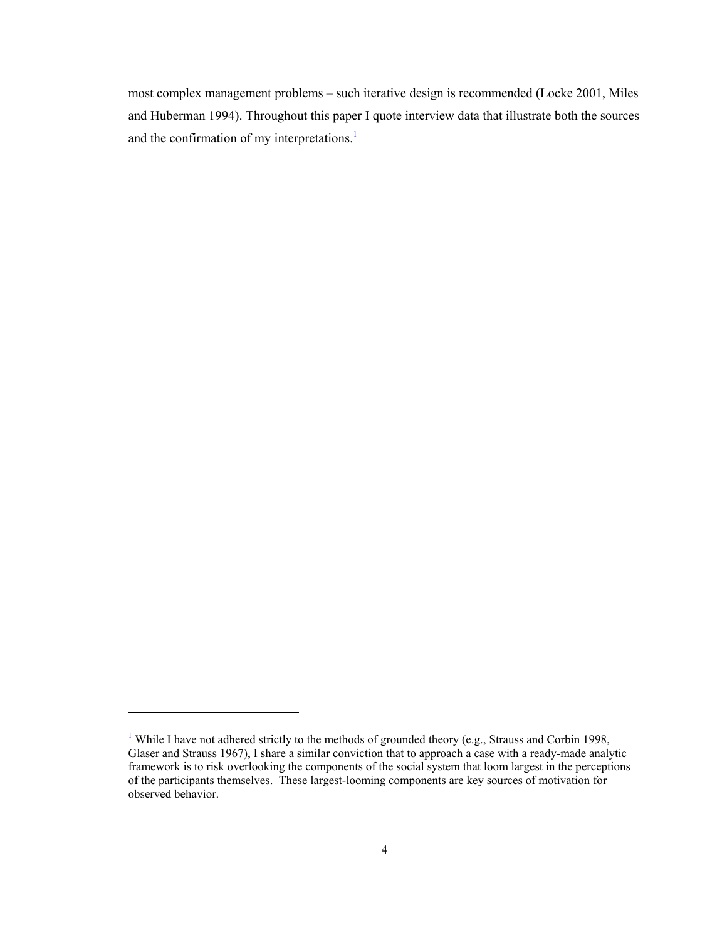most complex management problems – such iterative design is recommended (Locke 2001, Miles and Huberman 1994). Throughout this paper I quote interview data that illustrate both the sources and the confirmation of my interpretations.<sup>1</sup>

1

<sup>&</sup>lt;sup>1</sup> While I have not adhered strictly to the methods of grounded theory (e.g., Strauss and Corbin 1998, Glaser and Strauss 1967), I share a similar conviction that to approach a case with a ready-made analytic framework is to risk overlooking the components of the social system that loom largest in the perceptions of the participants themselves. These largest-looming components are key sources of motivation for observed behavior.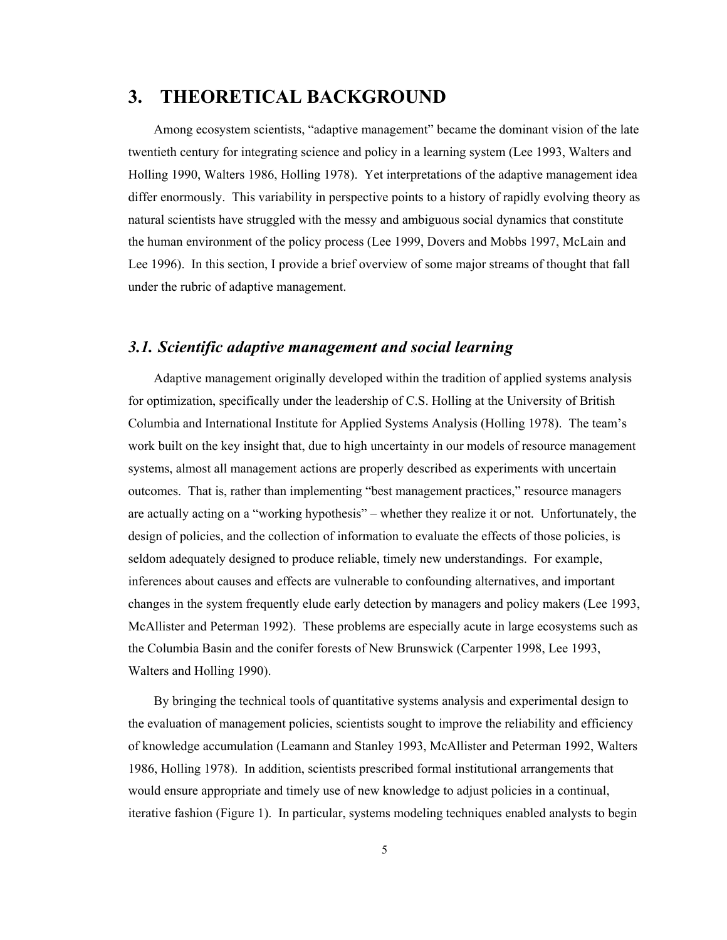# <span id="page-13-0"></span>**3. THEORETICAL BACKGROUND**

Among ecosystem scientists, "adaptive management" became the dominant vision of the late twentieth century for integrating science and policy in a learning system (Lee 1993, Walters and Holling 1990, Walters 1986, Holling 1978). Yet interpretations of the adaptive management idea differ enormously. This variability in perspective points to a history of rapidly evolving theory as natural scientists have struggled with the messy and ambiguous social dynamics that constitute the human environment of the policy process (Lee 1999, Dovers and Mobbs 1997, McLain and Lee 1996). In this section, I provide a brief overview of some major streams of thought that fall under the rubric of adaptive management.

# *3.1. Scientific adaptive management and social learning*

Adaptive management originally developed within the tradition of applied systems analysis for optimization, specifically under the leadership of C.S. Holling at the University of British Columbia and International Institute for Applied Systems Analysis (Holling 1978). The team's work built on the key insight that, due to high uncertainty in our models of resource management systems, almost all management actions are properly described as experiments with uncertain outcomes. That is, rather than implementing "best management practices," resource managers are actually acting on a "working hypothesis" – whether they realize it or not. Unfortunately, the design of policies, and the collection of information to evaluate the effects of those policies, is seldom adequately designed to produce reliable, timely new understandings. For example, inferences about causes and effects are vulnerable to confounding alternatives, and important changes in the system frequently elude early detection by managers and policy makers (Lee 1993, McAllister and Peterman 1992). These problems are especially acute in large ecosystems such as the Columbia Basin and the conifer forests of New Brunswick (Carpenter 1998, Lee 1993, Walters and Holling 1990).

By bringing the technical tools of quantitative systems analysis and experimental design to the evaluation of management policies, scientists sought to improve the reliability and efficiency of knowledge accumulation (Leamann and Stanley 1993, McAllister and Peterman 1992, Walters 1986, Holling 1978). In addition, scientists prescribed formal institutional arrangements that would ensure appropriate and timely use of new knowledge to adjust policies in a continual, iterative fashion (Figure 1). In particular, systems modeling techniques enabled analysts to begin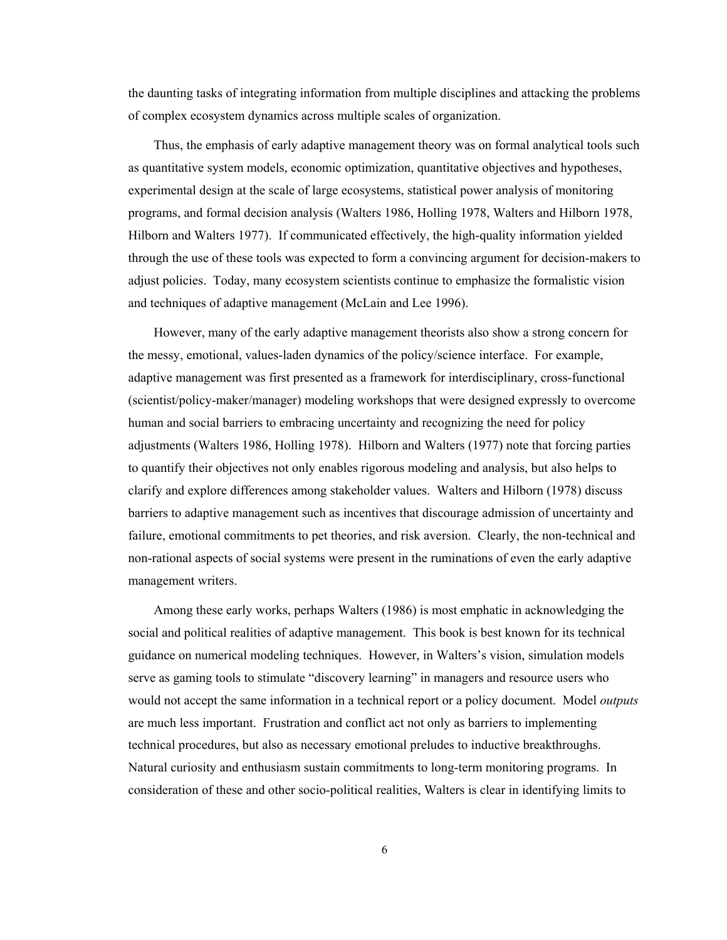the daunting tasks of integrating information from multiple disciplines and attacking the problems of complex ecosystem dynamics across multiple scales of organization.

Thus, the emphasis of early adaptive management theory was on formal analytical tools such as quantitative system models, economic optimization, quantitative objectives and hypotheses, experimental design at the scale of large ecosystems, statistical power analysis of monitoring programs, and formal decision analysis (Walters 1986, Holling 1978, Walters and Hilborn 1978, Hilborn and Walters 1977). If communicated effectively, the high-quality information yielded through the use of these tools was expected to form a convincing argument for decision-makers to adjust policies. Today, many ecosystem scientists continue to emphasize the formalistic vision and techniques of adaptive management (McLain and Lee 1996).

However, many of the early adaptive management theorists also show a strong concern for the messy, emotional, values-laden dynamics of the policy/science interface. For example, adaptive management was first presented as a framework for interdisciplinary, cross-functional (scientist/policy-maker/manager) modeling workshops that were designed expressly to overcome human and social barriers to embracing uncertainty and recognizing the need for policy adjustments (Walters 1986, Holling 1978). Hilborn and Walters (1977) note that forcing parties to quantify their objectives not only enables rigorous modeling and analysis, but also helps to clarify and explore differences among stakeholder values. Walters and Hilborn (1978) discuss barriers to adaptive management such as incentives that discourage admission of uncertainty and failure, emotional commitments to pet theories, and risk aversion. Clearly, the non-technical and non-rational aspects of social systems were present in the ruminations of even the early adaptive management writers.

Among these early works, perhaps Walters (1986) is most emphatic in acknowledging the social and political realities of adaptive management. This book is best known for its technical guidance on numerical modeling techniques. However, in Walters's vision, simulation models serve as gaming tools to stimulate "discovery learning" in managers and resource users who would not accept the same information in a technical report or a policy document. Model *outputs* are much less important. Frustration and conflict act not only as barriers to implementing technical procedures, but also as necessary emotional preludes to inductive breakthroughs. Natural curiosity and enthusiasm sustain commitments to long-term monitoring programs. In consideration of these and other socio-political realities, Walters is clear in identifying limits to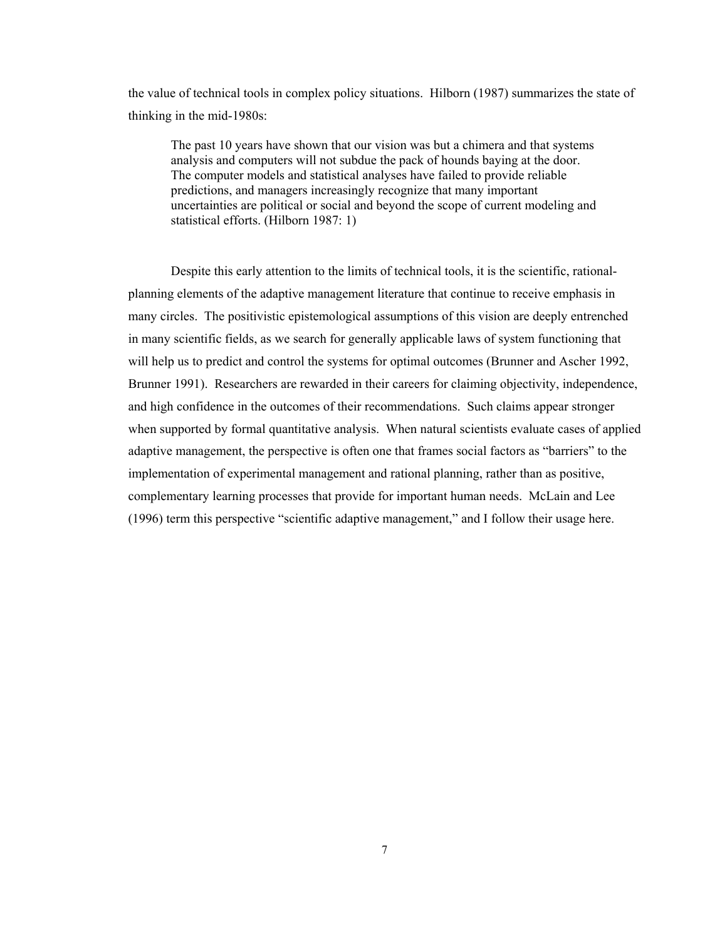the value of technical tools in complex policy situations. Hilborn (1987) summarizes the state of thinking in the mid-1980s:

The past 10 years have shown that our vision was but a chimera and that systems analysis and computers will not subdue the pack of hounds baying at the door. The computer models and statistical analyses have failed to provide reliable predictions, and managers increasingly recognize that many important uncertainties are political or social and beyond the scope of current modeling and statistical efforts. (Hilborn 1987: 1)

Despite this early attention to the limits of technical tools, it is the scientific, rationalplanning elements of the adaptive management literature that continue to receive emphasis in many circles. The positivistic epistemological assumptions of this vision are deeply entrenched in many scientific fields, as we search for generally applicable laws of system functioning that will help us to predict and control the systems for optimal outcomes (Brunner and Ascher 1992, Brunner 1991). Researchers are rewarded in their careers for claiming objectivity, independence, and high confidence in the outcomes of their recommendations. Such claims appear stronger when supported by formal quantitative analysis. When natural scientists evaluate cases of applied adaptive management, the perspective is often one that frames social factors as "barriers" to the implementation of experimental management and rational planning, rather than as positive, complementary learning processes that provide for important human needs. McLain and Lee (1996) term this perspective "scientific adaptive management," and I follow their usage here.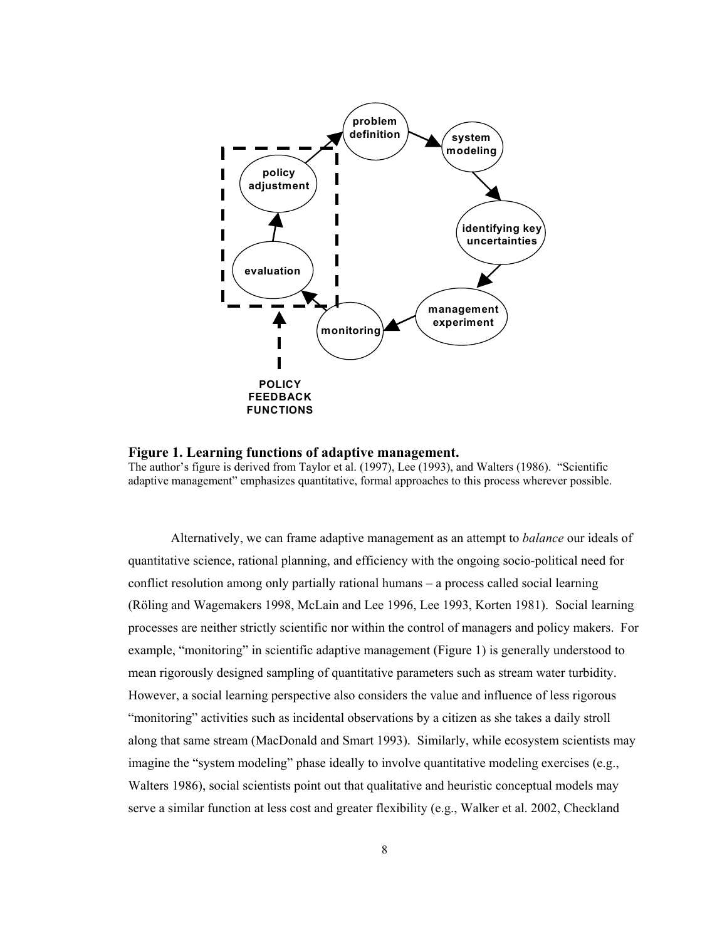<span id="page-16-0"></span>

**Figure 1. Learning functions of adaptive management.** 

The author's figure is derived from Taylor et al. (1997), Lee (1993), and Walters (1986). "Scientific adaptive management" emphasizes quantitative, formal approaches to this process wherever possible.

Alternatively, we can frame adaptive management as an attempt to *balance* our ideals of quantitative science, rational planning, and efficiency with the ongoing socio-political need for conflict resolution among only partially rational humans – a process called social learning (Röling and Wagemakers 1998, McLain and Lee 1996, Lee 1993, Korten 1981). Social learning processes are neither strictly scientific nor within the control of managers and policy makers. For example, "monitoring" in scientific adaptive management (Figure 1) is generally understood to mean rigorously designed sampling of quantitative parameters such as stream water turbidity. However, a social learning perspective also considers the value and influence of less rigorous "monitoring" activities such as incidental observations by a citizen as she takes a daily stroll along that same stream (MacDonald and Smart 1993). Similarly, while ecosystem scientists may imagine the "system modeling" phase ideally to involve quantitative modeling exercises (e.g., Walters 1986), social scientists point out that qualitative and heuristic conceptual models may serve a similar function at less cost and greater flexibility (e.g., Walker et al. 2002, Checkland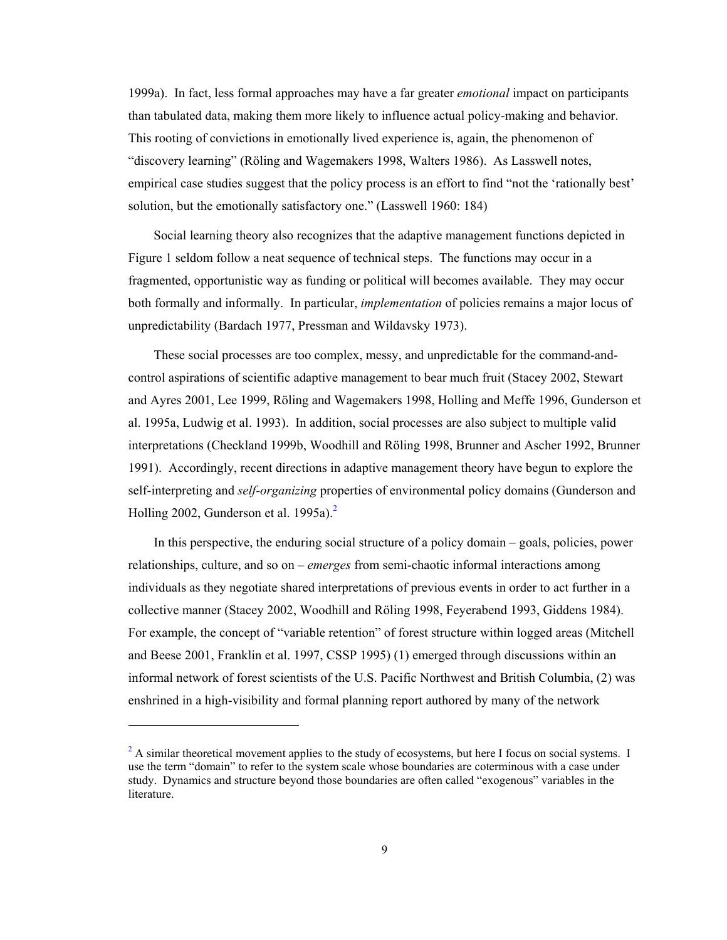1999a). In fact, less formal approaches may have a far greater *emotional* impact on participants than tabulated data, making them more likely to influence actual policy-making and behavior. This rooting of convictions in emotionally lived experience is, again, the phenomenon of "discovery learning" (Röling and Wagemakers 1998, Walters 1986). As Lasswell notes, empirical case studies suggest that the policy process is an effort to find "not the 'rationally best' solution, but the emotionally satisfactory one." (Lasswell 1960: 184)

Social learning theory also recognizes that the adaptive management functions depicted in Figure 1 seldom follow a neat sequence of technical steps. The functions may occur in a fragmented, opportunistic way as funding or political will becomes available. They may occur both formally and informally. In particular, *implementation* of policies remains a major locus of unpredictability (Bardach 1977, Pressman and Wildavsky 1973).

These social processes are too complex, messy, and unpredictable for the command-andcontrol aspirations of scientific adaptive management to bear much fruit (Stacey 2002, Stewart and Ayres 2001, Lee 1999, Röling and Wagemakers 1998, Holling and Meffe 1996, Gunderson et al. 1995a, Ludwig et al. 1993). In addition, social processes are also subject to multiple valid interpretations (Checkland 1999b, Woodhill and Röling 1998, Brunner and Ascher 1992, Brunner 1991). Accordingly, recent directions in adaptive management theory have begun to explore the self-interpreting and *self-organizing* properties of environmental policy domains (Gunderson and Holling 2002, Gunderson et al. 1995a). $<sup>2</sup>$ </sup>

In this perspective, the enduring social structure of a policy domain – goals, policies, power relationships, culture, and so on – *emerges* from semi-chaotic informal interactions among individuals as they negotiate shared interpretations of previous events in order to act further in a collective manner (Stacey 2002, Woodhill and Röling 1998, Feyerabend 1993, Giddens 1984). For example, the concept of "variable retention" of forest structure within logged areas (Mitchell and Beese 2001, Franklin et al. 1997, CSSP 1995) (1) emerged through discussions within an informal network of forest scientists of the U.S. Pacific Northwest and British Columbia, (2) was enshrined in a high-visibility and formal planning report authored by many of the network

l

 $2<sup>2</sup>$  A similar theoretical movement applies to the study of ecosystems, but here I focus on social systems. I use the term "domain" to refer to the system scale whose boundaries are coterminous with a case under study. Dynamics and structure beyond those boundaries are often called "exogenous" variables in the literature.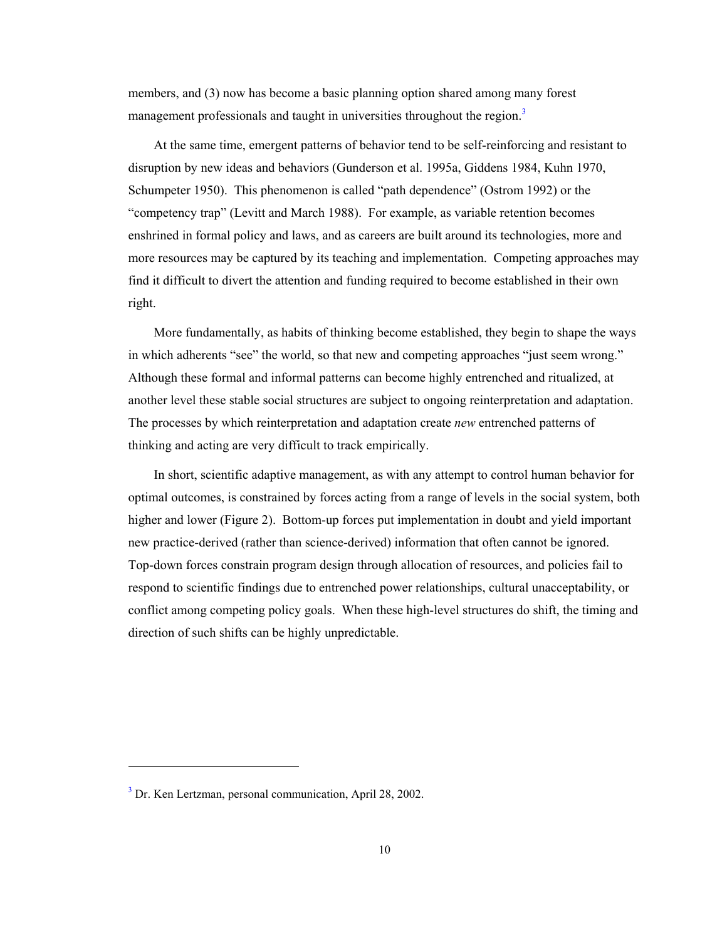members, and (3) now has become a basic planning option shared among many forest management professionals and taught in universities throughout the region.<sup>3</sup>

At the same time, emergent patterns of behavior tend to be self-reinforcing and resistant to disruption by new ideas and behaviors (Gunderson et al. 1995a, Giddens 1984, Kuhn 1970, Schumpeter 1950). This phenomenon is called "path dependence" (Ostrom 1992) or the "competency trap" (Levitt and March 1988). For example, as variable retention becomes enshrined in formal policy and laws, and as careers are built around its technologies, more and more resources may be captured by its teaching and implementation. Competing approaches may find it difficult to divert the attention and funding required to become established in their own right.

More fundamentally, as habits of thinking become established, they begin to shape the ways in which adherents "see" the world, so that new and competing approaches "just seem wrong." Although these formal and informal patterns can become highly entrenched and ritualized, at another level these stable social structures are subject to ongoing reinterpretation and adaptation. The processes by which reinterpretation and adaptation create *new* entrenched patterns of thinking and acting are very difficult to track empirically.

In short, scientific adaptive management, as with any attempt to control human behavior for optimal outcomes, is constrained by forces acting from a range of levels in the social system, both higher and lower (Figure 2). Bottom-up forces put implementation in doubt and yield important new practice-derived (rather than science-derived) information that often cannot be ignored. Top-down forces constrain program design through allocation of resources, and policies fail to respond to scientific findings due to entrenched power relationships, cultural unacceptability, or conflict among competing policy goals. When these high-level structures do shift, the timing and direction of such shifts can be highly unpredictable.

l

<sup>&</sup>lt;sup>3</sup> Dr. Ken Lertzman, personal communication, April 28, 2002.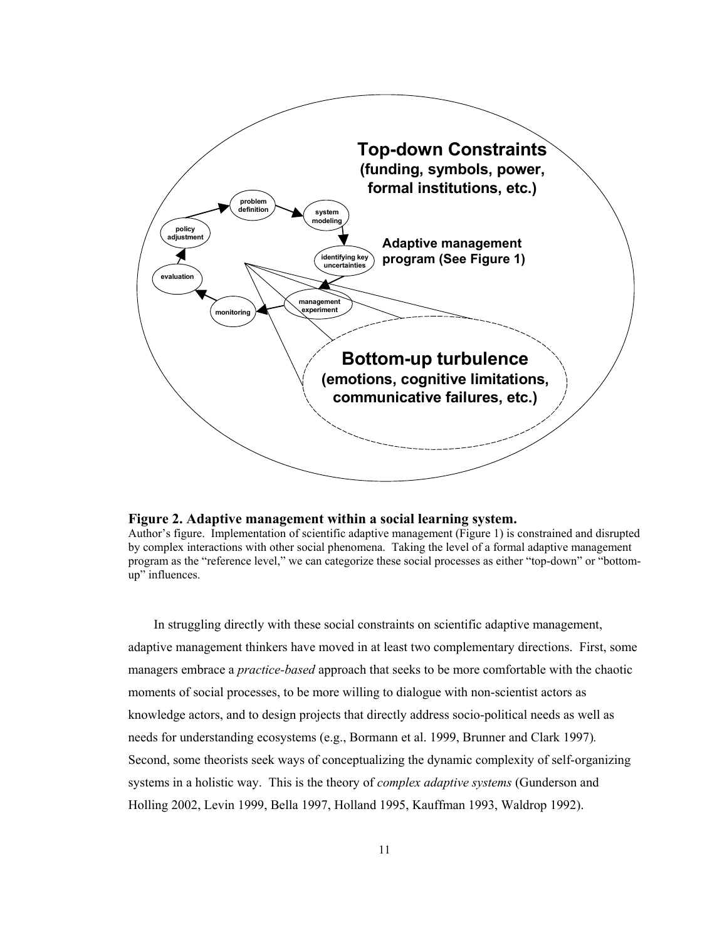<span id="page-19-0"></span>

#### **Figure 2. Adaptive management within a social learning system.**

Author's figure. Implementation of scientific adaptive management (Figure 1) is constrained and disrupted by complex interactions with other social phenomena. Taking the level of a formal adaptive management program as the "reference level," we can categorize these social processes as either "top-down" or "bottomup" influences.

In struggling directly with these social constraints on scientific adaptive management, adaptive management thinkers have moved in at least two complementary directions. First, some managers embrace a *practice-based* approach that seeks to be more comfortable with the chaotic moments of social processes, to be more willing to dialogue with non-scientist actors as knowledge actors, and to design projects that directly address socio-political needs as well as needs for understanding ecosystems (e.g., Bormann et al. 1999, Brunner and Clark 1997)*.*  Second, some theorists seek ways of conceptualizing the dynamic complexity of self-organizing systems in a holistic way. This is the theory of *complex adaptive systems* (Gunderson and Holling 2002, Levin 1999, Bella 1997, Holland 1995, Kauffman 1993, Waldrop 1992).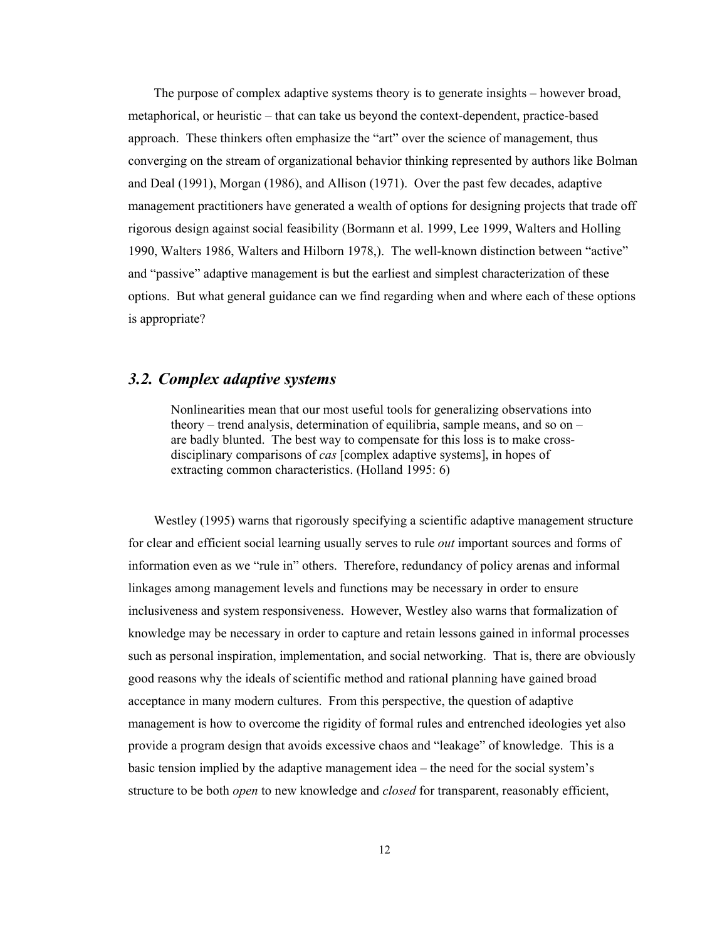<span id="page-20-0"></span>The purpose of complex adaptive systems theory is to generate insights – however broad, metaphorical, or heuristic – that can take us beyond the context-dependent, practice-based approach. These thinkers often emphasize the "art" over the science of management, thus converging on the stream of organizational behavior thinking represented by authors like Bolman and Deal (1991), Morgan (1986), and Allison (1971). Over the past few decades, adaptive management practitioners have generated a wealth of options for designing projects that trade off rigorous design against social feasibility (Bormann et al. 1999, Lee 1999, Walters and Holling 1990, Walters 1986, Walters and Hilborn 1978,). The well-known distinction between "active" and "passive" adaptive management is but the earliest and simplest characterization of these options. But what general guidance can we find regarding when and where each of these options is appropriate?

### *3.2. Complex adaptive systems*

Nonlinearities mean that our most useful tools for generalizing observations into theory – trend analysis, determination of equilibria, sample means, and so on – are badly blunted. The best way to compensate for this loss is to make crossdisciplinary comparisons of *cas* [complex adaptive systems], in hopes of extracting common characteristics. (Holland 1995: 6)

Westley (1995) warns that rigorously specifying a scientific adaptive management structure for clear and efficient social learning usually serves to rule *out* important sources and forms of information even as we "rule in" others. Therefore, redundancy of policy arenas and informal linkages among management levels and functions may be necessary in order to ensure inclusiveness and system responsiveness. However, Westley also warns that formalization of knowledge may be necessary in order to capture and retain lessons gained in informal processes such as personal inspiration, implementation, and social networking. That is, there are obviously good reasons why the ideals of scientific method and rational planning have gained broad acceptance in many modern cultures. From this perspective, the question of adaptive management is how to overcome the rigidity of formal rules and entrenched ideologies yet also provide a program design that avoids excessive chaos and "leakage" of knowledge. This is a basic tension implied by the adaptive management idea – the need for the social system's structure to be both *open* to new knowledge and *closed* for transparent, reasonably efficient,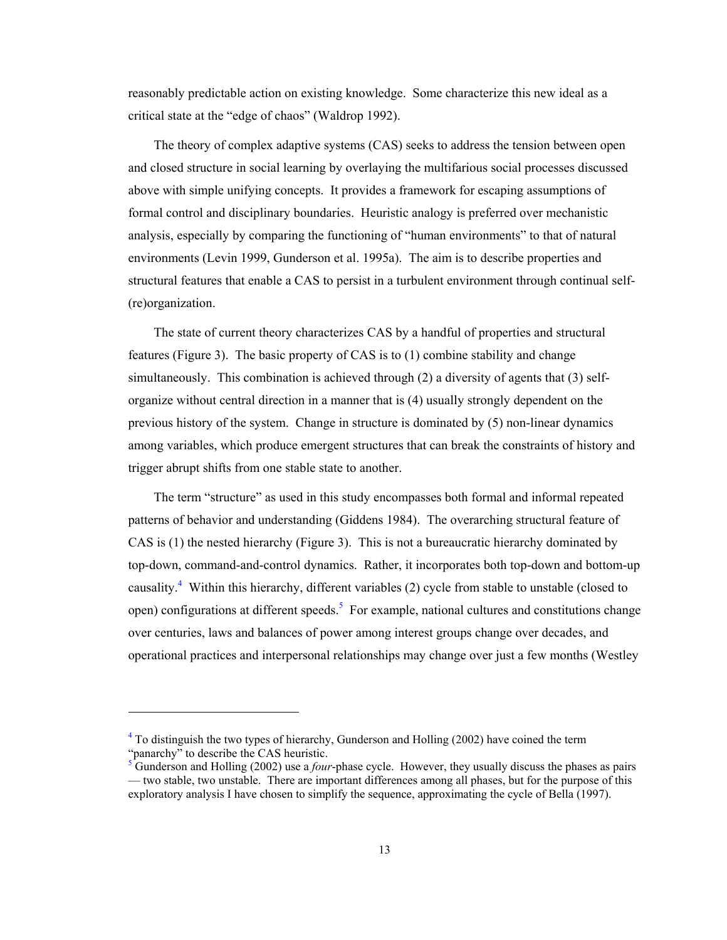reasonably predictable action on existing knowledge. Some characterize this new ideal as a critical state at the "edge of chaos" (Waldrop 1992).

The theory of complex adaptive systems (CAS) seeks to address the tension between open and closed structure in social learning by overlaying the multifarious social processes discussed above with simple unifying concepts. It provides a framework for escaping assumptions of formal control and disciplinary boundaries. Heuristic analogy is preferred over mechanistic analysis, especially by comparing the functioning of "human environments" to that of natural environments (Levin 1999, Gunderson et al. 1995a). The aim is to describe properties and structural features that enable a CAS to persist in a turbulent environment through continual self- (re)organization.

The state of current theory characterizes CAS by a handful of properties and structural features (Figure 3). The basic property of CAS is to (1) combine stability and change simultaneously. This combination is achieved through (2) a diversity of agents that (3) selforganize without central direction in a manner that is (4) usually strongly dependent on the previous history of the system. Change in structure is dominated by (5) non-linear dynamics among variables, which produce emergent structures that can break the constraints of history and trigger abrupt shifts from one stable state to another.

The term "structure" as used in this study encompasses both formal and informal repeated patterns of behavior and understanding (Giddens 1984). The overarching structural feature of CAS is (1) the nested hierarchy (Figure 3). This is not a bureaucratic hierarchy dominated by top-down, command-and-control dynamics. Rather, it incorporates both top-down and bottom-up causality.<sup>4</sup> Within this hierarchy, different variables (2) cycle from stable to unstable (closed to open) configurations at different speeds.<sup>5</sup> For example, national cultures and constitutions change over centuries, laws and balances of power among interest groups change over decades, and operational practices and interpersonal relationships may change over just a few months (Westley

1

 $4$  To distinguish the two types of hierarchy, Gunderson and Holling (2002) have coined the term "panarchy" to describe the CAS heuristic.

 $5\overline{\phantom{1}}$  Gunderson and Holling (2002) use a *four*-phase cycle. However, they usually discuss the phases as pairs — two stable, two unstable. There are important differences among all phases, but for the purpose of this exploratory analysis I have chosen to simplify the sequence, approximating the cycle of Bella (1997).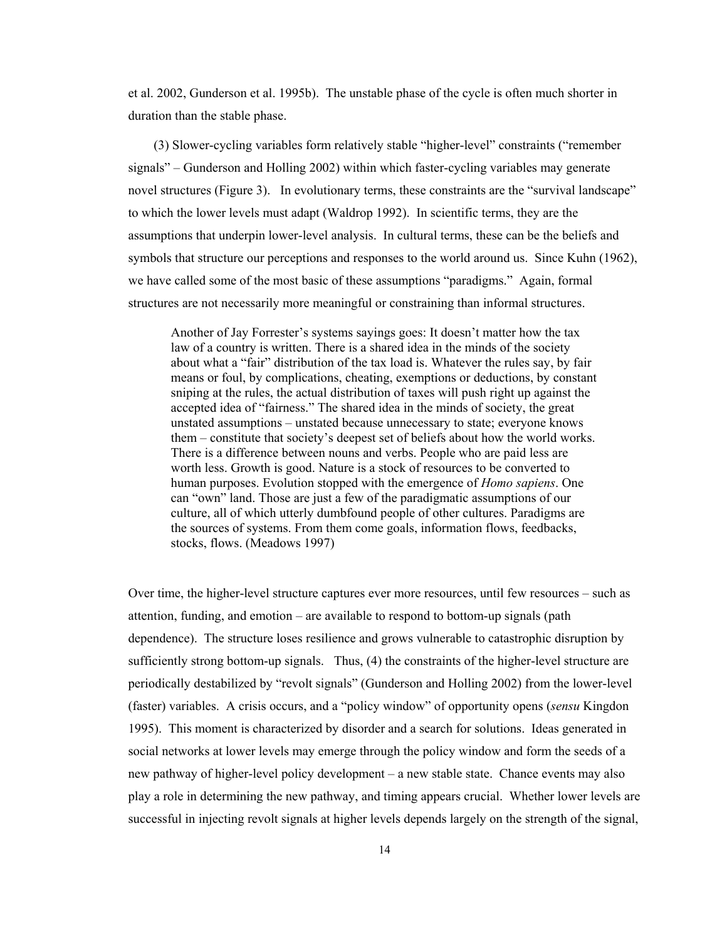et al. 2002, Gunderson et al. 1995b). The unstable phase of the cycle is often much shorter in duration than the stable phase.

(3) Slower-cycling variables form relatively stable "higher-level" constraints ("remember signals" – Gunderson and Holling 2002) within which faster-cycling variables may generate novel structures (Figure 3). In evolutionary terms, these constraints are the "survival landscape" to which the lower levels must adapt (Waldrop 1992). In scientific terms, they are the assumptions that underpin lower-level analysis. In cultural terms, these can be the beliefs and symbols that structure our perceptions and responses to the world around us. Since Kuhn (1962), we have called some of the most basic of these assumptions "paradigms." Again, formal structures are not necessarily more meaningful or constraining than informal structures.

Another of Jay Forrester's systems sayings goes: It doesn't matter how the tax law of a country is written. There is a shared idea in the minds of the society about what a "fair" distribution of the tax load is. Whatever the rules say, by fair means or foul, by complications, cheating, exemptions or deductions, by constant sniping at the rules, the actual distribution of taxes will push right up against the accepted idea of "fairness." The shared idea in the minds of society, the great unstated assumptions – unstated because unnecessary to state; everyone knows them – constitute that society's deepest set of beliefs about how the world works. There is a difference between nouns and verbs. People who are paid less are worth less. Growth is good. Nature is a stock of resources to be converted to human purposes. Evolution stopped with the emergence of *Homo sapiens*. One can "own" land. Those are just a few of the paradigmatic assumptions of our culture, all of which utterly dumbfound people of other cultures. Paradigms are the sources of systems. From them come goals, information flows, feedbacks, stocks, flows. (Meadows 1997)

Over time, the higher-level structure captures ever more resources, until few resources – such as attention, funding, and emotion – are available to respond to bottom-up signals (path dependence). The structure loses resilience and grows vulnerable to catastrophic disruption by sufficiently strong bottom-up signals. Thus, (4) the constraints of the higher-level structure are periodically destabilized by "revolt signals" (Gunderson and Holling 2002) from the lower-level (faster) variables. A crisis occurs, and a "policy window" of opportunity opens (*sensu* Kingdon 1995). This moment is characterized by disorder and a search for solutions. Ideas generated in social networks at lower levels may emerge through the policy window and form the seeds of a new pathway of higher-level policy development – a new stable state. Chance events may also play a role in determining the new pathway, and timing appears crucial. Whether lower levels are successful in injecting revolt signals at higher levels depends largely on the strength of the signal,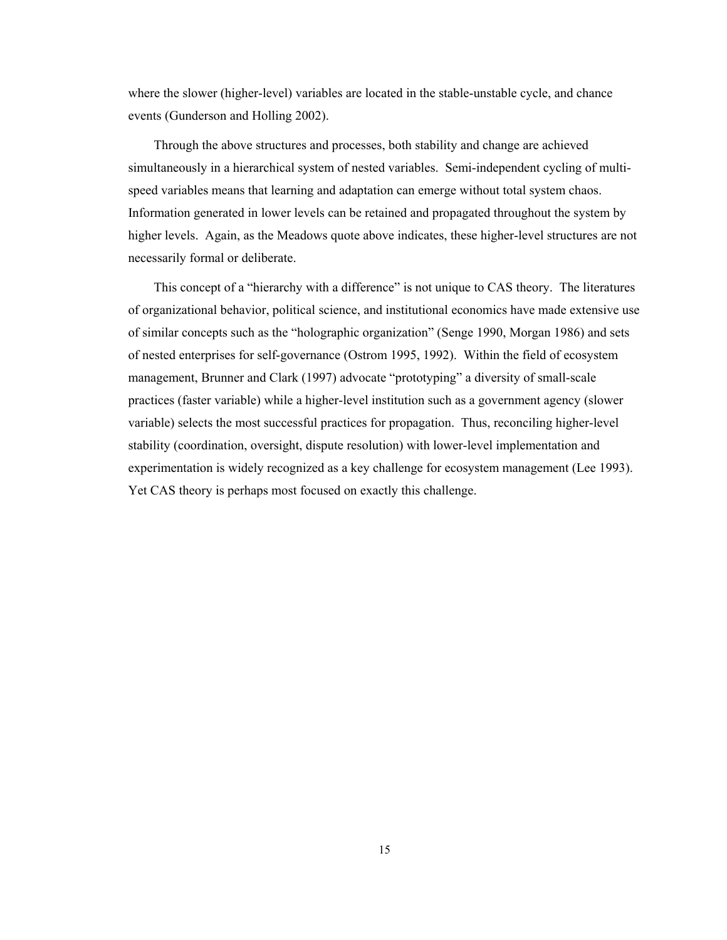where the slower (higher-level) variables are located in the stable-unstable cycle, and chance events (Gunderson and Holling 2002).

Through the above structures and processes, both stability and change are achieved simultaneously in a hierarchical system of nested variables. Semi-independent cycling of multispeed variables means that learning and adaptation can emerge without total system chaos. Information generated in lower levels can be retained and propagated throughout the system by higher levels. Again, as the Meadows quote above indicates, these higher-level structures are not necessarily formal or deliberate.

This concept of a "hierarchy with a difference" is not unique to CAS theory. The literatures of organizational behavior, political science, and institutional economics have made extensive use of similar concepts such as the "holographic organization" (Senge 1990, Morgan 1986) and sets of nested enterprises for self-governance (Ostrom 1995, 1992). Within the field of ecosystem management, Brunner and Clark (1997) advocate "prototyping" a diversity of small-scale practices (faster variable) while a higher-level institution such as a government agency (slower variable) selects the most successful practices for propagation. Thus, reconciling higher-level stability (coordination, oversight, dispute resolution) with lower-level implementation and experimentation is widely recognized as a key challenge for ecosystem management (Lee 1993). Yet CAS theory is perhaps most focused on exactly this challenge.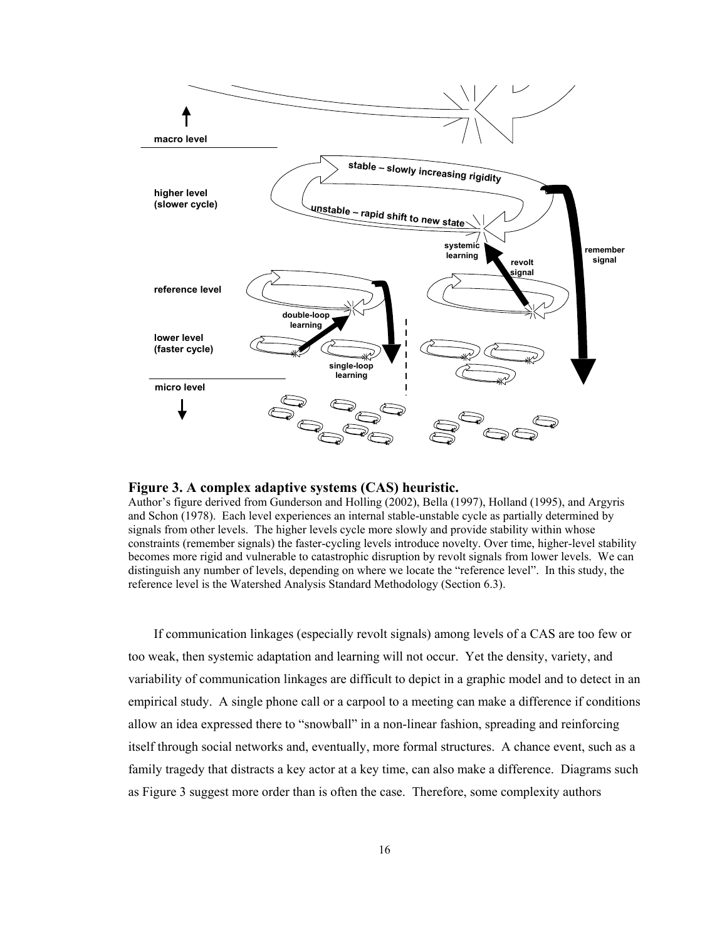<span id="page-24-0"></span>

#### **Figure 3. A complex adaptive systems (CAS) heuristic.**

Author's figure derived from Gunderson and Holling (2002), Bella (1997), Holland (1995), and Argyris and Schon (1978). Each level experiences an internal stable-unstable cycle as partially determined by signals from other levels. The higher levels cycle more slowly and provide stability within whose constraints (remember signals) the faster-cycling levels introduce novelty. Over time, higher-level stability becomes more rigid and vulnerable to catastrophic disruption by revolt signals from lower levels. We can distinguish any number of levels, depending on where we locate the "reference level". In this study, the reference level is the Watershed Analysis Standard Methodology (Section 6.3).

If communication linkages (especially revolt signals) among levels of a CAS are too few or too weak, then systemic adaptation and learning will not occur. Yet the density, variety, and variability of communication linkages are difficult to depict in a graphic model and to detect in an empirical study. A single phone call or a carpool to a meeting can make a difference if conditions allow an idea expressed there to "snowball" in a non-linear fashion, spreading and reinforcing itself through social networks and, eventually, more formal structures. A chance event, such as a family tragedy that distracts a key actor at a key time, can also make a difference. Diagrams such as Figure 3 suggest more order than is often the case. Therefore, some complexity authors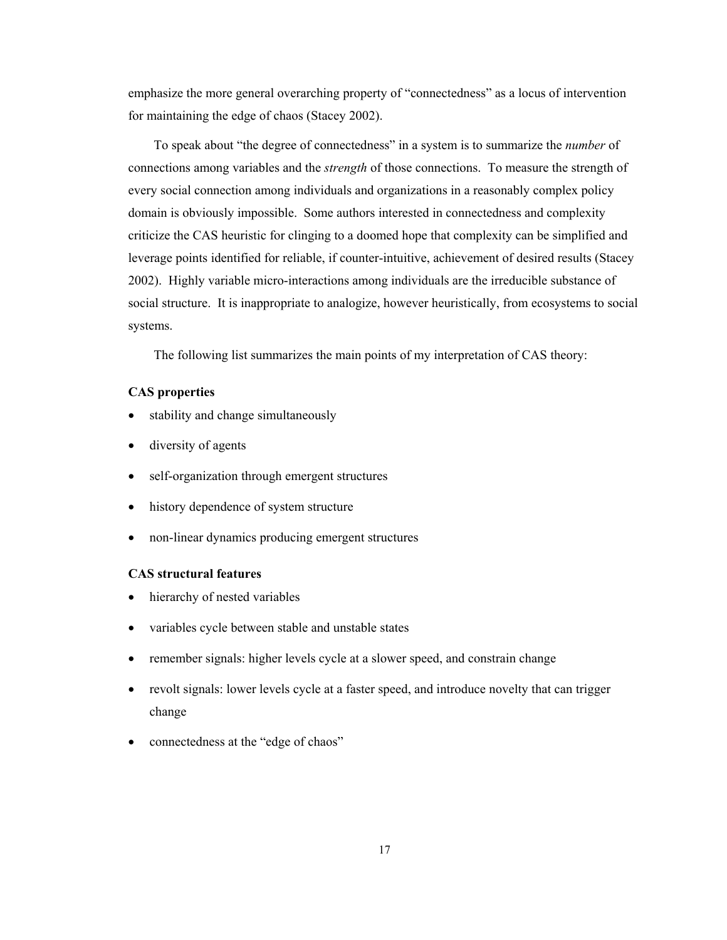emphasize the more general overarching property of "connectedness" as a locus of intervention for maintaining the edge of chaos (Stacey 2002).

To speak about "the degree of connectedness" in a system is to summarize the *number* of connections among variables and the *strength* of those connections. To measure the strength of every social connection among individuals and organizations in a reasonably complex policy domain is obviously impossible. Some authors interested in connectedness and complexity criticize the CAS heuristic for clinging to a doomed hope that complexity can be simplified and leverage points identified for reliable, if counter-intuitive, achievement of desired results (Stacey 2002). Highly variable micro-interactions among individuals are the irreducible substance of social structure. It is inappropriate to analogize, however heuristically, from ecosystems to social systems.

The following list summarizes the main points of my interpretation of CAS theory:

### **CAS properties**

- stability and change simultaneously
- diversity of agents
- self-organization through emergent structures
- history dependence of system structure
- non-linear dynamics producing emergent structures

### **CAS structural features**

- hierarchy of nested variables
- variables cycle between stable and unstable states
- remember signals: higher levels cycle at a slower speed, and constrain change
- revolt signals: lower levels cycle at a faster speed, and introduce novelty that can trigger change
- connectedness at the "edge of chaos"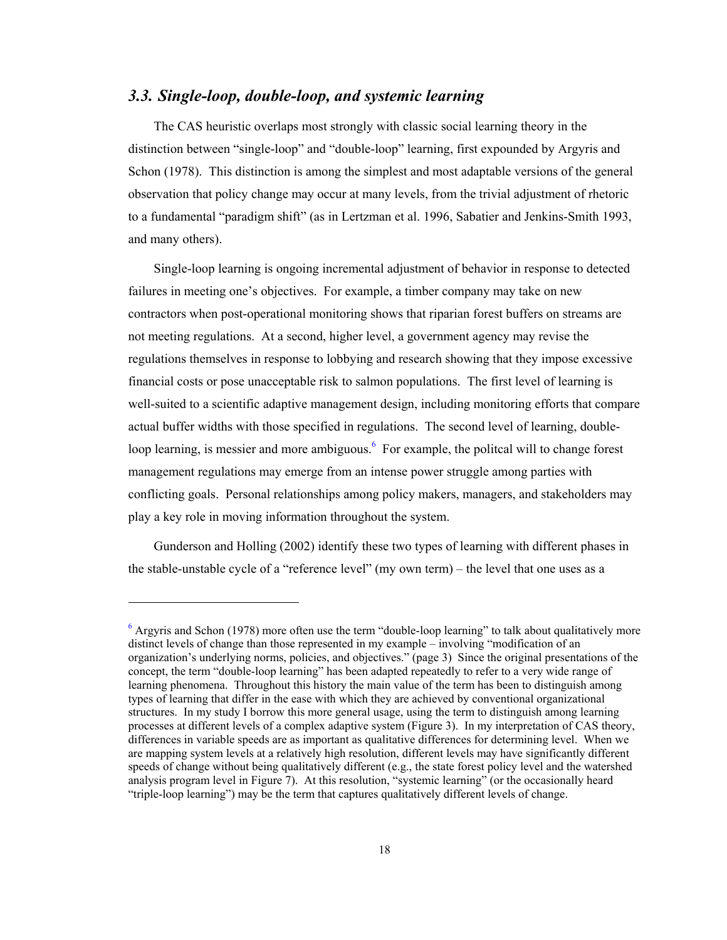### <span id="page-26-0"></span>*3.3. Single-loop, double-loop, and systemic learning*

The CAS heuristic overlaps most strongly with classic social learning theory in the distinction between "single-loop" and "double-loop" learning, first expounded by Argyris and Schon (1978). This distinction is among the simplest and most adaptable versions of the general observation that policy change may occur at many levels, from the trivial adjustment of rhetoric to a fundamental "paradigm shift" (as in Lertzman et al. 1996, Sabatier and Jenkins-Smith 1993, and many others).

Single-loop learning is ongoing incremental adjustment of behavior in response to detected failures in meeting one's objectives. For example, a timber company may take on new contractors when post-operational monitoring shows that riparian forest buffers on streams are not meeting regulations. At a second, higher level, a government agency may revise the regulations themselves in response to lobbying and research showing that they impose excessive financial costs or pose unacceptable risk to salmon populations. The first level of learning is well-suited to a scientific adaptive management design, including monitoring efforts that compare actual buffer widths with those specified in regulations. The second level of learning, doubleloop learning, is messier and more ambiguous.<sup>6</sup> For example, the politcal will to change forest management regulations may emerge from an intense power struggle among parties with conflicting goals. Personal relationships among policy makers, managers, and stakeholders may play a key role in moving information throughout the system.

Gunderson and Holling (2002) identify these two types of learning with different phases in the stable-unstable cycle of a "reference level" (my own term) – the level that one uses as a

1

 $6$  Argyris and Schon (1978) more often use the term "double-loop learning" to talk about qualitatively more distinct levels of change than those represented in my example – involving "modification of an organization's underlying norms, policies, and objectives." (page 3) Since the original presentations of the concept, the term "double-loop learning" has been adapted repeatedly to refer to a very wide range of learning phenomena. Throughout this history the main value of the term has been to distinguish among types of learning that differ in the ease with which they are achieved by conventional organizational structures. In my study I borrow this more general usage, using the term to distinguish among learning processes at different levels of a complex adaptive system (Figure 3). In my interpretation of CAS theory, differences in variable speeds are as important as qualitative differences for determining level. When we are mapping system levels at a relatively high resolution, different levels may have significantly different speeds of change without being qualitatively different (e.g., the state forest policy level and the watershed analysis program level in Figure 7). At this resolution, "systemic learning" (or the occasionally heard "triple-loop learning") may be the term that captures qualitatively different levels of change.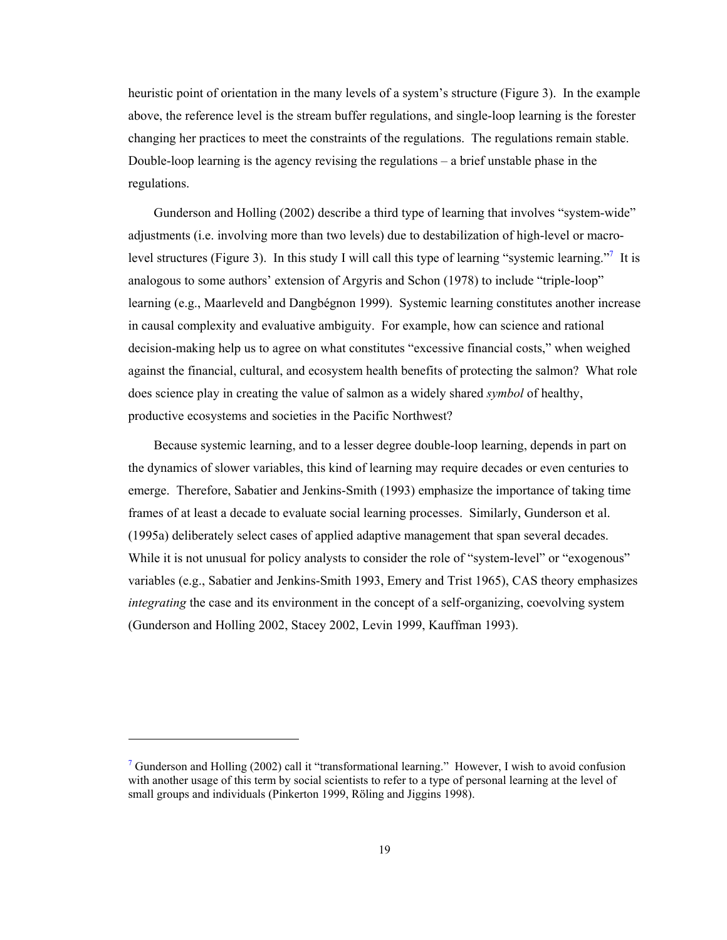heuristic point of orientation in the many levels of a system's structure (Figure 3). In the example above, the reference level is the stream buffer regulations, and single-loop learning is the forester changing her practices to meet the constraints of the regulations. The regulations remain stable. Double-loop learning is the agency revising the regulations  $-$  a brief unstable phase in the regulations.

Gunderson and Holling (2002) describe a third type of learning that involves "system-wide" adjustments (i.e. involving more than two levels) due to destabilization of high-level or macrolevel structures (Figure 3). In this study I will call this type of learning "systemic learning."<sup>7</sup> It is analogous to some authors' extension of Argyris and Schon (1978) to include "triple-loop" learning (e.g., Maarleveld and Dangbégnon 1999). Systemic learning constitutes another increase in causal complexity and evaluative ambiguity. For example, how can science and rational decision-making help us to agree on what constitutes "excessive financial costs," when weighed against the financial, cultural, and ecosystem health benefits of protecting the salmon? What role does science play in creating the value of salmon as a widely shared *symbol* of healthy, productive ecosystems and societies in the Pacific Northwest?

Because systemic learning, and to a lesser degree double-loop learning, depends in part on the dynamics of slower variables, this kind of learning may require decades or even centuries to emerge. Therefore, Sabatier and Jenkins-Smith (1993) emphasize the importance of taking time frames of at least a decade to evaluate social learning processes. Similarly, Gunderson et al. (1995a) deliberately select cases of applied adaptive management that span several decades. While it is not unusual for policy analysts to consider the role of "system-level" or "exogenous" variables (e.g., Sabatier and Jenkins-Smith 1993, Emery and Trist 1965), CAS theory emphasizes *integrating* the case and its environment in the concept of a self-organizing, coevolving system (Gunderson and Holling 2002, Stacey 2002, Levin 1999, Kauffman 1993).

l

<sup>&</sup>lt;sup>7</sup> Gunderson and Holling (2002) call it "transformational learning." However, I wish to avoid confusion with another usage of this term by social scientists to refer to a type of personal learning at the level of small groups and individuals (Pinkerton 1999, Röling and Jiggins 1998).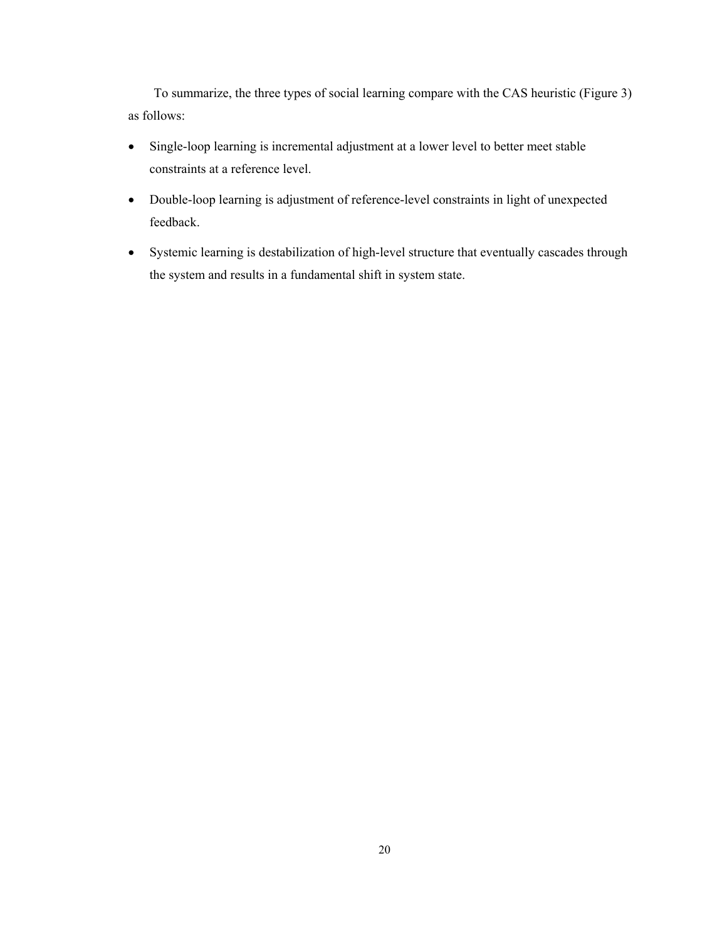To summarize, the three types of social learning compare with the CAS heuristic (Figure 3) as follows:

- Single-loop learning is incremental adjustment at a lower level to better meet stable constraints at a reference level.
- Double-loop learning is adjustment of reference-level constraints in light of unexpected feedback.
- Systemic learning is destabilization of high-level structure that eventually cascades through the system and results in a fundamental shift in system state.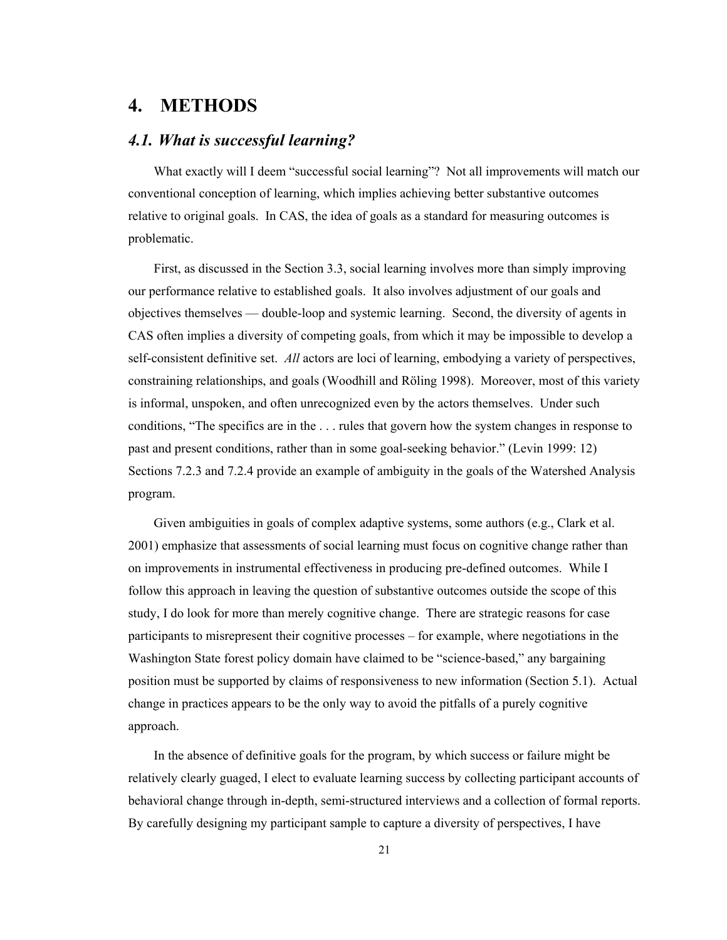# <span id="page-29-0"></span>**4. METHODS**

### *4.1. What is successful learning?*

What exactly will I deem "successful social learning"? Not all improvements will match our conventional conception of learning, which implies achieving better substantive outcomes relative to original goals. In CAS, the idea of goals as a standard for measuring outcomes is problematic.

First, as discussed in the Section 3.3, social learning involves more than simply improving our performance relative to established goals. It also involves adjustment of our goals and objectives themselves — double-loop and systemic learning. Second, the diversity of agents in CAS often implies a diversity of competing goals, from which it may be impossible to develop a self-consistent definitive set. *All* actors are loci of learning, embodying a variety of perspectives, constraining relationships, and goals (Woodhill and Röling 1998). Moreover, most of this variety is informal, unspoken, and often unrecognized even by the actors themselves. Under such conditions, "The specifics are in the . . . rules that govern how the system changes in response to past and present conditions, rather than in some goal-seeking behavior." (Levin 1999: 12) Sections 7.2.3 and 7.2.4 provide an example of ambiguity in the goals of the Watershed Analysis program.

Given ambiguities in goals of complex adaptive systems, some authors (e.g., Clark et al. 2001) emphasize that assessments of social learning must focus on cognitive change rather than on improvements in instrumental effectiveness in producing pre-defined outcomes. While I follow this approach in leaving the question of substantive outcomes outside the scope of this study, I do look for more than merely cognitive change. There are strategic reasons for case participants to misrepresent their cognitive processes – for example, where negotiations in the Washington State forest policy domain have claimed to be "science-based," any bargaining position must be supported by claims of responsiveness to new information (Section 5.1). Actual change in practices appears to be the only way to avoid the pitfalls of a purely cognitive approach.

In the absence of definitive goals for the program, by which success or failure might be relatively clearly guaged, I elect to evaluate learning success by collecting participant accounts of behavioral change through in-depth, semi-structured interviews and a collection of formal reports. By carefully designing my participant sample to capture a diversity of perspectives, I have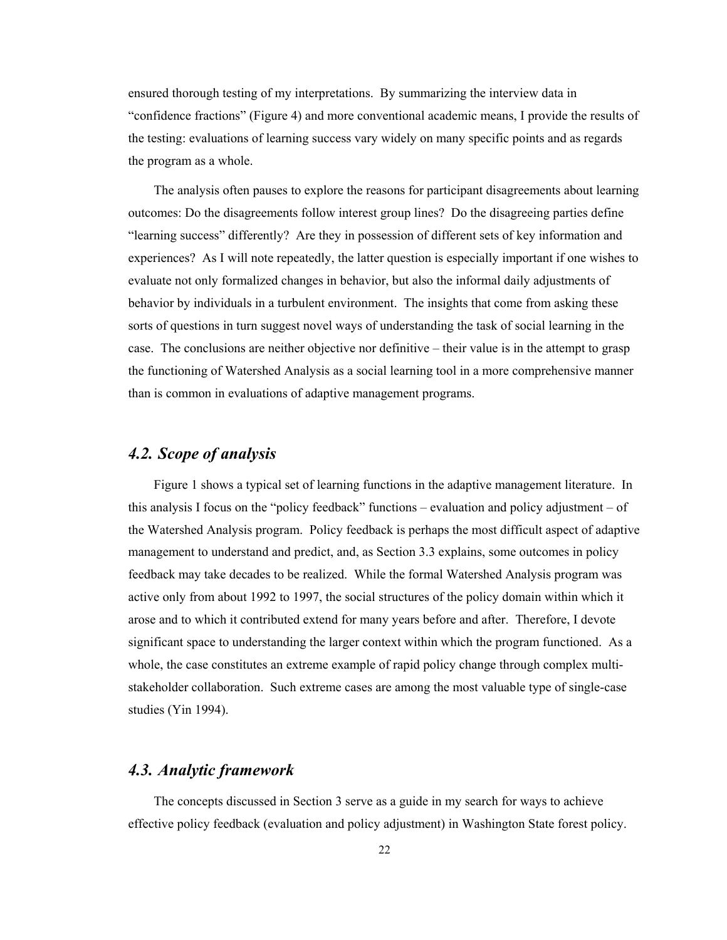<span id="page-30-0"></span>ensured thorough testing of my interpretations. By summarizing the interview data in "confidence fractions" (Figure 4) and more conventional academic means, I provide the results of the testing: evaluations of learning success vary widely on many specific points and as regards the program as a whole.

The analysis often pauses to explore the reasons for participant disagreements about learning outcomes: Do the disagreements follow interest group lines? Do the disagreeing parties define "learning success" differently? Are they in possession of different sets of key information and experiences? As I will note repeatedly, the latter question is especially important if one wishes to evaluate not only formalized changes in behavior, but also the informal daily adjustments of behavior by individuals in a turbulent environment. The insights that come from asking these sorts of questions in turn suggest novel ways of understanding the task of social learning in the case. The conclusions are neither objective nor definitive – their value is in the attempt to grasp the functioning of Watershed Analysis as a social learning tool in a more comprehensive manner than is common in evaluations of adaptive management programs.

# *4.2. Scope of analysis*

Figure 1 shows a typical set of learning functions in the adaptive management literature. In this analysis I focus on the "policy feedback" functions – evaluation and policy adjustment – of the Watershed Analysis program. Policy feedback is perhaps the most difficult aspect of adaptive management to understand and predict, and, as Section 3.3 explains, some outcomes in policy feedback may take decades to be realized. While the formal Watershed Analysis program was active only from about 1992 to 1997, the social structures of the policy domain within which it arose and to which it contributed extend for many years before and after. Therefore, I devote significant space to understanding the larger context within which the program functioned. As a whole, the case constitutes an extreme example of rapid policy change through complex multistakeholder collaboration. Such extreme cases are among the most valuable type of single-case studies (Yin 1994).

### *4.3. Analytic framework*

The concepts discussed in Section 3 serve as a guide in my search for ways to achieve effective policy feedback (evaluation and policy adjustment) in Washington State forest policy.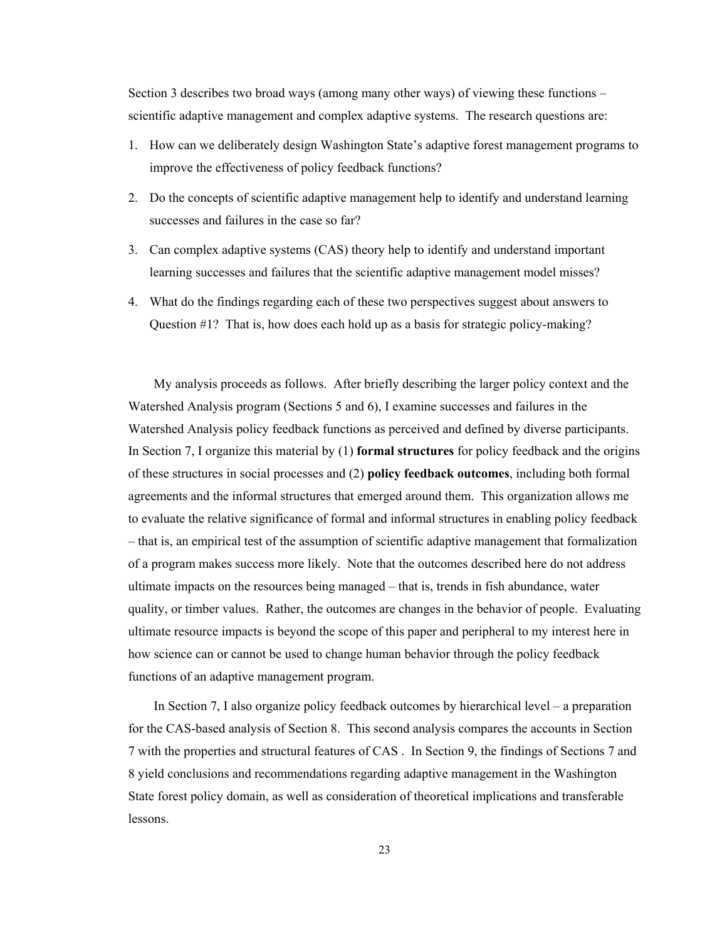Section 3 describes two broad ways (among many other ways) of viewing these functions – scientific adaptive management and complex adaptive systems. The research questions are:

- 1. How can we deliberately design Washington State's adaptive forest management programs to improve the effectiveness of policy feedback functions?
- 2. Do the concepts of scientific adaptive management help to identify and understand learning successes and failures in the case so far?
- 3. Can complex adaptive systems (CAS) theory help to identify and understand important learning successes and failures that the scientific adaptive management model misses?
- 4. What do the findings regarding each of these two perspectives suggest about answers to Question #1? That is, how does each hold up as a basis for strategic policy-making?

My analysis proceeds as follows. After briefly describing the larger policy context and the Watershed Analysis program (Sections 5 and 6), I examine successes and failures in the Watershed Analysis policy feedback functions as perceived and defined by diverse participants. In Section 7, I organize this material by (1) **formal structures** for policy feedback and the origins of these structures in social processes and (2) **policy feedback outcomes**, including both formal agreements and the informal structures that emerged around them. This organization allows me to evaluate the relative significance of formal and informal structures in enabling policy feedback – that is, an empirical test of the assumption of scientific adaptive management that formalization of a program makes success more likely. Note that the outcomes described here do not address ultimate impacts on the resources being managed – that is, trends in fish abundance, water quality, or timber values. Rather, the outcomes are changes in the behavior of people. Evaluating ultimate resource impacts is beyond the scope of this paper and peripheral to my interest here in how science can or cannot be used to change human behavior through the policy feedback functions of an adaptive management program.

In Section 7, I also organize policy feedback outcomes by hierarchical level – a preparation for the CAS-based analysis of Section 8. This second analysis compares the accounts in Section 7 with the properties and structural features of CAS . In Section 9, the findings of Sections 7 and 8 yield conclusions and recommendations regarding adaptive management in the Washington State forest policy domain, as well as consideration of theoretical implications and transferable lessons.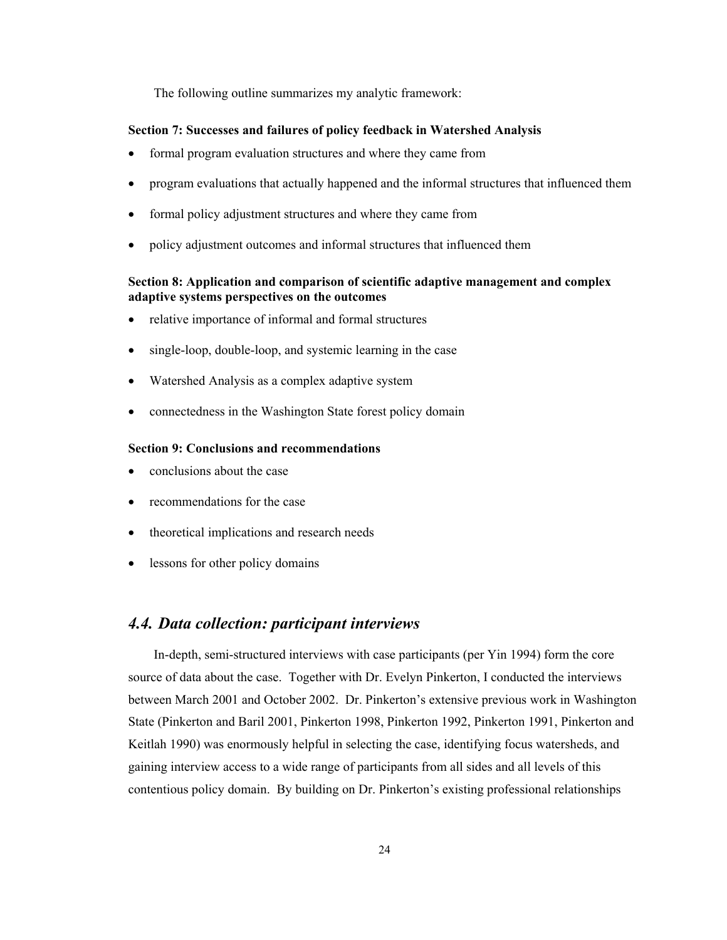<span id="page-32-0"></span>The following outline summarizes my analytic framework:

#### **Section 7: Successes and failures of policy feedback in Watershed Analysis**

- formal program evaluation structures and where they came from
- program evaluations that actually happened and the informal structures that influenced them
- formal policy adjustment structures and where they came from
- policy adjustment outcomes and informal structures that influenced them

### **Section 8: Application and comparison of scientific adaptive management and complex adaptive systems perspectives on the outcomes**

- relative importance of informal and formal structures
- single-loop, double-loop, and systemic learning in the case
- Watershed Analysis as a complex adaptive system
- connectedness in the Washington State forest policy domain

#### **Section 9: Conclusions and recommendations**

- conclusions about the case
- recommendations for the case
- theoretical implications and research needs
- lessons for other policy domains

### *4.4. Data collection: participant interviews*

In-depth, semi-structured interviews with case participants (per Yin 1994) form the core source of data about the case. Together with Dr. Evelyn Pinkerton, I conducted the interviews between March 2001 and October 2002. Dr. Pinkerton's extensive previous work in Washington State (Pinkerton and Baril 2001, Pinkerton 1998, Pinkerton 1992, Pinkerton 1991, Pinkerton and Keitlah 1990) was enormously helpful in selecting the case, identifying focus watersheds, and gaining interview access to a wide range of participants from all sides and all levels of this contentious policy domain. By building on Dr. Pinkerton's existing professional relationships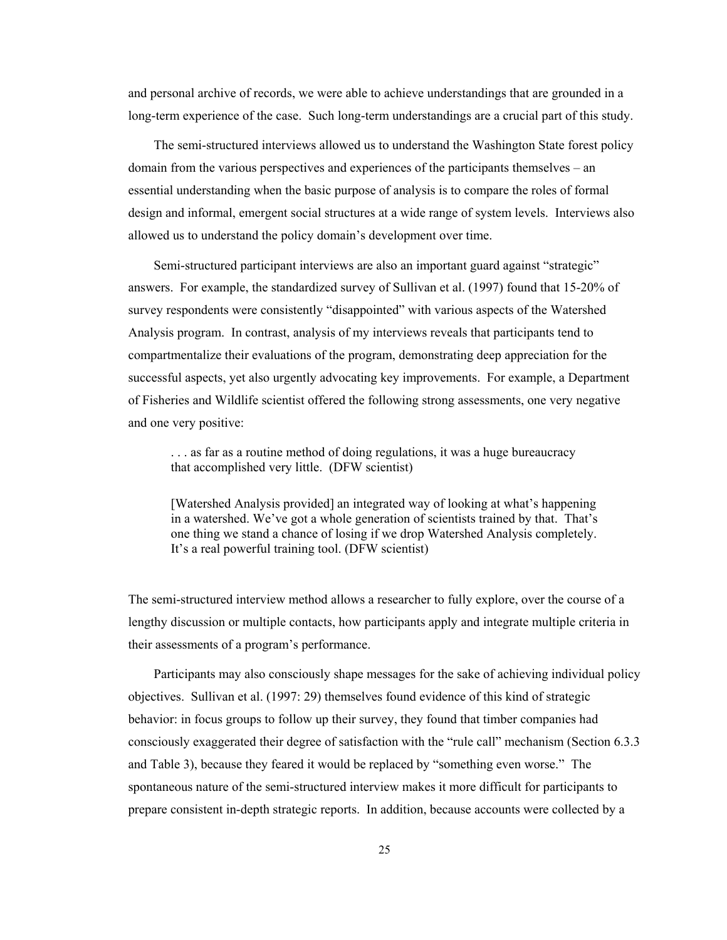and personal archive of records, we were able to achieve understandings that are grounded in a long-term experience of the case. Such long-term understandings are a crucial part of this study.

The semi-structured interviews allowed us to understand the Washington State forest policy domain from the various perspectives and experiences of the participants themselves – an essential understanding when the basic purpose of analysis is to compare the roles of formal design and informal, emergent social structures at a wide range of system levels. Interviews also allowed us to understand the policy domain's development over time.

Semi-structured participant interviews are also an important guard against "strategic" answers. For example, the standardized survey of Sullivan et al. (1997) found that 15-20% of survey respondents were consistently "disappointed" with various aspects of the Watershed Analysis program. In contrast, analysis of my interviews reveals that participants tend to compartmentalize their evaluations of the program, demonstrating deep appreciation for the successful aspects, yet also urgently advocating key improvements. For example, a Department of Fisheries and Wildlife scientist offered the following strong assessments, one very negative and one very positive:

. . . as far as a routine method of doing regulations, it was a huge bureaucracy that accomplished very little. (DFW scientist)

[Watershed Analysis provided] an integrated way of looking at what's happening in a watershed. We've got a whole generation of scientists trained by that. That's one thing we stand a chance of losing if we drop Watershed Analysis completely. It's a real powerful training tool. (DFW scientist)

The semi-structured interview method allows a researcher to fully explore, over the course of a lengthy discussion or multiple contacts, how participants apply and integrate multiple criteria in their assessments of a program's performance.

Participants may also consciously shape messages for the sake of achieving individual policy objectives. Sullivan et al. (1997: 29) themselves found evidence of this kind of strategic behavior: in focus groups to follow up their survey, they found that timber companies had consciously exaggerated their degree of satisfaction with the "rule call" mechanism (Section 6.3.3 and Table 3), because they feared it would be replaced by "something even worse." The spontaneous nature of the semi-structured interview makes it more difficult for participants to prepare consistent in-depth strategic reports. In addition, because accounts were collected by a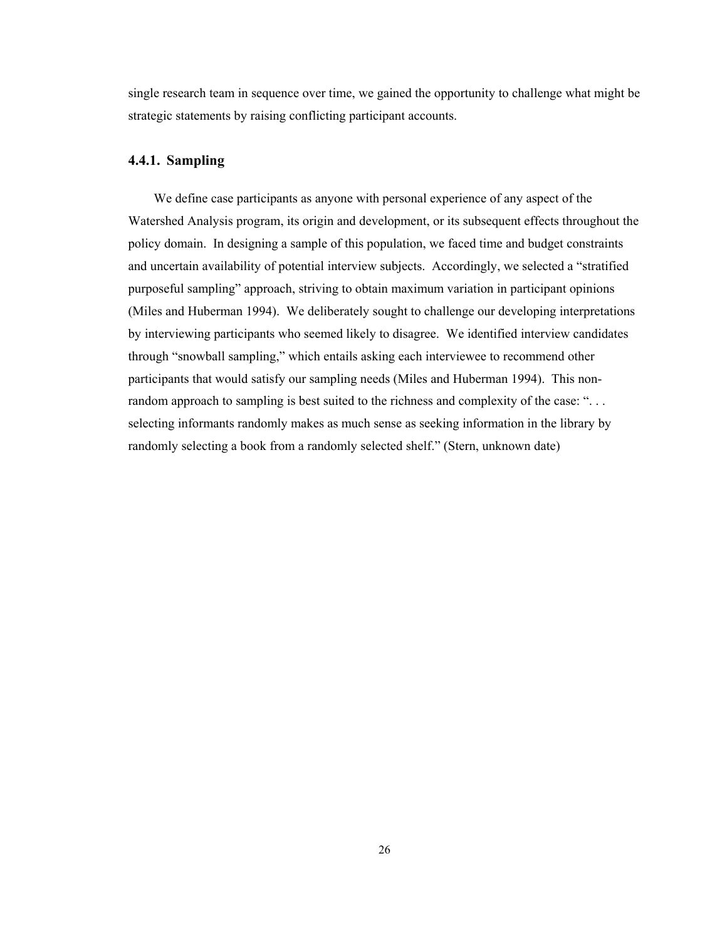<span id="page-34-0"></span>single research team in sequence over time, we gained the opportunity to challenge what might be strategic statements by raising conflicting participant accounts.

### **4.4.1. Sampling**

We define case participants as anyone with personal experience of any aspect of the Watershed Analysis program, its origin and development, or its subsequent effects throughout the policy domain. In designing a sample of this population, we faced time and budget constraints and uncertain availability of potential interview subjects. Accordingly, we selected a "stratified purposeful sampling" approach, striving to obtain maximum variation in participant opinions (Miles and Huberman 1994). We deliberately sought to challenge our developing interpretations by interviewing participants who seemed likely to disagree. We identified interview candidates through "snowball sampling," which entails asking each interviewee to recommend other participants that would satisfy our sampling needs (Miles and Huberman 1994). This nonrandom approach to sampling is best suited to the richness and complexity of the case: "... selecting informants randomly makes as much sense as seeking information in the library by randomly selecting a book from a randomly selected shelf." (Stern, unknown date)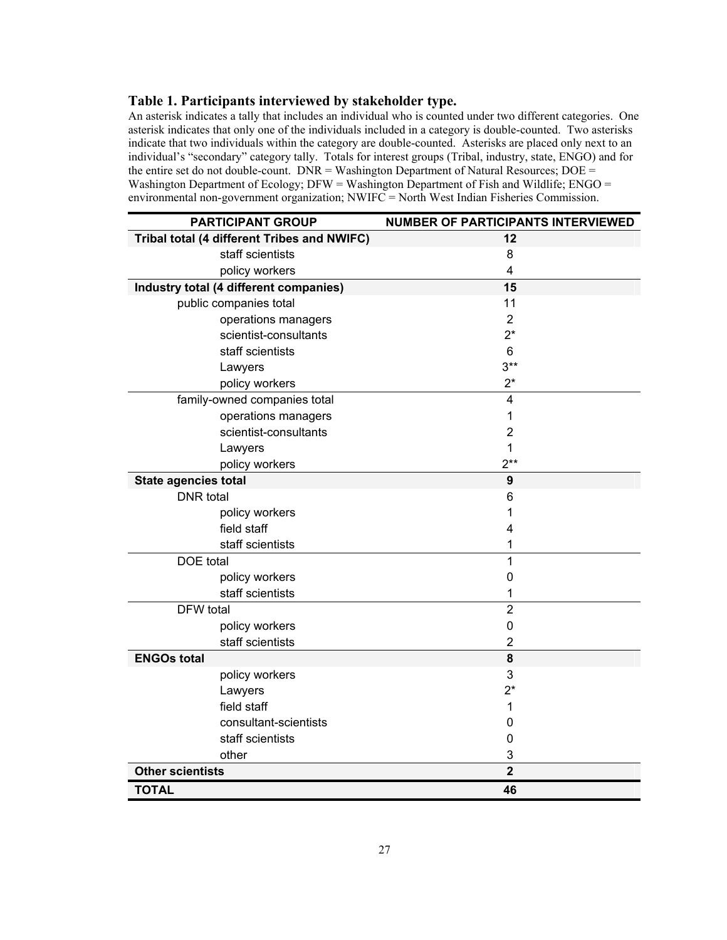### <span id="page-35-0"></span>**Table 1. Participants interviewed by stakeholder type.**

An asterisk indicates a tally that includes an individual who is counted under two different categories. One asterisk indicates that only one of the individuals included in a category is double-counted. Two asterisks indicate that two individuals within the category are double-counted. Asterisks are placed only next to an individual's "secondary" category tally. Totals for interest groups (Tribal, industry, state, ENGO) and for the entire set do not double-count. DNR = Washington Department of Natural Resources; DOE = Washington Department of Ecology;  $DFW = Washington$  Department of Fish and Wildlife;  $ENGO =$ environmental non-government organization; NWIFC = North West Indian Fisheries Commission.

| <b>PARTICIPANT GROUP</b>                    | NUMBER OF PARTICIPANTS INTERVIEWED |
|---------------------------------------------|------------------------------------|
| Tribal total (4 different Tribes and NWIFC) | 12                                 |
| staff scientists                            | 8                                  |
| policy workers                              | $\overline{4}$                     |
| Industry total (4 different companies)      | 15                                 |
| public companies total                      | 11                                 |
| operations managers                         | 2                                  |
| scientist-consultants                       | $2^*$                              |
| staff scientists                            | 6                                  |
| Lawyers                                     | $3**$                              |
| policy workers                              | $2^*$                              |
| family-owned companies total                | 4                                  |
| operations managers                         | 1                                  |
| scientist-consultants                       | $\overline{2}$                     |
| Lawyers                                     | 1                                  |
| policy workers                              | $2**$                              |
| State agencies total                        | 9                                  |
| <b>DNR</b> total                            | 6                                  |
| policy workers                              | 1                                  |
| field staff                                 | 4                                  |
| staff scientists                            | 1                                  |
| DOE total                                   | 1                                  |
| policy workers                              | 0                                  |
| staff scientists                            | 1                                  |
| DFW total                                   | $\overline{2}$                     |
| policy workers                              | $\mathbf 0$                        |
| staff scientists                            | $\overline{2}$                     |
| <b>ENGOs total</b>                          | 8                                  |
| policy workers                              | 3                                  |
| Lawyers                                     | $2^*$                              |
| field staff                                 | 1                                  |
| consultant-scientists                       | 0                                  |
| staff scientists                            | 0                                  |
| other                                       | 3                                  |
| <b>Other scientists</b>                     | $\overline{\mathbf{2}}$            |
| <b>TOTAL</b>                                | 46                                 |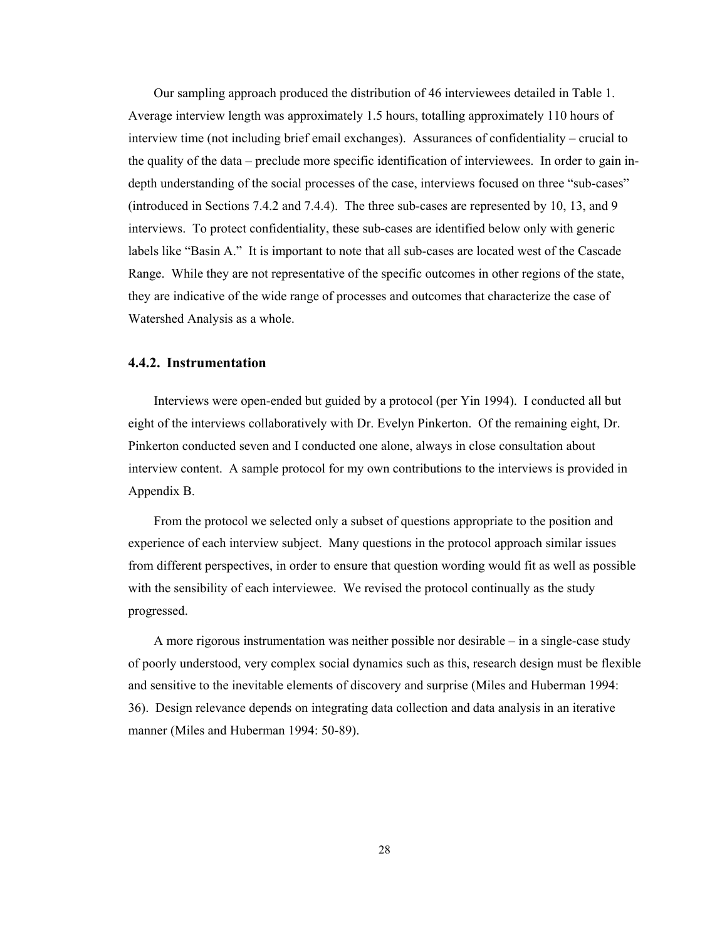Our sampling approach produced the distribution of 46 interviewees detailed in Table 1. Average interview length was approximately 1.5 hours, totalling approximately 110 hours of interview time (not including brief email exchanges). Assurances of confidentiality – crucial to the quality of the data – preclude more specific identification of interviewees. In order to gain indepth understanding of the social processes of the case, interviews focused on three "sub-cases" (introduced in Sections 7.4.2 and 7.4.4). The three sub-cases are represented by 10, 13, and 9 interviews. To protect confidentiality, these sub-cases are identified below only with generic labels like "Basin A." It is important to note that all sub-cases are located west of the Cascade Range. While they are not representative of the specific outcomes in other regions of the state, they are indicative of the wide range of processes and outcomes that characterize the case of Watershed Analysis as a whole.

#### **4.4.2. Instrumentation**

Interviews were open-ended but guided by a protocol (per Yin 1994). I conducted all but eight of the interviews collaboratively with Dr. Evelyn Pinkerton. Of the remaining eight, Dr. Pinkerton conducted seven and I conducted one alone, always in close consultation about interview content. A sample protocol for my own contributions to the interviews is provided in Appendix B.

From the protocol we selected only a subset of questions appropriate to the position and experience of each interview subject. Many questions in the protocol approach similar issues from different perspectives, in order to ensure that question wording would fit as well as possible with the sensibility of each interviewee. We revised the protocol continually as the study progressed.

A more rigorous instrumentation was neither possible nor desirable – in a single-case study of poorly understood, very complex social dynamics such as this, research design must be flexible and sensitive to the inevitable elements of discovery and surprise (Miles and Huberman 1994: 36). Design relevance depends on integrating data collection and data analysis in an iterative manner (Miles and Huberman 1994: 50-89).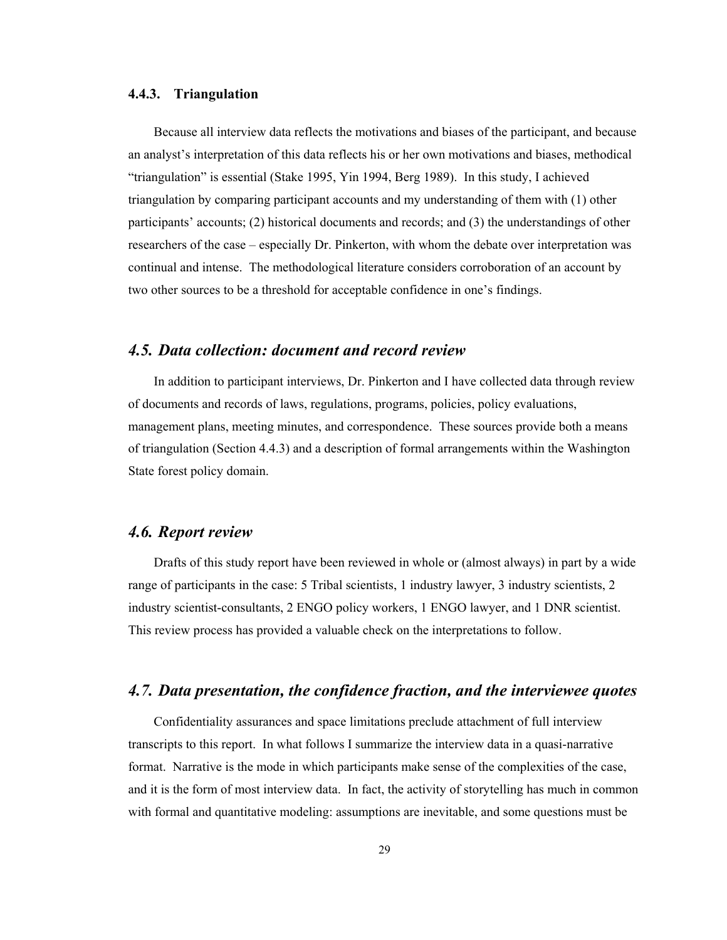#### **4.4.3. Triangulation**

Because all interview data reflects the motivations and biases of the participant, and because an analyst's interpretation of this data reflects his or her own motivations and biases, methodical "triangulation" is essential (Stake 1995, Yin 1994, Berg 1989). In this study, I achieved triangulation by comparing participant accounts and my understanding of them with (1) other participants' accounts; (2) historical documents and records; and (3) the understandings of other researchers of the case – especially Dr. Pinkerton, with whom the debate over interpretation was continual and intense. The methodological literature considers corroboration of an account by two other sources to be a threshold for acceptable confidence in one's findings.

# *4.5. Data collection: document and record review*

In addition to participant interviews, Dr. Pinkerton and I have collected data through review of documents and records of laws, regulations, programs, policies, policy evaluations, management plans, meeting minutes, and correspondence. These sources provide both a means of triangulation (Section 4.4.3) and a description of formal arrangements within the Washington State forest policy domain.

# *4.6. Report review*

Drafts of this study report have been reviewed in whole or (almost always) in part by a wide range of participants in the case: 5 Tribal scientists, 1 industry lawyer, 3 industry scientists, 2 industry scientist-consultants, 2 ENGO policy workers, 1 ENGO lawyer, and 1 DNR scientist. This review process has provided a valuable check on the interpretations to follow.

# *4.7. Data presentation, the confidence fraction, and the interviewee quotes*

Confidentiality assurances and space limitations preclude attachment of full interview transcripts to this report. In what follows I summarize the interview data in a quasi-narrative format. Narrative is the mode in which participants make sense of the complexities of the case, and it is the form of most interview data. In fact, the activity of storytelling has much in common with formal and quantitative modeling: assumptions are inevitable, and some questions must be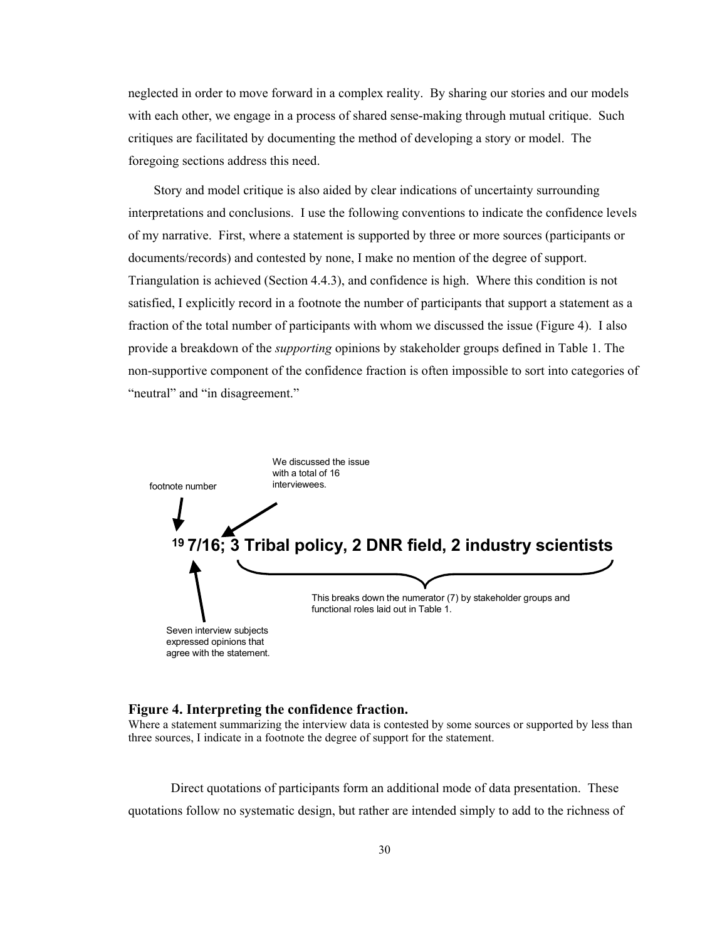neglected in order to move forward in a complex reality. By sharing our stories and our models with each other, we engage in a process of shared sense-making through mutual critique. Such critiques are facilitated by documenting the method of developing a story or model. The foregoing sections address this need.

Story and model critique is also aided by clear indications of uncertainty surrounding interpretations and conclusions. I use the following conventions to indicate the confidence levels of my narrative. First, where a statement is supported by three or more sources (participants or documents/records) and contested by none, I make no mention of the degree of support. Triangulation is achieved (Section 4.4.3), and confidence is high. Where this condition is not satisfied, I explicitly record in a footnote the number of participants that support a statement as a fraction of the total number of participants with whom we discussed the issue (Figure 4). I also provide a breakdown of the *supporting* opinions by stakeholder groups defined in Table 1. The non-supportive component of the confidence fraction is often impossible to sort into categories of "neutral" and "in disagreement."



#### **Figure 4. Interpreting the confidence fraction.**

Where a statement summarizing the interview data is contested by some sources or supported by less than three sources, I indicate in a footnote the degree of support for the statement.

Direct quotations of participants form an additional mode of data presentation. These quotations follow no systematic design, but rather are intended simply to add to the richness of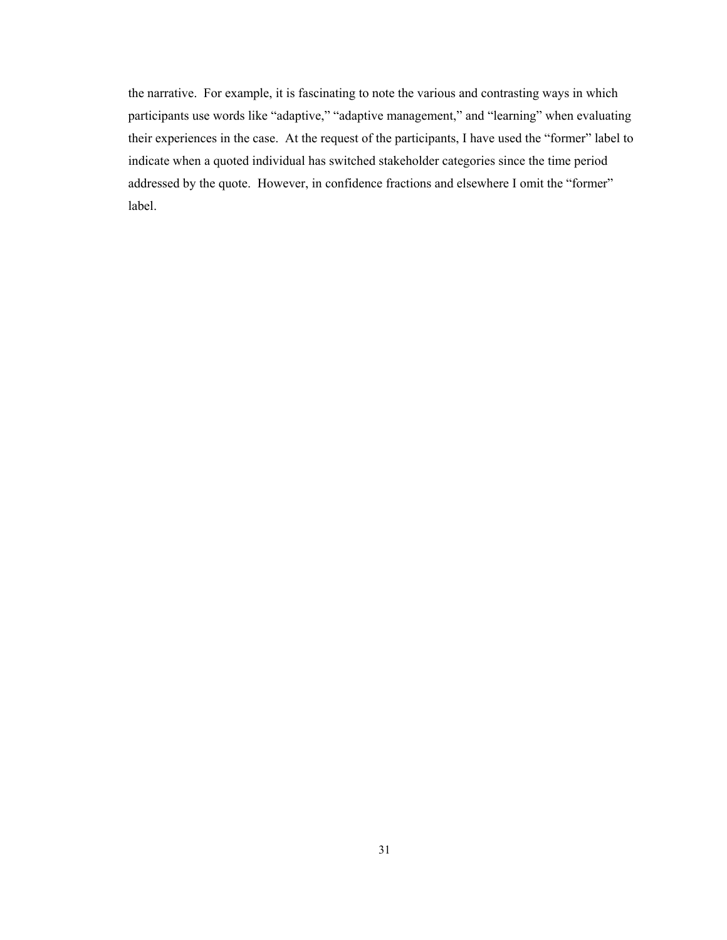the narrative. For example, it is fascinating to note the various and contrasting ways in which participants use words like "adaptive," "adaptive management," and "learning" when evaluating their experiences in the case. At the request of the participants, I have used the "former" label to indicate when a quoted individual has switched stakeholder categories since the time period addressed by the quote. However, in confidence fractions and elsewhere I omit the "former" label.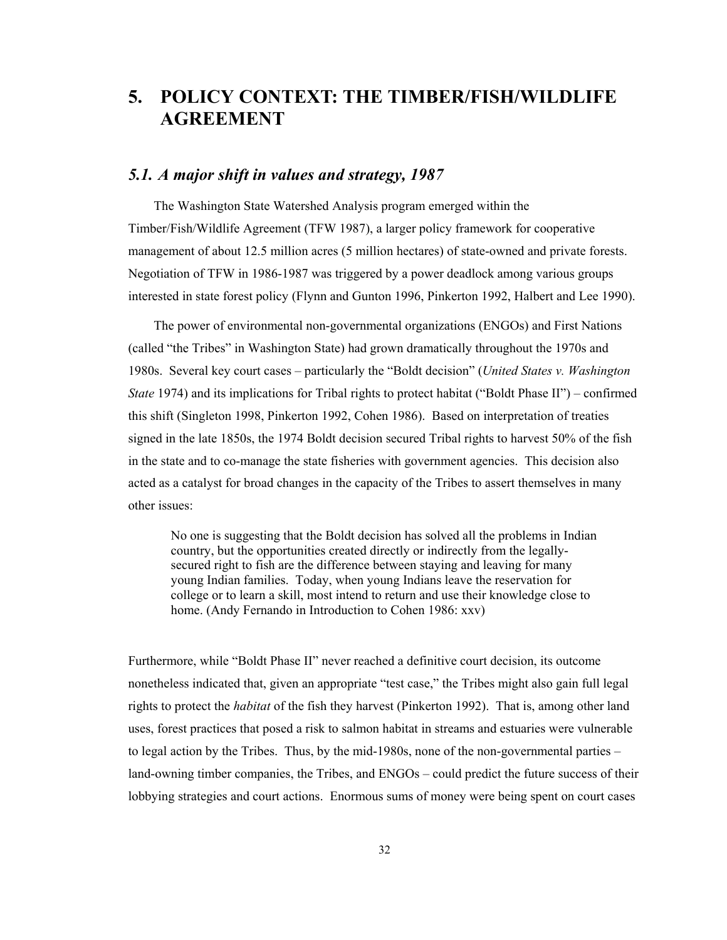# **5. POLICY CONTEXT: THE TIMBER/FISH/WILDLIFE AGREEMENT**

## *5.1. A major shift in values and strategy, 1987*

The Washington State Watershed Analysis program emerged within the Timber/Fish/Wildlife Agreement (TFW 1987), a larger policy framework for cooperative management of about 12.5 million acres (5 million hectares) of state-owned and private forests. Negotiation of TFW in 1986-1987 was triggered by a power deadlock among various groups interested in state forest policy (Flynn and Gunton 1996, Pinkerton 1992, Halbert and Lee 1990).

The power of environmental non-governmental organizations (ENGOs) and First Nations (called "the Tribes" in Washington State) had grown dramatically throughout the 1970s and 1980s. Several key court cases – particularly the "Boldt decision" (*United States v. Washington State* 1974) and its implications for Tribal rights to protect habitat ("Boldt Phase II") – confirmed this shift (Singleton 1998, Pinkerton 1992, Cohen 1986). Based on interpretation of treaties signed in the late 1850s, the 1974 Boldt decision secured Tribal rights to harvest 50% of the fish in the state and to co-manage the state fisheries with government agencies. This decision also acted as a catalyst for broad changes in the capacity of the Tribes to assert themselves in many other issues:

No one is suggesting that the Boldt decision has solved all the problems in Indian country, but the opportunities created directly or indirectly from the legallysecured right to fish are the difference between staying and leaving for many young Indian families. Today, when young Indians leave the reservation for college or to learn a skill, most intend to return and use their knowledge close to home. (Andy Fernando in Introduction to Cohen 1986: xxv)

Furthermore, while "Boldt Phase II" never reached a definitive court decision, its outcome nonetheless indicated that, given an appropriate "test case," the Tribes might also gain full legal rights to protect the *habitat* of the fish they harvest (Pinkerton 1992). That is, among other land uses, forest practices that posed a risk to salmon habitat in streams and estuaries were vulnerable to legal action by the Tribes. Thus, by the mid-1980s, none of the non-governmental parties – land-owning timber companies, the Tribes, and ENGOs – could predict the future success of their lobbying strategies and court actions. Enormous sums of money were being spent on court cases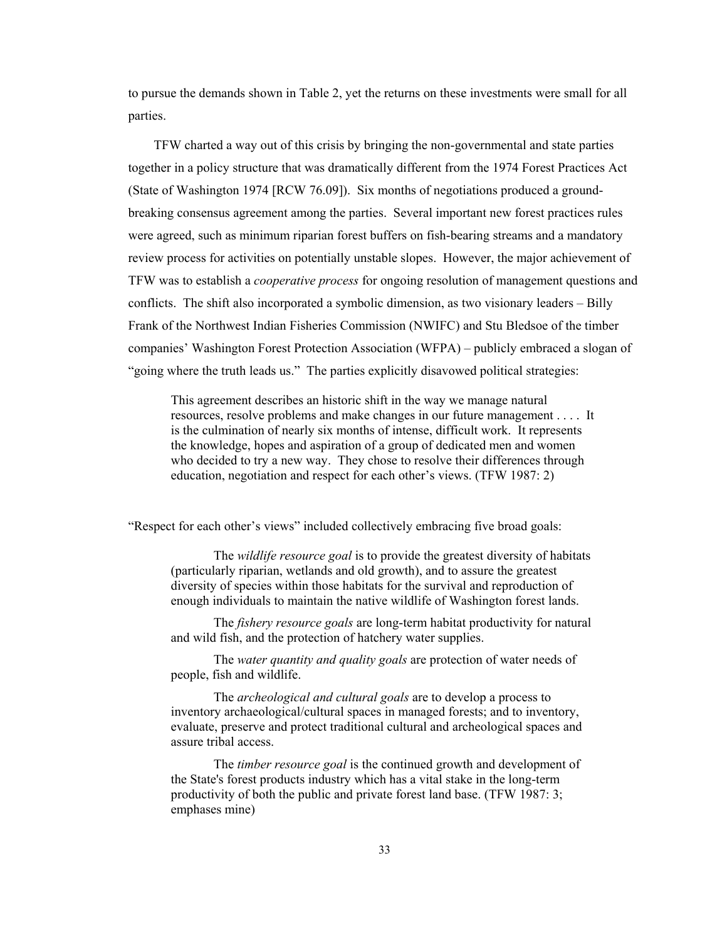to pursue the demands shown in Table 2, yet the returns on these investments were small for all parties.

TFW charted a way out of this crisis by bringing the non-governmental and state parties together in a policy structure that was dramatically different from the 1974 Forest Practices Act (State of Washington 1974 [RCW 76.09]). Six months of negotiations produced a groundbreaking consensus agreement among the parties. Several important new forest practices rules were agreed, such as minimum riparian forest buffers on fish-bearing streams and a mandatory review process for activities on potentially unstable slopes. However, the major achievement of TFW was to establish a *cooperative process* for ongoing resolution of management questions and conflicts. The shift also incorporated a symbolic dimension, as two visionary leaders – Billy Frank of the Northwest Indian Fisheries Commission (NWIFC) and Stu Bledsoe of the timber companies' Washington Forest Protection Association (WFPA) – publicly embraced a slogan of "going where the truth leads us." The parties explicitly disavowed political strategies:

This agreement describes an historic shift in the way we manage natural resources, resolve problems and make changes in our future management . . . . It is the culmination of nearly six months of intense, difficult work. It represents the knowledge, hopes and aspiration of a group of dedicated men and women who decided to try a new way. They chose to resolve their differences through education, negotiation and respect for each other's views. (TFW 1987: 2)

"Respect for each other's views" included collectively embracing five broad goals:

The *wildlife resource goal* is to provide the greatest diversity of habitats (particularly riparian, wetlands and old growth), and to assure the greatest diversity of species within those habitats for the survival and reproduction of enough individuals to maintain the native wildlife of Washington forest lands.

The *fishery resource goals* are long-term habitat productivity for natural and wild fish, and the protection of hatchery water supplies.

The *water quantity and quality goals* are protection of water needs of people, fish and wildlife.

The *archeological and cultural goals* are to develop a process to inventory archaeological/cultural spaces in managed forests; and to inventory, evaluate, preserve and protect traditional cultural and archeological spaces and assure tribal access.

The *timber resource goal* is the continued growth and development of the State's forest products industry which has a vital stake in the long-term productivity of both the public and private forest land base. (TFW 1987: 3; emphases mine)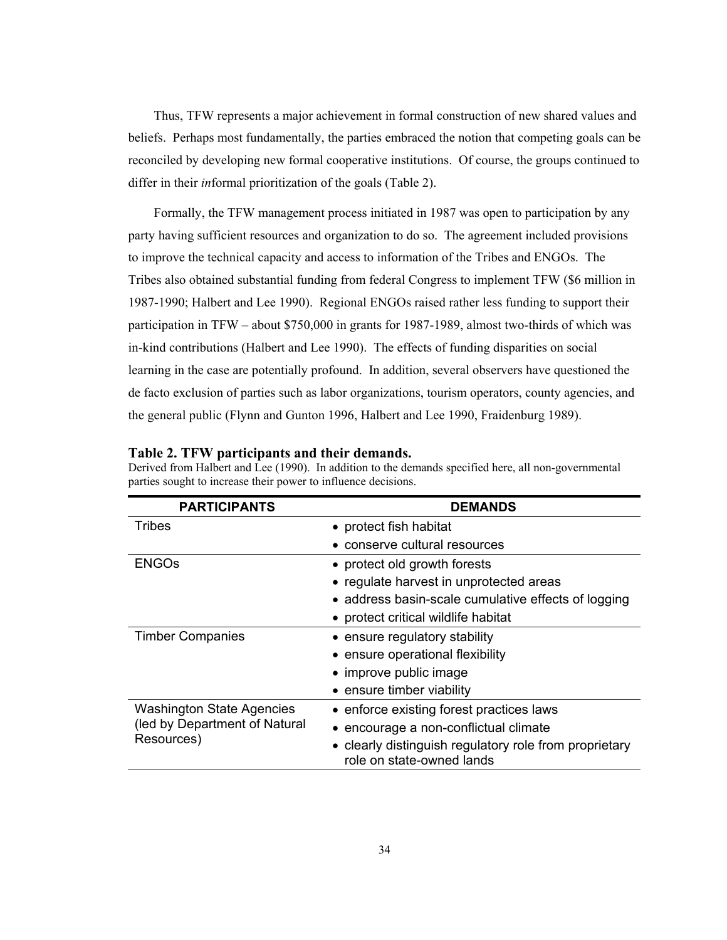Thus, TFW represents a major achievement in formal construction of new shared values and beliefs. Perhaps most fundamentally, the parties embraced the notion that competing goals can be reconciled by developing new formal cooperative institutions. Of course, the groups continued to differ in their *in*formal prioritization of the goals (Table 2).

Formally, the TFW management process initiated in 1987 was open to participation by any party having sufficient resources and organization to do so. The agreement included provisions to improve the technical capacity and access to information of the Tribes and ENGOs. The Tribes also obtained substantial funding from federal Congress to implement TFW (\$6 million in 1987-1990; Halbert and Lee 1990). Regional ENGOs raised rather less funding to support their participation in TFW – about \$750,000 in grants for 1987-1989, almost two-thirds of which was in-kind contributions (Halbert and Lee 1990). The effects of funding disparities on social learning in the case are potentially profound. In addition, several observers have questioned the de facto exclusion of parties such as labor organizations, tourism operators, county agencies, and the general public (Flynn and Gunton 1996, Halbert and Lee 1990, Fraidenburg 1989).

| <b>PARTICIPANTS</b>                                                             | <b>DEMANDS</b>                                                                      |  |
|---------------------------------------------------------------------------------|-------------------------------------------------------------------------------------|--|
| <b>Tribes</b>                                                                   | • protect fish habitat                                                              |  |
|                                                                                 | conserve cultural resources                                                         |  |
| <b>ENGOS</b>                                                                    | • protect old growth forests                                                        |  |
|                                                                                 | • regulate harvest in unprotected areas                                             |  |
|                                                                                 | • address basin-scale cumulative effects of logging                                 |  |
|                                                                                 | • protect critical wildlife habitat                                                 |  |
| <b>Timber Companies</b>                                                         | • ensure regulatory stability                                                       |  |
|                                                                                 | • ensure operational flexibility                                                    |  |
|                                                                                 | • improve public image                                                              |  |
|                                                                                 | • ensure timber viability                                                           |  |
| <b>Washington State Agencies</b><br>(led by Department of Natural<br>Resources) | • enforce existing forest practices laws                                            |  |
|                                                                                 | • encourage a non-conflictual climate                                               |  |
|                                                                                 | • clearly distinguish regulatory role from proprietary<br>role on state-owned lands |  |

**Table 2. TFW participants and their demands.**  Derived from Halbert and Lee (1990). In addition to the demands specified here, all non-governmental parties sought to increase their power to influence decisions.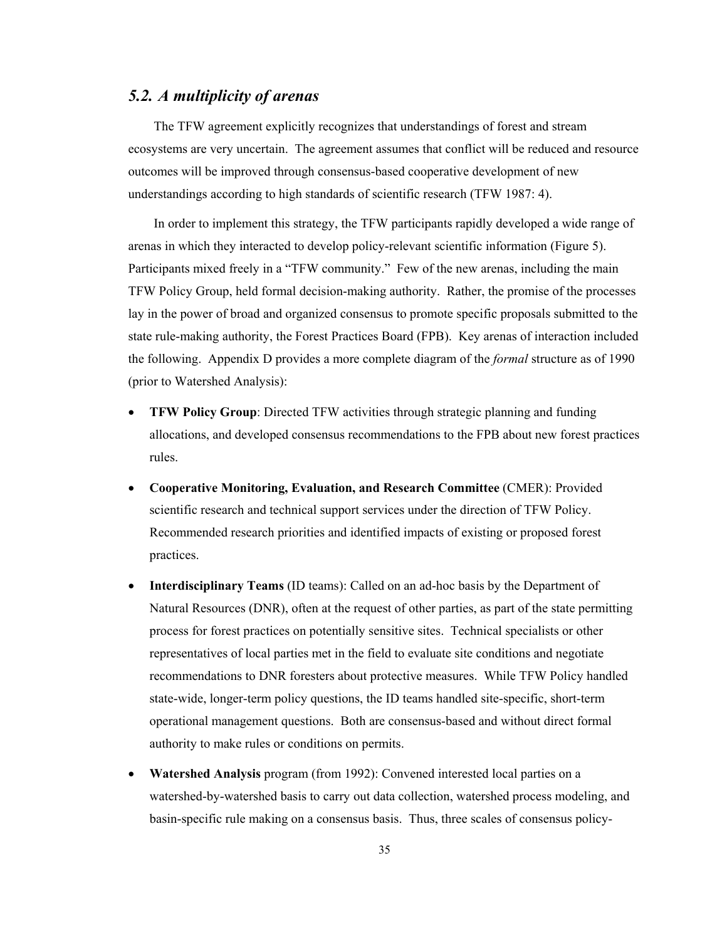# *5.2. A multiplicity of arenas*

The TFW agreement explicitly recognizes that understandings of forest and stream ecosystems are very uncertain. The agreement assumes that conflict will be reduced and resource outcomes will be improved through consensus-based cooperative development of new understandings according to high standards of scientific research (TFW 1987: 4).

In order to implement this strategy, the TFW participants rapidly developed a wide range of arenas in which they interacted to develop policy-relevant scientific information (Figure 5). Participants mixed freely in a "TFW community." Few of the new arenas, including the main TFW Policy Group, held formal decision-making authority. Rather, the promise of the processes lay in the power of broad and organized consensus to promote specific proposals submitted to the state rule-making authority, the Forest Practices Board (FPB). Key arenas of interaction included the following. Appendix D provides a more complete diagram of the *formal* structure as of 1990 (prior to Watershed Analysis):

- **TFW Policy Group**: Directed TFW activities through strategic planning and funding allocations, and developed consensus recommendations to the FPB about new forest practices rules.
- **Cooperative Monitoring, Evaluation, and Research Committee** (CMER): Provided scientific research and technical support services under the direction of TFW Policy. Recommended research priorities and identified impacts of existing or proposed forest practices.
- **Interdisciplinary Teams** (ID teams): Called on an ad-hoc basis by the Department of Natural Resources (DNR), often at the request of other parties, as part of the state permitting process for forest practices on potentially sensitive sites. Technical specialists or other representatives of local parties met in the field to evaluate site conditions and negotiate recommendations to DNR foresters about protective measures. While TFW Policy handled state-wide, longer-term policy questions, the ID teams handled site-specific, short-term operational management questions. Both are consensus-based and without direct formal authority to make rules or conditions on permits.
- **Watershed Analysis** program (from 1992): Convened interested local parties on a watershed-by-watershed basis to carry out data collection, watershed process modeling, and basin-specific rule making on a consensus basis. Thus, three scales of consensus policy-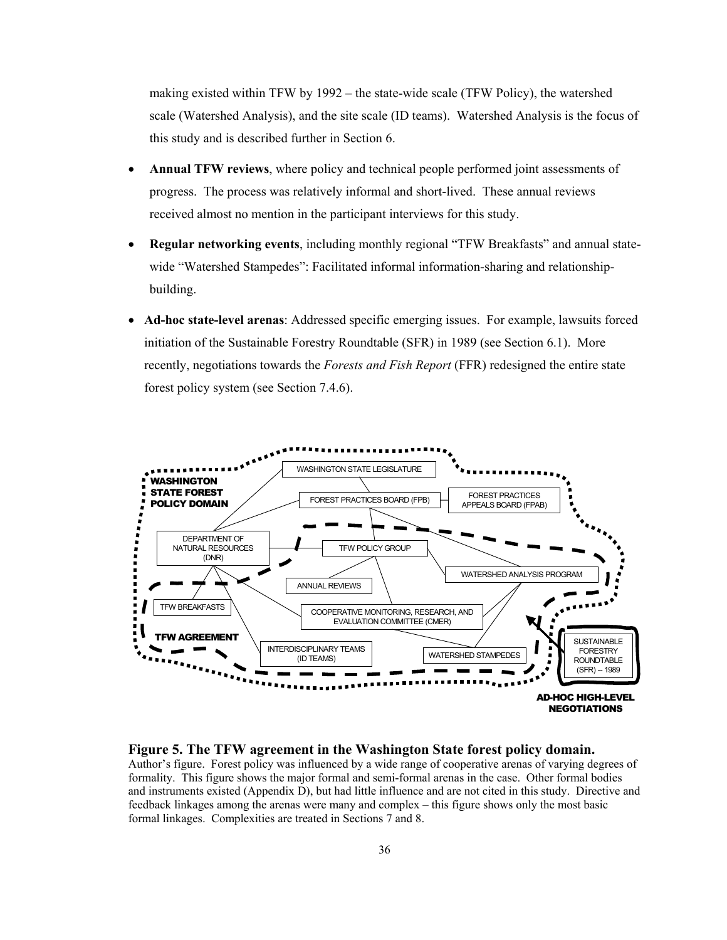making existed within TFW by 1992 – the state-wide scale (TFW Policy), the watershed scale (Watershed Analysis), and the site scale (ID teams). Watershed Analysis is the focus of this study and is described further in Section 6.

- **Annual TFW reviews**, where policy and technical people performed joint assessments of progress. The process was relatively informal and short-lived. These annual reviews received almost no mention in the participant interviews for this study.
- **Regular networking events**, including monthly regional "TFW Breakfasts" and annual statewide "Watershed Stampedes": Facilitated informal information-sharing and relationshipbuilding.
- **Ad-hoc state-level arenas**: Addressed specific emerging issues. For example, lawsuits forced initiation of the Sustainable Forestry Roundtable (SFR) in 1989 (see Section 6.1). More recently, negotiations towards the *Forests and Fish Report* (FFR) redesigned the entire state forest policy system (see Section 7.4.6).



**Figure 5. The TFW agreement in the Washington State forest policy domain.**  Author's figure. Forest policy was influenced by a wide range of cooperative arenas of varying degrees of formality. This figure shows the major formal and semi-formal arenas in the case. Other formal bodies and instruments existed (Appendix D), but had little influence and are not cited in this study. Directive and feedback linkages among the arenas were many and complex – this figure shows only the most basic formal linkages. Complexities are treated in Sections 7 and 8.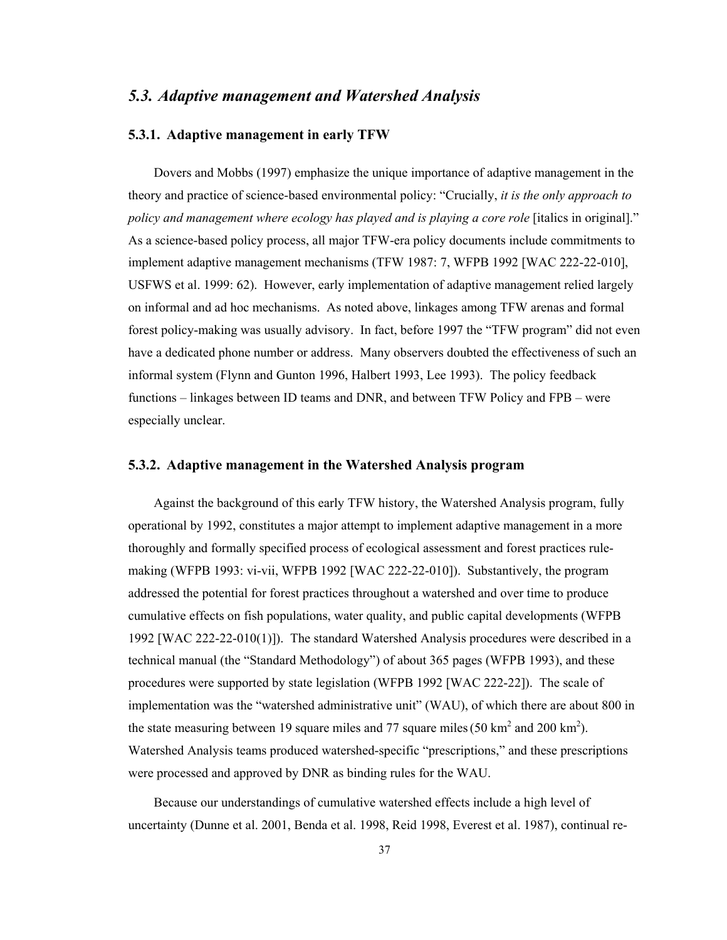# *5.3. Adaptive management and Watershed Analysis*

### **5.3.1. Adaptive management in early TFW**

Dovers and Mobbs (1997) emphasize the unique importance of adaptive management in the theory and practice of science-based environmental policy: "Crucially, *it is the only approach to policy and management where ecology has played and is playing a core role* [italics in original]." As a science-based policy process, all major TFW-era policy documents include commitments to implement adaptive management mechanisms (TFW 1987: 7, WFPB 1992 [WAC 222-22-010], USFWS et al. 1999: 62). However, early implementation of adaptive management relied largely on informal and ad hoc mechanisms. As noted above, linkages among TFW arenas and formal forest policy-making was usually advisory. In fact, before 1997 the "TFW program" did not even have a dedicated phone number or address. Many observers doubted the effectiveness of such an informal system (Flynn and Gunton 1996, Halbert 1993, Lee 1993). The policy feedback functions – linkages between ID teams and DNR, and between TFW Policy and FPB – were especially unclear.

#### **5.3.2. Adaptive management in the Watershed Analysis program**

Against the background of this early TFW history, the Watershed Analysis program, fully operational by 1992, constitutes a major attempt to implement adaptive management in a more thoroughly and formally specified process of ecological assessment and forest practices rulemaking (WFPB 1993: vi-vii, WFPB 1992 [WAC 222-22-010]). Substantively, the program addressed the potential for forest practices throughout a watershed and over time to produce cumulative effects on fish populations, water quality, and public capital developments (WFPB 1992 [WAC 222-22-010(1)]). The standard Watershed Analysis procedures were described in a technical manual (the "Standard Methodology") of about 365 pages (WFPB 1993), and these procedures were supported by state legislation (WFPB 1992 [WAC 222-22]). The scale of implementation was the "watershed administrative unit" (WAU), of which there are about 800 in the state measuring between 19 square miles and 77 square miles (50 km<sup>2</sup> and 200 km<sup>2</sup>). Watershed Analysis teams produced watershed-specific "prescriptions," and these prescriptions were processed and approved by DNR as binding rules for the WAU.

Because our understandings of cumulative watershed effects include a high level of uncertainty (Dunne et al. 2001, Benda et al. 1998, Reid 1998, Everest et al. 1987), continual re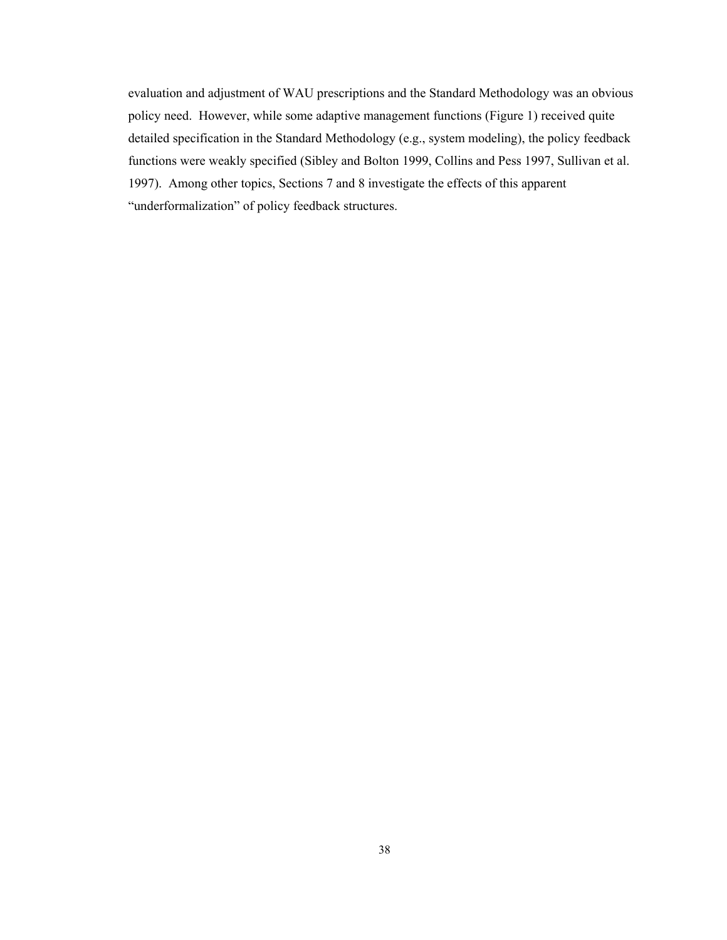evaluation and adjustment of WAU prescriptions and the Standard Methodology was an obvious policy need. However, while some adaptive management functions (Figure 1) received quite detailed specification in the Standard Methodology (e.g., system modeling), the policy feedback functions were weakly specified (Sibley and Bolton 1999, Collins and Pess 1997, Sullivan et al. 1997). Among other topics, Sections 7 and 8 investigate the effects of this apparent "underformalization" of policy feedback structures.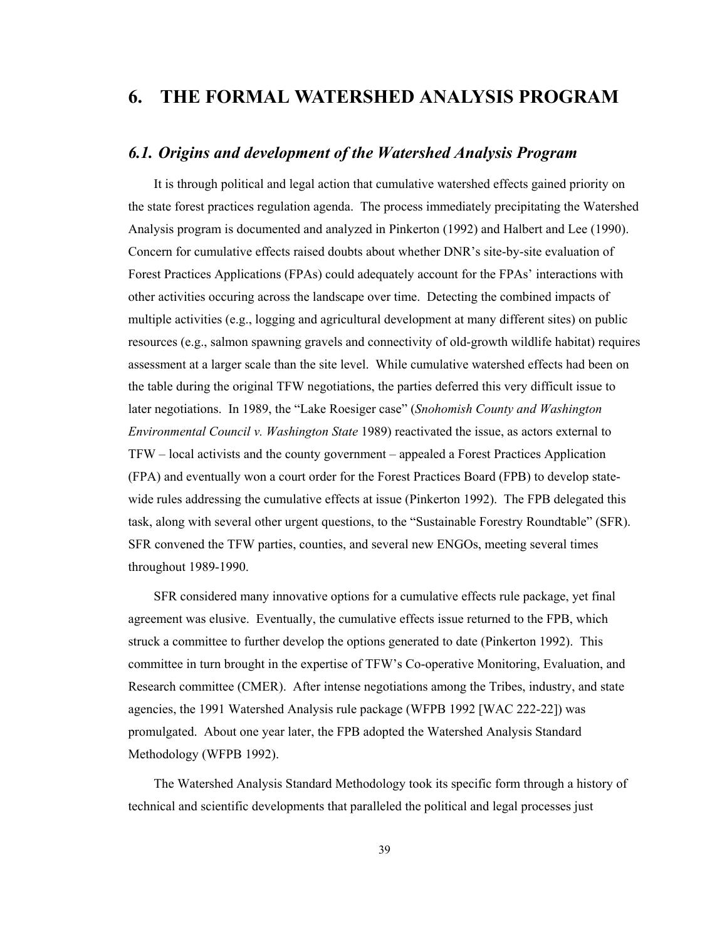# **6. THE FORMAL WATERSHED ANALYSIS PROGRAM**

# *6.1. Origins and development of the Watershed Analysis Program*

It is through political and legal action that cumulative watershed effects gained priority on the state forest practices regulation agenda. The process immediately precipitating the Watershed Analysis program is documented and analyzed in Pinkerton (1992) and Halbert and Lee (1990). Concern for cumulative effects raised doubts about whether DNR's site-by-site evaluation of Forest Practices Applications (FPAs) could adequately account for the FPAs' interactions with other activities occuring across the landscape over time. Detecting the combined impacts of multiple activities (e.g., logging and agricultural development at many different sites) on public resources (e.g., salmon spawning gravels and connectivity of old-growth wildlife habitat) requires assessment at a larger scale than the site level. While cumulative watershed effects had been on the table during the original TFW negotiations, the parties deferred this very difficult issue to later negotiations. In 1989, the "Lake Roesiger case" (*Snohomish County and Washington Environmental Council v. Washington State* 1989) reactivated the issue, as actors external to TFW – local activists and the county government – appealed a Forest Practices Application (FPA) and eventually won a court order for the Forest Practices Board (FPB) to develop statewide rules addressing the cumulative effects at issue (Pinkerton 1992). The FPB delegated this task, along with several other urgent questions, to the "Sustainable Forestry Roundtable" (SFR). SFR convened the TFW parties, counties, and several new ENGOs, meeting several times throughout 1989-1990.

SFR considered many innovative options for a cumulative effects rule package, yet final agreement was elusive. Eventually, the cumulative effects issue returned to the FPB, which struck a committee to further develop the options generated to date (Pinkerton 1992). This committee in turn brought in the expertise of TFW's Co-operative Monitoring, Evaluation, and Research committee (CMER). After intense negotiations among the Tribes, industry, and state agencies, the 1991 Watershed Analysis rule package (WFPB 1992 [WAC 222-22]) was promulgated. About one year later, the FPB adopted the Watershed Analysis Standard Methodology (WFPB 1992).

The Watershed Analysis Standard Methodology took its specific form through a history of technical and scientific developments that paralleled the political and legal processes just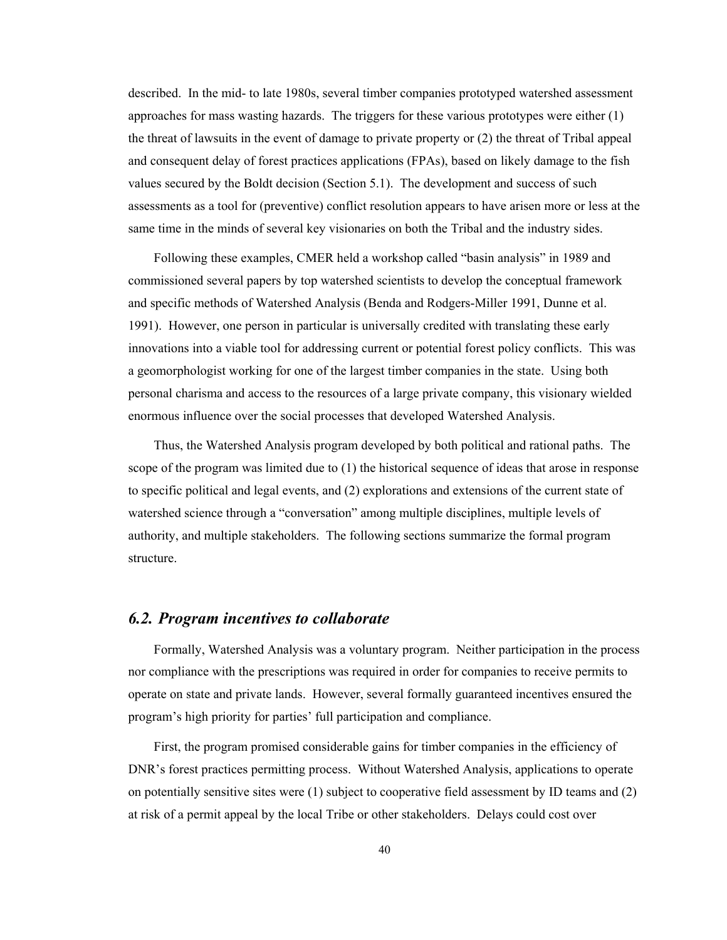described. In the mid- to late 1980s, several timber companies prototyped watershed assessment approaches for mass wasting hazards. The triggers for these various prototypes were either (1) the threat of lawsuits in the event of damage to private property or (2) the threat of Tribal appeal and consequent delay of forest practices applications (FPAs), based on likely damage to the fish values secured by the Boldt decision (Section 5.1). The development and success of such assessments as a tool for (preventive) conflict resolution appears to have arisen more or less at the same time in the minds of several key visionaries on both the Tribal and the industry sides.

Following these examples, CMER held a workshop called "basin analysis" in 1989 and commissioned several papers by top watershed scientists to develop the conceptual framework and specific methods of Watershed Analysis (Benda and Rodgers-Miller 1991, Dunne et al. 1991). However, one person in particular is universally credited with translating these early innovations into a viable tool for addressing current or potential forest policy conflicts. This was a geomorphologist working for one of the largest timber companies in the state. Using both personal charisma and access to the resources of a large private company, this visionary wielded enormous influence over the social processes that developed Watershed Analysis.

Thus, the Watershed Analysis program developed by both political and rational paths. The scope of the program was limited due to (1) the historical sequence of ideas that arose in response to specific political and legal events, and (2) explorations and extensions of the current state of watershed science through a "conversation" among multiple disciplines, multiple levels of authority, and multiple stakeholders. The following sections summarize the formal program structure.

# *6.2. Program incentives to collaborate*

Formally, Watershed Analysis was a voluntary program. Neither participation in the process nor compliance with the prescriptions was required in order for companies to receive permits to operate on state and private lands. However, several formally guaranteed incentives ensured the program's high priority for parties' full participation and compliance.

First, the program promised considerable gains for timber companies in the efficiency of DNR's forest practices permitting process. Without Watershed Analysis, applications to operate on potentially sensitive sites were (1) subject to cooperative field assessment by ID teams and (2) at risk of a permit appeal by the local Tribe or other stakeholders. Delays could cost over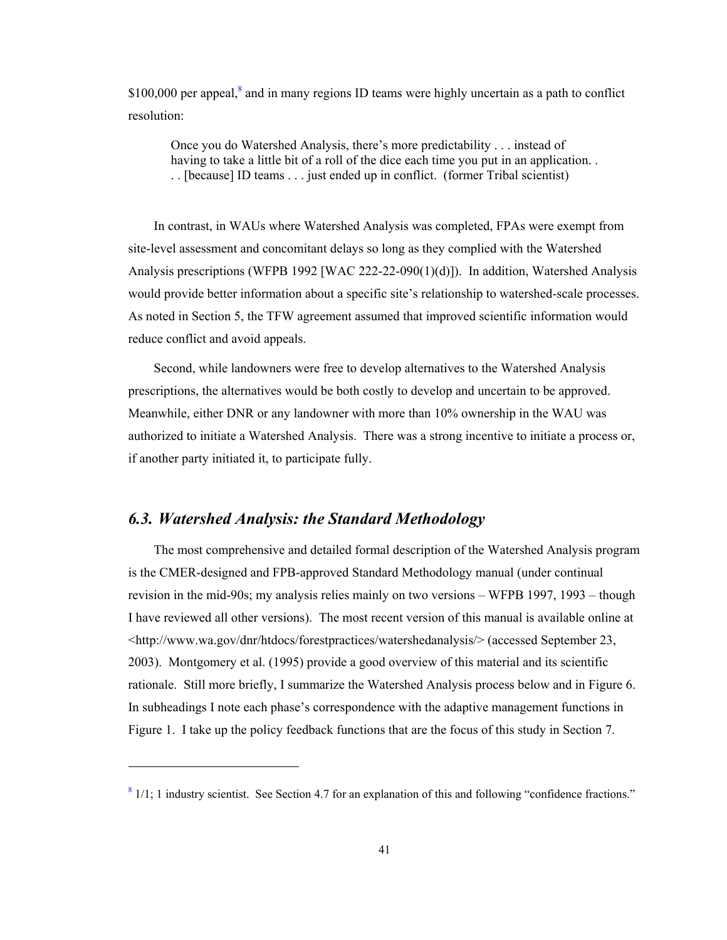$$100,000$  per appeal,<sup>8</sup> and in many regions ID teams were highly uncertain as a path to conflict resolution:

Once you do Watershed Analysis, there's more predictability . . . instead of having to take a little bit of a roll of the dice each time you put in an application.. . . [because] ID teams . . . just ended up in conflict. (former Tribal scientist)

In contrast, in WAUs where Watershed Analysis was completed, FPAs were exempt from site-level assessment and concomitant delays so long as they complied with the Watershed Analysis prescriptions (WFPB 1992 [WAC 222-22-090(1)(d)]). In addition, Watershed Analysis would provide better information about a specific site's relationship to watershed-scale processes. As noted in Section 5, the TFW agreement assumed that improved scientific information would reduce conflict and avoid appeals.

Second, while landowners were free to develop alternatives to the Watershed Analysis prescriptions, the alternatives would be both costly to develop and uncertain to be approved. Meanwhile, either DNR or any landowner with more than 10% ownership in the WAU was authorized to initiate a Watershed Analysis. There was a strong incentive to initiate a process or, if another party initiated it, to participate fully.

# *6.3. Watershed Analysis: the Standard Methodology*

l

The most comprehensive and detailed formal description of the Watershed Analysis program is the CMER-designed and FPB-approved Standard Methodology manual (under continual revision in the mid-90s; my analysis relies mainly on two versions – WFPB 1997, 1993 – though I have reviewed all other versions). The most recent version of this manual is available online at <http://www.wa.gov/dnr/htdocs/forestpractices/watershedanalysis/> (accessed September 23, 2003). Montgomery et al. (1995) provide a good overview of this material and its scientific rationale. Still more briefly, I summarize the Watershed Analysis process below and in Figure 6. In subheadings I note each phase's correspondence with the adaptive management functions in Figure 1. I take up the policy feedback functions that are the focus of this study in Section 7.

 $8$  1/1; 1 industry scientist. See Section 4.7 for an explanation of this and following "confidence fractions."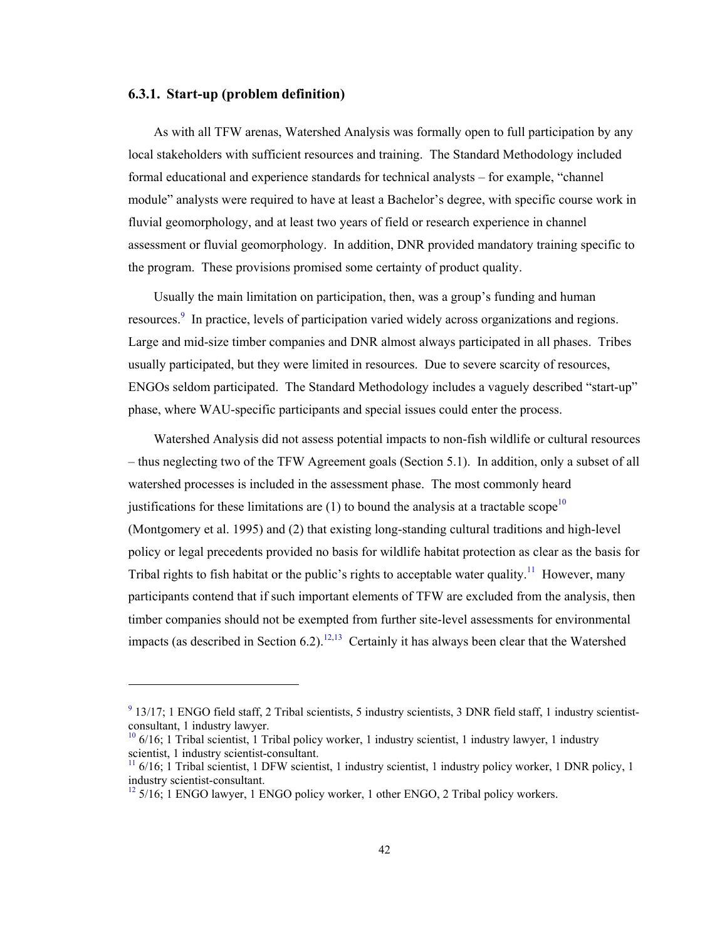#### **6.3.1. Start-up (problem definition)**

1

As with all TFW arenas, Watershed Analysis was formally open to full participation by any local stakeholders with sufficient resources and training. The Standard Methodology included formal educational and experience standards for technical analysts – for example, "channel module" analysts were required to have at least a Bachelor's degree, with specific course work in fluvial geomorphology, and at least two years of field or research experience in channel assessment or fluvial geomorphology. In addition, DNR provided mandatory training specific to the program. These provisions promised some certainty of product quality.

Usually the main limitation on participation, then, was a group's funding and human resources.<sup>9</sup> In practice, levels of participation varied widely across organizations and regions. Large and mid-size timber companies and DNR almost always participated in all phases. Tribes usually participated, but they were limited in resources. Due to severe scarcity of resources, ENGOs seldom participated. The Standard Methodology includes a vaguely described "start-up" phase, where WAU-specific participants and special issues could enter the process.

Watershed Analysis did not assess potential impacts to non-fish wildlife or cultural resources – thus neglecting two of the TFW Agreement goals (Section 5.1). In addition, only a subset of all watershed processes is included in the assessment phase. The most commonly heard justifications for these limitations are  $(1)$  to bound the analysis at a tractable scope<sup>10</sup> (Montgomery et al. 1995) and (2) that existing long-standing cultural traditions and high-level policy or legal precedents provided no basis for wildlife habitat protection as clear as the basis for Tribal rights to fish habitat or the public's rights to acceptable water quality.<sup>11</sup> However, many participants contend that if such important elements of TFW are excluded from the analysis, then timber companies should not be exempted from further site-level assessments for environmental impacts (as described in Section 6.2).<sup>12,13</sup> Certainly it has always been clear that the Watershed

 $9$  13/17; 1 ENGO field staff, 2 Tribal scientists, 5 industry scientists, 3 DNR field staff, 1 industry scientistconsultant, 1 industry lawyer.

 $10$  6/16; 1 Tribal scientist, 1 Tribal policy worker, 1 industry scientist, 1 industry lawyer, 1 industry scientist, 1 industry scientist-consultant.

 $\frac{11}{10}$  6/16; 1 Tribal scientist, 1 DFW scientist, 1 industry scientist, 1 industry policy worker, 1 DNR policy, 1 industry scientist-consultant.

 $12\frac{12}{2}$  5/16; 1 ENGO lawyer, 1 ENGO policy worker, 1 other ENGO, 2 Tribal policy workers.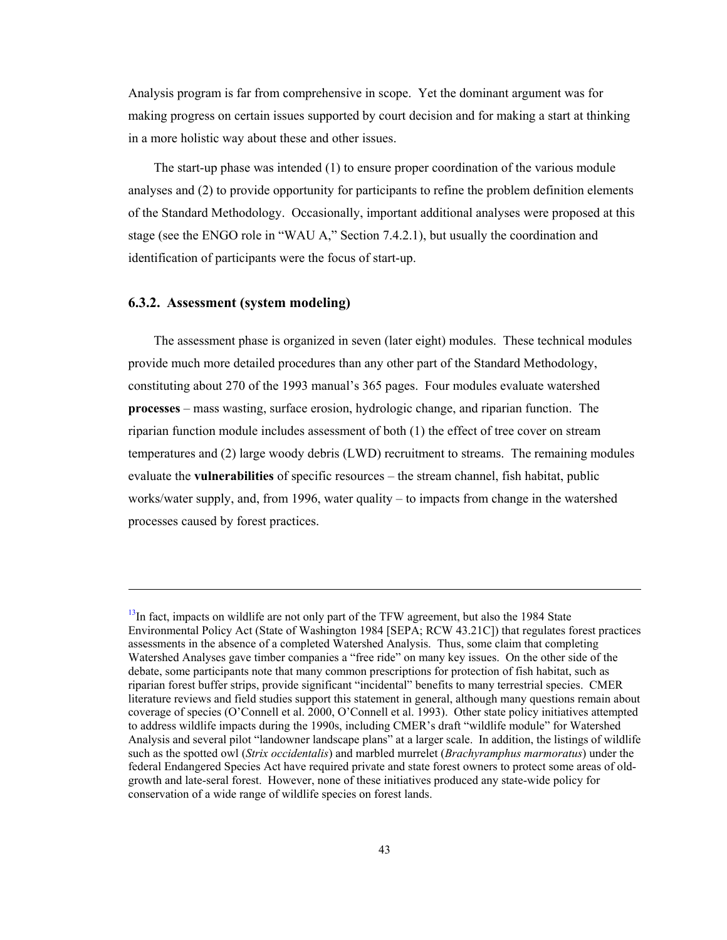Analysis program is far from comprehensive in scope. Yet the dominant argument was for making progress on certain issues supported by court decision and for making a start at thinking in a more holistic way about these and other issues.

The start-up phase was intended (1) to ensure proper coordination of the various module analyses and (2) to provide opportunity for participants to refine the problem definition elements of the Standard Methodology. Occasionally, important additional analyses were proposed at this stage (see the ENGO role in "WAU A," Section 7.4.2.1), but usually the coordination and identification of participants were the focus of start-up.

#### **6.3.2. Assessment (system modeling)**

l

The assessment phase is organized in seven (later eight) modules. These technical modules provide much more detailed procedures than any other part of the Standard Methodology, constituting about 270 of the 1993 manual's 365 pages. Four modules evaluate watershed **processes** – mass wasting, surface erosion, hydrologic change, and riparian function. The riparian function module includes assessment of both (1) the effect of tree cover on stream temperatures and (2) large woody debris (LWD) recruitment to streams. The remaining modules evaluate the **vulnerabilities** of specific resources – the stream channel, fish habitat, public works/water supply, and, from 1996, water quality – to impacts from change in the watershed processes caused by forest practices.

 $<sup>13</sup>$ In fact, impacts on wildlife are not only part of the TFW agreement, but also the 1984 State</sup> Environmental Policy Act (State of Washington 1984 [SEPA; RCW 43.21C]) that regulates forest practices assessments in the absence of a completed Watershed Analysis. Thus, some claim that completing Watershed Analyses gave timber companies a "free ride" on many key issues. On the other side of the debate, some participants note that many common prescriptions for protection of fish habitat, such as riparian forest buffer strips, provide significant "incidental" benefits to many terrestrial species. CMER literature reviews and field studies support this statement in general, although many questions remain about coverage of species (O'Connell et al. 2000, O'Connell et al. 1993). Other state policy initiatives attempted to address wildlife impacts during the 1990s, including CMER's draft "wildlife module" for Watershed Analysis and several pilot "landowner landscape plans" at a larger scale. In addition, the listings of wildlife such as the spotted owl (*Strix occidentalis*) and marbled murrelet (*Brachyramphus marmoratus*) under the federal Endangered Species Act have required private and state forest owners to protect some areas of oldgrowth and late-seral forest. However, none of these initiatives produced any state-wide policy for conservation of a wide range of wildlife species on forest lands.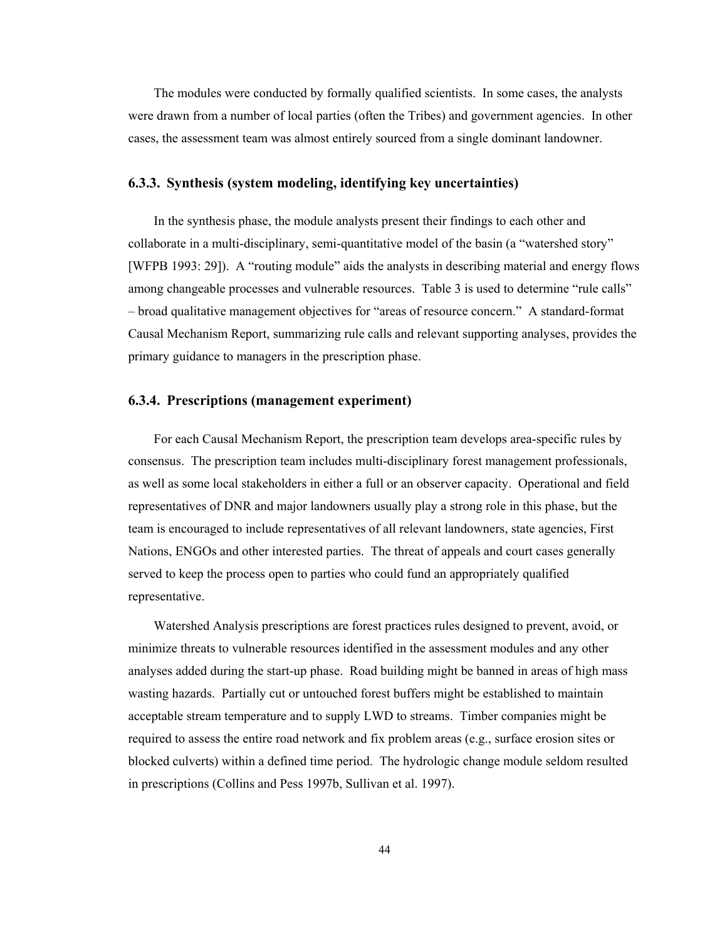The modules were conducted by formally qualified scientists. In some cases, the analysts were drawn from a number of local parties (often the Tribes) and government agencies. In other cases, the assessment team was almost entirely sourced from a single dominant landowner.

#### **6.3.3. Synthesis (system modeling, identifying key uncertainties)**

In the synthesis phase, the module analysts present their findings to each other and collaborate in a multi-disciplinary, semi-quantitative model of the basin (a "watershed story" [WFPB 1993: 29]). A "routing module" aids the analysts in describing material and energy flows among changeable processes and vulnerable resources. Table 3 is used to determine "rule calls" – broad qualitative management objectives for "areas of resource concern." A standard-format Causal Mechanism Report, summarizing rule calls and relevant supporting analyses, provides the primary guidance to managers in the prescription phase.

#### **6.3.4. Prescriptions (management experiment)**

For each Causal Mechanism Report, the prescription team develops area-specific rules by consensus. The prescription team includes multi-disciplinary forest management professionals, as well as some local stakeholders in either a full or an observer capacity. Operational and field representatives of DNR and major landowners usually play a strong role in this phase, but the team is encouraged to include representatives of all relevant landowners, state agencies, First Nations, ENGOs and other interested parties. The threat of appeals and court cases generally served to keep the process open to parties who could fund an appropriately qualified representative.

Watershed Analysis prescriptions are forest practices rules designed to prevent, avoid, or minimize threats to vulnerable resources identified in the assessment modules and any other analyses added during the start-up phase. Road building might be banned in areas of high mass wasting hazards. Partially cut or untouched forest buffers might be established to maintain acceptable stream temperature and to supply LWD to streams. Timber companies might be required to assess the entire road network and fix problem areas (e.g., surface erosion sites or blocked culverts) within a defined time period. The hydrologic change module seldom resulted in prescriptions (Collins and Pess 1997b, Sullivan et al. 1997).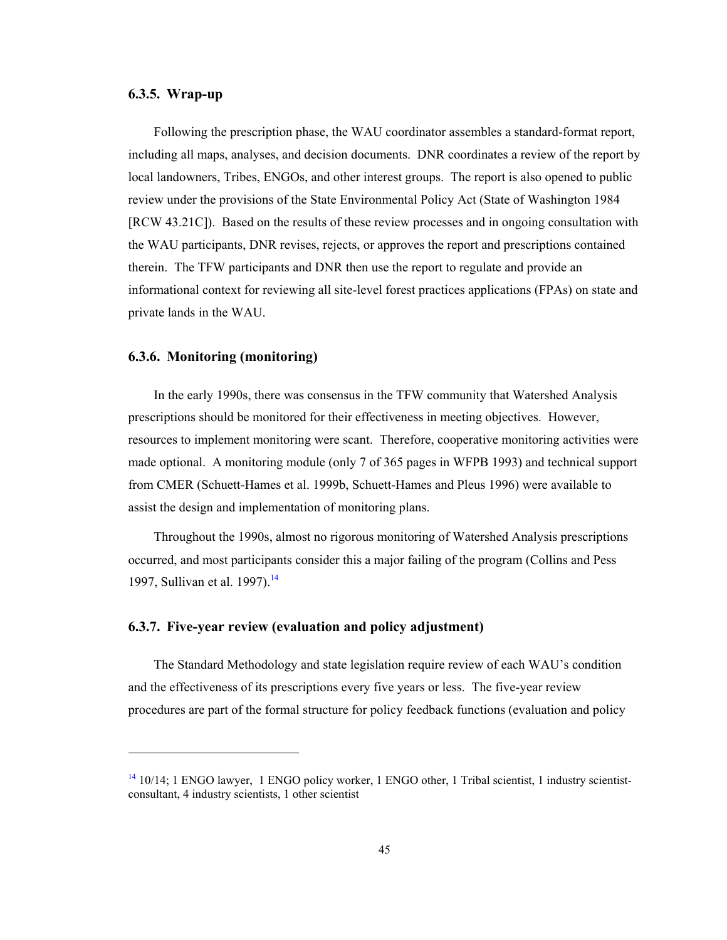#### **6.3.5. Wrap-up**

Following the prescription phase, the WAU coordinator assembles a standard-format report, including all maps, analyses, and decision documents. DNR coordinates a review of the report by local landowners, Tribes, ENGOs, and other interest groups. The report is also opened to public review under the provisions of the State Environmental Policy Act (State of Washington 1984 [RCW 43.21C]). Based on the results of these review processes and in ongoing consultation with the WAU participants, DNR revises, rejects, or approves the report and prescriptions contained therein. The TFW participants and DNR then use the report to regulate and provide an informational context for reviewing all site-level forest practices applications (FPAs) on state and private lands in the WAU.

#### **6.3.6. Monitoring (monitoring)**

l

In the early 1990s, there was consensus in the TFW community that Watershed Analysis prescriptions should be monitored for their effectiveness in meeting objectives. However, resources to implement monitoring were scant. Therefore, cooperative monitoring activities were made optional. A monitoring module (only 7 of 365 pages in WFPB 1993) and technical support from CMER (Schuett-Hames et al. 1999b, Schuett-Hames and Pleus 1996) were available to assist the design and implementation of monitoring plans.

Throughout the 1990s, almost no rigorous monitoring of Watershed Analysis prescriptions occurred, and most participants consider this a major failing of the program (Collins and Pess 1997, Sullivan et al. 1997).<sup>14</sup>

#### **6.3.7. Five-year review (evaluation and policy adjustment)**

The Standard Methodology and state legislation require review of each WAU's condition and the effectiveness of its prescriptions every five years or less. The five-year review procedures are part of the formal structure for policy feedback functions (evaluation and policy

 $14$  10/14; 1 ENGO lawyer, 1 ENGO policy worker, 1 ENGO other, 1 Tribal scientist, 1 industry scientistconsultant, 4 industry scientists, 1 other scientist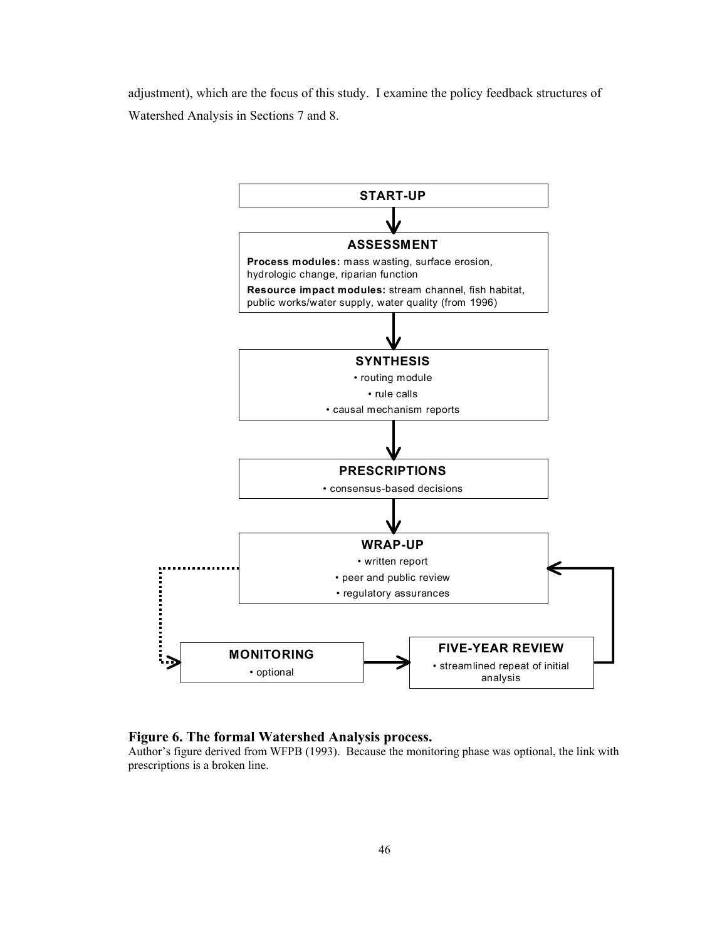adjustment), which are the focus of this study. I examine the policy feedback structures of Watershed Analysis in Sections 7 and 8.



#### **Figure 6. The formal Watershed Analysis process.**

Author's figure derived from WFPB (1993). Because the monitoring phase was optional, the link with prescriptions is a broken line.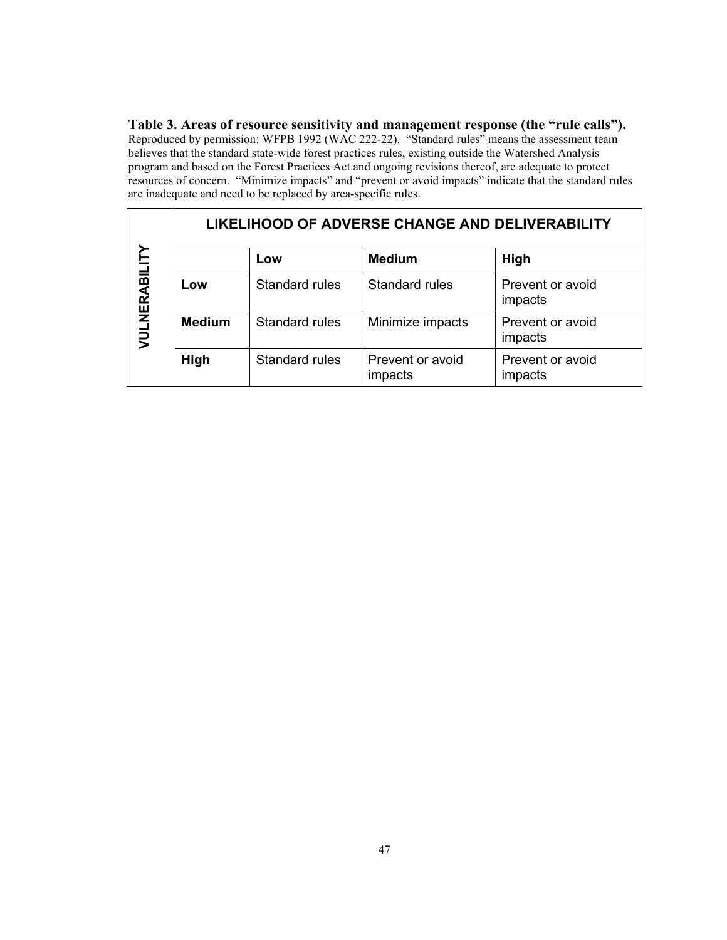**Table 3. Areas of resource sensitivity and management response (the "rule calls").**  Reproduced by permission: WFPB 1992 (WAC 222-22)."Standard rules" means the assessment team believes that the standard state-wide forest practices rules, existing outside the Watershed Analysis program and based on the Forest Practices Act and ongoing revisions thereof, are adequate to protect resources of concern. "Minimize impacts" and "prevent or avoid impacts" indicate that the standard rules are inadequate and need to be replaced by area-specific rules.

|               | LIKELIHOOD OF ADVERSE CHANGE AND DELIVERABILITY |                       |                             |                             |  |
|---------------|-------------------------------------------------|-----------------------|-----------------------------|-----------------------------|--|
| VULNERABILITY |                                                 | Low                   | <b>Medium</b>               | High                        |  |
|               | Low                                             | Standard rules        | Standard rules              | Prevent or avoid<br>impacts |  |
|               | <b>Medium</b>                                   | <b>Standard rules</b> | Minimize impacts            | Prevent or avoid<br>impacts |  |
|               | High                                            | Standard rules        | Prevent or avoid<br>impacts | Prevent or avoid<br>impacts |  |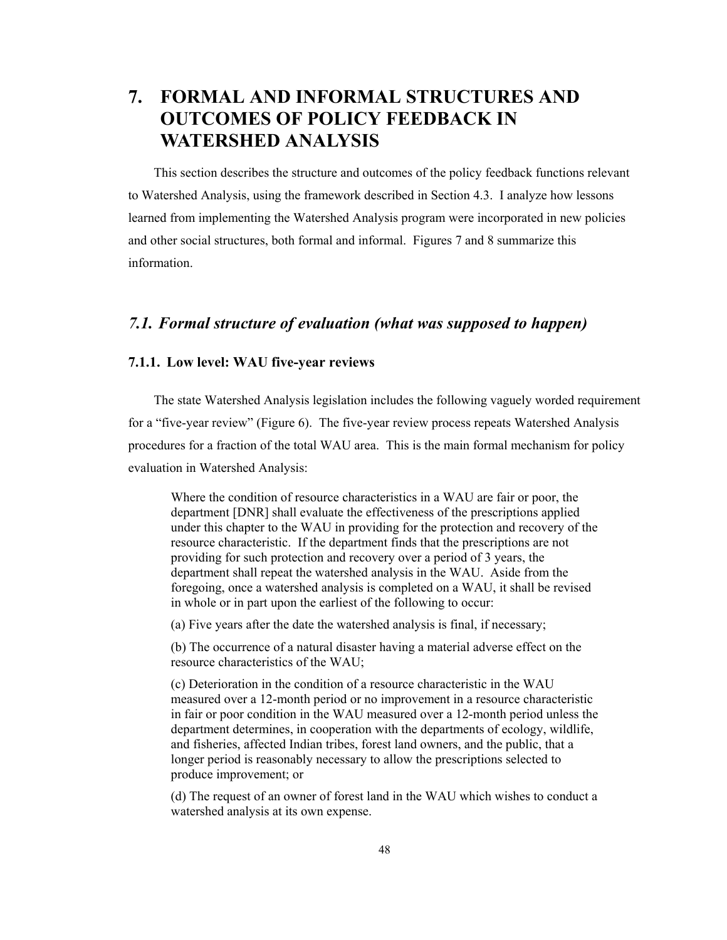# **7. FORMAL AND INFORMAL STRUCTURES AND OUTCOMES OF POLICY FEEDBACK IN WATERSHED ANALYSIS**

This section describes the structure and outcomes of the policy feedback functions relevant to Watershed Analysis, using the framework described in Section 4.3. I analyze how lessons learned from implementing the Watershed Analysis program were incorporated in new policies and other social structures, both formal and informal. Figures 7 and 8 summarize this information.

# *7.1. Formal structure of evaluation (what was supposed to happen)*

### **7.1.1. Low level: WAU five-year reviews**

The state Watershed Analysis legislation includes the following vaguely worded requirement for a "five-year review" (Figure 6). The five-year review process repeats Watershed Analysis procedures for a fraction of the total WAU area. This is the main formal mechanism for policy evaluation in Watershed Analysis:

Where the condition of resource characteristics in a WAU are fair or poor, the department [DNR] shall evaluate the effectiveness of the prescriptions applied under this chapter to the WAU in providing for the protection and recovery of the resource characteristic. If the department finds that the prescriptions are not providing for such protection and recovery over a period of 3 years, the department shall repeat the watershed analysis in the WAU. Aside from the foregoing, once a watershed analysis is completed on a WAU, it shall be revised in whole or in part upon the earliest of the following to occur:

(a) Five years after the date the watershed analysis is final, if necessary;

(b) The occurrence of a natural disaster having a material adverse effect on the resource characteristics of the WAU;

(c) Deterioration in the condition of a resource characteristic in the WAU measured over a 12-month period or no improvement in a resource characteristic in fair or poor condition in the WAU measured over a 12-month period unless the department determines, in cooperation with the departments of ecology, wildlife, and fisheries, affected Indian tribes, forest land owners, and the public, that a longer period is reasonably necessary to allow the prescriptions selected to produce improvement; or

(d) The request of an owner of forest land in the WAU which wishes to conduct a watershed analysis at its own expense.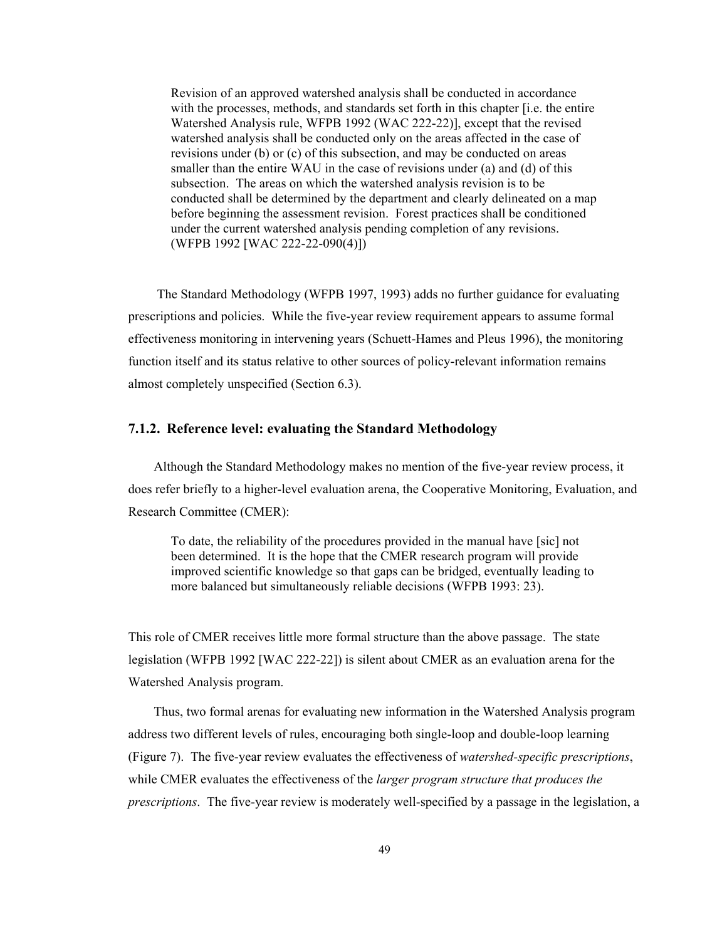Revision of an approved watershed analysis shall be conducted in accordance with the processes, methods, and standards set forth in this chapter [i.e. the entire Watershed Analysis rule, WFPB 1992 (WAC 222-22)], except that the revised watershed analysis shall be conducted only on the areas affected in the case of revisions under (b) or (c) of this subsection, and may be conducted on areas smaller than the entire WAU in the case of revisions under (a) and (d) of this subsection. The areas on which the watershed analysis revision is to be conducted shall be determined by the department and clearly delineated on a map before beginning the assessment revision. Forest practices shall be conditioned under the current watershed analysis pending completion of any revisions. (WFPB 1992 [WAC 222-22-090(4)])

 The Standard Methodology (WFPB 1997, 1993) adds no further guidance for evaluating prescriptions and policies. While the five-year review requirement appears to assume formal effectiveness monitoring in intervening years (Schuett-Hames and Pleus 1996), the monitoring function itself and its status relative to other sources of policy-relevant information remains almost completely unspecified (Section 6.3).

#### **7.1.2. Reference level: evaluating the Standard Methodology**

Although the Standard Methodology makes no mention of the five-year review process, it does refer briefly to a higher-level evaluation arena, the Cooperative Monitoring, Evaluation, and Research Committee (CMER):

To date, the reliability of the procedures provided in the manual have [sic] not been determined. It is the hope that the CMER research program will provide improved scientific knowledge so that gaps can be bridged, eventually leading to more balanced but simultaneously reliable decisions (WFPB 1993: 23).

This role of CMER receives little more formal structure than the above passage. The state legislation (WFPB 1992 [WAC 222-22]) is silent about CMER as an evaluation arena for the Watershed Analysis program.

Thus, two formal arenas for evaluating new information in the Watershed Analysis program address two different levels of rules, encouraging both single-loop and double-loop learning (Figure 7). The five-year review evaluates the effectiveness of *watershed-specific prescriptions*, while CMER evaluates the effectiveness of the *larger program structure that produces the prescriptions*. The five-year review is moderately well-specified by a passage in the legislation, a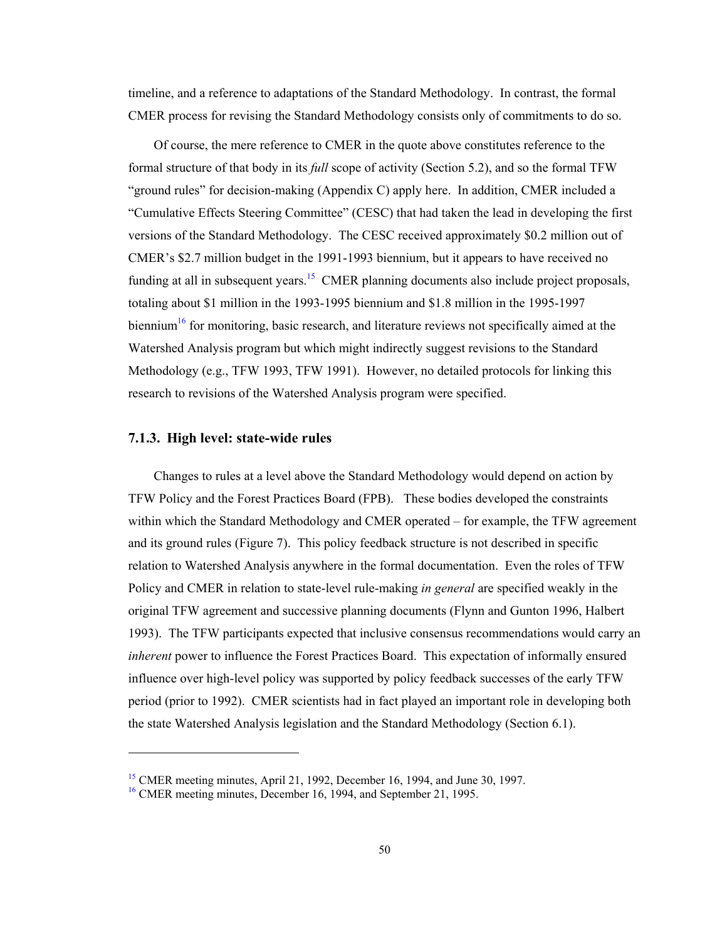timeline, and a reference to adaptations of the Standard Methodology. In contrast, the formal CMER process for revising the Standard Methodology consists only of commitments to do so.

Of course, the mere reference to CMER in the quote above constitutes reference to the formal structure of that body in its *full* scope of activity (Section 5.2), and so the formal TFW "ground rules" for decision-making (Appendix C) apply here. In addition, CMER included a "Cumulative Effects Steering Committee" (CESC) that had taken the lead in developing the first versions of the Standard Methodology. The CESC received approximately \$0.2 million out of CMER's \$2.7 million budget in the 1991-1993 biennium, but it appears to have received no funding at all in subsequent years.<sup>15</sup> CMER planning documents also include project proposals, totaling about \$1 million in the 1993-1995 biennium and \$1.8 million in the 1995-1997 biennium<sup>16</sup> for monitoring, basic research, and literature reviews not specifically aimed at the Watershed Analysis program but which might indirectly suggest revisions to the Standard Methodology (e.g., TFW 1993, TFW 1991). However, no detailed protocols for linking this research to revisions of the Watershed Analysis program were specified.

#### **7.1.3. High level: state-wide rules**

l

Changes to rules at a level above the Standard Methodology would depend on action by TFW Policy and the Forest Practices Board (FPB). These bodies developed the constraints within which the Standard Methodology and CMER operated – for example, the TFW agreement and its ground rules (Figure 7). This policy feedback structure is not described in specific relation to Watershed Analysis anywhere in the formal documentation. Even the roles of TFW Policy and CMER in relation to state-level rule-making *in general* are specified weakly in the original TFW agreement and successive planning documents (Flynn and Gunton 1996, Halbert 1993). The TFW participants expected that inclusive consensus recommendations would carry an *inherent* power to influence the Forest Practices Board. This expectation of informally ensured influence over high-level policy was supported by policy feedback successes of the early TFW period (prior to 1992). CMER scientists had in fact played an important role in developing both the state Watershed Analysis legislation and the Standard Methodology (Section 6.1).

<sup>&</sup>lt;sup>15</sup> CMER meeting minutes, April 21, 1992, December 16, 1994, and June 30, 1997.<br><sup>16</sup> CMER meeting minutes, December 16, 1994, and September 21, 1995.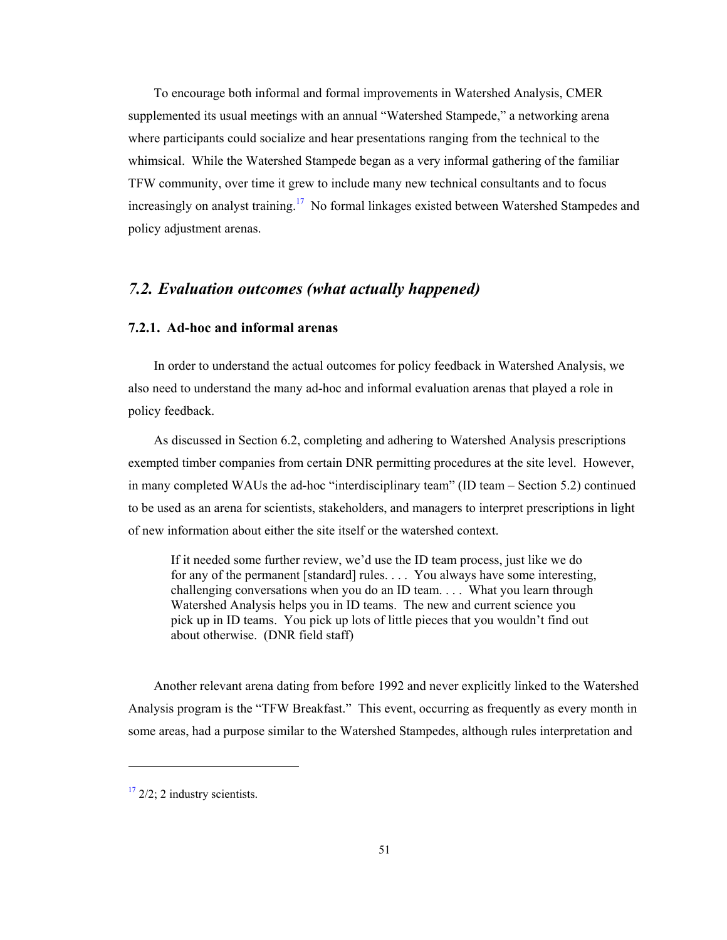To encourage both informal and formal improvements in Watershed Analysis, CMER supplemented its usual meetings with an annual "Watershed Stampede," a networking arena where participants could socialize and hear presentations ranging from the technical to the whimsical. While the Watershed Stampede began as a very informal gathering of the familiar TFW community, over time it grew to include many new technical consultants and to focus increasingly on analyst training.<sup>17</sup> No formal linkages existed between Watershed Stampedes and policy adjustment arenas.

# *7.2. Evaluation outcomes (what actually happened)*

#### **7.2.1. Ad-hoc and informal arenas**

In order to understand the actual outcomes for policy feedback in Watershed Analysis, we also need to understand the many ad-hoc and informal evaluation arenas that played a role in policy feedback.

As discussed in Section 6.2, completing and adhering to Watershed Analysis prescriptions exempted timber companies from certain DNR permitting procedures at the site level. However, in many completed WAUs the ad-hoc "interdisciplinary team" (ID team – Section 5.2) continued to be used as an arena for scientists, stakeholders, and managers to interpret prescriptions in light of new information about either the site itself or the watershed context.

If it needed some further review, we'd use the ID team process, just like we do for any of the permanent [standard] rules. . . . You always have some interesting, challenging conversations when you do an ID team. . . . What you learn through Watershed Analysis helps you in ID teams. The new and current science you pick up in ID teams. You pick up lots of little pieces that you wouldn't find out about otherwise. (DNR field staff)

Another relevant arena dating from before 1992 and never explicitly linked to the Watershed Analysis program is the "TFW Breakfast." This event, occurring as frequently as every month in some areas, had a purpose similar to the Watershed Stampedes, although rules interpretation and

l

 $17$  2/2; 2 industry scientists.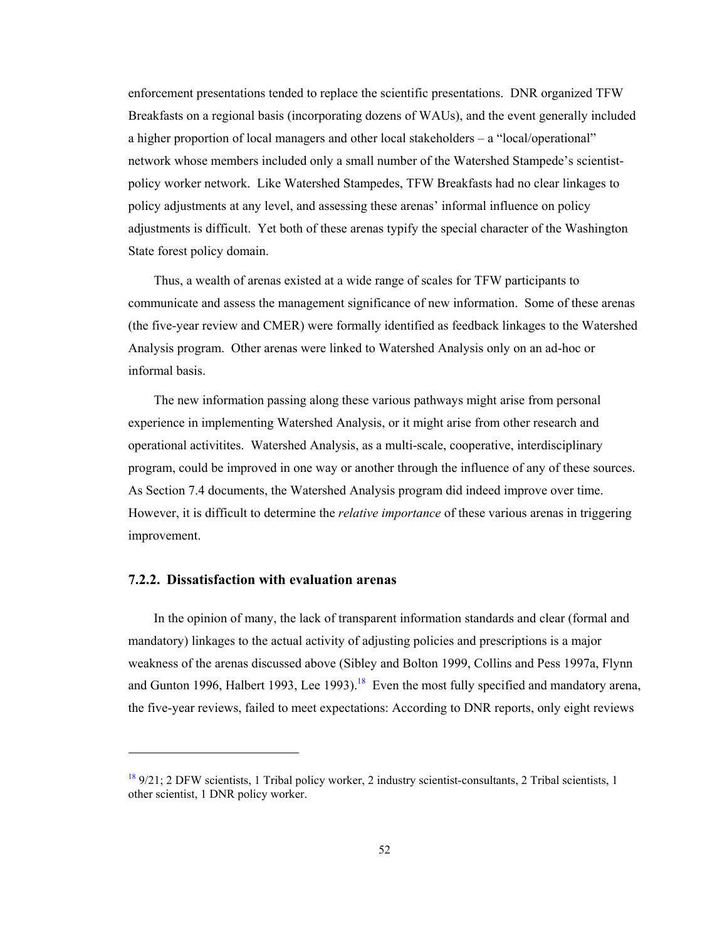enforcement presentations tended to replace the scientific presentations. DNR organized TFW Breakfasts on a regional basis (incorporating dozens of WAUs), and the event generally included a higher proportion of local managers and other local stakeholders – a "local/operational" network whose members included only a small number of the Watershed Stampede's scientistpolicy worker network. Like Watershed Stampedes, TFW Breakfasts had no clear linkages to policy adjustments at any level, and assessing these arenas' informal influence on policy adjustments is difficult. Yet both of these arenas typify the special character of the Washington State forest policy domain.

Thus, a wealth of arenas existed at a wide range of scales for TFW participants to communicate and assess the management significance of new information. Some of these arenas (the five-year review and CMER) were formally identified as feedback linkages to the Watershed Analysis program. Other arenas were linked to Watershed Analysis only on an ad-hoc or informal basis.

The new information passing along these various pathways might arise from personal experience in implementing Watershed Analysis, or it might arise from other research and operational activitites. Watershed Analysis, as a multi-scale, cooperative, interdisciplinary program, could be improved in one way or another through the influence of any of these sources. As Section 7.4 documents, the Watershed Analysis program did indeed improve over time. However, it is difficult to determine the *relative importance* of these various arenas in triggering improvement.

#### **7.2.2. Dissatisfaction with evaluation arenas**

l

In the opinion of many, the lack of transparent information standards and clear (formal and mandatory) linkages to the actual activity of adjusting policies and prescriptions is a major weakness of the arenas discussed above (Sibley and Bolton 1999, Collins and Pess 1997a, Flynn and Gunton 1996, Halbert 1993, Lee 1993).<sup>18</sup> Even the most fully specified and mandatory arena, the five-year reviews, failed to meet expectations: According to DNR reports, only eight reviews

 $189/21$ ; 2 DFW scientists, 1 Tribal policy worker, 2 industry scientist-consultants, 2 Tribal scientists, 1 other scientist, 1 DNR policy worker.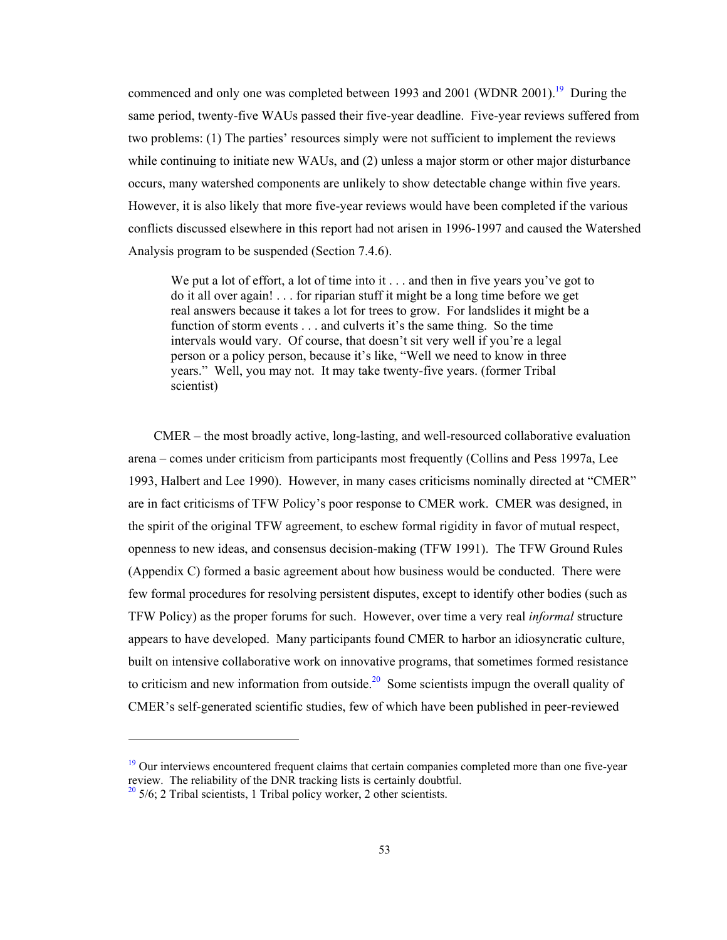commenced and only one was completed between 1993 and 2001 (WDNR 2001).<sup>19</sup> During the same period, twenty-five WAUs passed their five-year deadline. Five-year reviews suffered from two problems: (1) The parties' resources simply were not sufficient to implement the reviews while continuing to initiate new WAUs, and (2) unless a major storm or other major disturbance occurs, many watershed components are unlikely to show detectable change within five years. However, it is also likely that more five-year reviews would have been completed if the various conflicts discussed elsewhere in this report had not arisen in 1996-1997 and caused the Watershed Analysis program to be suspended (Section 7.4.6).

We put a lot of effort, a lot of time into it . . . and then in five years you've got to do it all over again! . . . for riparian stuff it might be a long time before we get real answers because it takes a lot for trees to grow. For landslides it might be a function of storm events . . . and culverts it's the same thing. So the time intervals would vary. Of course, that doesn't sit very well if you're a legal person or a policy person, because it's like, "Well we need to know in three years." Well, you may not. It may take twenty-five years. (former Tribal scientist)

CMER – the most broadly active, long-lasting, and well-resourced collaborative evaluation arena – comes under criticism from participants most frequently (Collins and Pess 1997a, Lee 1993, Halbert and Lee 1990). However, in many cases criticisms nominally directed at "CMER" are in fact criticisms of TFW Policy's poor response to CMER work. CMER was designed, in the spirit of the original TFW agreement, to eschew formal rigidity in favor of mutual respect, openness to new ideas, and consensus decision-making (TFW 1991). The TFW Ground Rules (Appendix C) formed a basic agreement about how business would be conducted. There were few formal procedures for resolving persistent disputes, except to identify other bodies (such as TFW Policy) as the proper forums for such. However, over time a very real *informal* structure appears to have developed. Many participants found CMER to harbor an idiosyncratic culture, built on intensive collaborative work on innovative programs, that sometimes formed resistance to criticism and new information from outside.<sup>20</sup> Some scientists impugn the overall quality of CMER's self-generated scientific studies, few of which have been published in peer-reviewed

1

<sup>&</sup>lt;sup>19</sup> Our interviews encountered frequent claims that certain companies completed more than one five-year review. The reliability of the DNR tracking lists is certainly doubtful.  $\frac{20}{5}$  5/6; 2 Tribal scientists, 1 Tribal policy worker, 2 other scientists.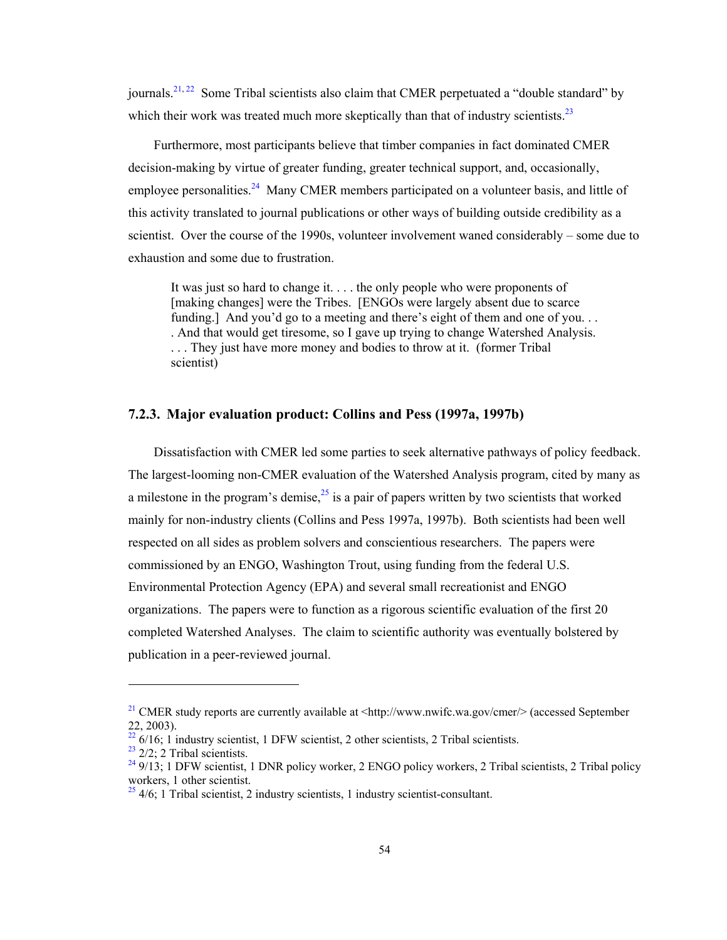journals.<sup>21, 22</sup> Some Tribal scientists also claim that CMER perpetuated a "double standard" by which their work was treated much more skeptically than that of industry scientists.<sup>23</sup>

Furthermore, most participants believe that timber companies in fact dominated CMER decision-making by virtue of greater funding, greater technical support, and, occasionally, employee personalities.<sup>24</sup> Many CMER members participated on a volunteer basis, and little of this activity translated to journal publications or other ways of building outside credibility as a scientist. Over the course of the 1990s, volunteer involvement waned considerably – some due to exhaustion and some due to frustration.

It was just so hard to change it. . . . the only people who were proponents of [making changes] were the Tribes. [ENGOs were largely absent due to scarce] funding.] And you'd go to a meeting and there's eight of them and one of you... . And that would get tiresome, so I gave up trying to change Watershed Analysis. . . . They just have more money and bodies to throw at it. (former Tribal scientist)

### **7.2.3. Major evaluation product: Collins and Pess (1997a, 1997b)**

Dissatisfaction with CMER led some parties to seek alternative pathways of policy feedback. The largest-looming non-CMER evaluation of the Watershed Analysis program, cited by many as a milestone in the program's demise,  $2<sup>5</sup>$  is a pair of papers written by two scientists that worked mainly for non-industry clients (Collins and Pess 1997a, 1997b). Both scientists had been well respected on all sides as problem solvers and conscientious researchers. The papers were commissioned by an ENGO, Washington Trout, using funding from the federal U.S. Environmental Protection Agency (EPA) and several small recreationist and ENGO organizations. The papers were to function as a rigorous scientific evaluation of the first 20 completed Watershed Analyses. The claim to scientific authority was eventually bolstered by publication in a peer-reviewed journal.

l

<sup>&</sup>lt;sup>21</sup> CMER study reports are currently available at  $\langle \text{http://www.nwific.wa.gov/cmer}/ \rangle$  (accessed September 22, 2003).

 $22\frac{22}{16}$ ; 1 industry scientist, 1 DFW scientist, 2 other scientists, 2 Tribal scientists.

 $23$  2/2: 2 Tribal scientists.

 $249/13$ ; 1 DFW scientist, 1 DNR policy worker, 2 ENGO policy workers, 2 Tribal scientists, 2 Tribal policy workers, 1 other scientist.

 $25/4/6$ ; 1 Tribal scientist, 2 industry scientists, 1 industry scientist-consultant.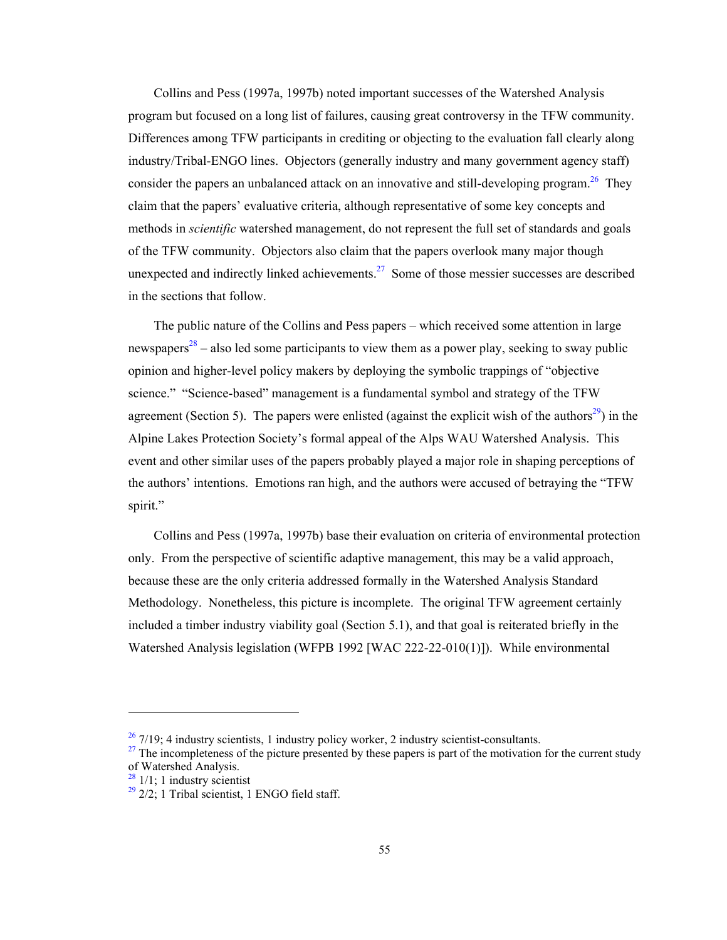Collins and Pess (1997a, 1997b) noted important successes of the Watershed Analysis program but focused on a long list of failures, causing great controversy in the TFW community. Differences among TFW participants in crediting or objecting to the evaluation fall clearly along industry/Tribal-ENGO lines. Objectors (generally industry and many government agency staff) consider the papers an unbalanced attack on an innovative and still-developing program.<sup>26</sup> They claim that the papers' evaluative criteria, although representative of some key concepts and methods in *scientific* watershed management, do not represent the full set of standards and goals of the TFW community. Objectors also claim that the papers overlook many major though unexpected and indirectly linked achievements.27Some of those messier successes are described in the sections that follow.

The public nature of the Collins and Pess papers – which received some attention in large newspapers<sup>28</sup> – also led some participants to view them as a power play, seeking to sway public opinion and higher-level policy makers by deploying the symbolic trappings of "objective science." "Science-based" management is a fundamental symbol and strategy of the TFW agreement (Section 5). The papers were enlisted (against the explicit wish of the authors<sup>29</sup>) in the Alpine Lakes Protection Society's formal appeal of the Alps WAU Watershed Analysis. This event and other similar uses of the papers probably played a major role in shaping perceptions of the authors' intentions. Emotions ran high, and the authors were accused of betraying the "TFW spirit."

Collins and Pess (1997a, 1997b) base their evaluation on criteria of environmental protection only. From the perspective of scientific adaptive management, this may be a valid approach, because these are the only criteria addressed formally in the Watershed Analysis Standard Methodology. Nonetheless, this picture is incomplete. The original TFW agreement certainly included a timber industry viability goal (Section 5.1), and that goal is reiterated briefly in the Watershed Analysis legislation (WFPB 1992 [WAC 222-22-010(1)]). While environmental

1

 $\frac{26}{27}$  7/19; 4 industry scientists, 1 industry policy worker, 2 industry scientist-consultants.

 $^{27}$  The incompleteness of the picture presented by these papers is part of the motivation for the current study of Watershed Analysis.

 $28/1/1$ : 1 industry scientist

 $29$  2/2; 1 Tribal scientist, 1 ENGO field staff.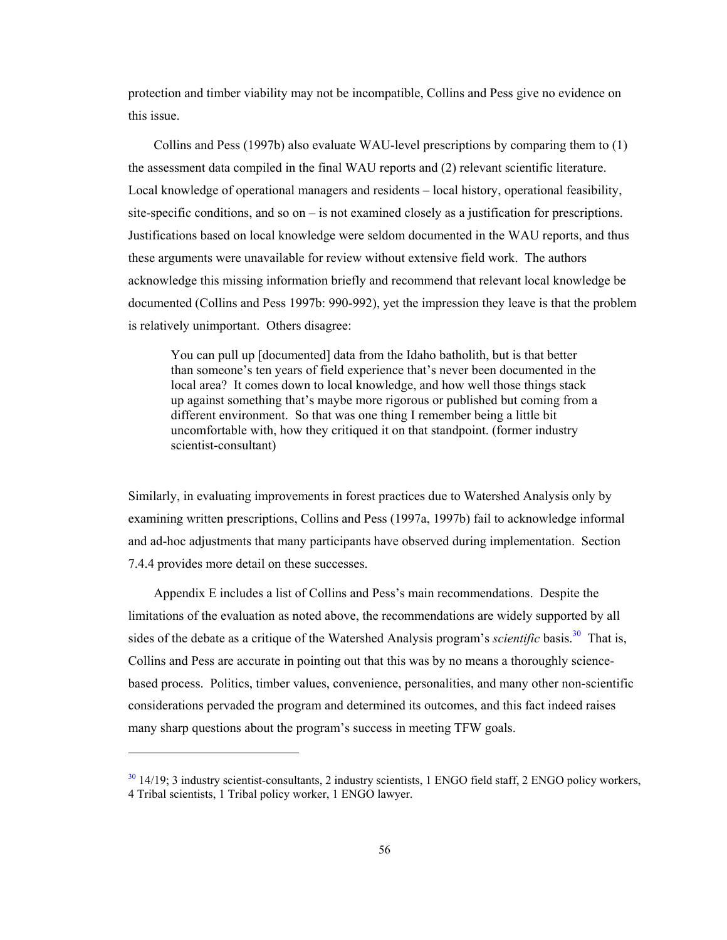protection and timber viability may not be incompatible, Collins and Pess give no evidence on this issue.

Collins and Pess (1997b) also evaluate WAU-level prescriptions by comparing them to (1) the assessment data compiled in the final WAU reports and (2) relevant scientific literature. Local knowledge of operational managers and residents – local history, operational feasibility, site-specific conditions, and so on – is not examined closely as a justification for prescriptions. Justifications based on local knowledge were seldom documented in the WAU reports, and thus these arguments were unavailable for review without extensive field work. The authors acknowledge this missing information briefly and recommend that relevant local knowledge be documented (Collins and Pess 1997b: 990-992), yet the impression they leave is that the problem is relatively unimportant. Others disagree:

You can pull up [documented] data from the Idaho batholith, but is that better than someone's ten years of field experience that's never been documented in the local area? It comes down to local knowledge, and how well those things stack up against something that's maybe more rigorous or published but coming from a different environment. So that was one thing I remember being a little bit uncomfortable with, how they critiqued it on that standpoint. (former industry scientist-consultant)

Similarly, in evaluating improvements in forest practices due to Watershed Analysis only by examining written prescriptions, Collins and Pess (1997a, 1997b) fail to acknowledge informal and ad-hoc adjustments that many participants have observed during implementation. Section 7.4.4 provides more detail on these successes.

Appendix E includes a list of Collins and Pess's main recommendations. Despite the limitations of the evaluation as noted above, the recommendations are widely supported by all sides of the debate as a critique of the Watershed Analysis program's *scientific* basis.<sup>30</sup> That is, Collins and Pess are accurate in pointing out that this was by no means a thoroughly sciencebased process. Politics, timber values, convenience, personalities, and many other non-scientific considerations pervaded the program and determined its outcomes, and this fact indeed raises many sharp questions about the program's success in meeting TFW goals.

1

<sup>&</sup>lt;sup>30</sup> 14/19; 3 industry scientist-consultants, 2 industry scientists, 1 ENGO field staff, 2 ENGO policy workers, 4 Tribal scientists, 1 Tribal policy worker, 1 ENGO lawyer.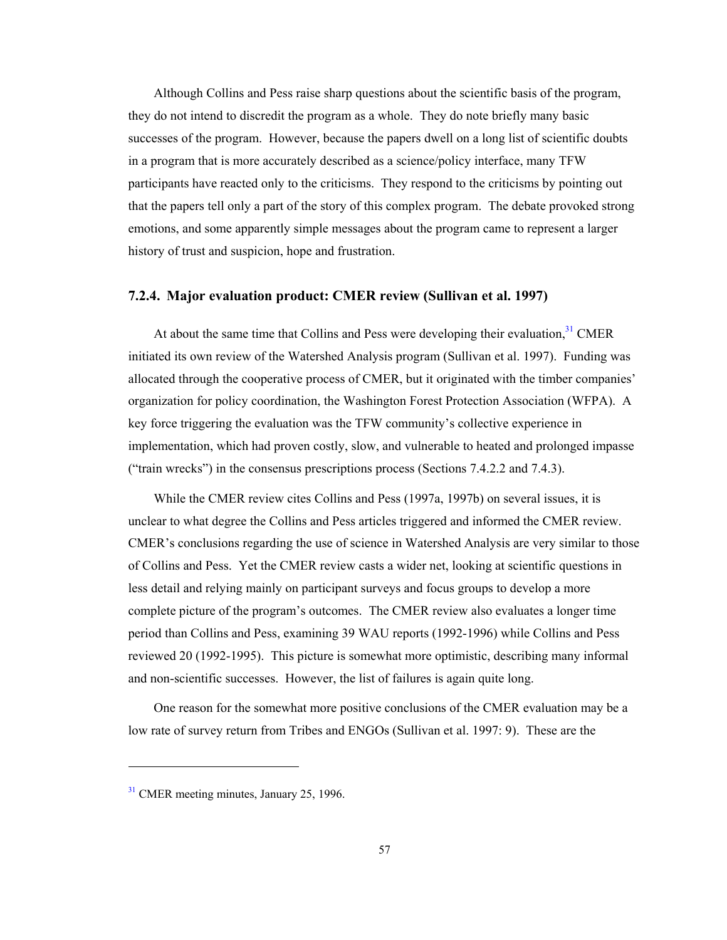Although Collins and Pess raise sharp questions about the scientific basis of the program, they do not intend to discredit the program as a whole. They do note briefly many basic successes of the program. However, because the papers dwell on a long list of scientific doubts in a program that is more accurately described as a science/policy interface, many TFW participants have reacted only to the criticisms. They respond to the criticisms by pointing out that the papers tell only a part of the story of this complex program. The debate provoked strong emotions, and some apparently simple messages about the program came to represent a larger history of trust and suspicion, hope and frustration.

#### **7.2.4. Major evaluation product: CMER review (Sullivan et al. 1997)**

At about the same time that Collins and Pess were developing their evaluation,  $31$  CMER initiated its own review of the Watershed Analysis program (Sullivan et al. 1997). Funding was allocated through the cooperative process of CMER, but it originated with the timber companies' organization for policy coordination, the Washington Forest Protection Association (WFPA). A key force triggering the evaluation was the TFW community's collective experience in implementation, which had proven costly, slow, and vulnerable to heated and prolonged impasse ("train wrecks") in the consensus prescriptions process (Sections 7.4.2.2 and 7.4.3).

While the CMER review cites Collins and Pess (1997a, 1997b) on several issues, it is unclear to what degree the Collins and Pess articles triggered and informed the CMER review. CMER's conclusions regarding the use of science in Watershed Analysis are very similar to those of Collins and Pess. Yet the CMER review casts a wider net, looking at scientific questions in less detail and relying mainly on participant surveys and focus groups to develop a more complete picture of the program's outcomes. The CMER review also evaluates a longer time period than Collins and Pess, examining 39 WAU reports (1992-1996) while Collins and Pess reviewed 20 (1992-1995). This picture is somewhat more optimistic, describing many informal and non-scientific successes. However, the list of failures is again quite long.

One reason for the somewhat more positive conclusions of the CMER evaluation may be a low rate of survey return from Tribes and ENGOs (Sullivan et al. 1997: 9). These are the

l

<sup>&</sup>lt;sup>31</sup> CMER meeting minutes, January 25, 1996.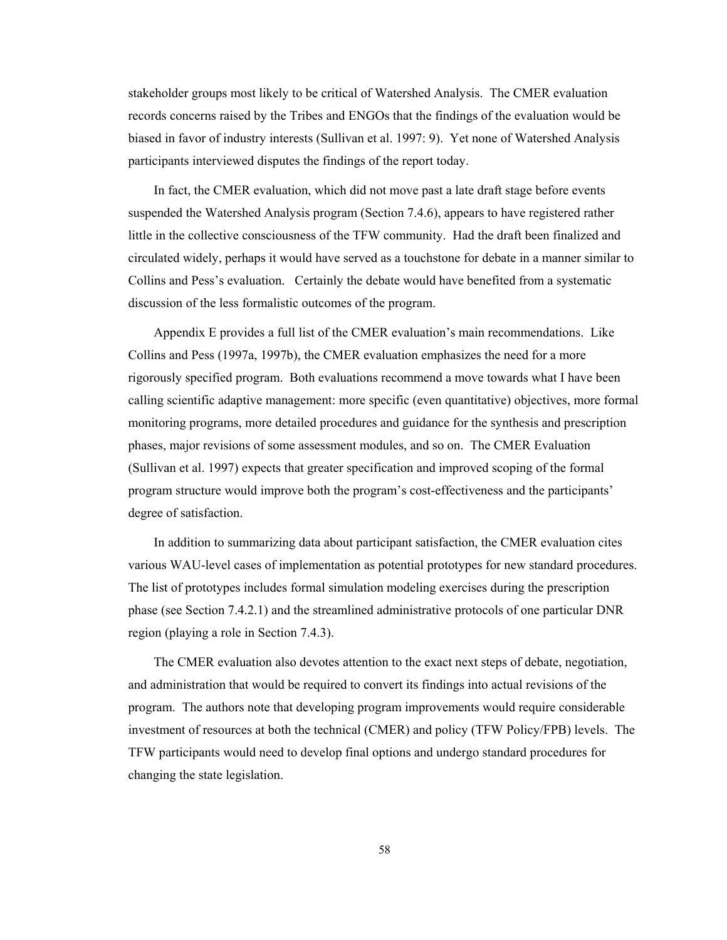stakeholder groups most likely to be critical of Watershed Analysis. The CMER evaluation records concerns raised by the Tribes and ENGOs that the findings of the evaluation would be biased in favor of industry interests (Sullivan et al. 1997: 9). Yet none of Watershed Analysis participants interviewed disputes the findings of the report today.

In fact, the CMER evaluation, which did not move past a late draft stage before events suspended the Watershed Analysis program (Section 7.4.6), appears to have registered rather little in the collective consciousness of the TFW community. Had the draft been finalized and circulated widely, perhaps it would have served as a touchstone for debate in a manner similar to Collins and Pess's evaluation. Certainly the debate would have benefited from a systematic discussion of the less formalistic outcomes of the program.

Appendix E provides a full list of the CMER evaluation's main recommendations. Like Collins and Pess (1997a, 1997b), the CMER evaluation emphasizes the need for a more rigorously specified program. Both evaluations recommend a move towards what I have been calling scientific adaptive management: more specific (even quantitative) objectives, more formal monitoring programs, more detailed procedures and guidance for the synthesis and prescription phases, major revisions of some assessment modules, and so on. The CMER Evaluation (Sullivan et al. 1997) expects that greater specification and improved scoping of the formal program structure would improve both the program's cost-effectiveness and the participants' degree of satisfaction.

In addition to summarizing data about participant satisfaction, the CMER evaluation cites various WAU-level cases of implementation as potential prototypes for new standard procedures. The list of prototypes includes formal simulation modeling exercises during the prescription phase (see Section 7.4.2.1) and the streamlined administrative protocols of one particular DNR region (playing a role in Section 7.4.3).

The CMER evaluation also devotes attention to the exact next steps of debate, negotiation, and administration that would be required to convert its findings into actual revisions of the program. The authors note that developing program improvements would require considerable investment of resources at both the technical (CMER) and policy (TFW Policy/FPB) levels. The TFW participants would need to develop final options and undergo standard procedures for changing the state legislation.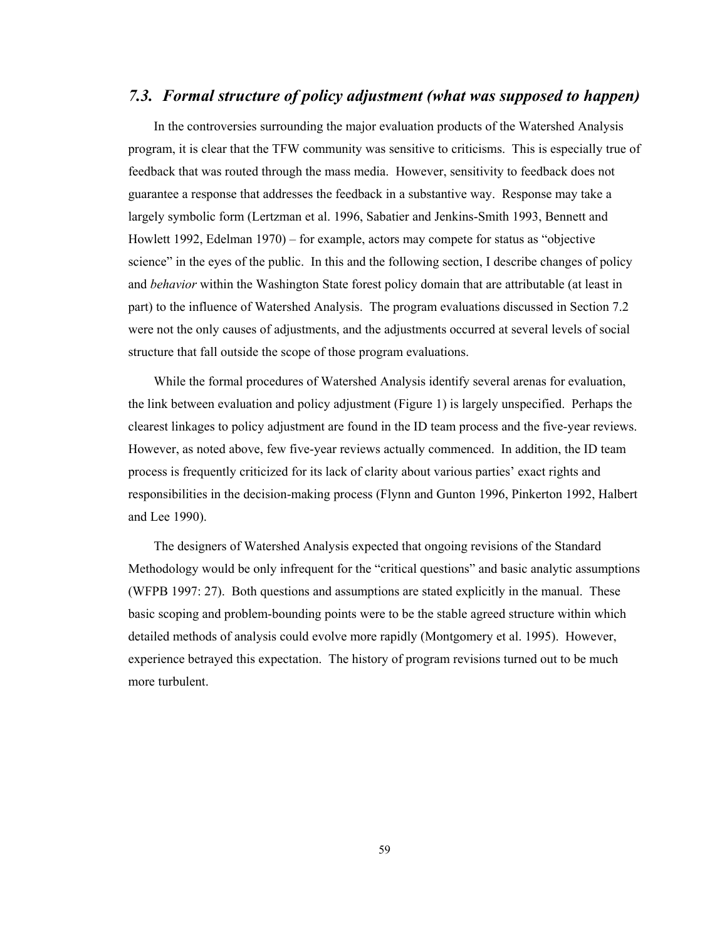# *7.3. Formal structure of policy adjustment (what was supposed to happen)*

In the controversies surrounding the major evaluation products of the Watershed Analysis program, it is clear that the TFW community was sensitive to criticisms. This is especially true of feedback that was routed through the mass media. However, sensitivity to feedback does not guarantee a response that addresses the feedback in a substantive way. Response may take a largely symbolic form (Lertzman et al. 1996, Sabatier and Jenkins-Smith 1993, Bennett and Howlett 1992, Edelman 1970) – for example, actors may compete for status as "objective science" in the eyes of the public. In this and the following section, I describe changes of policy and *behavior* within the Washington State forest policy domain that are attributable (at least in part) to the influence of Watershed Analysis. The program evaluations discussed in Section 7.2 were not the only causes of adjustments, and the adjustments occurred at several levels of social structure that fall outside the scope of those program evaluations.

While the formal procedures of Watershed Analysis identify several arenas for evaluation, the link between evaluation and policy adjustment (Figure 1) is largely unspecified. Perhaps the clearest linkages to policy adjustment are found in the ID team process and the five-year reviews. However, as noted above, few five-year reviews actually commenced. In addition, the ID team process is frequently criticized for its lack of clarity about various parties' exact rights and responsibilities in the decision-making process (Flynn and Gunton 1996, Pinkerton 1992, Halbert and Lee 1990).

The designers of Watershed Analysis expected that ongoing revisions of the Standard Methodology would be only infrequent for the "critical questions" and basic analytic assumptions (WFPB 1997: 27). Both questions and assumptions are stated explicitly in the manual. These basic scoping and problem-bounding points were to be the stable agreed structure within which detailed methods of analysis could evolve more rapidly (Montgomery et al. 1995). However, experience betrayed this expectation. The history of program revisions turned out to be much more turbulent.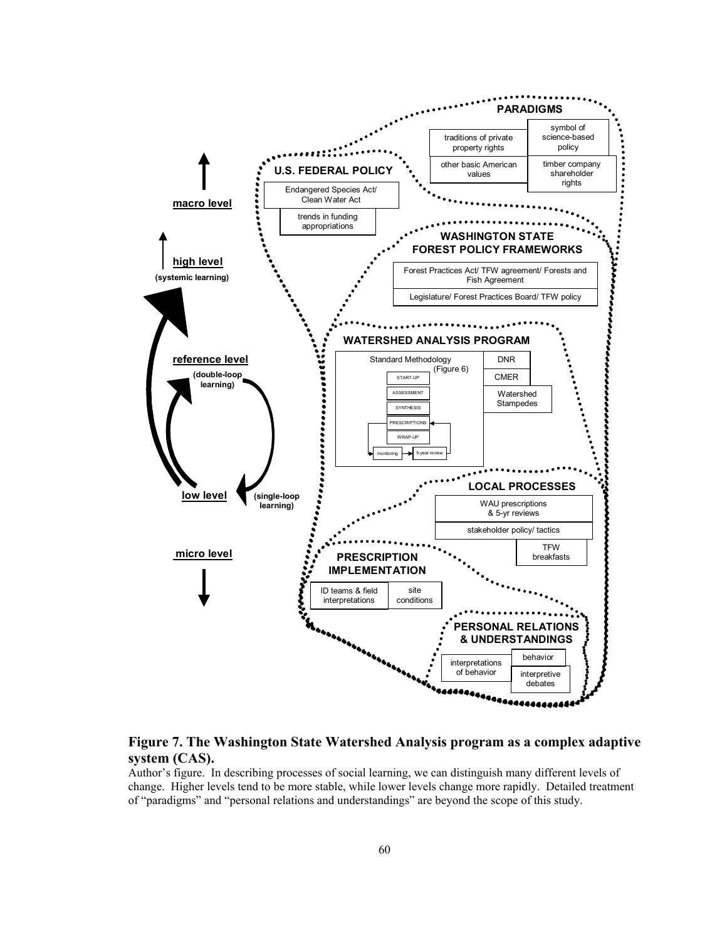

**Figure 7. The Washington State Watershed Analysis program as a complex adaptive system (CAS).** 

#### Author's figure. In describing processes of social learning, we can distinguish many different levels of change. Higher levels tend to be more stable, while lower levels change more rapidly. Detailed treatment of "paradigms" and "personal relations and understandings" are beyond the scope of this study.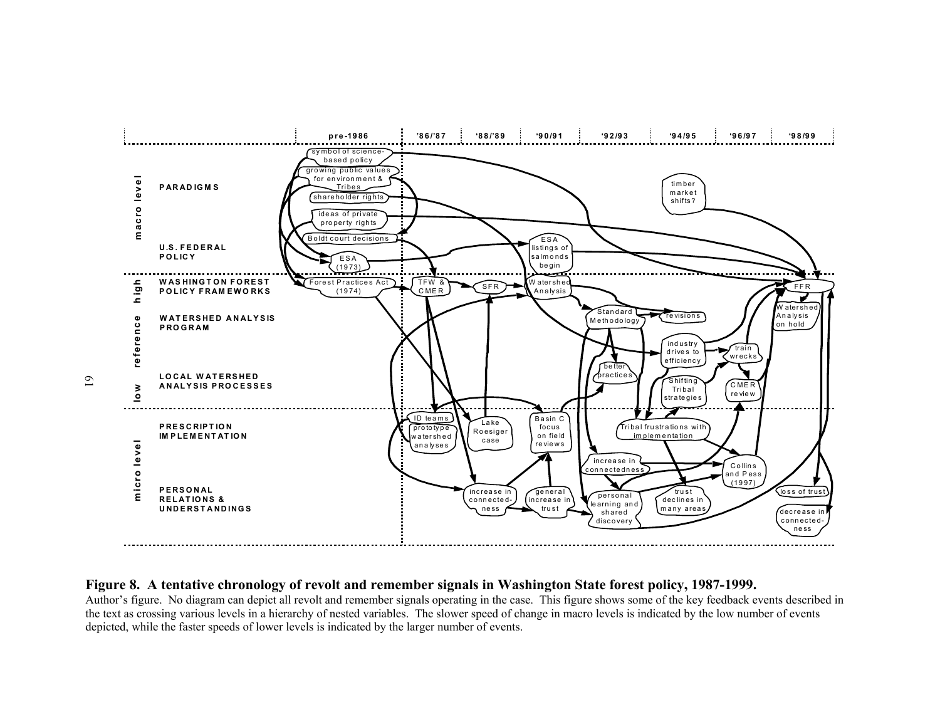

#### **Figure 8. A tentative chronology of revolt and remember signals in Washington State forest policy, 1987-1999.**

Author's figure. No diagram can depict all revolt and remember signals operating in the case. This figure shows some of the key feedback events described in the text as crossing various levels in a hierarchy of nested variables. The slower speed of change in macro levels is indicated by the low number of events depicted, while the faster speeds of lower levels is indicated by the larger number of events.

61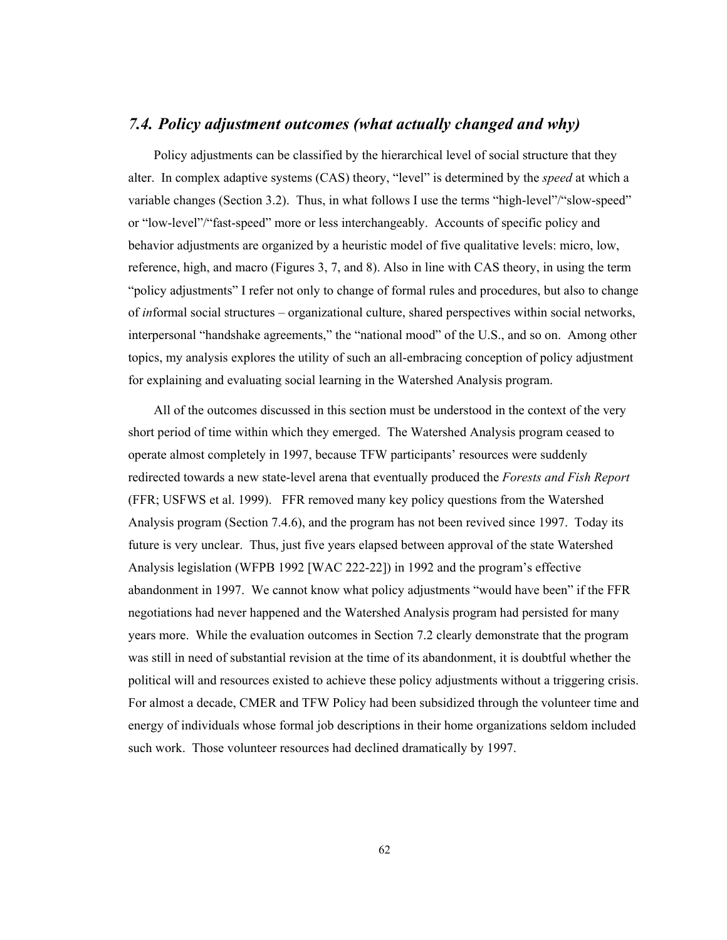# *7.4. Policy adjustment outcomes (what actually changed and why)*

Policy adjustments can be classified by the hierarchical level of social structure that they alter. In complex adaptive systems (CAS) theory, "level" is determined by the *speed* at which a variable changes (Section 3.2). Thus, in what follows I use the terms "high-level"/"slow-speed" or "low-level"/"fast-speed" more or less interchangeably. Accounts of specific policy and behavior adjustments are organized by a heuristic model of five qualitative levels: micro, low, reference, high, and macro (Figures 3, 7, and 8). Also in line with CAS theory, in using the term "policy adjustments" I refer not only to change of formal rules and procedures, but also to change of *in*formal social structures – organizational culture, shared perspectives within social networks, interpersonal "handshake agreements," the "national mood" of the U.S., and so on. Among other topics, my analysis explores the utility of such an all-embracing conception of policy adjustment for explaining and evaluating social learning in the Watershed Analysis program.

All of the outcomes discussed in this section must be understood in the context of the very short period of time within which they emerged. The Watershed Analysis program ceased to operate almost completely in 1997, because TFW participants' resources were suddenly redirected towards a new state-level arena that eventually produced the *Forests and Fish Report* (FFR; USFWS et al. 1999). FFR removed many key policy questions from the Watershed Analysis program (Section 7.4.6), and the program has not been revived since 1997. Today its future is very unclear. Thus, just five years elapsed between approval of the state Watershed Analysis legislation (WFPB 1992 [WAC 222-22]) in 1992 and the program's effective abandonment in 1997. We cannot know what policy adjustments "would have been" if the FFR negotiations had never happened and the Watershed Analysis program had persisted for many years more. While the evaluation outcomes in Section 7.2 clearly demonstrate that the program was still in need of substantial revision at the time of its abandonment, it is doubtful whether the political will and resources existed to achieve these policy adjustments without a triggering crisis. For almost a decade, CMER and TFW Policy had been subsidized through the volunteer time and energy of individuals whose formal job descriptions in their home organizations seldom included such work. Those volunteer resources had declined dramatically by 1997.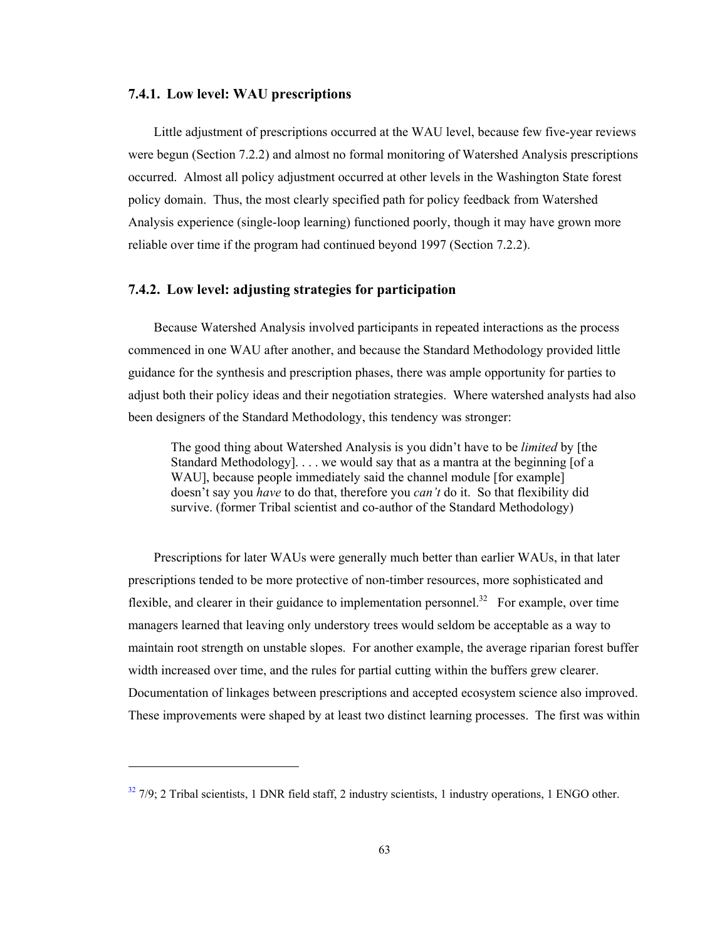#### **7.4.1. Low level: WAU prescriptions**

l

Little adjustment of prescriptions occurred at the WAU level, because few five-year reviews were begun (Section 7.2.2) and almost no formal monitoring of Watershed Analysis prescriptions occurred. Almost all policy adjustment occurred at other levels in the Washington State forest policy domain. Thus, the most clearly specified path for policy feedback from Watershed Analysis experience (single-loop learning) functioned poorly, though it may have grown more reliable over time if the program had continued beyond 1997 (Section 7.2.2).

#### **7.4.2. Low level: adjusting strategies for participation**

Because Watershed Analysis involved participants in repeated interactions as the process commenced in one WAU after another, and because the Standard Methodology provided little guidance for the synthesis and prescription phases, there was ample opportunity for parties to adjust both their policy ideas and their negotiation strategies. Where watershed analysts had also been designers of the Standard Methodology, this tendency was stronger:

The good thing about Watershed Analysis is you didn't have to be *limited* by [the Standard Methodology]. . . . we would say that as a mantra at the beginning [of a WAU], because people immediately said the channel module [for example] doesn't say you *have* to do that, therefore you *can't* do it. So that flexibility did survive. (former Tribal scientist and co-author of the Standard Methodology)

Prescriptions for later WAUs were generally much better than earlier WAUs, in that later prescriptions tended to be more protective of non-timber resources, more sophisticated and flexible, and clearer in their guidance to implementation personnel.<sup>32</sup> For example, over time managers learned that leaving only understory trees would seldom be acceptable as a way to maintain root strength on unstable slopes. For another example, the average riparian forest buffer width increased over time, and the rules for partial cutting within the buffers grew clearer. Documentation of linkages between prescriptions and accepted ecosystem science also improved. These improvements were shaped by at least two distinct learning processes. The first was within

 $32$  7/9; 2 Tribal scientists, 1 DNR field staff, 2 industry scientists, 1 industry operations, 1 ENGO other.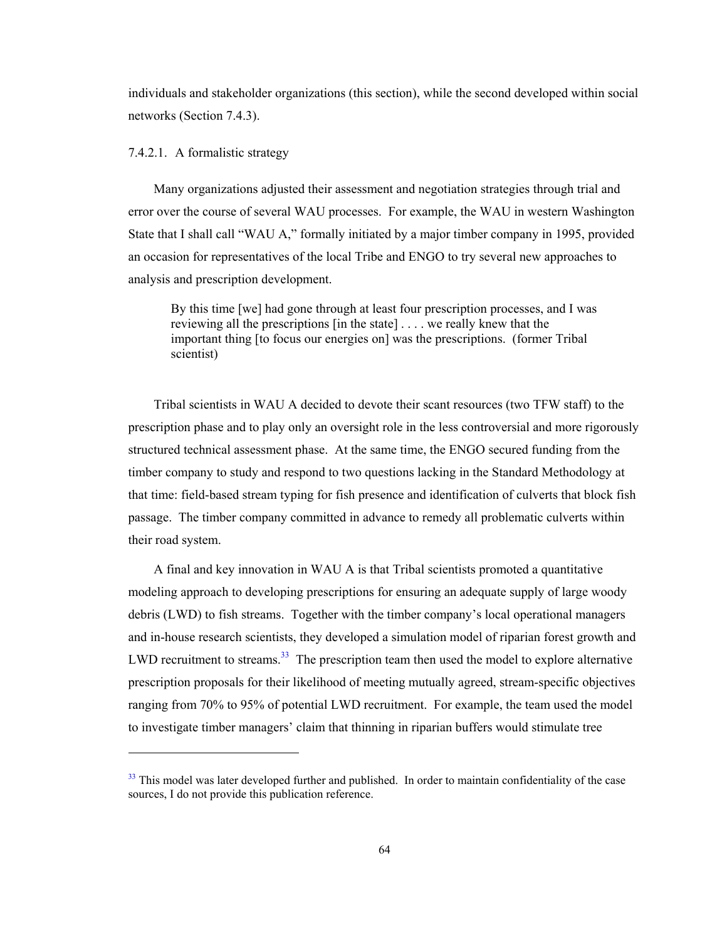individuals and stakeholder organizations (this section), while the second developed within social networks (Section 7.4.3).

#### 7.4.2.1. A formalistic strategy

-

Many organizations adjusted their assessment and negotiation strategies through trial and error over the course of several WAU processes. For example, the WAU in western Washington State that I shall call "WAU A," formally initiated by a major timber company in 1995, provided an occasion for representatives of the local Tribe and ENGO to try several new approaches to analysis and prescription development.

By this time [we] had gone through at least four prescription processes, and I was reviewing all the prescriptions [in the state] . . . . we really knew that the important thing [to focus our energies on] was the prescriptions. (former Tribal scientist)

Tribal scientists in WAU A decided to devote their scant resources (two TFW staff) to the prescription phase and to play only an oversight role in the less controversial and more rigorously structured technical assessment phase. At the same time, the ENGO secured funding from the timber company to study and respond to two questions lacking in the Standard Methodology at that time: field-based stream typing for fish presence and identification of culverts that block fish passage. The timber company committed in advance to remedy all problematic culverts within their road system.

A final and key innovation in WAU A is that Tribal scientists promoted a quantitative modeling approach to developing prescriptions for ensuring an adequate supply of large woody debris (LWD) to fish streams. Together with the timber company's local operational managers and in-house research scientists, they developed a simulation model of riparian forest growth and LWD recruitment to streams.<sup>33</sup> The prescription team then used the model to explore alternative prescription proposals for their likelihood of meeting mutually agreed, stream-specific objectives ranging from 70% to 95% of potential LWD recruitment. For example, the team used the model to investigate timber managers' claim that thinning in riparian buffers would stimulate tree

<sup>&</sup>lt;sup>33</sup> This model was later developed further and published. In order to maintain confidentiality of the case sources, I do not provide this publication reference.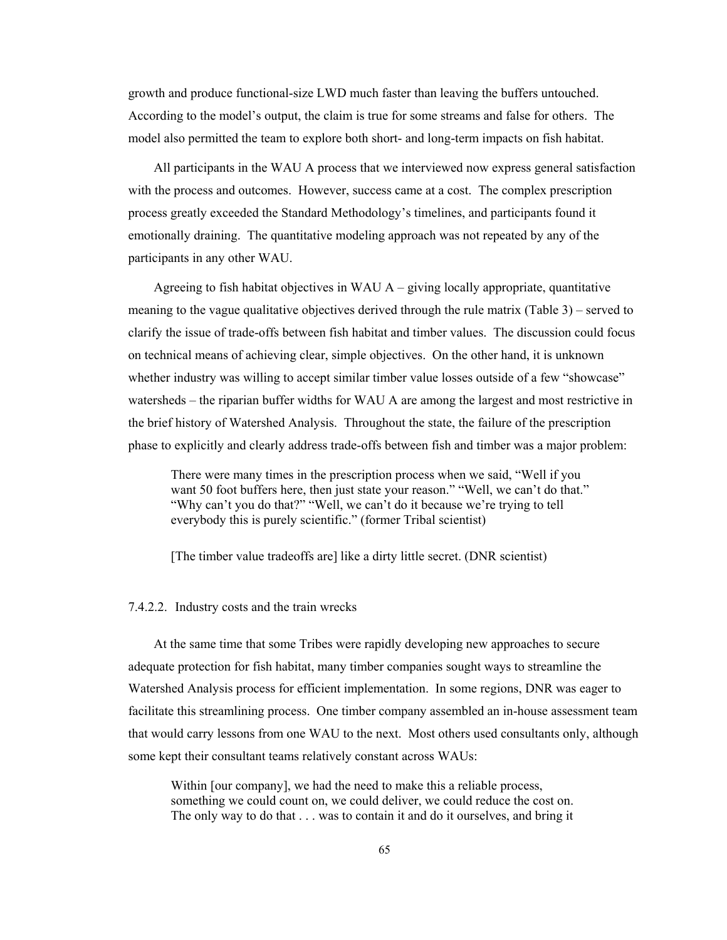growth and produce functional-size LWD much faster than leaving the buffers untouched. According to the model's output, the claim is true for some streams and false for others. The model also permitted the team to explore both short- and long-term impacts on fish habitat.

All participants in the WAU A process that we interviewed now express general satisfaction with the process and outcomes. However, success came at a cost. The complex prescription process greatly exceeded the Standard Methodology's timelines, and participants found it emotionally draining. The quantitative modeling approach was not repeated by any of the participants in any other WAU.

Agreeing to fish habitat objectives in WAU  $A$  – giving locally appropriate, quantitative meaning to the vague qualitative objectives derived through the rule matrix (Table 3) – served to clarify the issue of trade-offs between fish habitat and timber values. The discussion could focus on technical means of achieving clear, simple objectives. On the other hand, it is unknown whether industry was willing to accept similar timber value losses outside of a few "showcase" watersheds – the riparian buffer widths for WAU A are among the largest and most restrictive in the brief history of Watershed Analysis. Throughout the state, the failure of the prescription phase to explicitly and clearly address trade-offs between fish and timber was a major problem:

There were many times in the prescription process when we said, "Well if you want 50 foot buffers here, then just state your reason." "Well, we can't do that." "Why can't you do that?" "Well, we can't do it because we're trying to tell everybody this is purely scientific." (former Tribal scientist)

[The timber value tradeoffs are] like a dirty little secret. (DNR scientist)

### 7.4.2.2. Industry costs and the train wrecks

At the same time that some Tribes were rapidly developing new approaches to secure adequate protection for fish habitat, many timber companies sought ways to streamline the Watershed Analysis process for efficient implementation. In some regions, DNR was eager to facilitate this streamlining process. One timber company assembled an in-house assessment team that would carry lessons from one WAU to the next. Most others used consultants only, although some kept their consultant teams relatively constant across WAUs:

Within [our company], we had the need to make this a reliable process, something we could count on, we could deliver, we could reduce the cost on. The only way to do that . . . was to contain it and do it ourselves, and bring it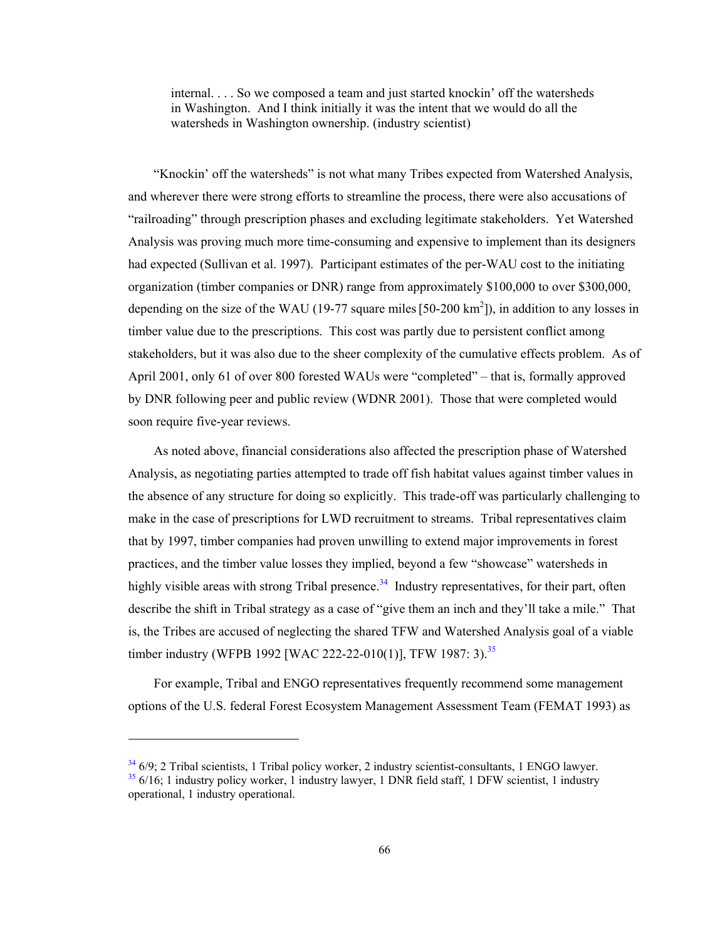internal. . . . So we composed a team and just started knockin' off the watersheds in Washington. And I think initially it was the intent that we would do all the watersheds in Washington ownership. (industry scientist)

"Knockin' off the watersheds" is not what many Tribes expected from Watershed Analysis, and wherever there were strong efforts to streamline the process, there were also accusations of "railroading" through prescription phases and excluding legitimate stakeholders. Yet Watershed Analysis was proving much more time-consuming and expensive to implement than its designers had expected (Sullivan et al. 1997). Participant estimates of the per-WAU cost to the initiating organization (timber companies or DNR) range from approximately \$100,000 to over \$300,000, depending on the size of the WAU (19-77 square miles  $[50-200 \text{ km}^2]$ ), in addition to any losses in timber value due to the prescriptions. This cost was partly due to persistent conflict among stakeholders, but it was also due to the sheer complexity of the cumulative effects problem. As of April 2001, only 61 of over 800 forested WAUs were "completed" – that is, formally approved by DNR following peer and public review (WDNR 2001). Those that were completed would soon require five-year reviews.

As noted above, financial considerations also affected the prescription phase of Watershed Analysis, as negotiating parties attempted to trade off fish habitat values against timber values in the absence of any structure for doing so explicitly. This trade-off was particularly challenging to make in the case of prescriptions for LWD recruitment to streams. Tribal representatives claim that by 1997, timber companies had proven unwilling to extend major improvements in forest practices, and the timber value losses they implied, beyond a few "showcase" watersheds in highly visible areas with strong Tribal presence.<sup>34</sup> Industry representatives, for their part, often describe the shift in Tribal strategy as a case of "give them an inch and they'll take a mile." That is, the Tribes are accused of neglecting the shared TFW and Watershed Analysis goal of a viable timber industry (WFPB 1992 [WAC 222-22-010(1)], TFW 1987: 3).<sup>35</sup>

For example, Tribal and ENGO representatives frequently recommend some management options of the U.S. federal Forest Ecosystem Management Assessment Team (FEMAT 1993) as

 $34\frac{34}{2}$  6/9; 2 Tribal scientists, 1 Tribal policy worker, 2 industry scientist-consultants, 1 ENGO lawyer.  $35/6/16$ ; 1 industry policy worker, 1 industry lawyer, 1 DNR field staff, 1 DFW scientist, 1 industry operational, 1 industry operational.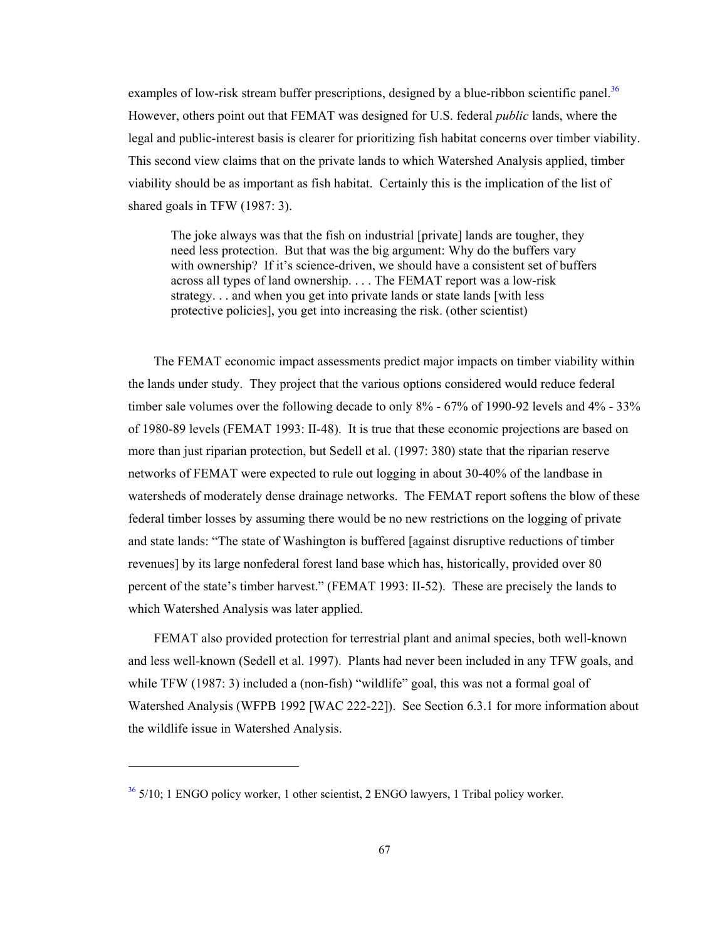examples of low-risk stream buffer prescriptions, designed by a blue-ribbon scientific panel.<sup>36</sup> However, others point out that FEMAT was designed for U.S. federal *public* lands, where the legal and public-interest basis is clearer for prioritizing fish habitat concerns over timber viability. This second view claims that on the private lands to which Watershed Analysis applied, timber viability should be as important as fish habitat. Certainly this is the implication of the list of shared goals in TFW (1987: 3).

The joke always was that the fish on industrial [private] lands are tougher, they need less protection. But that was the big argument: Why do the buffers vary with ownership? If it's science-driven, we should have a consistent set of buffers across all types of land ownership. . . . The FEMAT report was a low-risk strategy. . . and when you get into private lands or state lands [with less] protective policies], you get into increasing the risk. (other scientist)

The FEMAT economic impact assessments predict major impacts on timber viability within the lands under study. They project that the various options considered would reduce federal timber sale volumes over the following decade to only  $8\%$  - 67% of 1990-92 levels and 4% - 33% of 1980-89 levels (FEMAT 1993: II-48). It is true that these economic projections are based on more than just riparian protection, but Sedell et al. (1997: 380) state that the riparian reserve networks of FEMAT were expected to rule out logging in about 30-40% of the landbase in watersheds of moderately dense drainage networks. The FEMAT report softens the blow of these federal timber losses by assuming there would be no new restrictions on the logging of private and state lands: "The state of Washington is buffered [against disruptive reductions of timber revenues] by its large nonfederal forest land base which has, historically, provided over 80 percent of the state's timber harvest." (FEMAT 1993: II-52). These are precisely the lands to which Watershed Analysis was later applied.

FEMAT also provided protection for terrestrial plant and animal species, both well-known and less well-known (Sedell et al. 1997). Plants had never been included in any TFW goals, and while TFW (1987: 3) included a (non-fish) "wildlife" goal, this was not a formal goal of Watershed Analysis (WFPB 1992 [WAC 222-22]). See Section 6.3.1 for more information about the wildlife issue in Watershed Analysis.

 $36\frac{36}{2}$  5/10; 1 ENGO policy worker, 1 other scientist, 2 ENGO lawyers, 1 Tribal policy worker.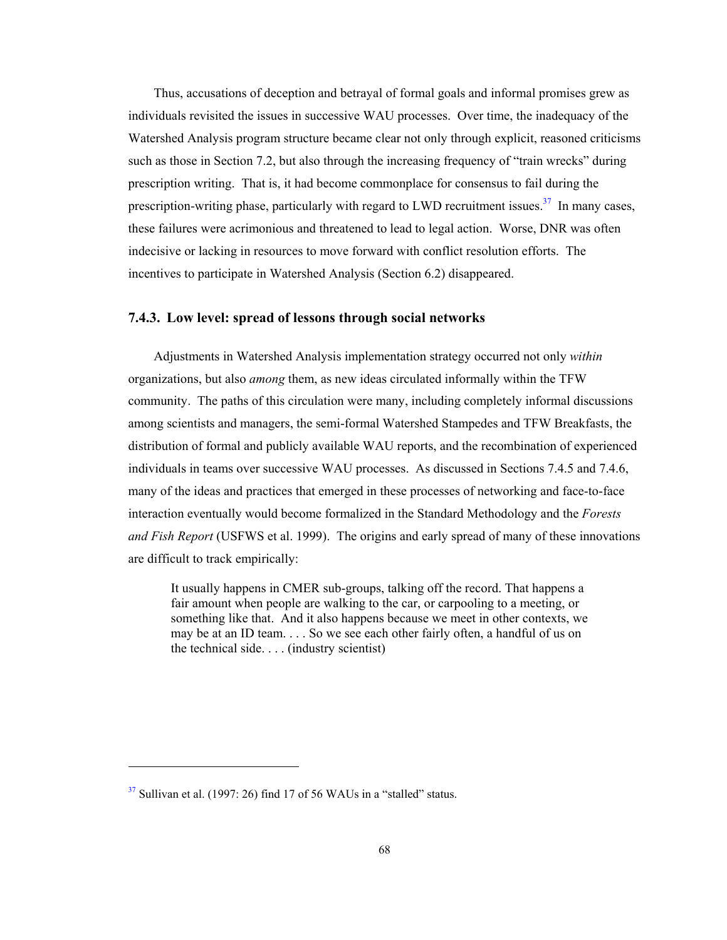Thus, accusations of deception and betrayal of formal goals and informal promises grew as individuals revisited the issues in successive WAU processes. Over time, the inadequacy of the Watershed Analysis program structure became clear not only through explicit, reasoned criticisms such as those in Section 7.2, but also through the increasing frequency of "train wrecks" during prescription writing. That is, it had become commonplace for consensus to fail during the prescription-writing phase, particularly with regard to LWD recruitment issues.<sup>37</sup> In many cases, these failures were acrimonious and threatened to lead to legal action. Worse, DNR was often indecisive or lacking in resources to move forward with conflict resolution efforts. The incentives to participate in Watershed Analysis (Section 6.2) disappeared.

### **7.4.3. Low level: spread of lessons through social networks**

Adjustments in Watershed Analysis implementation strategy occurred not only *within* organizations, but also *among* them, as new ideas circulated informally within the TFW community. The paths of this circulation were many, including completely informal discussions among scientists and managers, the semi-formal Watershed Stampedes and TFW Breakfasts, the distribution of formal and publicly available WAU reports, and the recombination of experienced individuals in teams over successive WAU processes. As discussed in Sections 7.4.5 and 7.4.6, many of the ideas and practices that emerged in these processes of networking and face-to-face interaction eventually would become formalized in the Standard Methodology and the *Forests and Fish Report* (USFWS et al. 1999). The origins and early spread of many of these innovations are difficult to track empirically:

It usually happens in CMER sub-groups, talking off the record. That happens a fair amount when people are walking to the car, or carpooling to a meeting, or something like that. And it also happens because we meet in other contexts, we may be at an ID team. . . . So we see each other fairly often, a handful of us on the technical side. . . . (industry scientist)

 $37$  Sullivan et al. (1997: 26) find 17 of 56 WAUs in a "stalled" status.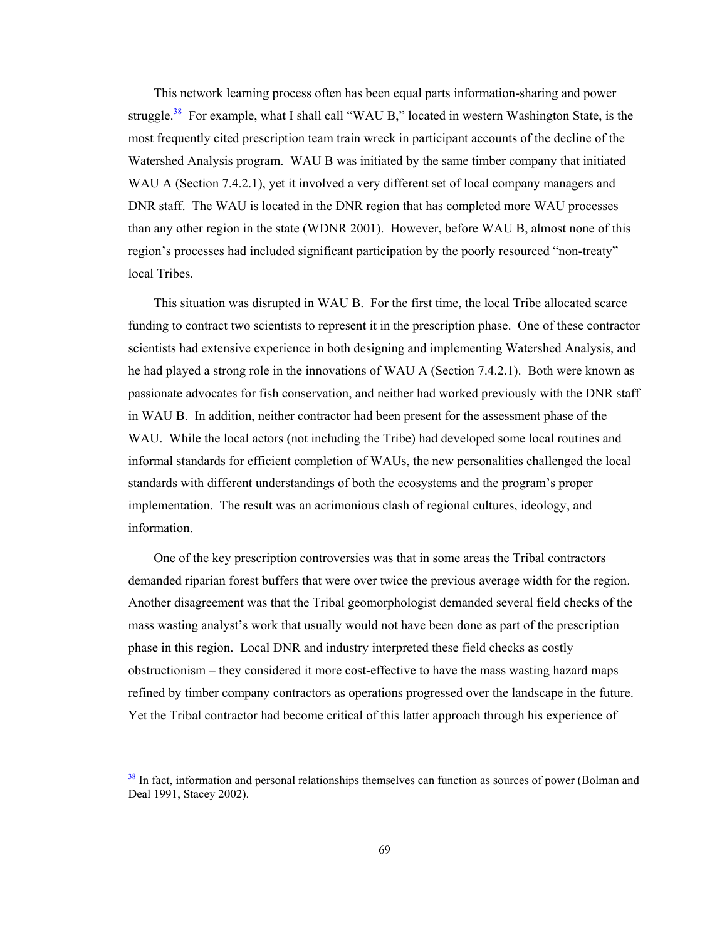This network learning process often has been equal parts information-sharing and power struggle.<sup>38</sup> For example, what I shall call "WAU B," located in western Washington State, is the most frequently cited prescription team train wreck in participant accounts of the decline of the Watershed Analysis program. WAU B was initiated by the same timber company that initiated WAU A (Section 7.4.2.1), yet it involved a very different set of local company managers and DNR staff. The WAU is located in the DNR region that has completed more WAU processes than any other region in the state (WDNR 2001). However, before WAU B, almost none of this region's processes had included significant participation by the poorly resourced "non-treaty" local Tribes.

This situation was disrupted in WAU B. For the first time, the local Tribe allocated scarce funding to contract two scientists to represent it in the prescription phase. One of these contractor scientists had extensive experience in both designing and implementing Watershed Analysis, and he had played a strong role in the innovations of WAU A (Section 7.4.2.1). Both were known as passionate advocates for fish conservation, and neither had worked previously with the DNR staff in WAU B. In addition, neither contractor had been present for the assessment phase of the WAU. While the local actors (not including the Tribe) had developed some local routines and informal standards for efficient completion of WAUs, the new personalities challenged the local standards with different understandings of both the ecosystems and the program's proper implementation. The result was an acrimonious clash of regional cultures, ideology, and information.

One of the key prescription controversies was that in some areas the Tribal contractors demanded riparian forest buffers that were over twice the previous average width for the region. Another disagreement was that the Tribal geomorphologist demanded several field checks of the mass wasting analyst's work that usually would not have been done as part of the prescription phase in this region. Local DNR and industry interpreted these field checks as costly obstructionism – they considered it more cost-effective to have the mass wasting hazard maps refined by timber company contractors as operations progressed over the landscape in the future. Yet the Tribal contractor had become critical of this latter approach through his experience of

-

<sup>&</sup>lt;sup>38</sup> In fact, information and personal relationships themselves can function as sources of power (Bolman and Deal 1991, Stacey 2002).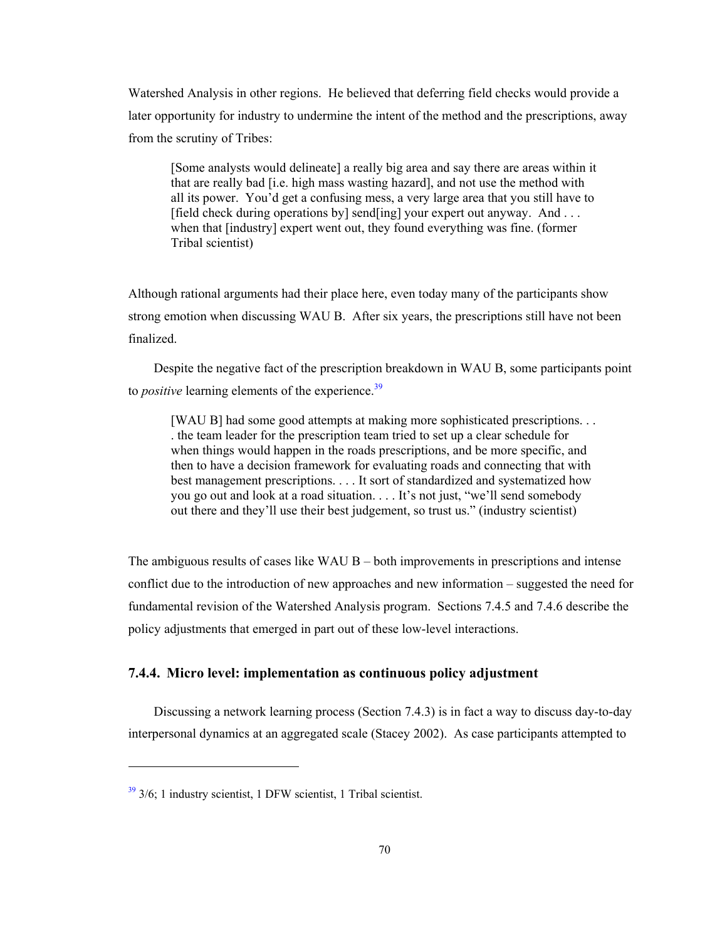Watershed Analysis in other regions. He believed that deferring field checks would provide a later opportunity for industry to undermine the intent of the method and the prescriptions, away from the scrutiny of Tribes:

[Some analysts would delineate] a really big area and say there are areas within it that are really bad [i.e. high mass wasting hazard], and not use the method with all its power. You'd get a confusing mess, a very large area that you still have to [field check during operations by] send[ing] your expert out anyway. And ... when that [industry] expert went out, they found everything was fine. (former Tribal scientist)

Although rational arguments had their place here, even today many of the participants show strong emotion when discussing WAU B. After six years, the prescriptions still have not been finalized.

Despite the negative fact of the prescription breakdown in WAU B, some participants point to *positive* learning elements of the experience.<sup>39</sup>

[WAU B] had some good attempts at making more sophisticated prescriptions. . . . the team leader for the prescription team tried to set up a clear schedule for when things would happen in the roads prescriptions, and be more specific, and then to have a decision framework for evaluating roads and connecting that with best management prescriptions. . . . It sort of standardized and systematized how you go out and look at a road situation. . . . It's not just, "we'll send somebody out there and they'll use their best judgement, so trust us." (industry scientist)

The ambiguous results of cases like WAU  $B -$  both improvements in prescriptions and intense conflict due to the introduction of new approaches and new information – suggested the need for fundamental revision of the Watershed Analysis program. Sections 7.4.5 and 7.4.6 describe the policy adjustments that emerged in part out of these low-level interactions.

# **7.4.4. Micro level: implementation as continuous policy adjustment**

Discussing a network learning process (Section 7.4.3) is in fact a way to discuss day-to-day interpersonal dynamics at an aggregated scale (Stacey 2002). As case participants attempted to

 $39\frac{3}{9}$  3/6; 1 industry scientist, 1 DFW scientist, 1 Tribal scientist.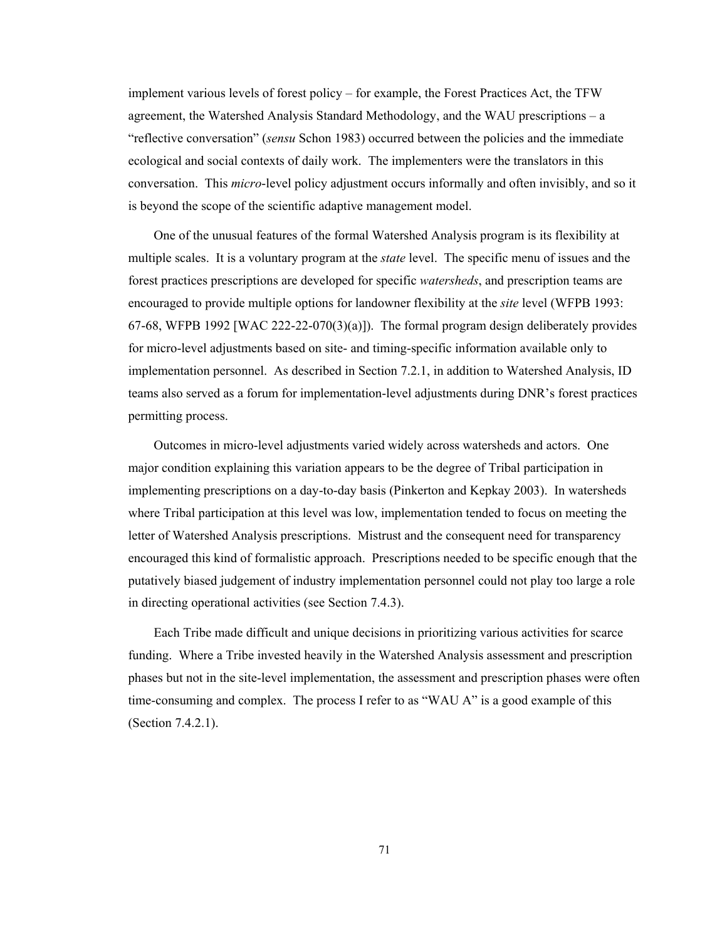implement various levels of forest policy – for example, the Forest Practices Act, the TFW agreement, the Watershed Analysis Standard Methodology, and the WAU prescriptions – a "reflective conversation" (*sensu* Schon 1983) occurred between the policies and the immediate ecological and social contexts of daily work. The implementers were the translators in this conversation. This *micro*-level policy adjustment occurs informally and often invisibly, and so it is beyond the scope of the scientific adaptive management model.

One of the unusual features of the formal Watershed Analysis program is its flexibility at multiple scales. It is a voluntary program at the *state* level. The specific menu of issues and the forest practices prescriptions are developed for specific *watersheds*, and prescription teams are encouraged to provide multiple options for landowner flexibility at the *site* level (WFPB 1993: 67-68, WFPB 1992 [WAC 222-22-070(3)(a)]). The formal program design deliberately provides for micro-level adjustments based on site- and timing-specific information available only to implementation personnel. As described in Section 7.2.1, in addition to Watershed Analysis, ID teams also served as a forum for implementation-level adjustments during DNR's forest practices permitting process.

Outcomes in micro-level adjustments varied widely across watersheds and actors. One major condition explaining this variation appears to be the degree of Tribal participation in implementing prescriptions on a day-to-day basis (Pinkerton and Kepkay 2003). In watersheds where Tribal participation at this level was low, implementation tended to focus on meeting the letter of Watershed Analysis prescriptions. Mistrust and the consequent need for transparency encouraged this kind of formalistic approach. Prescriptions needed to be specific enough that the putatively biased judgement of industry implementation personnel could not play too large a role in directing operational activities (see Section 7.4.3).

Each Tribe made difficult and unique decisions in prioritizing various activities for scarce funding. Where a Tribe invested heavily in the Watershed Analysis assessment and prescription phases but not in the site-level implementation, the assessment and prescription phases were often time-consuming and complex. The process I refer to as "WAU A" is a good example of this (Section 7.4.2.1).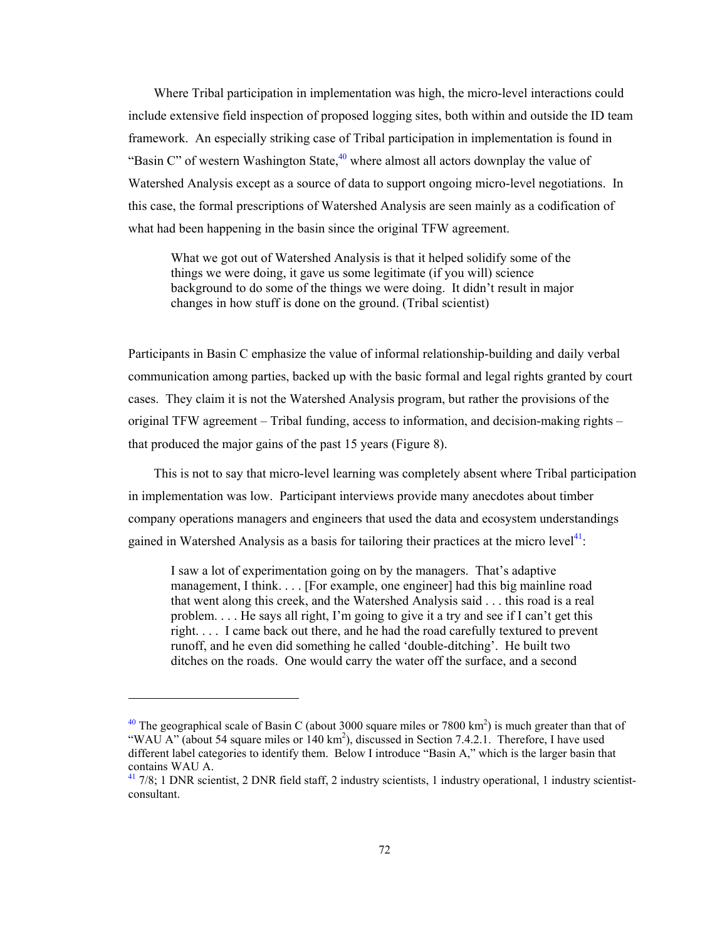Where Tribal participation in implementation was high, the micro-level interactions could include extensive field inspection of proposed logging sites, both within and outside the ID team framework. An especially striking case of Tribal participation in implementation is found in "Basin C" of western Washington State, $40$  where almost all actors downplay the value of Watershed Analysis except as a source of data to support ongoing micro-level negotiations. In this case, the formal prescriptions of Watershed Analysis are seen mainly as a codification of what had been happening in the basin since the original TFW agreement.

What we got out of Watershed Analysis is that it helped solidify some of the things we were doing, it gave us some legitimate (if you will) science background to do some of the things we were doing. It didn't result in major changes in how stuff is done on the ground. (Tribal scientist)

Participants in Basin C emphasize the value of informal relationship-building and daily verbal communication among parties, backed up with the basic formal and legal rights granted by court cases. They claim it is not the Watershed Analysis program, but rather the provisions of the original TFW agreement – Tribal funding, access to information, and decision-making rights – that produced the major gains of the past 15 years (Figure 8).

This is not to say that micro-level learning was completely absent where Tribal participation in implementation was low. Participant interviews provide many anecdotes about timber company operations managers and engineers that used the data and ecosystem understandings gained in Watershed Analysis as a basis for tailoring their practices at the micro level<sup>41</sup>:

I saw a lot of experimentation going on by the managers. That's adaptive management, I think. . . . [For example, one engineer] had this big mainline road that went along this creek, and the Watershed Analysis said . . . this road is a real problem. . . . He says all right, I'm going to give it a try and see if I can't get this right. . . . I came back out there, and he had the road carefully textured to prevent runoff, and he even did something he called 'double-ditching'. He built two ditches on the roads. One would carry the water off the surface, and a second

1

<sup>&</sup>lt;sup>40</sup> The geographical scale of Basin C (about 3000 square miles or 7800 km<sup>2</sup>) is much greater than that of "WAU A" (about 54 square miles or 140 km<sup>2</sup>), discussed in Section 7.4.2.1. Therefore, I have used different label categories to identify them. Below I introduce "Basin A," which is the larger basin that contains WAU A.

 $41$  7/8; 1 DNR scientist, 2 DNR field staff, 2 industry scientists, 1 industry operational, 1 industry scientistconsultant.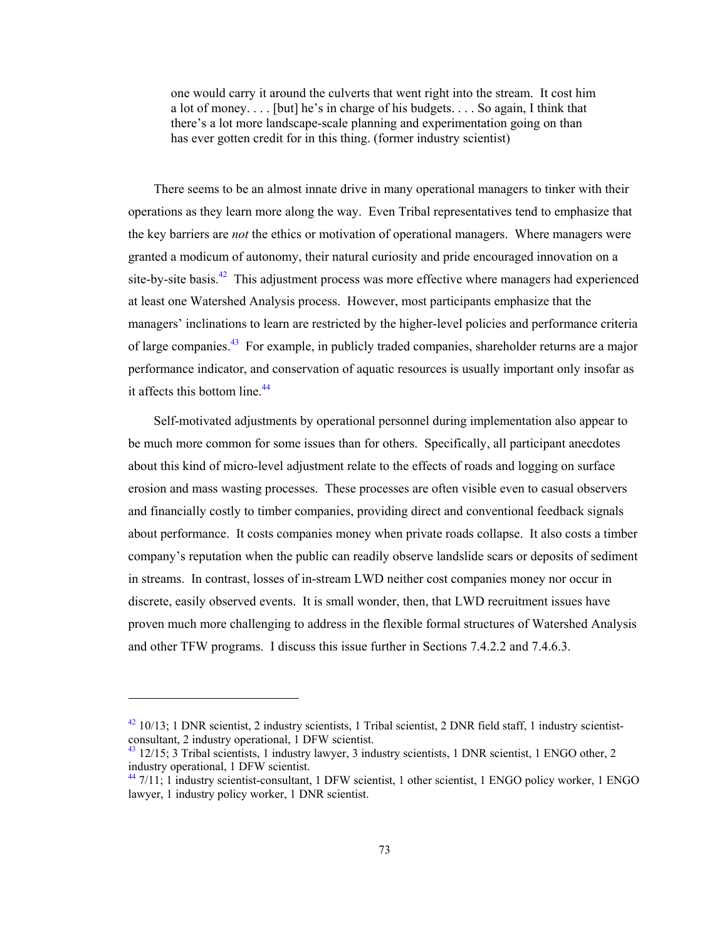one would carry it around the culverts that went right into the stream. It cost him a lot of money. . . . [but] he's in charge of his budgets. . . . So again, I think that there's a lot more landscape-scale planning and experimentation going on than has ever gotten credit for in this thing. (former industry scientist)

There seems to be an almost innate drive in many operational managers to tinker with their operations as they learn more along the way. Even Tribal representatives tend to emphasize that the key barriers are *not* the ethics or motivation of operational managers. Where managers were granted a modicum of autonomy, their natural curiosity and pride encouraged innovation on a site-by-site basis. $42$  This adjustment process was more effective where managers had experienced at least one Watershed Analysis process. However, most participants emphasize that the managers' inclinations to learn are restricted by the higher-level policies and performance criteria of large companies.<sup>43</sup> For example, in publicly traded companies, shareholder returns are a major performance indicator, and conservation of aquatic resources is usually important only insofar as it affects this bottom line.<sup>44</sup>

Self-motivated adjustments by operational personnel during implementation also appear to be much more common for some issues than for others. Specifically, all participant anecdotes about this kind of micro-level adjustment relate to the effects of roads and logging on surface erosion and mass wasting processes. These processes are often visible even to casual observers and financially costly to timber companies, providing direct and conventional feedback signals about performance. It costs companies money when private roads collapse. It also costs a timber company's reputation when the public can readily observe landslide scars or deposits of sediment in streams. In contrast, losses of in-stream LWD neither cost companies money nor occur in discrete, easily observed events. It is small wonder, then, that LWD recruitment issues have proven much more challenging to address in the flexible formal structures of Watershed Analysis and other TFW programs. I discuss this issue further in Sections 7.4.2.2 and 7.4.6.3.

 $42$  10/13; 1 DNR scientist, 2 industry scientists, 1 Tribal scientist, 2 DNR field staff, 1 industry scientistconsultant, 2 industry operational, 1 DFW scientist.

<sup>&</sup>lt;sup>43</sup> 12/15; 3 Tribal scientists, 1 industry lawyer, 3 industry scientists, 1 DNR scientist, 1 ENGO other, 2 industry operational, 1 DFW scientist.

<sup>&</sup>lt;sup>44</sup> 7/11; 1 industry scientist-consultant, 1 DFW scientist, 1 other scientist, 1 ENGO policy worker, 1 ENGO lawyer, 1 industry policy worker, 1 DNR scientist.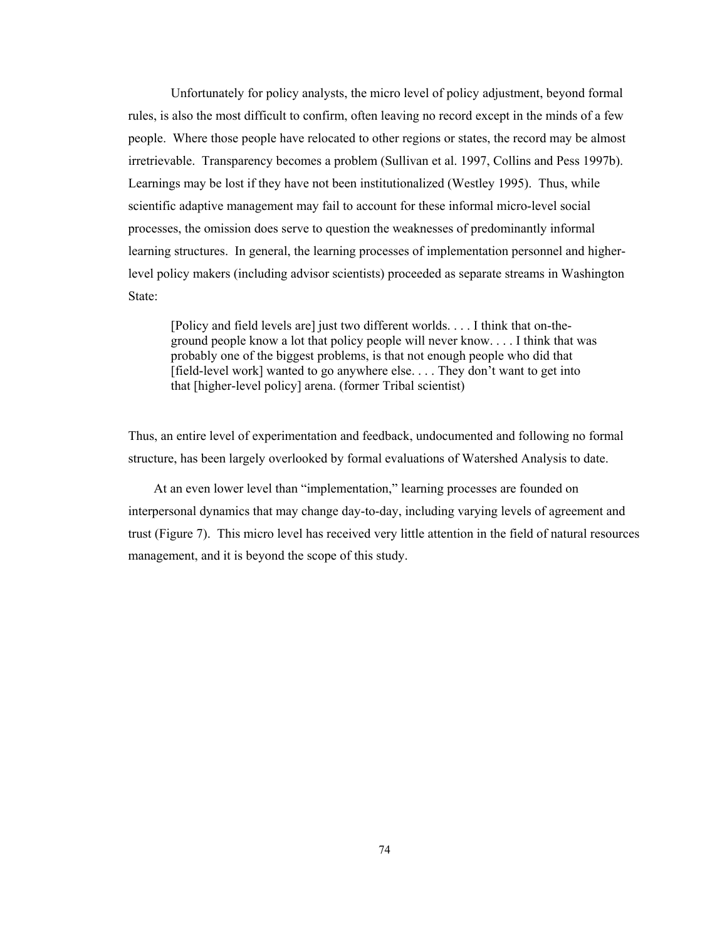Unfortunately for policy analysts, the micro level of policy adjustment, beyond formal rules, is also the most difficult to confirm, often leaving no record except in the minds of a few people. Where those people have relocated to other regions or states, the record may be almost irretrievable. Transparency becomes a problem (Sullivan et al. 1997, Collins and Pess 1997b). Learnings may be lost if they have not been institutionalized (Westley 1995). Thus, while scientific adaptive management may fail to account for these informal micro-level social processes, the omission does serve to question the weaknesses of predominantly informal learning structures. In general, the learning processes of implementation personnel and higherlevel policy makers (including advisor scientists) proceeded as separate streams in Washington State:

[Policy and field levels are] just two different worlds. . . . I think that on-theground people know a lot that policy people will never know. . . . I think that was probably one of the biggest problems, is that not enough people who did that [field-level work] wanted to go anywhere else. . . . They don't want to get into that [higher-level policy] arena. (former Tribal scientist)

Thus, an entire level of experimentation and feedback, undocumented and following no formal structure, has been largely overlooked by formal evaluations of Watershed Analysis to date.

At an even lower level than "implementation," learning processes are founded on interpersonal dynamics that may change day-to-day, including varying levels of agreement and trust (Figure 7). This micro level has received very little attention in the field of natural resources management, and it is beyond the scope of this study.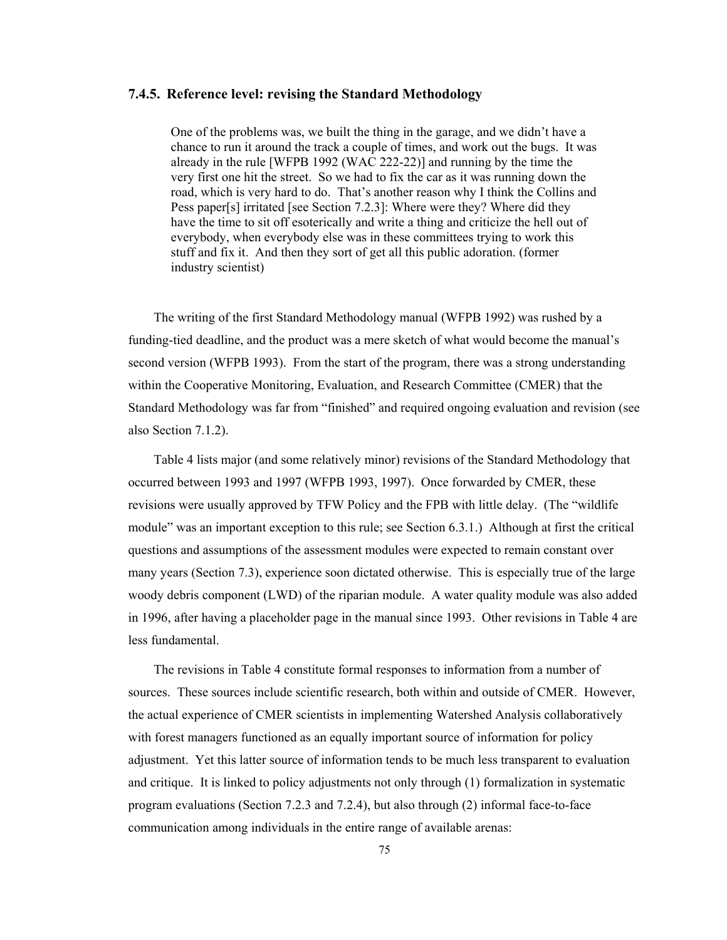### **7.4.5. Reference level: revising the Standard Methodology**

One of the problems was, we built the thing in the garage, and we didn't have a chance to run it around the track a couple of times, and work out the bugs. It was already in the rule [WFPB 1992 (WAC 222-22)] and running by the time the very first one hit the street. So we had to fix the car as it was running down the road, which is very hard to do. That's another reason why I think the Collins and Pess paper[s] irritated [see Section 7.2.3]: Where were they? Where did they have the time to sit off esoterically and write a thing and criticize the hell out of everybody, when everybody else was in these committees trying to work this stuff and fix it. And then they sort of get all this public adoration. (former industry scientist)

The writing of the first Standard Methodology manual (WFPB 1992) was rushed by a funding-tied deadline, and the product was a mere sketch of what would become the manual's second version (WFPB 1993). From the start of the program, there was a strong understanding within the Cooperative Monitoring, Evaluation, and Research Committee (CMER) that the Standard Methodology was far from "finished" and required ongoing evaluation and revision (see also Section 7.1.2).

Table 4 lists major (and some relatively minor) revisions of the Standard Methodology that occurred between 1993 and 1997 (WFPB 1993, 1997). Once forwarded by CMER, these revisions were usually approved by TFW Policy and the FPB with little delay. (The "wildlife module" was an important exception to this rule; see Section 6.3.1.) Although at first the critical questions and assumptions of the assessment modules were expected to remain constant over many years (Section 7.3), experience soon dictated otherwise. This is especially true of the large woody debris component (LWD) of the riparian module. A water quality module was also added in 1996, after having a placeholder page in the manual since 1993. Other revisions in Table 4 are less fundamental.

The revisions in Table 4 constitute formal responses to information from a number of sources. These sources include scientific research, both within and outside of CMER. However, the actual experience of CMER scientists in implementing Watershed Analysis collaboratively with forest managers functioned as an equally important source of information for policy adjustment. Yet this latter source of information tends to be much less transparent to evaluation and critique. It is linked to policy adjustments not only through (1) formalization in systematic program evaluations (Section 7.2.3 and 7.2.4), but also through (2) informal face-to-face communication among individuals in the entire range of available arenas: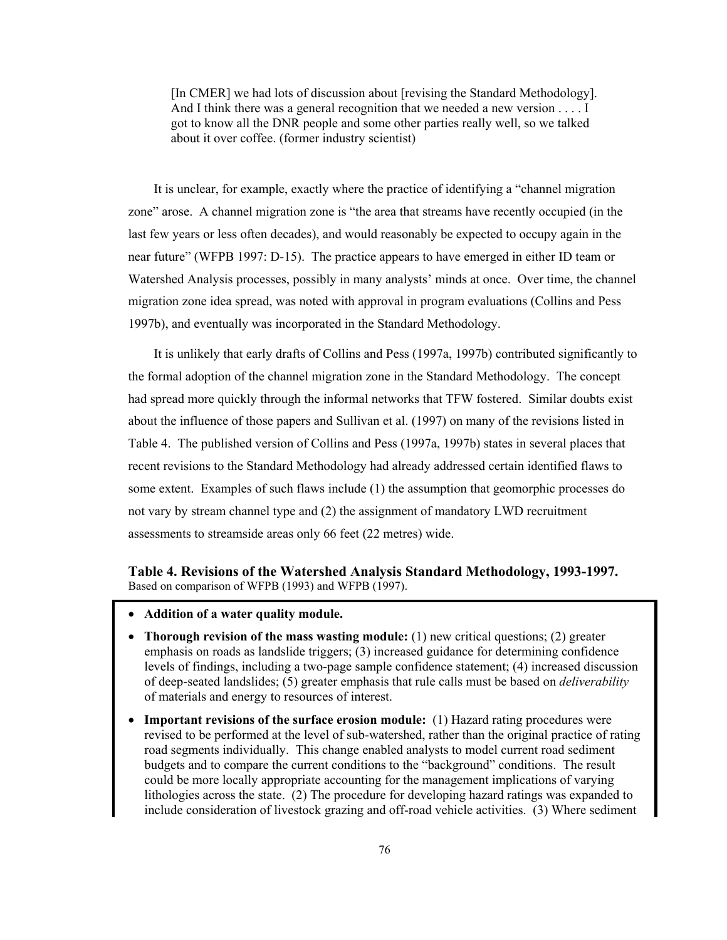[In CMER] we had lots of discussion about [revising the Standard Methodology]. And I think there was a general recognition that we needed a new version . . . . I got to know all the DNR people and some other parties really well, so we talked about it over coffee. (former industry scientist)

It is unclear, for example, exactly where the practice of identifying a "channel migration zone" arose. A channel migration zone is "the area that streams have recently occupied (in the last few years or less often decades), and would reasonably be expected to occupy again in the near future" (WFPB 1997: D-15). The practice appears to have emerged in either ID team or Watershed Analysis processes, possibly in many analysts' minds at once. Over time, the channel migration zone idea spread, was noted with approval in program evaluations (Collins and Pess 1997b), and eventually was incorporated in the Standard Methodology.

It is unlikely that early drafts of Collins and Pess (1997a, 1997b) contributed significantly to the formal adoption of the channel migration zone in the Standard Methodology. The concept had spread more quickly through the informal networks that TFW fostered. Similar doubts exist about the influence of those papers and Sullivan et al. (1997) on many of the revisions listed in Table 4. The published version of Collins and Pess (1997a, 1997b) states in several places that recent revisions to the Standard Methodology had already addressed certain identified flaws to some extent. Examples of such flaws include (1) the assumption that geomorphic processes do not vary by stream channel type and (2) the assignment of mandatory LWD recruitment assessments to streamside areas only 66 feet (22 metres) wide.

### **Table 4. Revisions of the Watershed Analysis Standard Methodology, 1993-1997.**  Based on comparison of WFPB (1993) and WFPB (1997).

- **Addition of a water quality module.**
- **Thorough revision of the mass wasting module:** (1) new critical questions; (2) greater emphasis on roads as landslide triggers; (3) increased guidance for determining confidence levels of findings, including a two-page sample confidence statement; (4) increased discussion of deep-seated landslides; (5) greater emphasis that rule calls must be based on *deliverability*  of materials and energy to resources of interest.
- **Important revisions of the surface erosion module:** (1) Hazard rating procedures were revised to be performed at the level of sub-watershed, rather than the original practice of rating road segments individually. This change enabled analysts to model current road sediment budgets and to compare the current conditions to the "background" conditions. The result could be more locally appropriate accounting for the management implications of varying lithologies across the state. (2) The procedure for developing hazard ratings was expanded to include consideration of livestock grazing and off-road vehicle activities. (3) Where sediment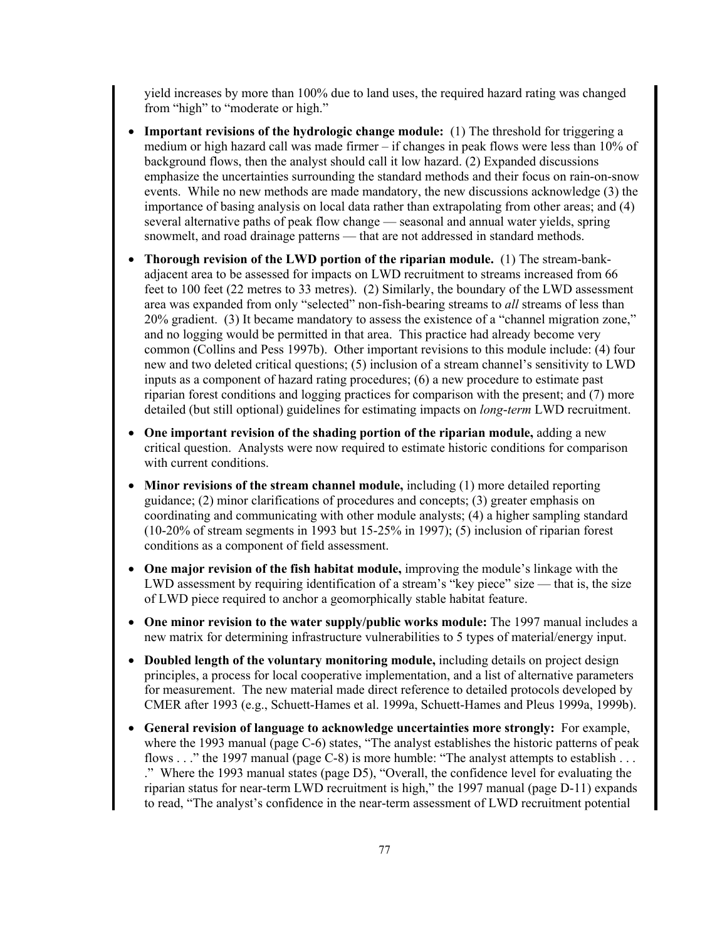yield increases by more than 100% due to land uses, the required hazard rating was changed from "high" to "moderate or high."

- **Important revisions of the hydrologic change module:** (1) The threshold for triggering a medium or high hazard call was made firmer – if changes in peak flows were less than 10% of background flows, then the analyst should call it low hazard. (2) Expanded discussions emphasize the uncertainties surrounding the standard methods and their focus on rain-on-snow events. While no new methods are made mandatory, the new discussions acknowledge (3) the importance of basing analysis on local data rather than extrapolating from other areas; and (4) several alternative paths of peak flow change — seasonal and annual water yields, spring snowmelt, and road drainage patterns — that are not addressed in standard methods.
- **Thorough revision of the LWD portion of the riparian module.** (1) The stream-bankadjacent area to be assessed for impacts on LWD recruitment to streams increased from 66 feet to 100 feet (22 metres to 33 metres). (2) Similarly, the boundary of the LWD assessment area was expanded from only "selected" non-fish-bearing streams to *all* streams of less than 20% gradient. (3) It became mandatory to assess the existence of a "channel migration zone," and no logging would be permitted in that area. This practice had already become very common (Collins and Pess 1997b). Other important revisions to this module include: (4) four new and two deleted critical questions; (5) inclusion of a stream channel's sensitivity to LWD inputs as a component of hazard rating procedures; (6) a new procedure to estimate past riparian forest conditions and logging practices for comparison with the present; and (7) more detailed (but still optional) guidelines for estimating impacts on *long*-*term* LWD recruitment.
- **One important revision of the shading portion of the riparian module,** adding a new critical question. Analysts were now required to estimate historic conditions for comparison with current conditions.
- **Minor revisions of the stream channel module,** including (1) more detailed reporting guidance; (2) minor clarifications of procedures and concepts; (3) greater emphasis on coordinating and communicating with other module analysts; (4) a higher sampling standard (10-20% of stream segments in 1993 but 15-25% in 1997); (5) inclusion of riparian forest conditions as a component of field assessment.
- **One major revision of the fish habitat module,** improving the module's linkage with the LWD assessment by requiring identification of a stream's "key piece" size — that is, the size of LWD piece required to anchor a geomorphically stable habitat feature.
- **One minor revision to the water supply/public works module:** The 1997 manual includes a new matrix for determining infrastructure vulnerabilities to 5 types of material/energy input.
- **Doubled length of the voluntary monitoring module,** including details on project design principles, a process for local cooperative implementation, and a list of alternative parameters for measurement. The new material made direct reference to detailed protocols developed by CMER after 1993 (e.g., Schuett-Hames et al. 1999a, Schuett-Hames and Pleus 1999a, 1999b).
- **General revision of language to acknowledge uncertainties more strongly:** For example, where the 1993 manual (page C-6) states, "The analyst establishes the historic patterns of peak flows . . ." the 1997 manual (page C-8) is more humble: "The analyst attempts to establish . . . ." Where the 1993 manual states (page D5), "Overall, the confidence level for evaluating the riparian status for near-term LWD recruitment is high," the 1997 manual (page D-11) expands to read, "The analyst's confidence in the near-term assessment of LWD recruitment potential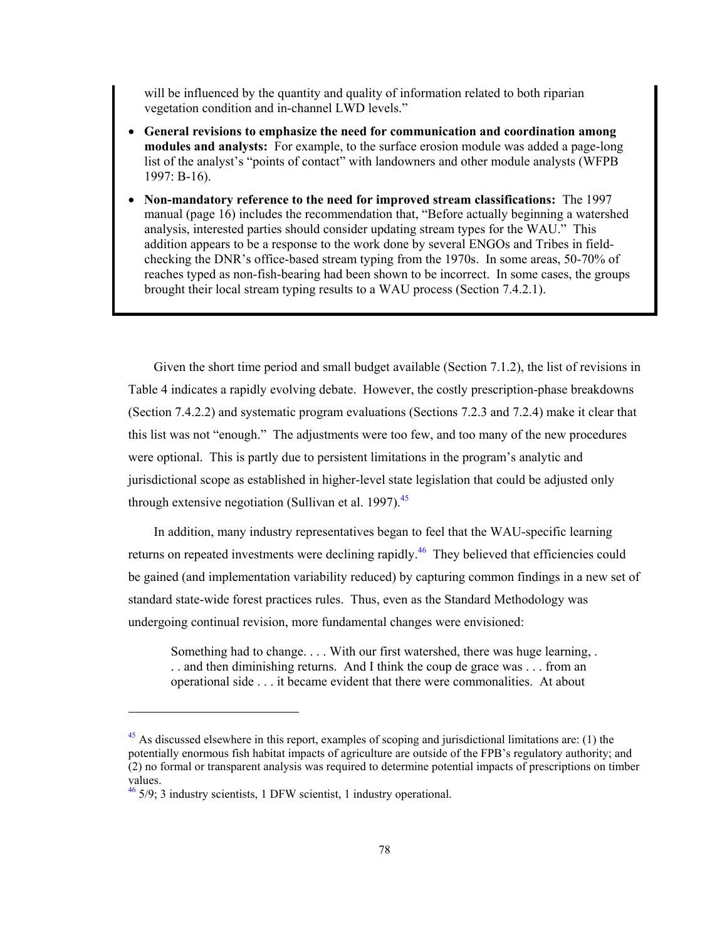will be influenced by the quantity and quality of information related to both riparian vegetation condition and in-channel LWD levels."

- **General revisions to emphasize the need for communication and coordination among modules and analysts:** For example, to the surface erosion module was added a page-long list of the analyst's "points of contact" with landowners and other module analysts (WFPB 1997: B-16).
- **Non-mandatory reference to the need for improved stream classifications:** The 1997 manual (page 16) includes the recommendation that, "Before actually beginning a watershed analysis, interested parties should consider updating stream types for the WAU." This addition appears to be a response to the work done by several ENGOs and Tribes in fieldchecking the DNR's office-based stream typing from the 1970s. In some areas, 50-70% of reaches typed as non-fish-bearing had been shown to be incorrect. In some cases, the groups brought their local stream typing results to a WAU process (Section 7.4.2.1).

Given the short time period and small budget available (Section 7.1.2), the list of revisions in Table 4 indicates a rapidly evolving debate. However, the costly prescription-phase breakdowns (Section 7.4.2.2) and systematic program evaluations (Sections 7.2.3 and 7.2.4) make it clear that this list was not "enough." The adjustments were too few, and too many of the new procedures were optional. This is partly due to persistent limitations in the program's analytic and jurisdictional scope as established in higher-level state legislation that could be adjusted only through extensive negotiation (Sullivan et al. 1997). $45$ 

In addition, many industry representatives began to feel that the WAU-specific learning returns on repeated investments were declining rapidly.<sup>46</sup> They believed that efficiencies could be gained (and implementation variability reduced) by capturing common findings in a new set of standard state-wide forest practices rules. Thus, even as the Standard Methodology was undergoing continual revision, more fundamental changes were envisioned:

Something had to change. . . . With our first watershed, there was huge learning, . . . and then diminishing returns. And I think the coup de grace was . . . from an operational side . . . it became evident that there were commonalities. At about

 $\overline{a}$ 

 $45$  As discussed elsewhere in this report, examples of scoping and jurisdictional limitations are: (1) the potentially enormous fish habitat impacts of agriculture are outside of the FPB's regulatory authority; and (2) no formal or transparent analysis was required to determine potential impacts of prescriptions on timber values.

 $46\frac{46}{2}$  5/9; 3 industry scientists, 1 DFW scientist, 1 industry operational.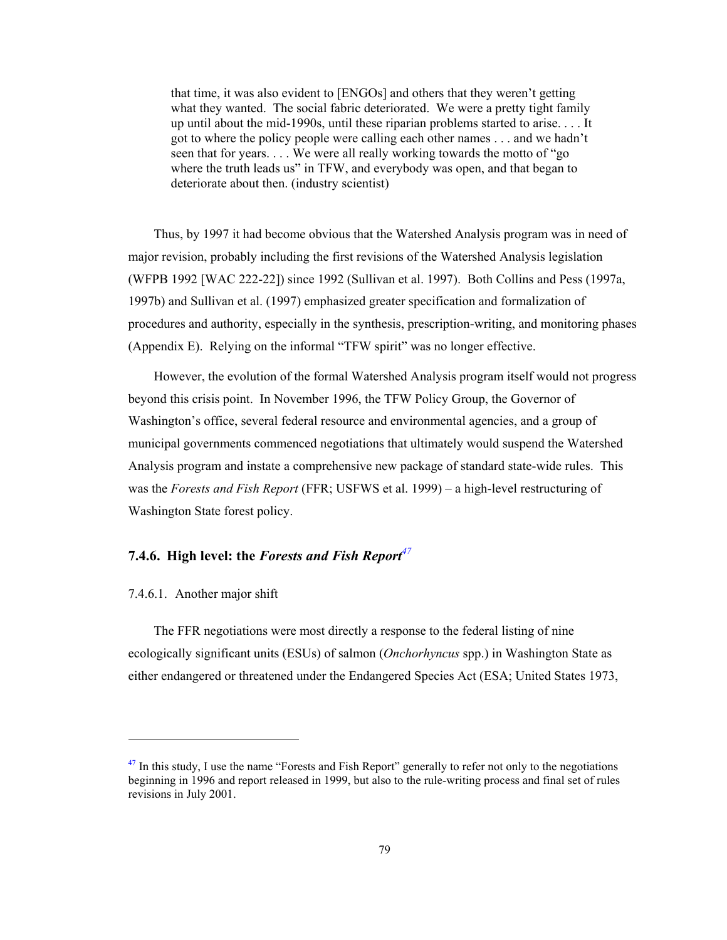that time, it was also evident to [ENGOs] and others that they weren't getting what they wanted. The social fabric deteriorated. We were a pretty tight family up until about the mid-1990s, until these riparian problems started to arise. . . . It got to where the policy people were calling each other names . . . and we hadn't seen that for years. . . . We were all really working towards the motto of "go where the truth leads us" in TFW, and everybody was open, and that began to deteriorate about then. (industry scientist)

Thus, by 1997 it had become obvious that the Watershed Analysis program was in need of major revision, probably including the first revisions of the Watershed Analysis legislation (WFPB 1992 [WAC 222-22]) since 1992 (Sullivan et al. 1997). Both Collins and Pess (1997a, 1997b) and Sullivan et al. (1997) emphasized greater specification and formalization of procedures and authority, especially in the synthesis, prescription-writing, and monitoring phases (Appendix E). Relying on the informal "TFW spirit" was no longer effective.

However, the evolution of the formal Watershed Analysis program itself would not progress beyond this crisis point. In November 1996, the TFW Policy Group, the Governor of Washington's office, several federal resource and environmental agencies, and a group of municipal governments commenced negotiations that ultimately would suspend the Watershed Analysis program and instate a comprehensive new package of standard state-wide rules. This was the *Forests and Fish Report* (FFR; USFWS et al. 1999) – a high-level restructuring of Washington State forest policy.

# **7.4.6. High level: the** *Forests and Fish Report<sup>47</sup>*

### 7.4.6.1. Another major shift

l

The FFR negotiations were most directly a response to the federal listing of nine ecologically significant units (ESUs) of salmon (*Onchorhyncus* spp.) in Washington State as either endangered or threatened under the Endangered Species Act (ESA; United States 1973,

 $47$  In this study, I use the name "Forests and Fish Report" generally to refer not only to the negotiations beginning in 1996 and report released in 1999, but also to the rule-writing process and final set of rules revisions in July 2001.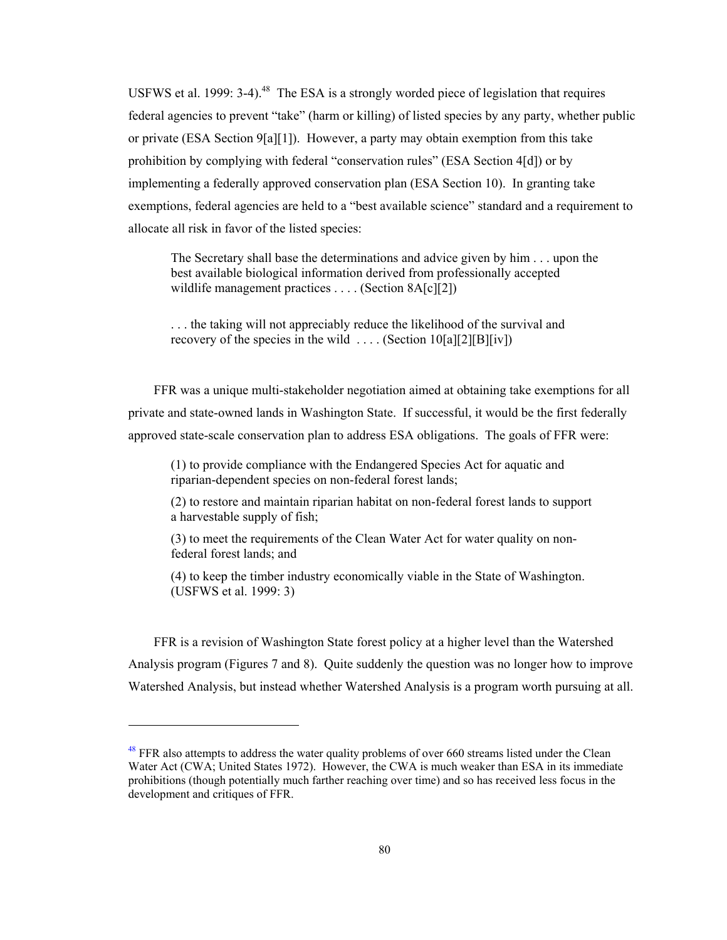USFWS et al. 1999:  $3-4$ ).<sup>48</sup> The ESA is a strongly worded piece of legislation that requires federal agencies to prevent "take" (harm or killing) of listed species by any party, whether public or private (ESA Section 9[a][1]). However, a party may obtain exemption from this take prohibition by complying with federal "conservation rules" (ESA Section 4[d]) or by implementing a federally approved conservation plan (ESA Section 10). In granting take exemptions, federal agencies are held to a "best available science" standard and a requirement to allocate all risk in favor of the listed species:

The Secretary shall base the determinations and advice given by him . . . upon the best available biological information derived from professionally accepted wildlife management practices . . . . (Section 8A[c][2])

. . . the taking will not appreciably reduce the likelihood of the survival and recovery of the species in the wild  $\dots$  (Section 10[a][2][B][iv])

FFR was a unique multi-stakeholder negotiation aimed at obtaining take exemptions for all private and state-owned lands in Washington State. If successful, it would be the first federally approved state-scale conservation plan to address ESA obligations. The goals of FFR were:

(1) to provide compliance with the Endangered Species Act for aquatic and riparian-dependent species on non-federal forest lands;

(2) to restore and maintain riparian habitat on non-federal forest lands to support a harvestable supply of fish;

(3) to meet the requirements of the Clean Water Act for water quality on nonfederal forest lands; and

(4) to keep the timber industry economically viable in the State of Washington. (USFWS et al. 1999: 3)

FFR is a revision of Washington State forest policy at a higher level than the Watershed Analysis program (Figures 7 and 8). Quite suddenly the question was no longer how to improve Watershed Analysis, but instead whether Watershed Analysis is a program worth pursuing at all.

1

 $48$  FFR also attempts to address the water quality problems of over 660 streams listed under the Clean Water Act (CWA; United States 1972). However, the CWA is much weaker than ESA in its immediate prohibitions (though potentially much farther reaching over time) and so has received less focus in the development and critiques of FFR.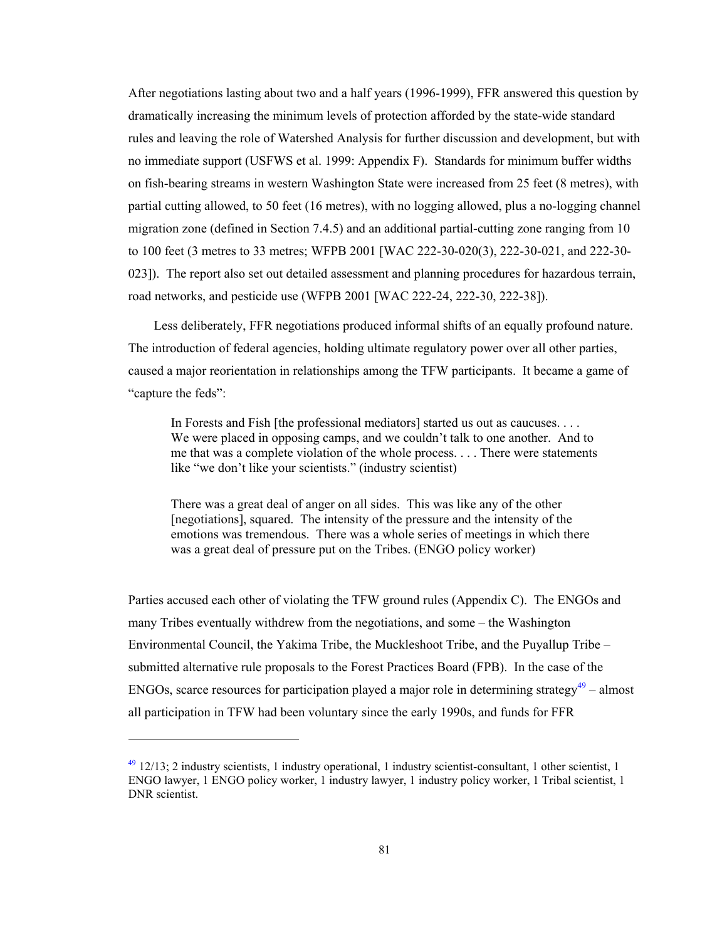After negotiations lasting about two and a half years (1996-1999), FFR answered this question by dramatically increasing the minimum levels of protection afforded by the state-wide standard rules and leaving the role of Watershed Analysis for further discussion and development, but with no immediate support (USFWS et al. 1999: Appendix F). Standards for minimum buffer widths on fish-bearing streams in western Washington State were increased from 25 feet (8 metres), with partial cutting allowed, to 50 feet (16 metres), with no logging allowed, plus a no-logging channel migration zone (defined in Section 7.4.5) and an additional partial-cutting zone ranging from 10 to 100 feet (3 metres to 33 metres; WFPB 2001 [WAC 222-30-020(3), 222-30-021, and 222-30- 023]). The report also set out detailed assessment and planning procedures for hazardous terrain, road networks, and pesticide use (WFPB 2001 [WAC 222-24, 222-30, 222-38]).

Less deliberately, FFR negotiations produced informal shifts of an equally profound nature. The introduction of federal agencies, holding ultimate regulatory power over all other parties, caused a major reorientation in relationships among the TFW participants. It became a game of "capture the feds":

In Forests and Fish [the professional mediators] started us out as caucuses. . . . We were placed in opposing camps, and we couldn't talk to one another. And to me that was a complete violation of the whole process. . . . There were statements like "we don't like your scientists." (industry scientist)

There was a great deal of anger on all sides. This was like any of the other [negotiations], squared. The intensity of the pressure and the intensity of the emotions was tremendous. There was a whole series of meetings in which there was a great deal of pressure put on the Tribes. (ENGO policy worker)

Parties accused each other of violating the TFW ground rules (Appendix C). The ENGOs and many Tribes eventually withdrew from the negotiations, and some – the Washington Environmental Council, the Yakima Tribe, the Muckleshoot Tribe, and the Puyallup Tribe – submitted alternative rule proposals to the Forest Practices Board (FPB). In the case of the ENGOs, scarce resources for participation played a major role in determining strategy<sup>49</sup> – almost all participation in TFW had been voluntary since the early 1990s, and funds for FFR

1

 $^{49}$  12/13; 2 industry scientists, 1 industry operational, 1 industry scientist-consultant, 1 other scientist, 1 ENGO lawyer, 1 ENGO policy worker, 1 industry lawyer, 1 industry policy worker, 1 Tribal scientist, 1 DNR scientist.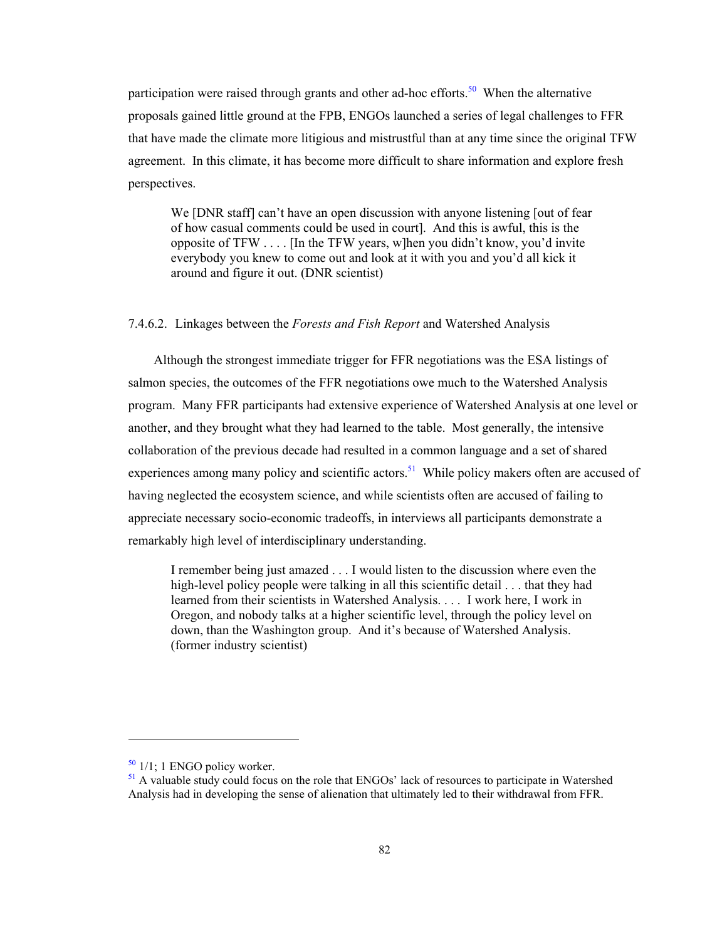participation were raised through grants and other ad-hoc efforts.<sup>50</sup> When the alternative proposals gained little ground at the FPB, ENGOs launched a series of legal challenges to FFR that have made the climate more litigious and mistrustful than at any time since the original TFW agreement. In this climate, it has become more difficult to share information and explore fresh perspectives.

We [DNR staff] can't have an open discussion with anyone listening [out of fear of how casual comments could be used in court]. And this is awful, this is the opposite of TFW . . . . [In the TFW years, w]hen you didn't know, you'd invite everybody you knew to come out and look at it with you and you'd all kick it around and figure it out. (DNR scientist)

### 7.4.6.2. Linkages between the *Forests and Fish Report* and Watershed Analysis

Although the strongest immediate trigger for FFR negotiations was the ESA listings of salmon species, the outcomes of the FFR negotiations owe much to the Watershed Analysis program. Many FFR participants had extensive experience of Watershed Analysis at one level or another, and they brought what they had learned to the table. Most generally, the intensive collaboration of the previous decade had resulted in a common language and a set of shared experiences among many policy and scientific actors.<sup>51</sup> While policy makers often are accused of having neglected the ecosystem science, and while scientists often are accused of failing to appreciate necessary socio-economic tradeoffs, in interviews all participants demonstrate a remarkably high level of interdisciplinary understanding.

I remember being just amazed . . . I would listen to the discussion where even the high-level policy people were talking in all this scientific detail . . . that they had learned from their scientists in Watershed Analysis. . . . I work here, I work in Oregon, and nobody talks at a higher scientific level, through the policy level on down, than the Washington group. And it's because of Watershed Analysis. (former industry scientist)

 $50$  1/1; 1 ENGO policy worker.

 $<sup>51</sup>$  A valuable study could focus on the role that ENGOs' lack of resources to participate in Watershed</sup> Analysis had in developing the sense of alienation that ultimately led to their withdrawal from FFR.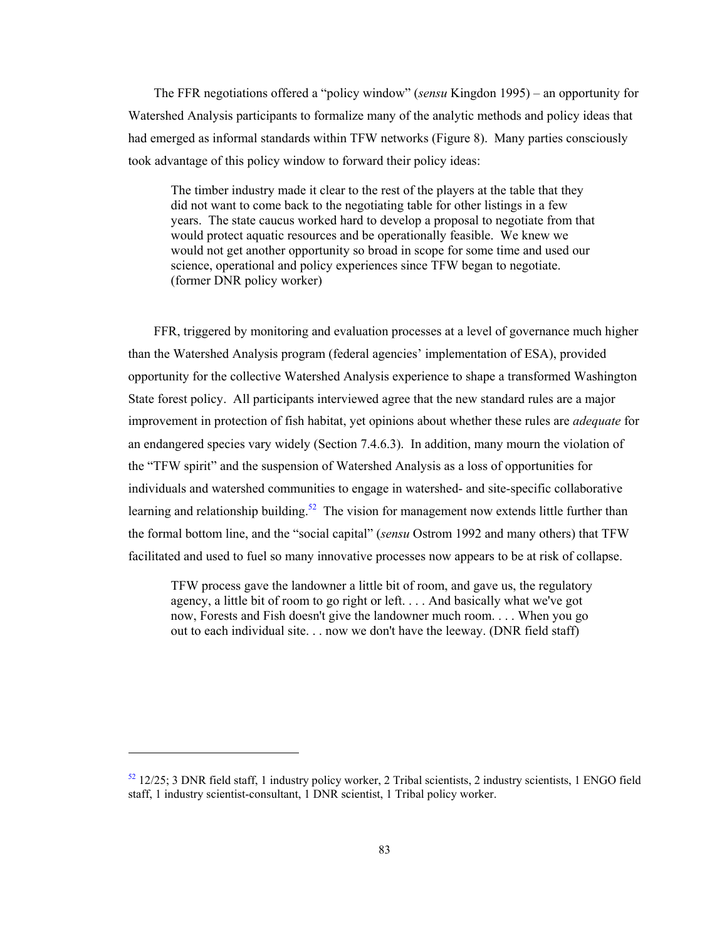The FFR negotiations offered a "policy window" (*sensu* Kingdon 1995) – an opportunity for Watershed Analysis participants to formalize many of the analytic methods and policy ideas that had emerged as informal standards within TFW networks (Figure 8). Many parties consciously took advantage of this policy window to forward their policy ideas:

The timber industry made it clear to the rest of the players at the table that they did not want to come back to the negotiating table for other listings in a few years. The state caucus worked hard to develop a proposal to negotiate from that would protect aquatic resources and be operationally feasible. We knew we would not get another opportunity so broad in scope for some time and used our science, operational and policy experiences since TFW began to negotiate. (former DNR policy worker)

FFR, triggered by monitoring and evaluation processes at a level of governance much higher than the Watershed Analysis program (federal agencies' implementation of ESA), provided opportunity for the collective Watershed Analysis experience to shape a transformed Washington State forest policy. All participants interviewed agree that the new standard rules are a major improvement in protection of fish habitat, yet opinions about whether these rules are *adequate* for an endangered species vary widely (Section 7.4.6.3). In addition, many mourn the violation of the "TFW spirit" and the suspension of Watershed Analysis as a loss of opportunities for individuals and watershed communities to engage in watershed- and site-specific collaborative learning and relationship building.<sup>52</sup> The vision for management now extends little further than the formal bottom line, and the "social capital" (*sensu* Ostrom 1992 and many others) that TFW facilitated and used to fuel so many innovative processes now appears to be at risk of collapse.

TFW process gave the landowner a little bit of room, and gave us, the regulatory agency, a little bit of room to go right or left. . . . And basically what we've got now, Forests and Fish doesn't give the landowner much room. . . . When you go out to each individual site. . . now we don't have the leeway. (DNR field staff)

-

 $52$  12/25; 3 DNR field staff, 1 industry policy worker, 2 Tribal scientists, 2 industry scientists, 1 ENGO field staff, 1 industry scientist-consultant, 1 DNR scientist, 1 Tribal policy worker.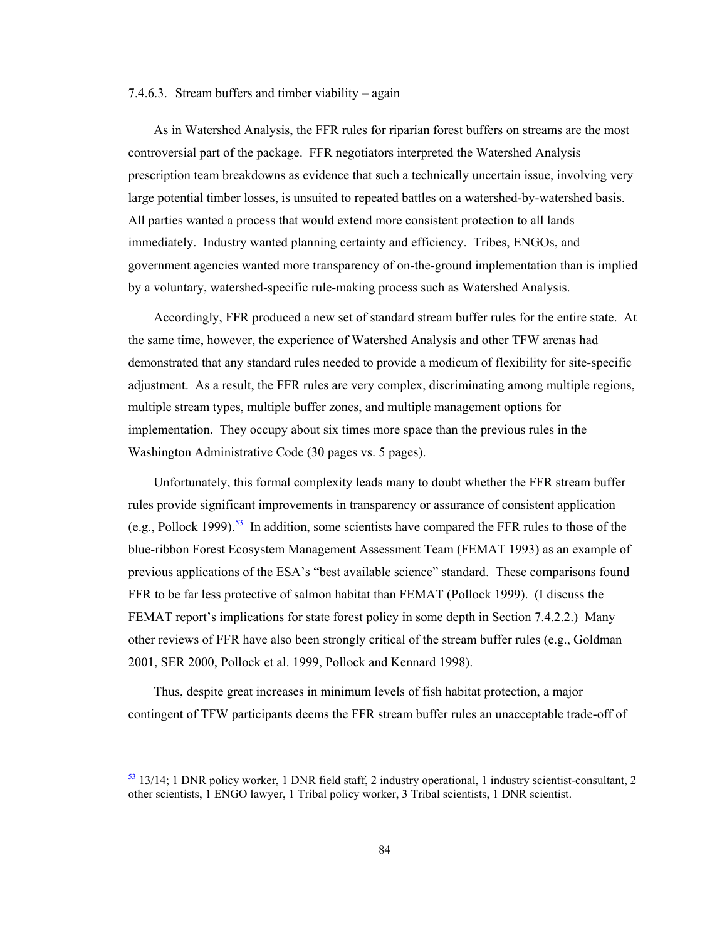### 7.4.6.3. Stream buffers and timber viability – again

As in Watershed Analysis, the FFR rules for riparian forest buffers on streams are the most controversial part of the package. FFR negotiators interpreted the Watershed Analysis prescription team breakdowns as evidence that such a technically uncertain issue, involving very large potential timber losses, is unsuited to repeated battles on a watershed-by-watershed basis. All parties wanted a process that would extend more consistent protection to all lands immediately. Industry wanted planning certainty and efficiency. Tribes, ENGOs, and government agencies wanted more transparency of on-the-ground implementation than is implied by a voluntary, watershed-specific rule-making process such as Watershed Analysis.

Accordingly, FFR produced a new set of standard stream buffer rules for the entire state. At the same time, however, the experience of Watershed Analysis and other TFW arenas had demonstrated that any standard rules needed to provide a modicum of flexibility for site-specific adjustment. As a result, the FFR rules are very complex, discriminating among multiple regions, multiple stream types, multiple buffer zones, and multiple management options for implementation. They occupy about six times more space than the previous rules in the Washington Administrative Code (30 pages vs. 5 pages).

Unfortunately, this formal complexity leads many to doubt whether the FFR stream buffer rules provide significant improvements in transparency or assurance of consistent application (e.g., Pollock 1999).<sup>53</sup> In addition, some scientists have compared the FFR rules to those of the blue-ribbon Forest Ecosystem Management Assessment Team (FEMAT 1993) as an example of previous applications of the ESA's "best available science" standard. These comparisons found FFR to be far less protective of salmon habitat than FEMAT (Pollock 1999). (I discuss the FEMAT report's implications for state forest policy in some depth in Section 7.4.2.2.) Many other reviews of FFR have also been strongly critical of the stream buffer rules (e.g., Goldman 2001, SER 2000, Pollock et al. 1999, Pollock and Kennard 1998).

Thus, despite great increases in minimum levels of fish habitat protection, a major contingent of TFW participants deems the FFR stream buffer rules an unacceptable trade-off of

 $\overline{a}$ 

<sup>53 13/14; 1</sup> DNR policy worker, 1 DNR field staff, 2 industry operational, 1 industry scientist-consultant, 2 other scientists, 1 ENGO lawyer, 1 Tribal policy worker, 3 Tribal scientists, 1 DNR scientist.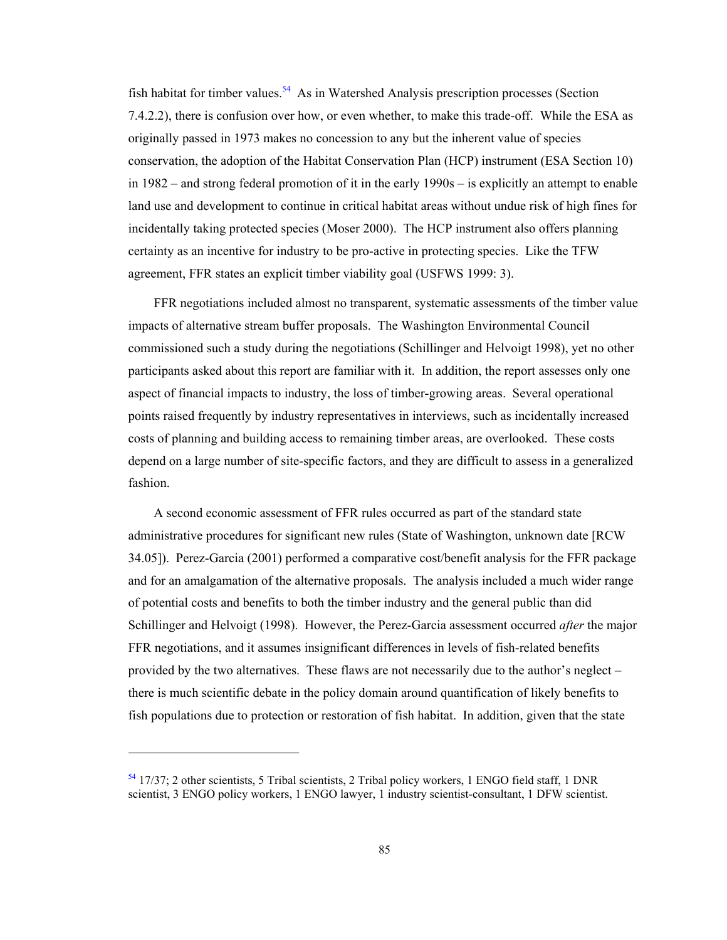fish habitat for timber values.<sup>54</sup> As in Watershed Analysis prescription processes (Section 7.4.2.2), there is confusion over how, or even whether, to make this trade-off. While the ESA as originally passed in 1973 makes no concession to any but the inherent value of species conservation, the adoption of the Habitat Conservation Plan (HCP) instrument (ESA Section 10) in 1982 – and strong federal promotion of it in the early 1990s – is explicitly an attempt to enable land use and development to continue in critical habitat areas without undue risk of high fines for incidentally taking protected species (Moser 2000). The HCP instrument also offers planning certainty as an incentive for industry to be pro-active in protecting species. Like the TFW agreement, FFR states an explicit timber viability goal (USFWS 1999: 3).

FFR negotiations included almost no transparent, systematic assessments of the timber value impacts of alternative stream buffer proposals. The Washington Environmental Council commissioned such a study during the negotiations (Schillinger and Helvoigt 1998), yet no other participants asked about this report are familiar with it. In addition, the report assesses only one aspect of financial impacts to industry, the loss of timber-growing areas. Several operational points raised frequently by industry representatives in interviews, such as incidentally increased costs of planning and building access to remaining timber areas, are overlooked. These costs depend on a large number of site-specific factors, and they are difficult to assess in a generalized fashion.

A second economic assessment of FFR rules occurred as part of the standard state administrative procedures for significant new rules (State of Washington, unknown date [RCW 34.05]). Perez-Garcia (2001) performed a comparative cost/benefit analysis for the FFR package and for an amalgamation of the alternative proposals. The analysis included a much wider range of potential costs and benefits to both the timber industry and the general public than did Schillinger and Helvoigt (1998). However, the Perez-Garcia assessment occurred *after* the major FFR negotiations, and it assumes insignificant differences in levels of fish-related benefits provided by the two alternatives. These flaws are not necessarily due to the author's neglect – there is much scientific debate in the policy domain around quantification of likely benefits to fish populations due to protection or restoration of fish habitat. In addition, given that the state

-

<sup>54 17/37; 2</sup> other scientists, 5 Tribal scientists, 2 Tribal policy workers, 1 ENGO field staff, 1 DNR scientist, 3 ENGO policy workers, 1 ENGO lawyer, 1 industry scientist-consultant, 1 DFW scientist.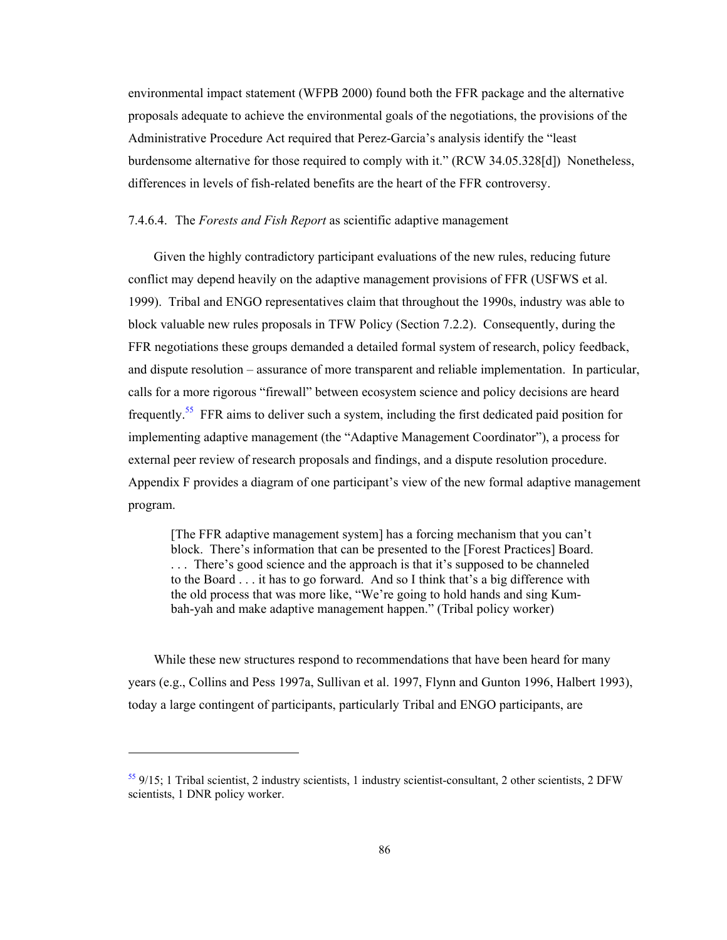environmental impact statement (WFPB 2000) found both the FFR package and the alternative proposals adequate to achieve the environmental goals of the negotiations, the provisions of the Administrative Procedure Act required that Perez-Garcia's analysis identify the "least burdensome alternative for those required to comply with it." (RCW 34.05.328[d]) Nonetheless, differences in levels of fish-related benefits are the heart of the FFR controversy.

### 7.4.6.4. The *Forests and Fish Report* as scientific adaptive management

Given the highly contradictory participant evaluations of the new rules, reducing future conflict may depend heavily on the adaptive management provisions of FFR (USFWS et al. 1999). Tribal and ENGO representatives claim that throughout the 1990s, industry was able to block valuable new rules proposals in TFW Policy (Section 7.2.2). Consequently, during the FFR negotiations these groups demanded a detailed formal system of research, policy feedback, and dispute resolution – assurance of more transparent and reliable implementation. In particular, calls for a more rigorous "firewall" between ecosystem science and policy decisions are heard frequently.55 FFR aims to deliver such a system, including the first dedicated paid position for implementing adaptive management (the "Adaptive Management Coordinator"), a process for external peer review of research proposals and findings, and a dispute resolution procedure. Appendix F provides a diagram of one participant's view of the new formal adaptive management program.

[The FFR adaptive management system] has a forcing mechanism that you can't block. There's information that can be presented to the [Forest Practices] Board. . . . There's good science and the approach is that it's supposed to be channeled to the Board . . . it has to go forward. And so I think that's a big difference with the old process that was more like, "We're going to hold hands and sing Kumbah-yah and make adaptive management happen." (Tribal policy worker)

While these new structures respond to recommendations that have been heard for many years (e.g., Collins and Pess 1997a, Sullivan et al. 1997, Flynn and Gunton 1996, Halbert 1993), today a large contingent of participants, particularly Tribal and ENGO participants, are

-

<sup>55 9/15; 1</sup> Tribal scientist, 2 industry scientists, 1 industry scientist-consultant, 2 other scientists, 2 DFW scientists, 1 DNR policy worker.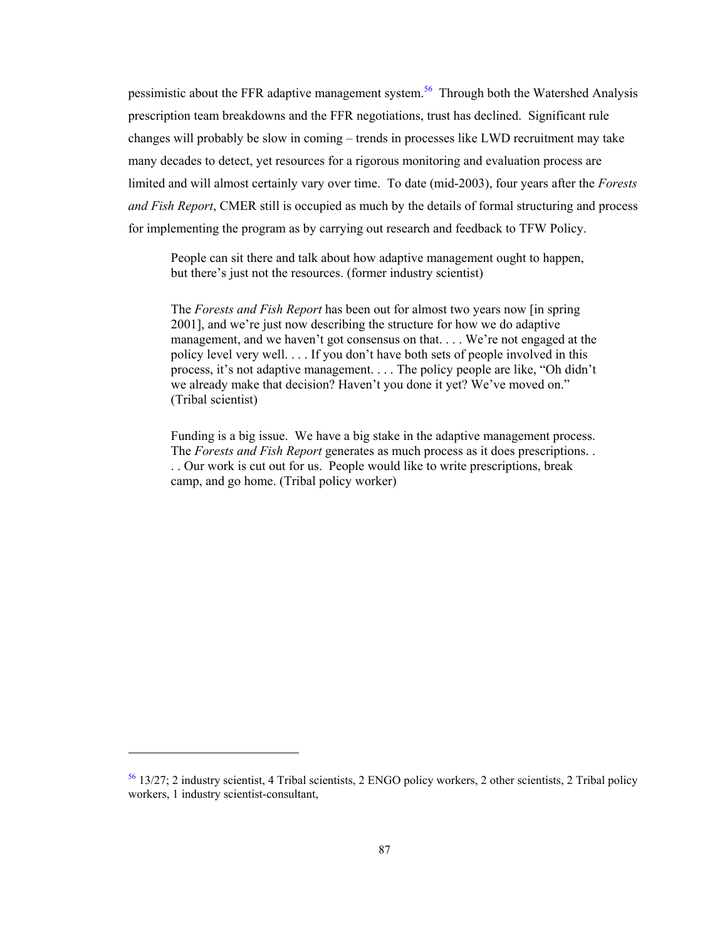pessimistic about the FFR adaptive management system.<sup>56</sup> Through both the Watershed Analysis prescription team breakdowns and the FFR negotiations, trust has declined. Significant rule changes will probably be slow in coming – trends in processes like LWD recruitment may take many decades to detect, yet resources for a rigorous monitoring and evaluation process are limited and will almost certainly vary over time. To date (mid-2003), four years after the *Forests and Fish Report*, CMER still is occupied as much by the details of formal structuring and process for implementing the program as by carrying out research and feedback to TFW Policy.

People can sit there and talk about how adaptive management ought to happen, but there's just not the resources. (former industry scientist)

The *Forests and Fish Report* has been out for almost two years now [in spring 2001], and we're just now describing the structure for how we do adaptive management, and we haven't got consensus on that. . . . We're not engaged at the policy level very well. . . . If you don't have both sets of people involved in this process, it's not adaptive management. . . . The policy people are like, "Oh didn't we already make that decision? Haven't you done it yet? We've moved on." (Tribal scientist)

Funding is a big issue. We have a big stake in the adaptive management process. The *Forests and Fish Report* generates as much process as it does prescriptions. . . . Our work is cut out for us. People would like to write prescriptions, break camp, and go home. (Tribal policy worker)

 $\overline{a}$ 

<sup>56 13/27; 2</sup> industry scientist, 4 Tribal scientists, 2 ENGO policy workers, 2 other scientists, 2 Tribal policy workers, 1 industry scientist-consultant,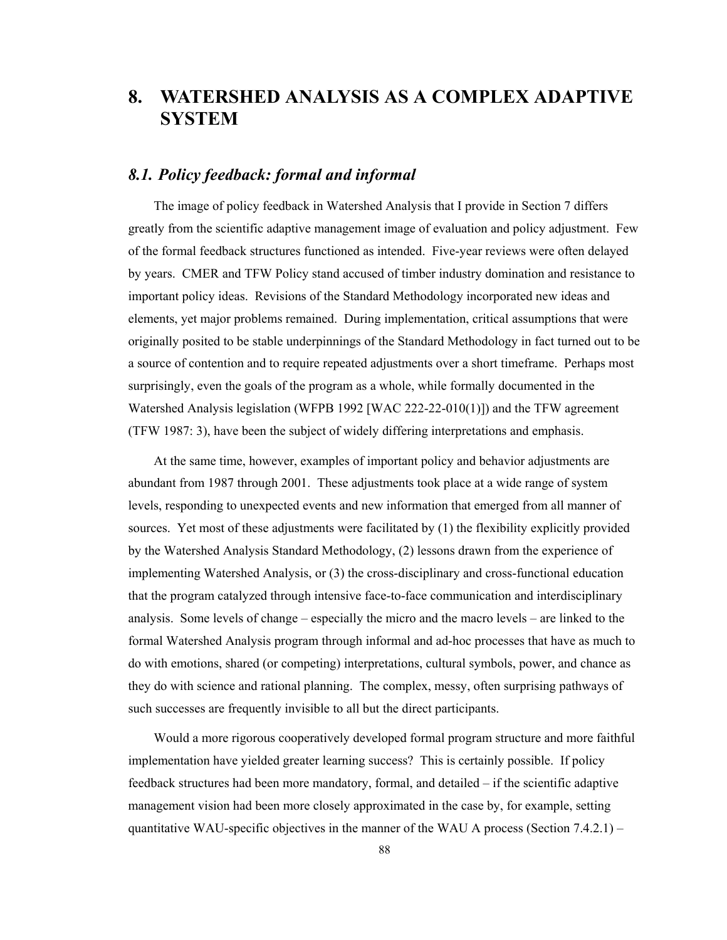# **8. WATERSHED ANALYSIS AS A COMPLEX ADAPTIVE SYSTEM**

# *8.1. Policy feedback: formal and informal*

The image of policy feedback in Watershed Analysis that I provide in Section 7 differs greatly from the scientific adaptive management image of evaluation and policy adjustment. Few of the formal feedback structures functioned as intended. Five-year reviews were often delayed by years. CMER and TFW Policy stand accused of timber industry domination and resistance to important policy ideas. Revisions of the Standard Methodology incorporated new ideas and elements, yet major problems remained. During implementation, critical assumptions that were originally posited to be stable underpinnings of the Standard Methodology in fact turned out to be a source of contention and to require repeated adjustments over a short timeframe. Perhaps most surprisingly, even the goals of the program as a whole, while formally documented in the Watershed Analysis legislation (WFPB 1992 [WAC 222-22-010(1)]) and the TFW agreement (TFW 1987: 3), have been the subject of widely differing interpretations and emphasis.

At the same time, however, examples of important policy and behavior adjustments are abundant from 1987 through 2001. These adjustments took place at a wide range of system levels, responding to unexpected events and new information that emerged from all manner of sources. Yet most of these adjustments were facilitated by (1) the flexibility explicitly provided by the Watershed Analysis Standard Methodology, (2) lessons drawn from the experience of implementing Watershed Analysis, or (3) the cross-disciplinary and cross-functional education that the program catalyzed through intensive face-to-face communication and interdisciplinary analysis. Some levels of change – especially the micro and the macro levels – are linked to the formal Watershed Analysis program through informal and ad-hoc processes that have as much to do with emotions, shared (or competing) interpretations, cultural symbols, power, and chance as they do with science and rational planning. The complex, messy, often surprising pathways of such successes are frequently invisible to all but the direct participants.

Would a more rigorous cooperatively developed formal program structure and more faithful implementation have yielded greater learning success? This is certainly possible. If policy feedback structures had been more mandatory, formal, and detailed – if the scientific adaptive management vision had been more closely approximated in the case by, for example, setting quantitative WAU-specific objectives in the manner of the WAU A process (Section  $7.4.2.1$ ) –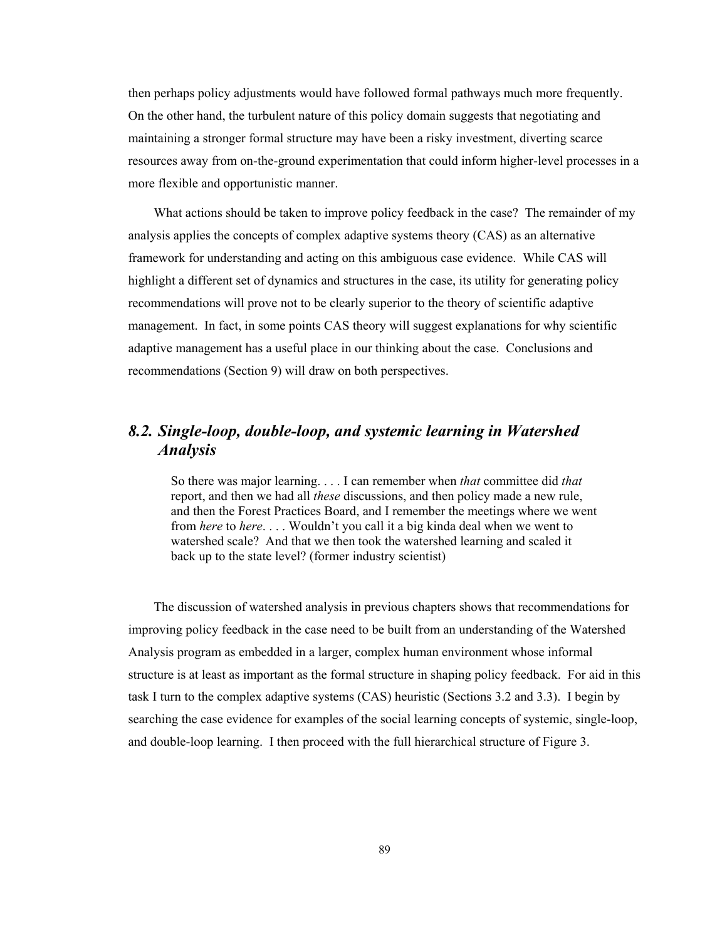then perhaps policy adjustments would have followed formal pathways much more frequently. On the other hand, the turbulent nature of this policy domain suggests that negotiating and maintaining a stronger formal structure may have been a risky investment, diverting scarce resources away from on-the-ground experimentation that could inform higher-level processes in a more flexible and opportunistic manner.

What actions should be taken to improve policy feedback in the case? The remainder of my analysis applies the concepts of complex adaptive systems theory (CAS) as an alternative framework for understanding and acting on this ambiguous case evidence. While CAS will highlight a different set of dynamics and structures in the case, its utility for generating policy recommendations will prove not to be clearly superior to the theory of scientific adaptive management. In fact, in some points CAS theory will suggest explanations for why scientific adaptive management has a useful place in our thinking about the case. Conclusions and recommendations (Section 9) will draw on both perspectives.

# *8.2. Single-loop, double-loop, and systemic learning in Watershed Analysis*

So there was major learning. . . . I can remember when *that* committee did *that* report, and then we had all *these* discussions, and then policy made a new rule, and then the Forest Practices Board, and I remember the meetings where we went from *here* to *here*. . . . Wouldn't you call it a big kinda deal when we went to watershed scale? And that we then took the watershed learning and scaled it back up to the state level? (former industry scientist)

The discussion of watershed analysis in previous chapters shows that recommendations for improving policy feedback in the case need to be built from an understanding of the Watershed Analysis program as embedded in a larger, complex human environment whose informal structure is at least as important as the formal structure in shaping policy feedback. For aid in this task I turn to the complex adaptive systems (CAS) heuristic (Sections 3.2 and 3.3). I begin by searching the case evidence for examples of the social learning concepts of systemic, single-loop, and double-loop learning. I then proceed with the full hierarchical structure of Figure 3.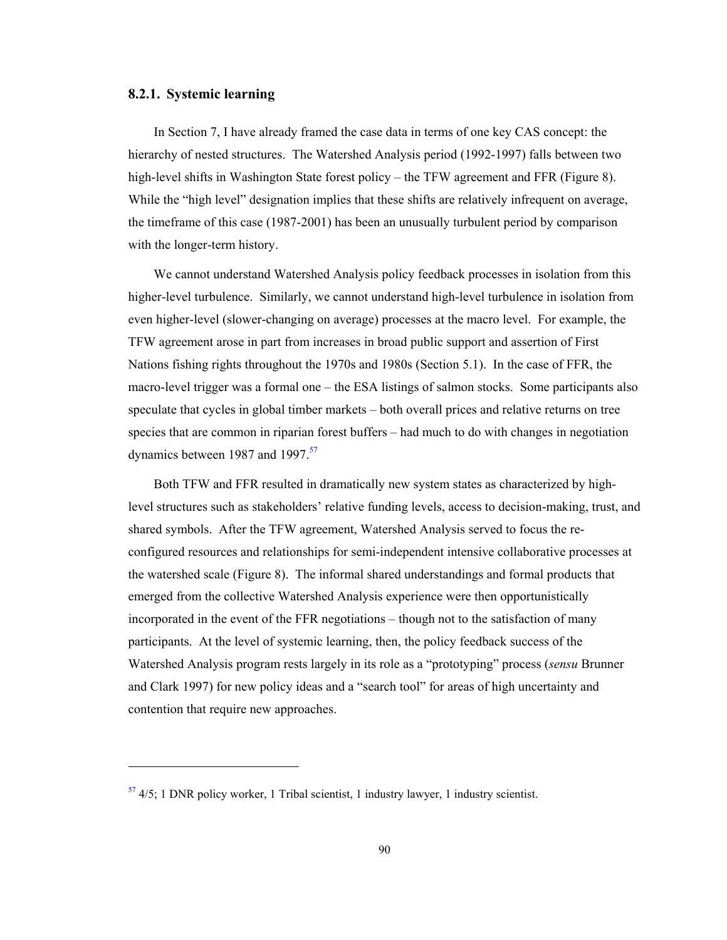### **8.2.1. Systemic learning**

1

In Section 7, I have already framed the case data in terms of one key CAS concept: the hierarchy of nested structures. The Watershed Analysis period (1992-1997) falls between two high-level shifts in Washington State forest policy – the TFW agreement and FFR (Figure 8). While the "high level" designation implies that these shifts are relatively infrequent on average, the timeframe of this case (1987-2001) has been an unusually turbulent period by comparison with the longer-term history.

We cannot understand Watershed Analysis policy feedback processes in isolation from this higher-level turbulence. Similarly, we cannot understand high-level turbulence in isolation from even higher-level (slower-changing on average) processes at the macro level. For example, the TFW agreement arose in part from increases in broad public support and assertion of First Nations fishing rights throughout the 1970s and 1980s (Section 5.1). In the case of FFR, the macro-level trigger was a formal one – the ESA listings of salmon stocks. Some participants also speculate that cycles in global timber markets – both overall prices and relative returns on tree species that are common in riparian forest buffers – had much to do with changes in negotiation dynamics between 1987 and 1997.<sup>57</sup>

Both TFW and FFR resulted in dramatically new system states as characterized by highlevel structures such as stakeholders' relative funding levels, access to decision-making, trust, and shared symbols. After the TFW agreement, Watershed Analysis served to focus the reconfigured resources and relationships for semi-independent intensive collaborative processes at the watershed scale (Figure 8). The informal shared understandings and formal products that emerged from the collective Watershed Analysis experience were then opportunistically incorporated in the event of the FFR negotiations – though not to the satisfaction of many participants. At the level of systemic learning, then, the policy feedback success of the Watershed Analysis program rests largely in its role as a "prototyping" process (*sensu* Brunner and Clark 1997) for new policy ideas and a "search tool" for areas of high uncertainty and contention that require new approaches.

 $\frac{57}{1}$  4/5; 1 DNR policy worker, 1 Tribal scientist, 1 industry lawyer, 1 industry scientist.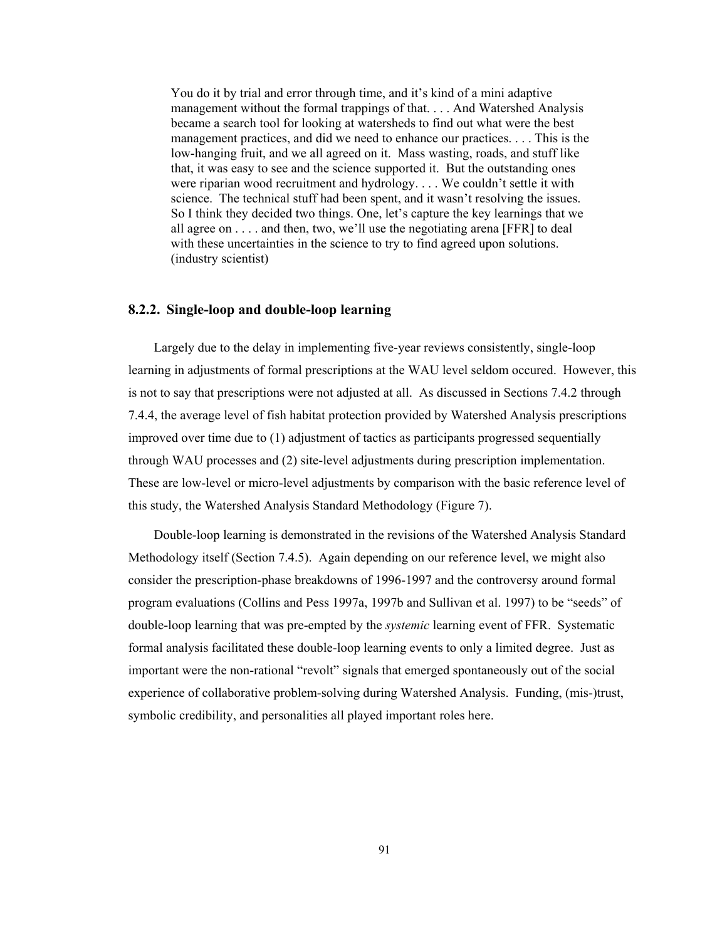You do it by trial and error through time, and it's kind of a mini adaptive management without the formal trappings of that. . . . And Watershed Analysis became a search tool for looking at watersheds to find out what were the best management practices, and did we need to enhance our practices. . . . This is the low-hanging fruit, and we all agreed on it. Mass wasting, roads, and stuff like that, it was easy to see and the science supported it. But the outstanding ones were riparian wood recruitment and hydrology. . . . We couldn't settle it with science. The technical stuff had been spent, and it wasn't resolving the issues. So I think they decided two things. One, let's capture the key learnings that we all agree on . . . . and then, two, we'll use the negotiating arena [FFR] to deal with these uncertainties in the science to try to find agreed upon solutions. (industry scientist)

### **8.2.2. Single-loop and double-loop learning**

Largely due to the delay in implementing five-year reviews consistently, single-loop learning in adjustments of formal prescriptions at the WAU level seldom occured. However, this is not to say that prescriptions were not adjusted at all. As discussed in Sections 7.4.2 through 7.4.4, the average level of fish habitat protection provided by Watershed Analysis prescriptions improved over time due to (1) adjustment of tactics as participants progressed sequentially through WAU processes and (2) site-level adjustments during prescription implementation. These are low-level or micro-level adjustments by comparison with the basic reference level of this study, the Watershed Analysis Standard Methodology (Figure 7).

Double-loop learning is demonstrated in the revisions of the Watershed Analysis Standard Methodology itself (Section 7.4.5). Again depending on our reference level, we might also consider the prescription-phase breakdowns of 1996-1997 and the controversy around formal program evaluations (Collins and Pess 1997a, 1997b and Sullivan et al. 1997) to be "seeds" of double-loop learning that was pre-empted by the *systemic* learning event of FFR. Systematic formal analysis facilitated these double-loop learning events to only a limited degree. Just as important were the non-rational "revolt" signals that emerged spontaneously out of the social experience of collaborative problem-solving during Watershed Analysis. Funding, (mis-)trust, symbolic credibility, and personalities all played important roles here.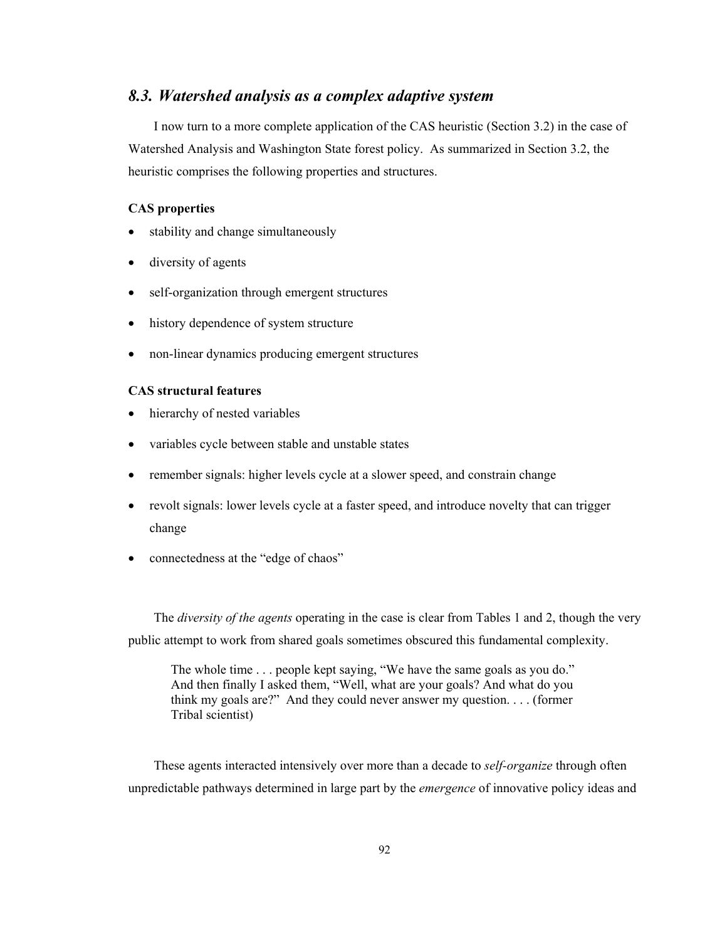# *8.3. Watershed analysis as a complex adaptive system*

I now turn to a more complete application of the CAS heuristic (Section 3.2) in the case of Watershed Analysis and Washington State forest policy. As summarized in Section 3.2, the heuristic comprises the following properties and structures.

## **CAS properties**

- stability and change simultaneously
- diversity of agents
- self-organization through emergent structures
- history dependence of system structure
- non-linear dynamics producing emergent structures

# **CAS structural features**

- hierarchy of nested variables
- variables cycle between stable and unstable states
- remember signals: higher levels cycle at a slower speed, and constrain change
- revolt signals: lower levels cycle at a faster speed, and introduce novelty that can trigger change
- connectedness at the "edge of chaos"

The *diversity of the agents* operating in the case is clear from Tables 1 and 2, though the very public attempt to work from shared goals sometimes obscured this fundamental complexity.

The whole time . . . people kept saying, "We have the same goals as you do." And then finally I asked them, "Well, what are your goals? And what do you think my goals are?" And they could never answer my question. . . . (former Tribal scientist)

These agents interacted intensively over more than a decade to *self-organize* through often unpredictable pathways determined in large part by the *emergence* of innovative policy ideas and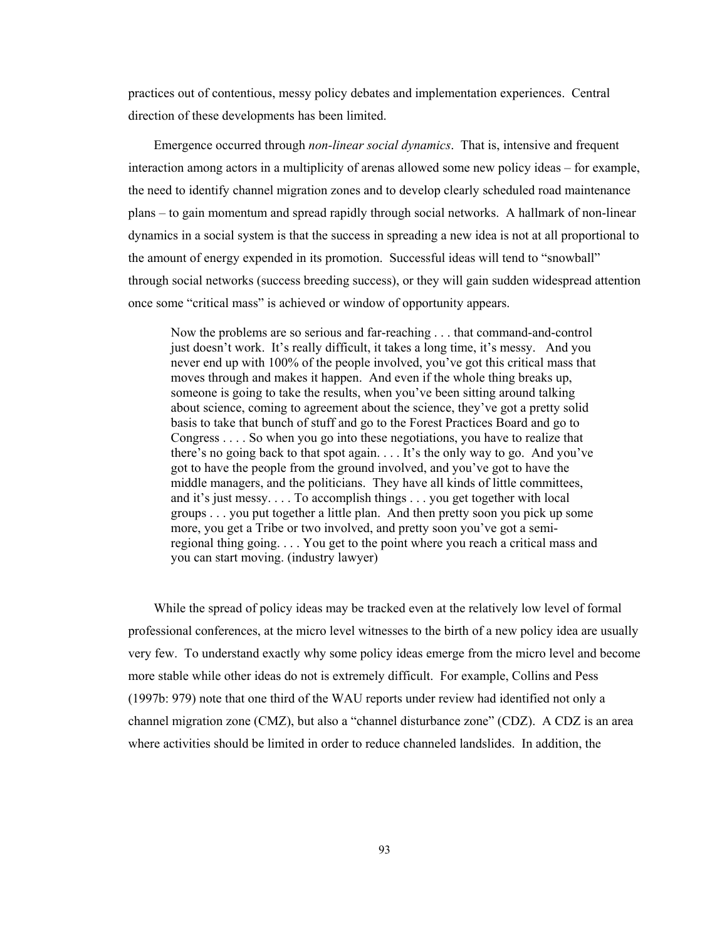practices out of contentious, messy policy debates and implementation experiences. Central direction of these developments has been limited.

Emergence occurred through *non-linear social dynamics*. That is, intensive and frequent interaction among actors in a multiplicity of arenas allowed some new policy ideas – for example, the need to identify channel migration zones and to develop clearly scheduled road maintenance plans – to gain momentum and spread rapidly through social networks. A hallmark of non-linear dynamics in a social system is that the success in spreading a new idea is not at all proportional to the amount of energy expended in its promotion. Successful ideas will tend to "snowball" through social networks (success breeding success), or they will gain sudden widespread attention once some "critical mass" is achieved or window of opportunity appears.

Now the problems are so serious and far-reaching . . . that command-and-control just doesn't work. It's really difficult, it takes a long time, it's messy. And you never end up with 100% of the people involved, you've got this critical mass that moves through and makes it happen. And even if the whole thing breaks up, someone is going to take the results, when you've been sitting around talking about science, coming to agreement about the science, they've got a pretty solid basis to take that bunch of stuff and go to the Forest Practices Board and go to Congress . . . . So when you go into these negotiations, you have to realize that there's no going back to that spot again. . . . It's the only way to go. And you've got to have the people from the ground involved, and you've got to have the middle managers, and the politicians. They have all kinds of little committees, and it's just messy. . . . To accomplish things . . . you get together with local groups . . . you put together a little plan. And then pretty soon you pick up some more, you get a Tribe or two involved, and pretty soon you've got a semiregional thing going. . . . You get to the point where you reach a critical mass and you can start moving. (industry lawyer)

While the spread of policy ideas may be tracked even at the relatively low level of formal professional conferences, at the micro level witnesses to the birth of a new policy idea are usually very few. To understand exactly why some policy ideas emerge from the micro level and become more stable while other ideas do not is extremely difficult. For example, Collins and Pess (1997b: 979) note that one third of the WAU reports under review had identified not only a channel migration zone (CMZ), but also a "channel disturbance zone" (CDZ). A CDZ is an area where activities should be limited in order to reduce channeled landslides. In addition, the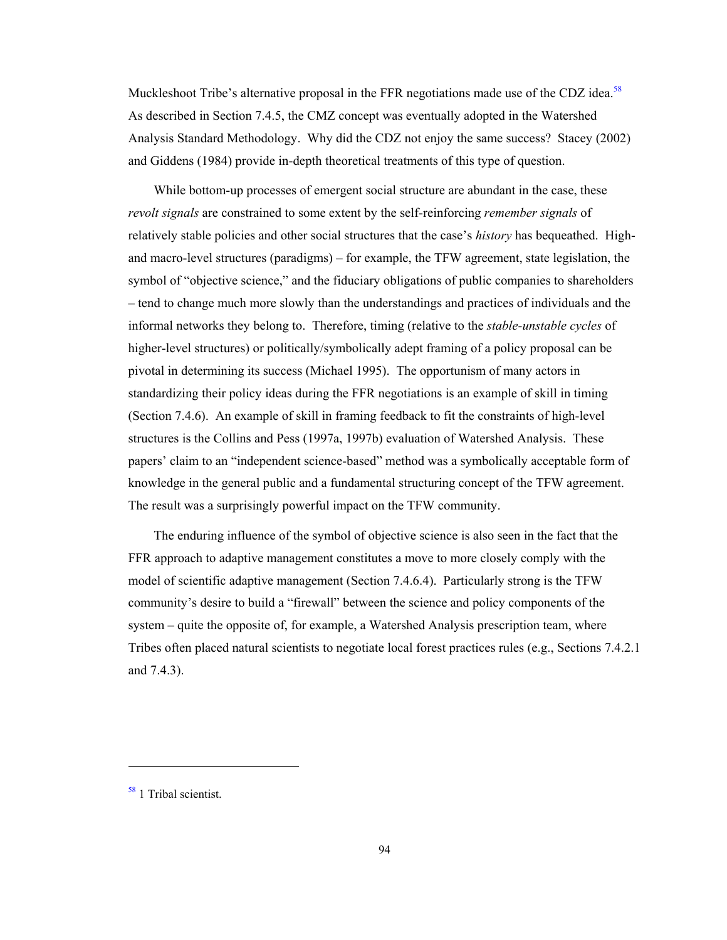Muckleshoot Tribe's alternative proposal in the FFR negotiations made use of the CDZ idea.<sup>58</sup> As described in Section 7.4.5, the CMZ concept was eventually adopted in the Watershed Analysis Standard Methodology. Why did the CDZ not enjoy the same success? Stacey (2002) and Giddens (1984) provide in-depth theoretical treatments of this type of question.

While bottom-up processes of emergent social structure are abundant in the case, these *revolt signals* are constrained to some extent by the self-reinforcing *remember signals* of relatively stable policies and other social structures that the case's *history* has bequeathed. Highand macro-level structures (paradigms) – for example, the TFW agreement, state legislation, the symbol of "objective science," and the fiduciary obligations of public companies to shareholders – tend to change much more slowly than the understandings and practices of individuals and the informal networks they belong to. Therefore, timing (relative to the *stable-unstable cycles* of higher-level structures) or politically/symbolically adept framing of a policy proposal can be pivotal in determining its success (Michael 1995). The opportunism of many actors in standardizing their policy ideas during the FFR negotiations is an example of skill in timing (Section 7.4.6). An example of skill in framing feedback to fit the constraints of high-level structures is the Collins and Pess (1997a, 1997b) evaluation of Watershed Analysis. These papers' claim to an "independent science-based" method was a symbolically acceptable form of knowledge in the general public and a fundamental structuring concept of the TFW agreement. The result was a surprisingly powerful impact on the TFW community.

The enduring influence of the symbol of objective science is also seen in the fact that the FFR approach to adaptive management constitutes a move to more closely comply with the model of scientific adaptive management (Section 7.4.6.4). Particularly strong is the TFW community's desire to build a "firewall" between the science and policy components of the system – quite the opposite of, for example, a Watershed Analysis prescription team, where Tribes often placed natural scientists to negotiate local forest practices rules (e.g., Sections 7.4.2.1 and 7.4.3).

1

<sup>58 1</sup> Tribal scientist.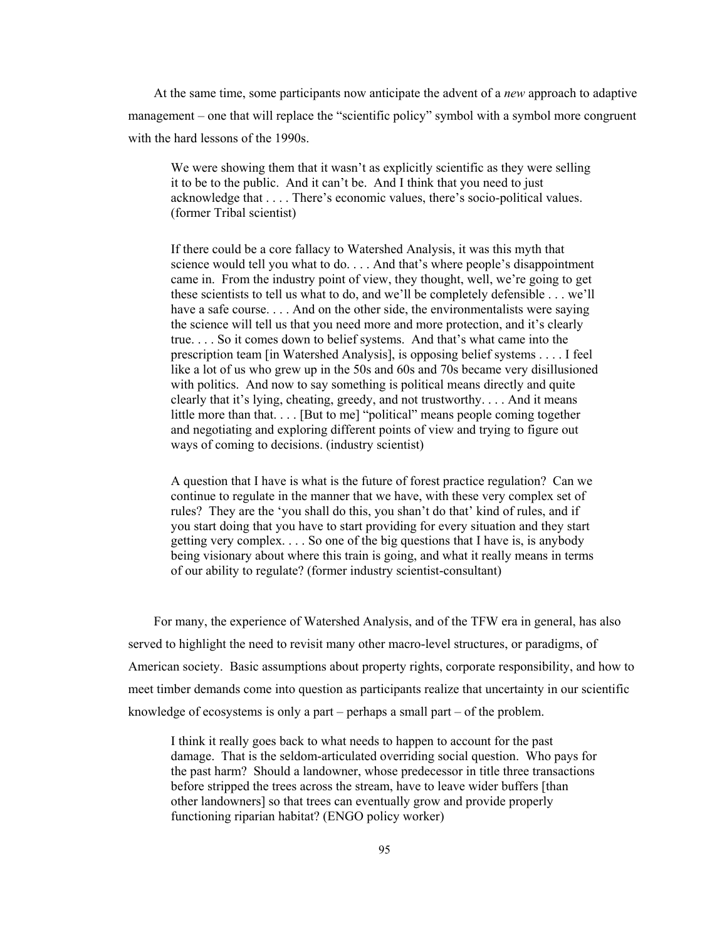At the same time, some participants now anticipate the advent of a *new* approach to adaptive management – one that will replace the "scientific policy" symbol with a symbol more congruent with the hard lessons of the 1990s.

We were showing them that it wasn't as explicitly scientific as they were selling it to be to the public. And it can't be. And I think that you need to just acknowledge that . . . . There's economic values, there's socio-political values. (former Tribal scientist)

If there could be a core fallacy to Watershed Analysis, it was this myth that science would tell you what to do. . . . And that's where people's disappointment came in. From the industry point of view, they thought, well, we're going to get these scientists to tell us what to do, and we'll be completely defensible . . . we'll have a safe course. . . . And on the other side, the environmentalists were saying the science will tell us that you need more and more protection, and it's clearly true. . . . So it comes down to belief systems. And that's what came into the prescription team [in Watershed Analysis], is opposing belief systems . . . . I feel like a lot of us who grew up in the 50s and 60s and 70s became very disillusioned with politics. And now to say something is political means directly and quite clearly that it's lying, cheating, greedy, and not trustworthy. . . . And it means little more than that. . . . [But to me] "political" means people coming together and negotiating and exploring different points of view and trying to figure out ways of coming to decisions. (industry scientist)

A question that I have is what is the future of forest practice regulation? Can we continue to regulate in the manner that we have, with these very complex set of rules? They are the 'you shall do this, you shan't do that' kind of rules, and if you start doing that you have to start providing for every situation and they start getting very complex. . . . So one of the big questions that I have is, is anybody being visionary about where this train is going, and what it really means in terms of our ability to regulate? (former industry scientist-consultant)

For many, the experience of Watershed Analysis, and of the TFW era in general, has also served to highlight the need to revisit many other macro-level structures, or paradigms, of American society. Basic assumptions about property rights, corporate responsibility, and how to meet timber demands come into question as participants realize that uncertainty in our scientific knowledge of ecosystems is only a part – perhaps a small part – of the problem.

I think it really goes back to what needs to happen to account for the past damage. That is the seldom-articulated overriding social question. Who pays for the past harm? Should a landowner, whose predecessor in title three transactions before stripped the trees across the stream, have to leave wider buffers [than other landowners] so that trees can eventually grow and provide properly functioning riparian habitat? (ENGO policy worker)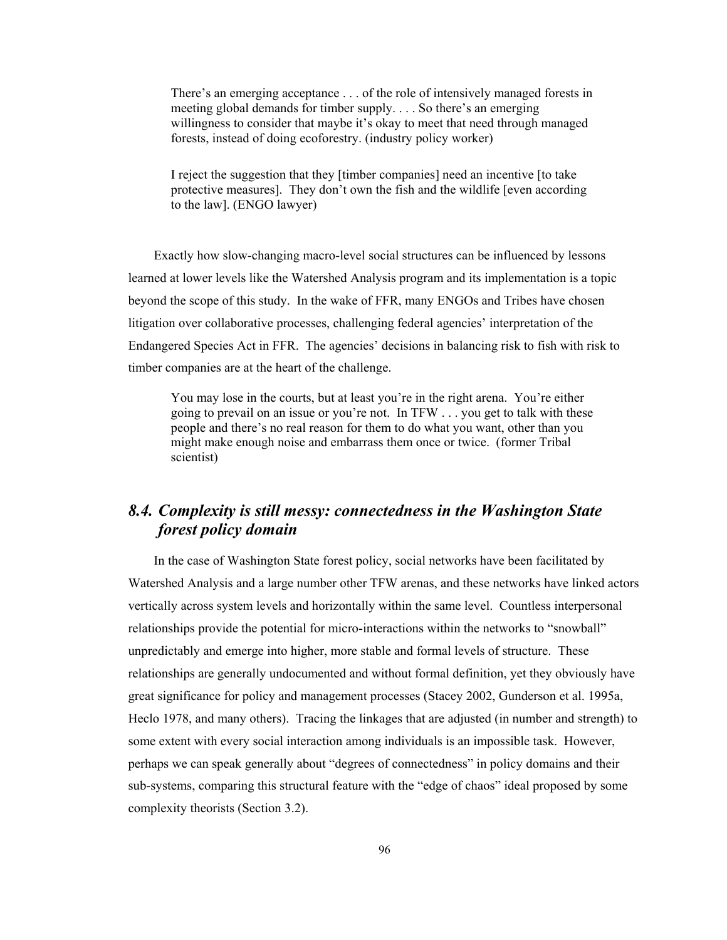There's an emerging acceptance . . . of the role of intensively managed forests in meeting global demands for timber supply. . . . So there's an emerging willingness to consider that maybe it's okay to meet that need through managed forests, instead of doing ecoforestry. (industry policy worker)

I reject the suggestion that they [timber companies] need an incentive [to take protective measures]. They don't own the fish and the wildlife [even according to the law]. (ENGO lawyer)

Exactly how slow-changing macro-level social structures can be influenced by lessons learned at lower levels like the Watershed Analysis program and its implementation is a topic beyond the scope of this study. In the wake of FFR, many ENGOs and Tribes have chosen litigation over collaborative processes, challenging federal agencies' interpretation of the Endangered Species Act in FFR. The agencies' decisions in balancing risk to fish with risk to timber companies are at the heart of the challenge.

You may lose in the courts, but at least you're in the right arena. You're either going to prevail on an issue or you're not. In TFW . . . you get to talk with these people and there's no real reason for them to do what you want, other than you might make enough noise and embarrass them once or twice. (former Tribal scientist)

# *8.4. Complexity is still messy: connectedness in the Washington State forest policy domain*

In the case of Washington State forest policy, social networks have been facilitated by Watershed Analysis and a large number other TFW arenas, and these networks have linked actors vertically across system levels and horizontally within the same level. Countless interpersonal relationships provide the potential for micro-interactions within the networks to "snowball" unpredictably and emerge into higher, more stable and formal levels of structure. These relationships are generally undocumented and without formal definition, yet they obviously have great significance for policy and management processes (Stacey 2002, Gunderson et al. 1995a, Heclo 1978, and many others). Tracing the linkages that are adjusted (in number and strength) to some extent with every social interaction among individuals is an impossible task. However, perhaps we can speak generally about "degrees of connectedness" in policy domains and their sub-systems, comparing this structural feature with the "edge of chaos" ideal proposed by some complexity theorists (Section 3.2).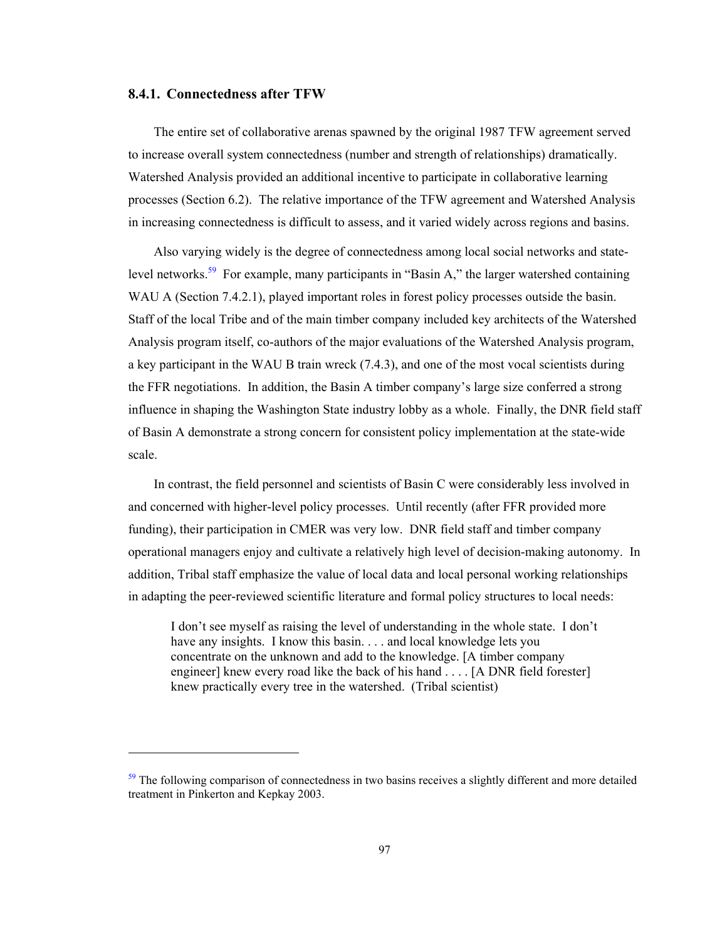### **8.4.1. Connectedness after TFW**

 $\overline{a}$ 

The entire set of collaborative arenas spawned by the original 1987 TFW agreement served to increase overall system connectedness (number and strength of relationships) dramatically. Watershed Analysis provided an additional incentive to participate in collaborative learning processes (Section 6.2). The relative importance of the TFW agreement and Watershed Analysis in increasing connectedness is difficult to assess, and it varied widely across regions and basins.

Also varying widely is the degree of connectedness among local social networks and statelevel networks.<sup>59</sup> For example, many participants in "Basin A," the larger watershed containing WAU A (Section 7.4.2.1), played important roles in forest policy processes outside the basin. Staff of the local Tribe and of the main timber company included key architects of the Watershed Analysis program itself, co-authors of the major evaluations of the Watershed Analysis program, a key participant in the WAU B train wreck (7.4.3), and one of the most vocal scientists during the FFR negotiations. In addition, the Basin A timber company's large size conferred a strong influence in shaping the Washington State industry lobby as a whole. Finally, the DNR field staff of Basin A demonstrate a strong concern for consistent policy implementation at the state-wide scale.

In contrast, the field personnel and scientists of Basin C were considerably less involved in and concerned with higher-level policy processes. Until recently (after FFR provided more funding), their participation in CMER was very low. DNR field staff and timber company operational managers enjoy and cultivate a relatively high level of decision-making autonomy. In addition, Tribal staff emphasize the value of local data and local personal working relationships in adapting the peer-reviewed scientific literature and formal policy structures to local needs:

I don't see myself as raising the level of understanding in the whole state. I don't have any insights. I know this basin. . . . and local knowledge lets you concentrate on the unknown and add to the knowledge. [A timber company engineer] knew every road like the back of his hand . . . . [A DNR field forester] knew practically every tree in the watershed. (Tribal scientist)

 $59$  The following comparison of connectedness in two basins receives a slightly different and more detailed treatment in Pinkerton and Kepkay 2003.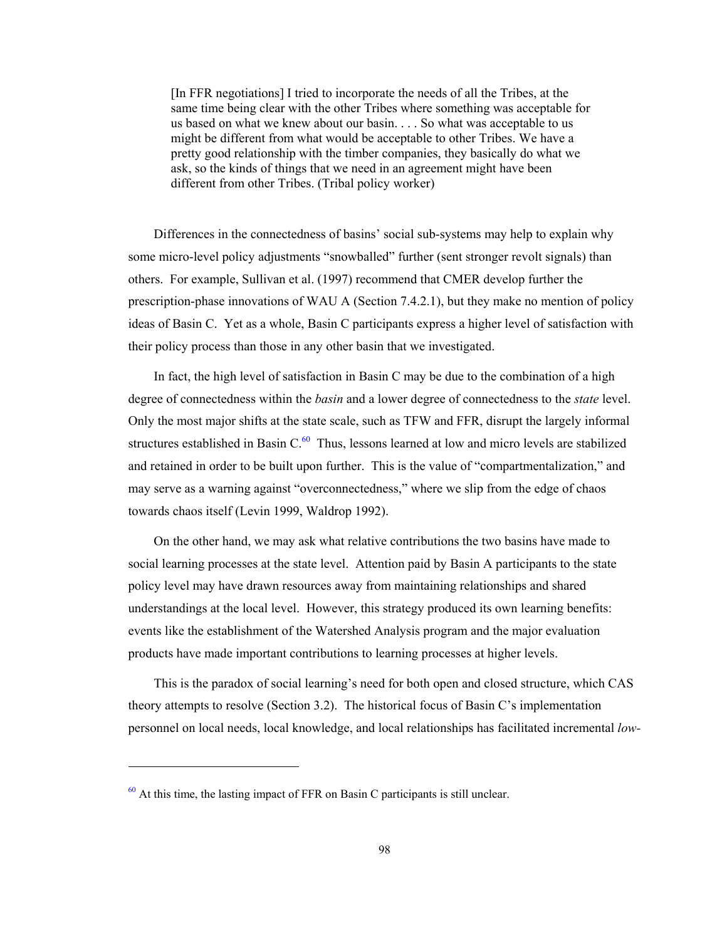[In FFR negotiations] I tried to incorporate the needs of all the Tribes, at the same time being clear with the other Tribes where something was acceptable for us based on what we knew about our basin. . . . So what was acceptable to us might be different from what would be acceptable to other Tribes. We have a pretty good relationship with the timber companies, they basically do what we ask, so the kinds of things that we need in an agreement might have been different from other Tribes. (Tribal policy worker)

Differences in the connectedness of basins' social sub-systems may help to explain why some micro-level policy adjustments "snowballed" further (sent stronger revolt signals) than others. For example, Sullivan et al. (1997) recommend that CMER develop further the prescription-phase innovations of WAU A (Section 7.4.2.1), but they make no mention of policy ideas of Basin C. Yet as a whole, Basin C participants express a higher level of satisfaction with their policy process than those in any other basin that we investigated.

In fact, the high level of satisfaction in Basin C may be due to the combination of a high degree of connectedness within the *basin* and a lower degree of connectedness to the *state* level. Only the most major shifts at the state scale, such as TFW and FFR, disrupt the largely informal structures established in Basin  $C<sup>60</sup>$  Thus, lessons learned at low and micro levels are stabilized and retained in order to be built upon further. This is the value of "compartmentalization," and may serve as a warning against "overconnectedness," where we slip from the edge of chaos towards chaos itself (Levin 1999, Waldrop 1992).

On the other hand, we may ask what relative contributions the two basins have made to social learning processes at the state level. Attention paid by Basin A participants to the state policy level may have drawn resources away from maintaining relationships and shared understandings at the local level. However, this strategy produced its own learning benefits: events like the establishment of the Watershed Analysis program and the major evaluation products have made important contributions to learning processes at higher levels.

This is the paradox of social learning's need for both open and closed structure, which CAS theory attempts to resolve (Section 3.2). The historical focus of Basin C's implementation personnel on local needs, local knowledge, and local relationships has facilitated incremental *low-*

 $60$  At this time, the lasting impact of FFR on Basin C participants is still unclear.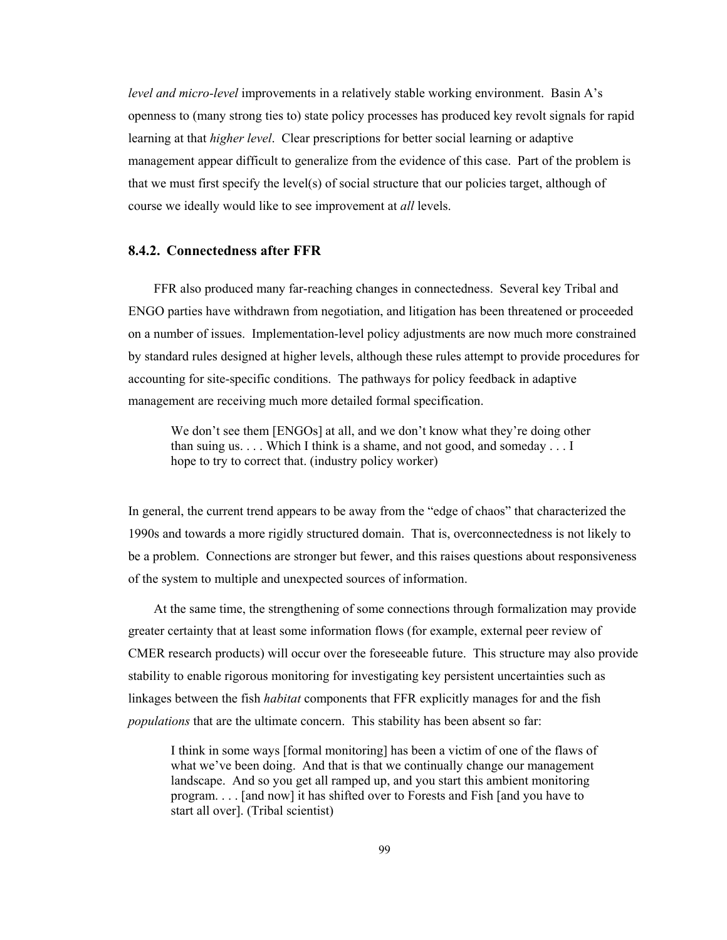*level and micro-level* improvements in a relatively stable working environment. Basin A's openness to (many strong ties to) state policy processes has produced key revolt signals for rapid learning at that *higher level*. Clear prescriptions for better social learning or adaptive management appear difficult to generalize from the evidence of this case. Part of the problem is that we must first specify the level(s) of social structure that our policies target, although of course we ideally would like to see improvement at *all* levels.

# **8.4.2. Connectedness after FFR**

FFR also produced many far-reaching changes in connectedness. Several key Tribal and ENGO parties have withdrawn from negotiation, and litigation has been threatened or proceeded on a number of issues. Implementation-level policy adjustments are now much more constrained by standard rules designed at higher levels, although these rules attempt to provide procedures for accounting for site-specific conditions. The pathways for policy feedback in adaptive management are receiving much more detailed formal specification.

We don't see them [ENGOs] at all, and we don't know what they're doing other than suing us. . . . Which I think is a shame, and not good, and someday . . . I hope to try to correct that. (industry policy worker)

In general, the current trend appears to be away from the "edge of chaos" that characterized the 1990s and towards a more rigidly structured domain. That is, overconnectedness is not likely to be a problem. Connections are stronger but fewer, and this raises questions about responsiveness of the system to multiple and unexpected sources of information.

At the same time, the strengthening of some connections through formalization may provide greater certainty that at least some information flows (for example, external peer review of CMER research products) will occur over the foreseeable future. This structure may also provide stability to enable rigorous monitoring for investigating key persistent uncertainties such as linkages between the fish *habitat* components that FFR explicitly manages for and the fish *populations* that are the ultimate concern. This stability has been absent so far:

I think in some ways [formal monitoring] has been a victim of one of the flaws of what we've been doing. And that is that we continually change our management landscape. And so you get all ramped up, and you start this ambient monitoring program. . . . [and now] it has shifted over to Forests and Fish [and you have to start all over]. (Tribal scientist)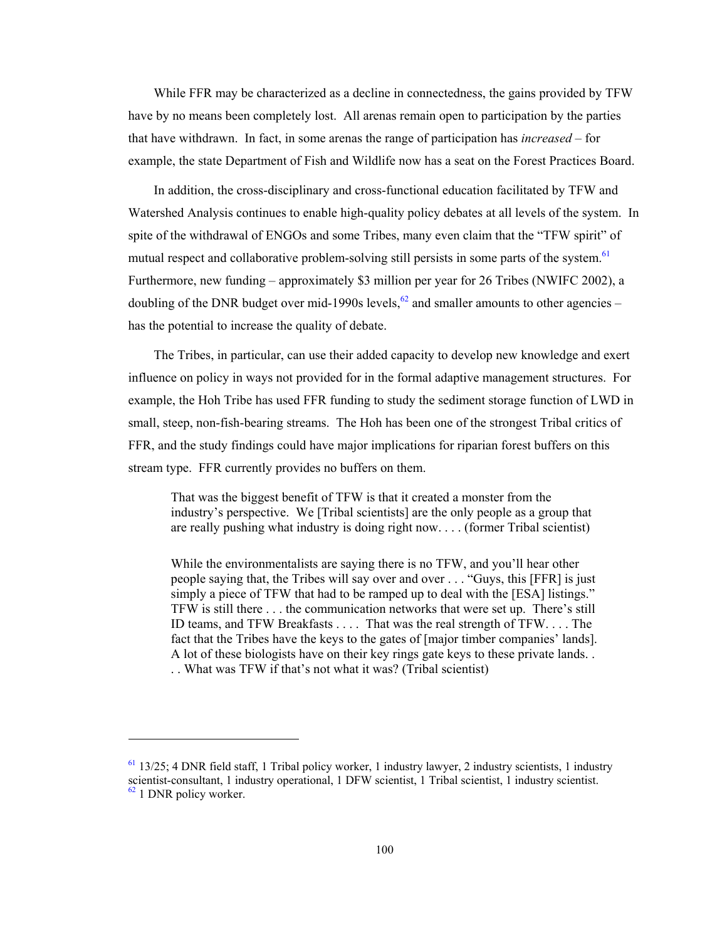While FFR may be characterized as a decline in connectedness, the gains provided by TFW have by no means been completely lost. All arenas remain open to participation by the parties that have withdrawn. In fact, in some arenas the range of participation has *increased* – for example, the state Department of Fish and Wildlife now has a seat on the Forest Practices Board.

In addition, the cross-disciplinary and cross-functional education facilitated by TFW and Watershed Analysis continues to enable high-quality policy debates at all levels of the system. In spite of the withdrawal of ENGOs and some Tribes, many even claim that the "TFW spirit" of mutual respect and collaborative problem-solving still persists in some parts of the system.<sup>61</sup> Furthermore, new funding – approximately \$3 million per year for 26 Tribes (NWIFC 2002), a doubling of the DNR budget over mid-1990s levels,  $62$  and smaller amounts to other agencies – has the potential to increase the quality of debate.

The Tribes, in particular, can use their added capacity to develop new knowledge and exert influence on policy in ways not provided for in the formal adaptive management structures. For example, the Hoh Tribe has used FFR funding to study the sediment storage function of LWD in small, steep, non-fish-bearing streams. The Hoh has been one of the strongest Tribal critics of FFR, and the study findings could have major implications for riparian forest buffers on this stream type. FFR currently provides no buffers on them.

That was the biggest benefit of TFW is that it created a monster from the industry's perspective. We [Tribal scientists] are the only people as a group that are really pushing what industry is doing right now. . . . (former Tribal scientist)

While the environmentalists are saying there is no TFW, and you'll hear other people saying that, the Tribes will say over and over . . . "Guys, this [FFR] is just simply a piece of TFW that had to be ramped up to deal with the [ESA] listings." TFW is still there . . . the communication networks that were set up. There's still ID teams, and TFW Breakfasts . . . . That was the real strength of TFW. . . . The fact that the Tribes have the keys to the gates of [major timber companies' lands]. A lot of these biologists have on their key rings gate keys to these private lands. . . . What was TFW if that's not what it was? (Tribal scientist)

1

 $61$  13/25; 4 DNR field staff, 1 Tribal policy worker, 1 industry lawyer, 2 industry scientists, 1 industry scientist-consultant, 1 industry operational, 1 DFW scientist, 1 Tribal scientist, 1 industry scientist.  $62$  1 DNR policy worker.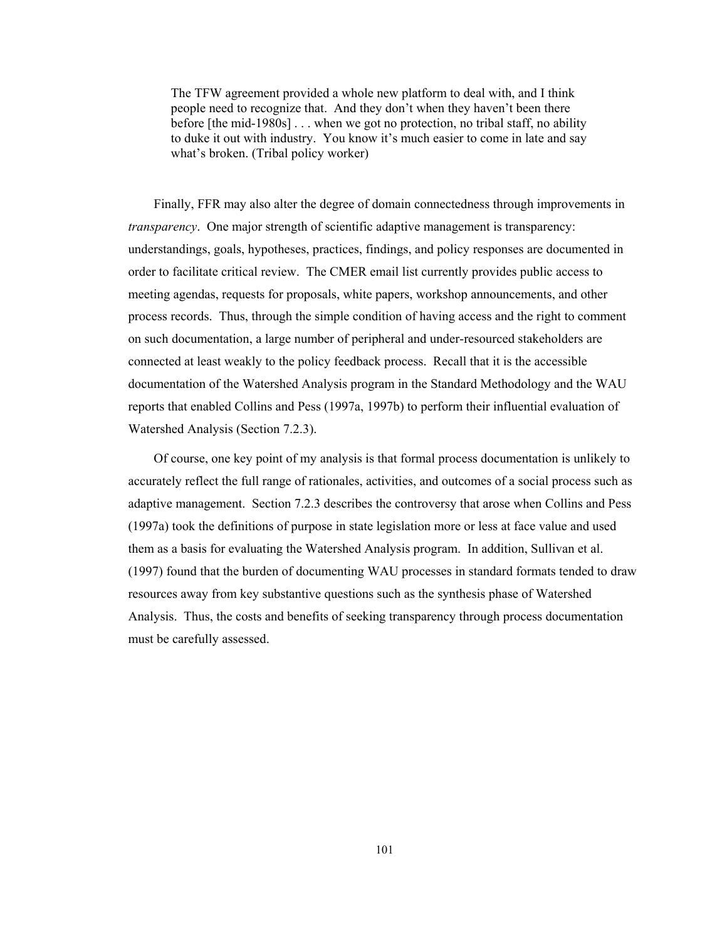The TFW agreement provided a whole new platform to deal with, and I think people need to recognize that. And they don't when they haven't been there before [the mid-1980s] . . . when we got no protection, no tribal staff, no ability to duke it out with industry. You know it's much easier to come in late and say what's broken. (Tribal policy worker)

Finally, FFR may also alter the degree of domain connectedness through improvements in *transparency*. One major strength of scientific adaptive management is transparency: understandings, goals, hypotheses, practices, findings, and policy responses are documented in order to facilitate critical review. The CMER email list currently provides public access to meeting agendas, requests for proposals, white papers, workshop announcements, and other process records. Thus, through the simple condition of having access and the right to comment on such documentation, a large number of peripheral and under-resourced stakeholders are connected at least weakly to the policy feedback process. Recall that it is the accessible documentation of the Watershed Analysis program in the Standard Methodology and the WAU reports that enabled Collins and Pess (1997a, 1997b) to perform their influential evaluation of Watershed Analysis (Section 7.2.3).

Of course, one key point of my analysis is that formal process documentation is unlikely to accurately reflect the full range of rationales, activities, and outcomes of a social process such as adaptive management. Section 7.2.3 describes the controversy that arose when Collins and Pess (1997a) took the definitions of purpose in state legislation more or less at face value and used them as a basis for evaluating the Watershed Analysis program. In addition, Sullivan et al. (1997) found that the burden of documenting WAU processes in standard formats tended to draw resources away from key substantive questions such as the synthesis phase of Watershed Analysis. Thus, the costs and benefits of seeking transparency through process documentation must be carefully assessed.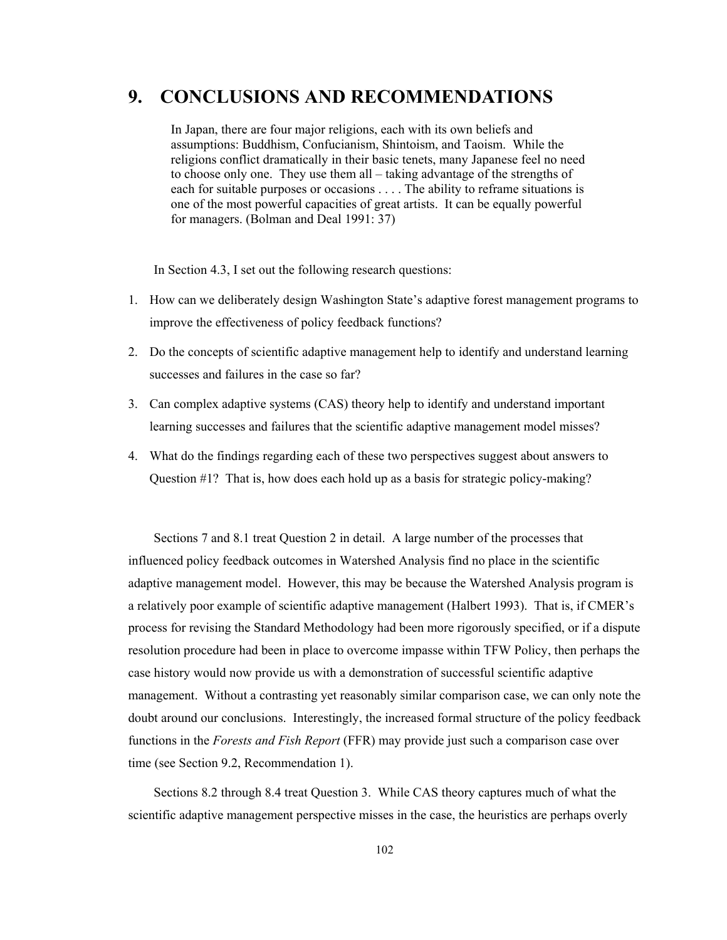# **9. CONCLUSIONS AND RECOMMENDATIONS**

In Japan, there are four major religions, each with its own beliefs and assumptions: Buddhism, Confucianism, Shintoism, and Taoism. While the religions conflict dramatically in their basic tenets, many Japanese feel no need to choose only one. They use them all – taking advantage of the strengths of each for suitable purposes or occasions . . . . The ability to reframe situations is one of the most powerful capacities of great artists. It can be equally powerful for managers. (Bolman and Deal 1991: 37)

In Section 4.3, I set out the following research questions:

- 1. How can we deliberately design Washington State's adaptive forest management programs to improve the effectiveness of policy feedback functions?
- 2. Do the concepts of scientific adaptive management help to identify and understand learning successes and failures in the case so far?
- 3. Can complex adaptive systems (CAS) theory help to identify and understand important learning successes and failures that the scientific adaptive management model misses?
- 4. What do the findings regarding each of these two perspectives suggest about answers to Question #1? That is, how does each hold up as a basis for strategic policy-making?

Sections 7 and 8.1 treat Question 2 in detail. A large number of the processes that influenced policy feedback outcomes in Watershed Analysis find no place in the scientific adaptive management model. However, this may be because the Watershed Analysis program is a relatively poor example of scientific adaptive management (Halbert 1993). That is, if CMER's process for revising the Standard Methodology had been more rigorously specified, or if a dispute resolution procedure had been in place to overcome impasse within TFW Policy, then perhaps the case history would now provide us with a demonstration of successful scientific adaptive management. Without a contrasting yet reasonably similar comparison case, we can only note the doubt around our conclusions. Interestingly, the increased formal structure of the policy feedback functions in the *Forests and Fish Report* (FFR) may provide just such a comparison case over time (see Section 9.2, Recommendation 1).

Sections 8.2 through 8.4 treat Question 3. While CAS theory captures much of what the scientific adaptive management perspective misses in the case, the heuristics are perhaps overly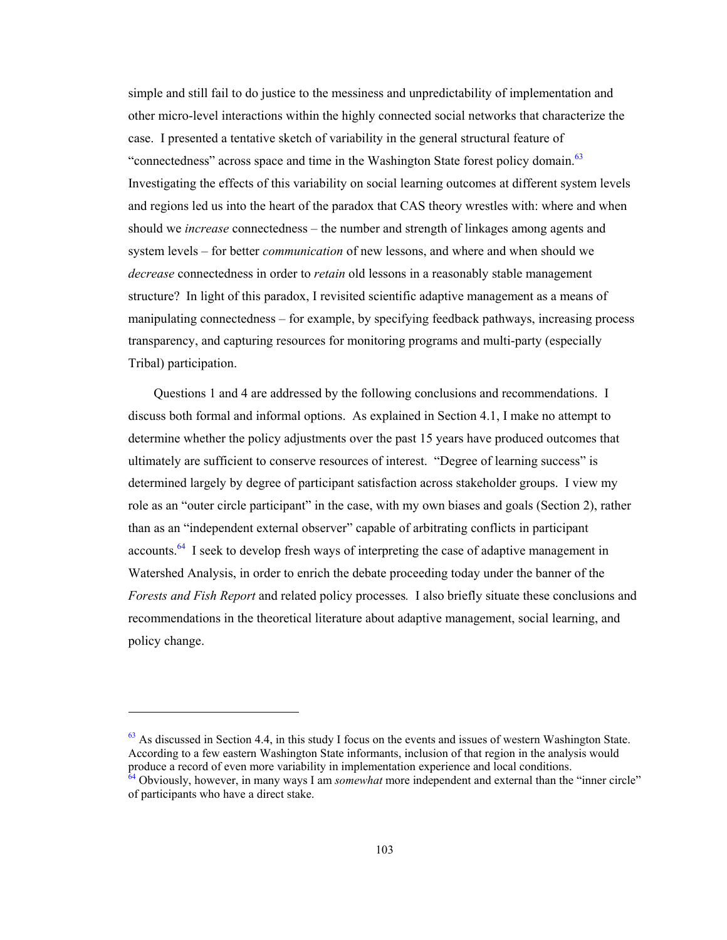simple and still fail to do justice to the messiness and unpredictability of implementation and other micro-level interactions within the highly connected social networks that characterize the case. I presented a tentative sketch of variability in the general structural feature of "connectedness" across space and time in the Washington State forest policy domain.<sup>63</sup> Investigating the effects of this variability on social learning outcomes at different system levels and regions led us into the heart of the paradox that CAS theory wrestles with: where and when should we *increase* connectedness – the number and strength of linkages among agents and system levels – for better *communication* of new lessons, and where and when should we *decrease* connectedness in order to *retain* old lessons in a reasonably stable management structure? In light of this paradox, I revisited scientific adaptive management as a means of manipulating connectedness – for example, by specifying feedback pathways, increasing process transparency, and capturing resources for monitoring programs and multi-party (especially Tribal) participation.

Questions 1 and 4 are addressed by the following conclusions and recommendations. I discuss both formal and informal options. As explained in Section 4.1, I make no attempt to determine whether the policy adjustments over the past 15 years have produced outcomes that ultimately are sufficient to conserve resources of interest. "Degree of learning success" is determined largely by degree of participant satisfaction across stakeholder groups. I view my role as an "outer circle participant" in the case, with my own biases and goals (Section 2), rather than as an "independent external observer" capable of arbitrating conflicts in participant accounts.64 I seek to develop fresh ways of interpreting the case of adaptive management in Watershed Analysis, in order to enrich the debate proceeding today under the banner of the *Forests and Fish Report* and related policy processes*.* I also briefly situate these conclusions and recommendations in the theoretical literature about adaptive management, social learning, and policy change.

 $\overline{a}$ 

 $63$  As discussed in Section 4.4, in this study I focus on the events and issues of western Washington State. According to a few eastern Washington State informants, inclusion of that region in the analysis would produce a record of even more variability in implementation experience and local conditions. <sup>64</sup> Obviously, however, in many ways I am *somewhat* more independent and external than the "inner circle"

of participants who have a direct stake.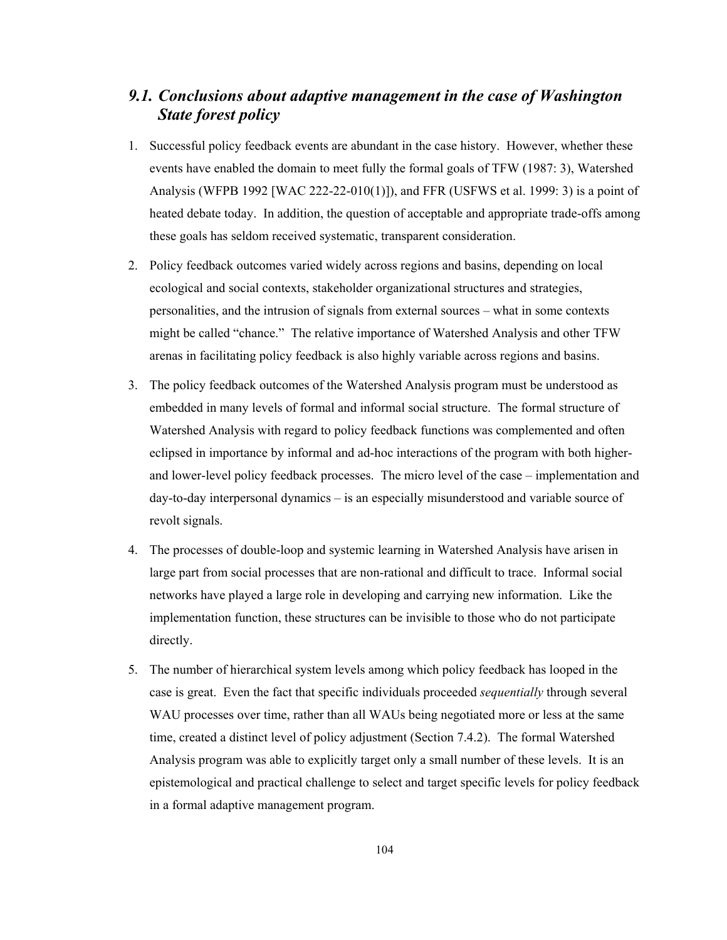# *9.1. Conclusions about adaptive management in the case of Washington State forest policy*

- 1. Successful policy feedback events are abundant in the case history. However, whether these events have enabled the domain to meet fully the formal goals of TFW (1987: 3), Watershed Analysis (WFPB 1992 [WAC 222-22-010(1)]), and FFR (USFWS et al. 1999: 3) is a point of heated debate today. In addition, the question of acceptable and appropriate trade-offs among these goals has seldom received systematic, transparent consideration.
- 2. Policy feedback outcomes varied widely across regions and basins, depending on local ecological and social contexts, stakeholder organizational structures and strategies, personalities, and the intrusion of signals from external sources – what in some contexts might be called "chance." The relative importance of Watershed Analysis and other TFW arenas in facilitating policy feedback is also highly variable across regions and basins.
- 3. The policy feedback outcomes of the Watershed Analysis program must be understood as embedded in many levels of formal and informal social structure. The formal structure of Watershed Analysis with regard to policy feedback functions was complemented and often eclipsed in importance by informal and ad-hoc interactions of the program with both higherand lower-level policy feedback processes. The micro level of the case – implementation and day-to-day interpersonal dynamics – is an especially misunderstood and variable source of revolt signals.
- 4. The processes of double-loop and systemic learning in Watershed Analysis have arisen in large part from social processes that are non-rational and difficult to trace. Informal social networks have played a large role in developing and carrying new information. Like the implementation function, these structures can be invisible to those who do not participate directly.
- 5. The number of hierarchical system levels among which policy feedback has looped in the case is great. Even the fact that specific individuals proceeded *sequentially* through several WAU processes over time, rather than all WAUs being negotiated more or less at the same time, created a distinct level of policy adjustment (Section 7.4.2). The formal Watershed Analysis program was able to explicitly target only a small number of these levels. It is an epistemological and practical challenge to select and target specific levels for policy feedback in a formal adaptive management program.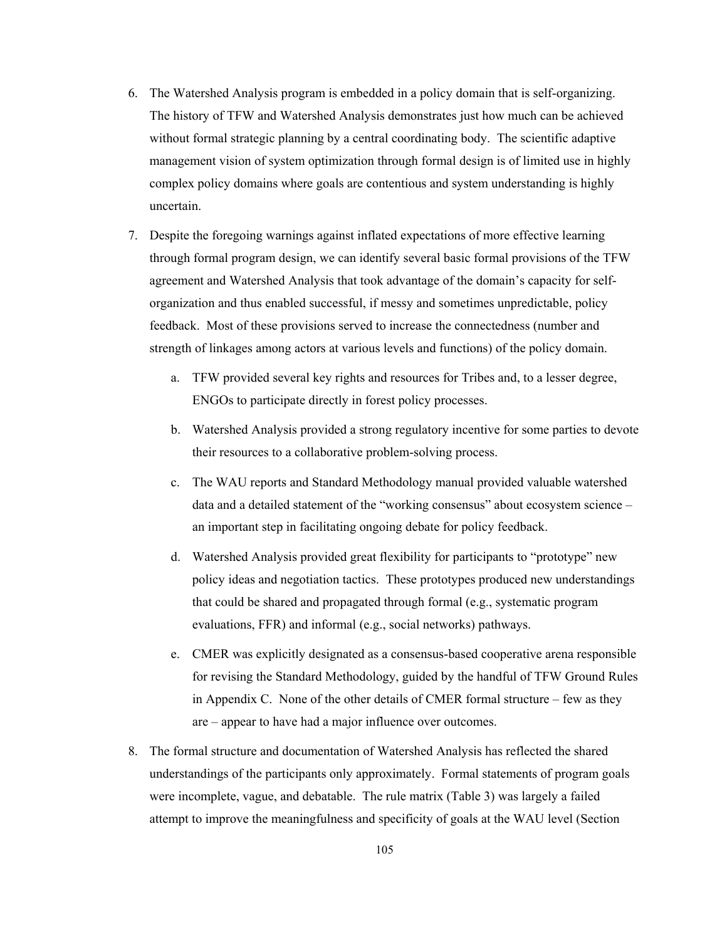- 6. The Watershed Analysis program is embedded in a policy domain that is self-organizing. The history of TFW and Watershed Analysis demonstrates just how much can be achieved without formal strategic planning by a central coordinating body. The scientific adaptive management vision of system optimization through formal design is of limited use in highly complex policy domains where goals are contentious and system understanding is highly uncertain.
- 7. Despite the foregoing warnings against inflated expectations of more effective learning through formal program design, we can identify several basic formal provisions of the TFW agreement and Watershed Analysis that took advantage of the domain's capacity for selforganization and thus enabled successful, if messy and sometimes unpredictable, policy feedback. Most of these provisions served to increase the connectedness (number and strength of linkages among actors at various levels and functions) of the policy domain.
	- a. TFW provided several key rights and resources for Tribes and, to a lesser degree, ENGOs to participate directly in forest policy processes.
	- b. Watershed Analysis provided a strong regulatory incentive for some parties to devote their resources to a collaborative problem-solving process.
	- c. The WAU reports and Standard Methodology manual provided valuable watershed data and a detailed statement of the "working consensus" about ecosystem science – an important step in facilitating ongoing debate for policy feedback.
	- d. Watershed Analysis provided great flexibility for participants to "prototype" new policy ideas and negotiation tactics. These prototypes produced new understandings that could be shared and propagated through formal (e.g., systematic program evaluations, FFR) and informal (e.g., social networks) pathways.
	- e. CMER was explicitly designated as a consensus-based cooperative arena responsible for revising the Standard Methodology, guided by the handful of TFW Ground Rules in Appendix C. None of the other details of CMER formal structure – few as they are – appear to have had a major influence over outcomes.
- 8. The formal structure and documentation of Watershed Analysis has reflected the shared understandings of the participants only approximately. Formal statements of program goals were incomplete, vague, and debatable. The rule matrix (Table 3) was largely a failed attempt to improve the meaningfulness and specificity of goals at the WAU level (Section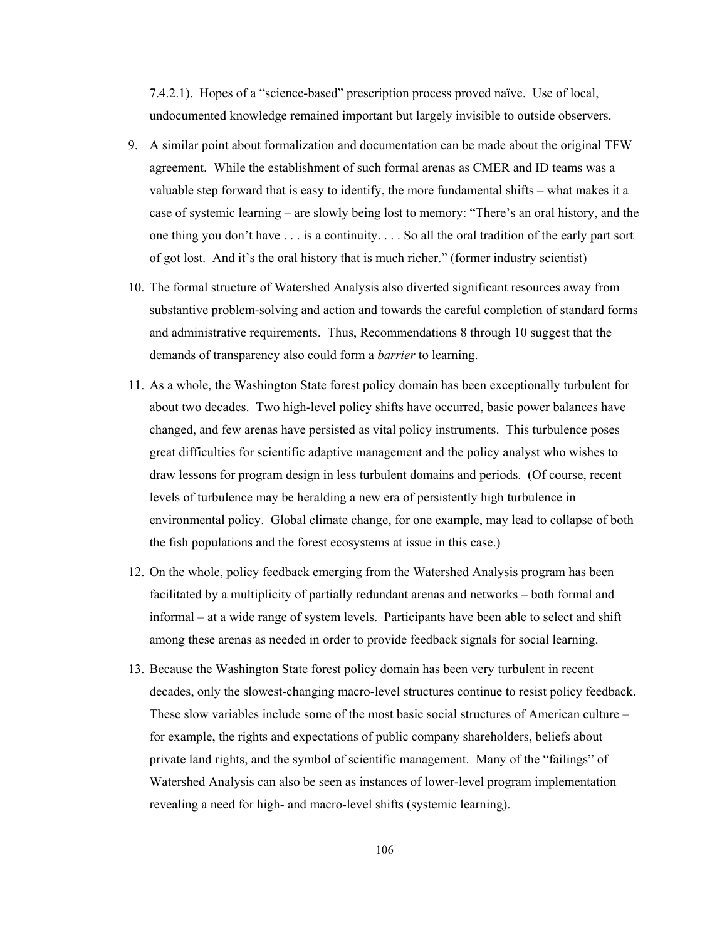7.4.2.1). Hopes of a "science-based" prescription process proved naïve. Use of local, undocumented knowledge remained important but largely invisible to outside observers.

- 9. A similar point about formalization and documentation can be made about the original TFW agreement. While the establishment of such formal arenas as CMER and ID teams was a valuable step forward that is easy to identify, the more fundamental shifts – what makes it a case of systemic learning – are slowly being lost to memory: "There's an oral history, and the one thing you don't have . . . is a continuity. . . . So all the oral tradition of the early part sort of got lost. And it's the oral history that is much richer." (former industry scientist)
- 10. The formal structure of Watershed Analysis also diverted significant resources away from substantive problem-solving and action and towards the careful completion of standard forms and administrative requirements. Thus, Recommendations 8 through 10 suggest that the demands of transparency also could form a *barrier* to learning.
- 11. As a whole, the Washington State forest policy domain has been exceptionally turbulent for about two decades. Two high-level policy shifts have occurred, basic power balances have changed, and few arenas have persisted as vital policy instruments. This turbulence poses great difficulties for scientific adaptive management and the policy analyst who wishes to draw lessons for program design in less turbulent domains and periods. (Of course, recent levels of turbulence may be heralding a new era of persistently high turbulence in environmental policy. Global climate change, for one example, may lead to collapse of both the fish populations and the forest ecosystems at issue in this case.)
- 12. On the whole, policy feedback emerging from the Watershed Analysis program has been facilitated by a multiplicity of partially redundant arenas and networks – both formal and informal – at a wide range of system levels. Participants have been able to select and shift among these arenas as needed in order to provide feedback signals for social learning.
- 13. Because the Washington State forest policy domain has been very turbulent in recent decades, only the slowest-changing macro-level structures continue to resist policy feedback. These slow variables include some of the most basic social structures of American culture – for example, the rights and expectations of public company shareholders, beliefs about private land rights, and the symbol of scientific management. Many of the "failings" of Watershed Analysis can also be seen as instances of lower-level program implementation revealing a need for high- and macro-level shifts (systemic learning).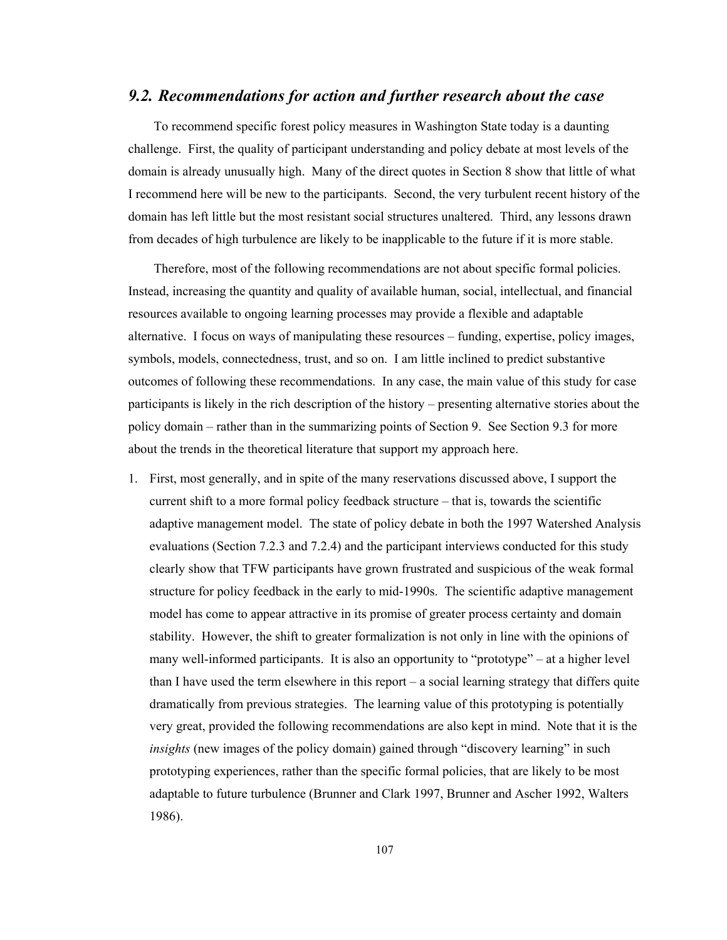## *9.2. Recommendations for action and further research about the case*

To recommend specific forest policy measures in Washington State today is a daunting challenge. First, the quality of participant understanding and policy debate at most levels of the domain is already unusually high. Many of the direct quotes in Section 8 show that little of what I recommend here will be new to the participants. Second, the very turbulent recent history of the domain has left little but the most resistant social structures unaltered. Third, any lessons drawn from decades of high turbulence are likely to be inapplicable to the future if it is more stable.

Therefore, most of the following recommendations are not about specific formal policies. Instead, increasing the quantity and quality of available human, social, intellectual, and financial resources available to ongoing learning processes may provide a flexible and adaptable alternative. I focus on ways of manipulating these resources – funding, expertise, policy images, symbols, models, connectedness, trust, and so on. I am little inclined to predict substantive outcomes of following these recommendations. In any case, the main value of this study for case participants is likely in the rich description of the history – presenting alternative stories about the policy domain – rather than in the summarizing points of Section 9. See Section 9.3 for more about the trends in the theoretical literature that support my approach here.

1. First, most generally, and in spite of the many reservations discussed above, I support the current shift to a more formal policy feedback structure – that is, towards the scientific adaptive management model. The state of policy debate in both the 1997 Watershed Analysis evaluations (Section 7.2.3 and 7.2.4) and the participant interviews conducted for this study clearly show that TFW participants have grown frustrated and suspicious of the weak formal structure for policy feedback in the early to mid-1990s. The scientific adaptive management model has come to appear attractive in its promise of greater process certainty and domain stability. However, the shift to greater formalization is not only in line with the opinions of many well-informed participants. It is also an opportunity to "prototype" – at a higher level than I have used the term elsewhere in this report – a social learning strategy that differs quite dramatically from previous strategies. The learning value of this prototyping is potentially very great, provided the following recommendations are also kept in mind. Note that it is the *insights* (new images of the policy domain) gained through "discovery learning" in such prototyping experiences, rather than the specific formal policies, that are likely to be most adaptable to future turbulence (Brunner and Clark 1997, Brunner and Ascher 1992, Walters 1986).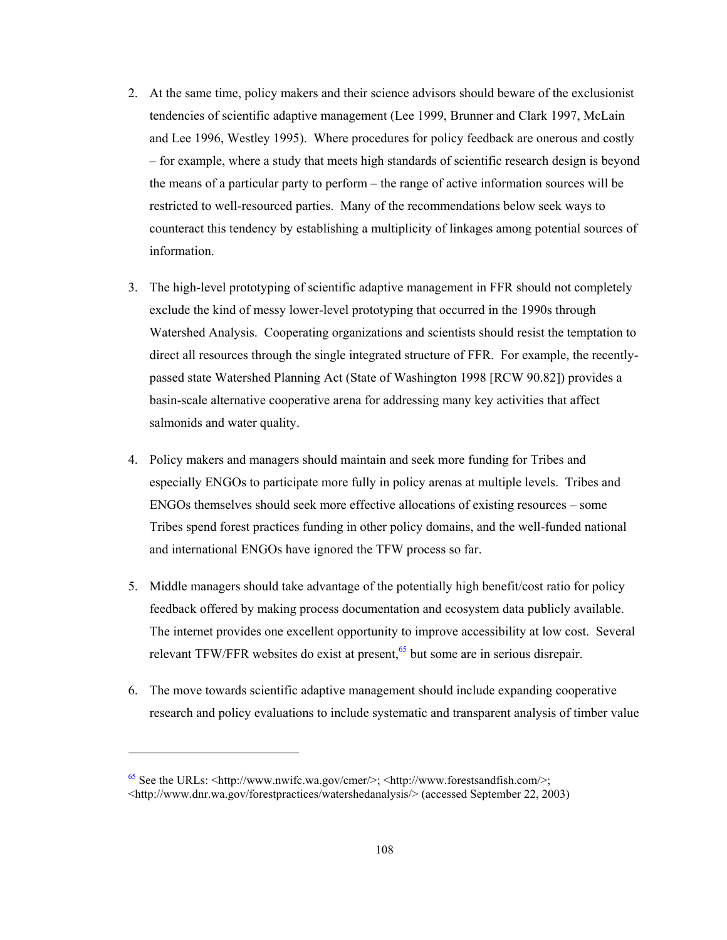- 2. At the same time, policy makers and their science advisors should beware of the exclusionist tendencies of scientific adaptive management (Lee 1999, Brunner and Clark 1997, McLain and Lee 1996, Westley 1995). Where procedures for policy feedback are onerous and costly – for example, where a study that meets high standards of scientific research design is beyond the means of a particular party to perform – the range of active information sources will be restricted to well-resourced parties. Many of the recommendations below seek ways to counteract this tendency by establishing a multiplicity of linkages among potential sources of information.
- 3. The high-level prototyping of scientific adaptive management in FFR should not completely exclude the kind of messy lower-level prototyping that occurred in the 1990s through Watershed Analysis. Cooperating organizations and scientists should resist the temptation to direct all resources through the single integrated structure of FFR. For example, the recentlypassed state Watershed Planning Act (State of Washington 1998 [RCW 90.82]) provides a basin-scale alternative cooperative arena for addressing many key activities that affect salmonids and water quality.
- 4. Policy makers and managers should maintain and seek more funding for Tribes and especially ENGOs to participate more fully in policy arenas at multiple levels. Tribes and ENGOs themselves should seek more effective allocations of existing resources – some Tribes spend forest practices funding in other policy domains, and the well-funded national and international ENGOs have ignored the TFW process so far.
- 5. Middle managers should take advantage of the potentially high benefit/cost ratio for policy feedback offered by making process documentation and ecosystem data publicly available. The internet provides one excellent opportunity to improve accessibility at low cost. Several relevant TFW/FFR websites do exist at present,<sup>65</sup> but some are in serious disrepair.
- 6. The move towards scientific adaptive management should include expanding cooperative research and policy evaluations to include systematic and transparent analysis of timber value

 $\overline{\phantom{a}}$ 

 $65$  See the URLs:  $\langle$ http://www.nwifc.wa.gov/cmer/>;  $\langle$ http://www.forestsandfish.com/>; <http://www.dnr.wa.gov/forestpractices/watershedanalysis/> (accessed September 22, 2003)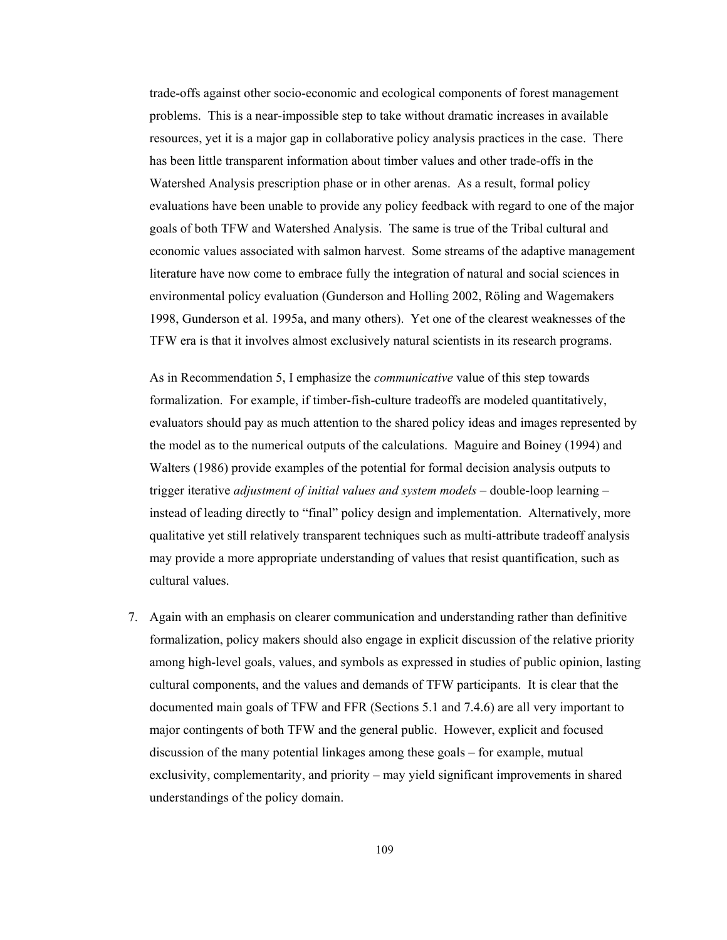trade-offs against other socio-economic and ecological components of forest management problems. This is a near-impossible step to take without dramatic increases in available resources, yet it is a major gap in collaborative policy analysis practices in the case. There has been little transparent information about timber values and other trade-offs in the Watershed Analysis prescription phase or in other arenas. As a result, formal policy evaluations have been unable to provide any policy feedback with regard to one of the major goals of both TFW and Watershed Analysis. The same is true of the Tribal cultural and economic values associated with salmon harvest. Some streams of the adaptive management literature have now come to embrace fully the integration of natural and social sciences in environmental policy evaluation (Gunderson and Holling 2002, Röling and Wagemakers 1998, Gunderson et al. 1995a, and many others). Yet one of the clearest weaknesses of the TFW era is that it involves almost exclusively natural scientists in its research programs.

As in Recommendation 5, I emphasize the *communicative* value of this step towards formalization. For example, if timber-fish-culture tradeoffs are modeled quantitatively, evaluators should pay as much attention to the shared policy ideas and images represented by the model as to the numerical outputs of the calculations. Maguire and Boiney (1994) and Walters (1986) provide examples of the potential for formal decision analysis outputs to trigger iterative *adjustment of initial values and system models* – double-loop learning – instead of leading directly to "final" policy design and implementation. Alternatively, more qualitative yet still relatively transparent techniques such as multi-attribute tradeoff analysis may provide a more appropriate understanding of values that resist quantification, such as cultural values.

7. Again with an emphasis on clearer communication and understanding rather than definitive formalization, policy makers should also engage in explicit discussion of the relative priority among high-level goals, values, and symbols as expressed in studies of public opinion, lasting cultural components, and the values and demands of TFW participants. It is clear that the documented main goals of TFW and FFR (Sections 5.1 and 7.4.6) are all very important to major contingents of both TFW and the general public. However, explicit and focused discussion of the many potential linkages among these goals – for example, mutual exclusivity, complementarity, and priority – may yield significant improvements in shared understandings of the policy domain.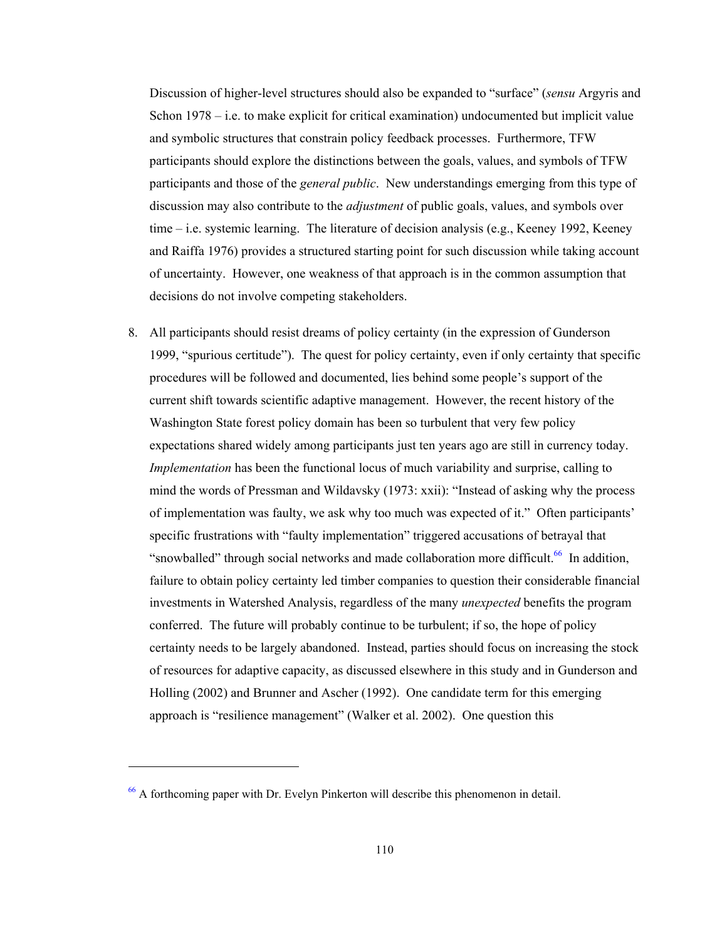Discussion of higher-level structures should also be expanded to "surface" (*sensu* Argyris and Schon 1978 – i.e. to make explicit for critical examination) undocumented but implicit value and symbolic structures that constrain policy feedback processes. Furthermore, TFW participants should explore the distinctions between the goals, values, and symbols of TFW participants and those of the *general public*. New understandings emerging from this type of discussion may also contribute to the *adjustment* of public goals, values, and symbols over time – i.e. systemic learning. The literature of decision analysis (e.g., Keeney 1992, Keeney and Raiffa 1976) provides a structured starting point for such discussion while taking account of uncertainty. However, one weakness of that approach is in the common assumption that decisions do not involve competing stakeholders.

8. All participants should resist dreams of policy certainty (in the expression of Gunderson 1999, "spurious certitude"). The quest for policy certainty, even if only certainty that specific procedures will be followed and documented, lies behind some people's support of the current shift towards scientific adaptive management. However, the recent history of the Washington State forest policy domain has been so turbulent that very few policy expectations shared widely among participants just ten years ago are still in currency today. *Implementation* has been the functional locus of much variability and surprise, calling to mind the words of Pressman and Wildavsky (1973: xxii): "Instead of asking why the process of implementation was faulty, we ask why too much was expected of it." Often participants' specific frustrations with "faulty implementation" triggered accusations of betrayal that "snowballed" through social networks and made collaboration more difficult.<sup>66</sup> In addition, failure to obtain policy certainty led timber companies to question their considerable financial investments in Watershed Analysis, regardless of the many *unexpected* benefits the program conferred. The future will probably continue to be turbulent; if so, the hope of policy certainty needs to be largely abandoned. Instead, parties should focus on increasing the stock of resources for adaptive capacity, as discussed elsewhere in this study and in Gunderson and Holling (2002) and Brunner and Ascher (1992). One candidate term for this emerging approach is "resilience management" (Walker et al. 2002). One question this

l

<sup>66</sup> A forthcoming paper with Dr. Evelyn Pinkerton will describe this phenomenon in detail.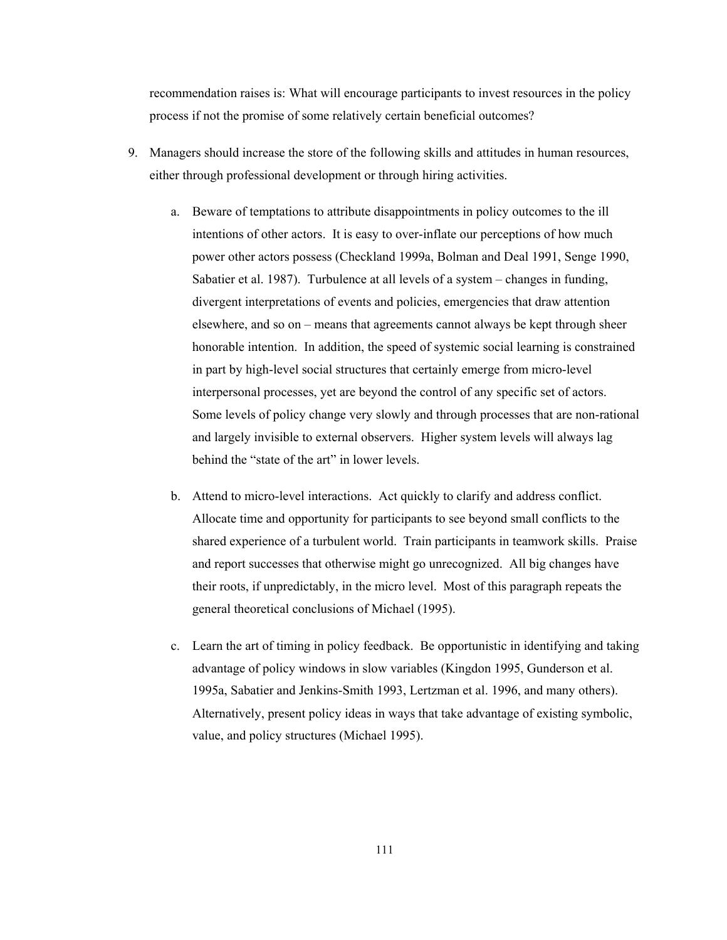recommendation raises is: What will encourage participants to invest resources in the policy process if not the promise of some relatively certain beneficial outcomes?

- 9. Managers should increase the store of the following skills and attitudes in human resources, either through professional development or through hiring activities.
	- a. Beware of temptations to attribute disappointments in policy outcomes to the ill intentions of other actors. It is easy to over-inflate our perceptions of how much power other actors possess (Checkland 1999a, Bolman and Deal 1991, Senge 1990, Sabatier et al. 1987). Turbulence at all levels of a system – changes in funding, divergent interpretations of events and policies, emergencies that draw attention elsewhere, and so on – means that agreements cannot always be kept through sheer honorable intention. In addition, the speed of systemic social learning is constrained in part by high-level social structures that certainly emerge from micro-level interpersonal processes, yet are beyond the control of any specific set of actors. Some levels of policy change very slowly and through processes that are non-rational and largely invisible to external observers. Higher system levels will always lag behind the "state of the art" in lower levels.
	- b. Attend to micro-level interactions. Act quickly to clarify and address conflict. Allocate time and opportunity for participants to see beyond small conflicts to the shared experience of a turbulent world. Train participants in teamwork skills. Praise and report successes that otherwise might go unrecognized. All big changes have their roots, if unpredictably, in the micro level. Most of this paragraph repeats the general theoretical conclusions of Michael (1995).
	- c. Learn the art of timing in policy feedback. Be opportunistic in identifying and taking advantage of policy windows in slow variables (Kingdon 1995, Gunderson et al. 1995a, Sabatier and Jenkins-Smith 1993, Lertzman et al. 1996, and many others). Alternatively, present policy ideas in ways that take advantage of existing symbolic, value, and policy structures (Michael 1995).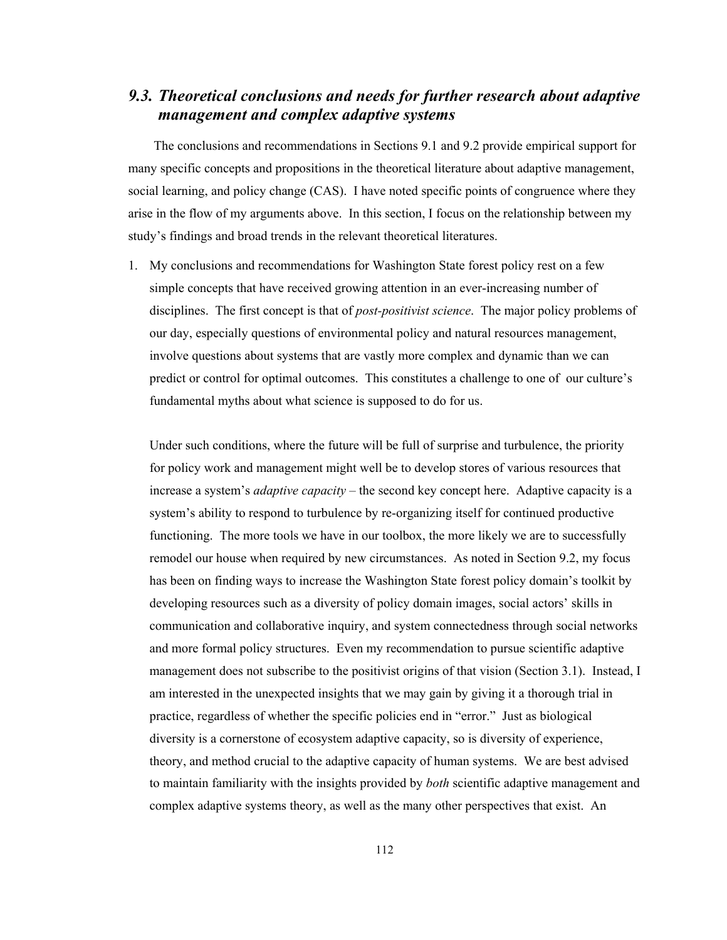# *9.3. Theoretical conclusions and needs for further research about adaptive management and complex adaptive systems*

The conclusions and recommendations in Sections 9.1 and 9.2 provide empirical support for many specific concepts and propositions in the theoretical literature about adaptive management, social learning, and policy change (CAS). I have noted specific points of congruence where they arise in the flow of my arguments above. In this section, I focus on the relationship between my study's findings and broad trends in the relevant theoretical literatures.

1. My conclusions and recommendations for Washington State forest policy rest on a few simple concepts that have received growing attention in an ever-increasing number of disciplines. The first concept is that of *post-positivist science*. The major policy problems of our day, especially questions of environmental policy and natural resources management, involve questions about systems that are vastly more complex and dynamic than we can predict or control for optimal outcomes. This constitutes a challenge to one of our culture's fundamental myths about what science is supposed to do for us.

Under such conditions, where the future will be full of surprise and turbulence, the priority for policy work and management might well be to develop stores of various resources that increase a system's *adaptive capacity* – the second key concept here. Adaptive capacity is a system's ability to respond to turbulence by re-organizing itself for continued productive functioning. The more tools we have in our toolbox, the more likely we are to successfully remodel our house when required by new circumstances. As noted in Section 9.2, my focus has been on finding ways to increase the Washington State forest policy domain's toolkit by developing resources such as a diversity of policy domain images, social actors' skills in communication and collaborative inquiry, and system connectedness through social networks and more formal policy structures. Even my recommendation to pursue scientific adaptive management does not subscribe to the positivist origins of that vision (Section 3.1). Instead, I am interested in the unexpected insights that we may gain by giving it a thorough trial in practice, regardless of whether the specific policies end in "error." Just as biological diversity is a cornerstone of ecosystem adaptive capacity, so is diversity of experience, theory, and method crucial to the adaptive capacity of human systems. We are best advised to maintain familiarity with the insights provided by *both* scientific adaptive management and complex adaptive systems theory, as well as the many other perspectives that exist. An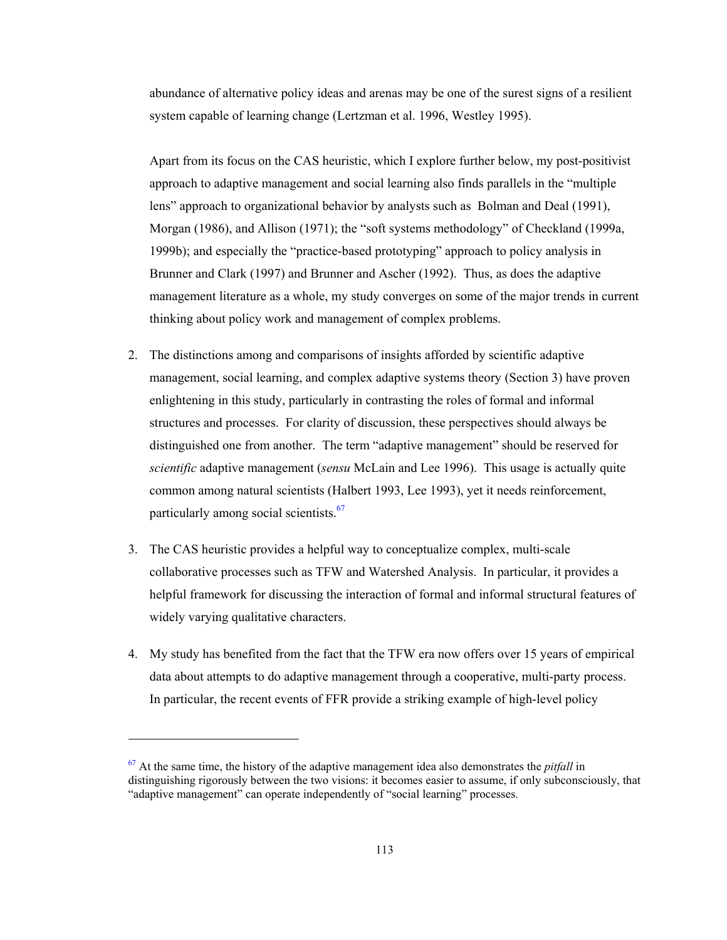abundance of alternative policy ideas and arenas may be one of the surest signs of a resilient system capable of learning change (Lertzman et al. 1996, Westley 1995).

Apart from its focus on the CAS heuristic, which I explore further below, my post-positivist approach to adaptive management and social learning also finds parallels in the "multiple lens" approach to organizational behavior by analysts such as Bolman and Deal (1991), Morgan (1986), and Allison (1971); the "soft systems methodology" of Checkland (1999a, 1999b); and especially the "practice-based prototyping" approach to policy analysis in Brunner and Clark (1997) and Brunner and Ascher (1992). Thus, as does the adaptive management literature as a whole, my study converges on some of the major trends in current thinking about policy work and management of complex problems.

- 2. The distinctions among and comparisons of insights afforded by scientific adaptive management, social learning, and complex adaptive systems theory (Section 3) have proven enlightening in this study, particularly in contrasting the roles of formal and informal structures and processes. For clarity of discussion, these perspectives should always be distinguished one from another. The term "adaptive management" should be reserved for *scientific* adaptive management (*sensu* McLain and Lee 1996). This usage is actually quite common among natural scientists (Halbert 1993, Lee 1993), yet it needs reinforcement, particularly among social scientists.<sup>67</sup>
- 3. The CAS heuristic provides a helpful way to conceptualize complex, multi-scale collaborative processes such as TFW and Watershed Analysis. In particular, it provides a helpful framework for discussing the interaction of formal and informal structural features of widely varying qualitative characters.
- 4. My study has benefited from the fact that the TFW era now offers over 15 years of empirical data about attempts to do adaptive management through a cooperative, multi-party process. In particular, the recent events of FFR provide a striking example of high-level policy

l

<sup>67</sup> At the same time, the history of the adaptive management idea also demonstrates the *pitfall* in distinguishing rigorously between the two visions: it becomes easier to assume, if only subconsciously, that "adaptive management" can operate independently of "social learning" processes.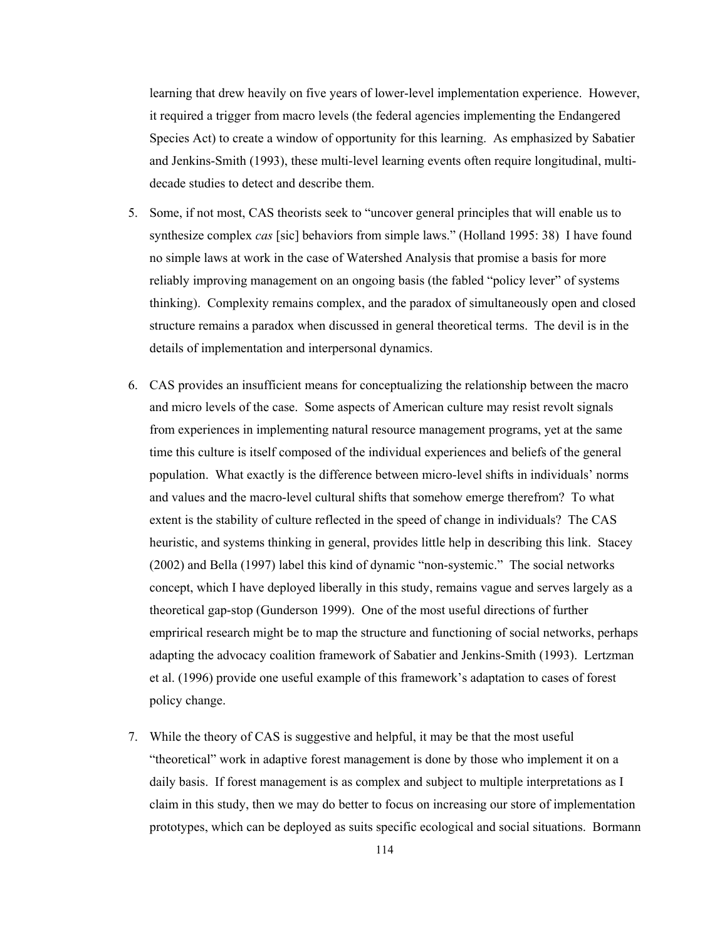learning that drew heavily on five years of lower-level implementation experience. However, it required a trigger from macro levels (the federal agencies implementing the Endangered Species Act) to create a window of opportunity for this learning. As emphasized by Sabatier and Jenkins-Smith (1993), these multi-level learning events often require longitudinal, multidecade studies to detect and describe them.

- 5. Some, if not most, CAS theorists seek to "uncover general principles that will enable us to synthesize complex *cas* [sic] behaviors from simple laws." (Holland 1995: 38) I have found no simple laws at work in the case of Watershed Analysis that promise a basis for more reliably improving management on an ongoing basis (the fabled "policy lever" of systems thinking). Complexity remains complex, and the paradox of simultaneously open and closed structure remains a paradox when discussed in general theoretical terms. The devil is in the details of implementation and interpersonal dynamics.
- 6. CAS provides an insufficient means for conceptualizing the relationship between the macro and micro levels of the case. Some aspects of American culture may resist revolt signals from experiences in implementing natural resource management programs, yet at the same time this culture is itself composed of the individual experiences and beliefs of the general population. What exactly is the difference between micro-level shifts in individuals' norms and values and the macro-level cultural shifts that somehow emerge therefrom? To what extent is the stability of culture reflected in the speed of change in individuals? The CAS heuristic, and systems thinking in general, provides little help in describing this link. Stacey (2002) and Bella (1997) label this kind of dynamic "non-systemic." The social networks concept, which I have deployed liberally in this study, remains vague and serves largely as a theoretical gap-stop (Gunderson 1999). One of the most useful directions of further emprirical research might be to map the structure and functioning of social networks, perhaps adapting the advocacy coalition framework of Sabatier and Jenkins-Smith (1993). Lertzman et al. (1996) provide one useful example of this framework's adaptation to cases of forest policy change.
- 7. While the theory of CAS is suggestive and helpful, it may be that the most useful "theoretical" work in adaptive forest management is done by those who implement it on a daily basis. If forest management is as complex and subject to multiple interpretations as I claim in this study, then we may do better to focus on increasing our store of implementation prototypes, which can be deployed as suits specific ecological and social situations. Bormann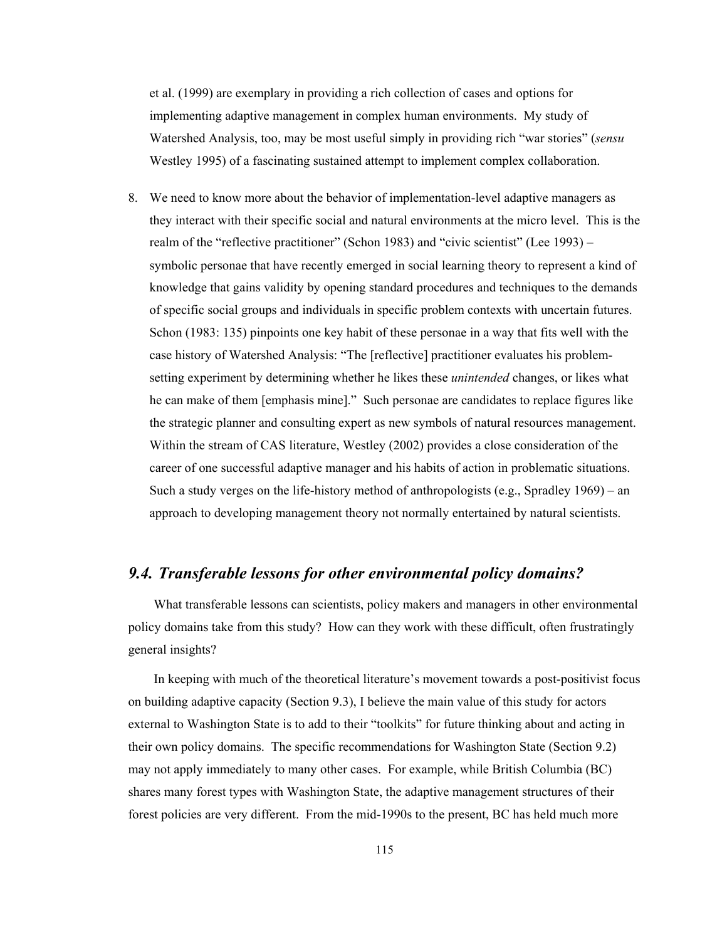et al. (1999) are exemplary in providing a rich collection of cases and options for implementing adaptive management in complex human environments. My study of Watershed Analysis, too, may be most useful simply in providing rich "war stories" (*sensu*  Westley 1995) of a fascinating sustained attempt to implement complex collaboration.

8. We need to know more about the behavior of implementation-level adaptive managers as they interact with their specific social and natural environments at the micro level. This is the realm of the "reflective practitioner" (Schon 1983) and "civic scientist" (Lee 1993) – symbolic personae that have recently emerged in social learning theory to represent a kind of knowledge that gains validity by opening standard procedures and techniques to the demands of specific social groups and individuals in specific problem contexts with uncertain futures. Schon (1983: 135) pinpoints one key habit of these personae in a way that fits well with the case history of Watershed Analysis: "The [reflective] practitioner evaluates his problemsetting experiment by determining whether he likes these *unintended* changes, or likes what he can make of them [emphasis mine]." Such personae are candidates to replace figures like the strategic planner and consulting expert as new symbols of natural resources management. Within the stream of CAS literature, Westley (2002) provides a close consideration of the career of one successful adaptive manager and his habits of action in problematic situations. Such a study verges on the life-history method of anthropologists (e.g., Spradley 1969) – an approach to developing management theory not normally entertained by natural scientists.

## *9.4. Transferable lessons for other environmental policy domains?*

What transferable lessons can scientists, policy makers and managers in other environmental policy domains take from this study? How can they work with these difficult, often frustratingly general insights?

In keeping with much of the theoretical literature's movement towards a post-positivist focus on building adaptive capacity (Section 9.3), I believe the main value of this study for actors external to Washington State is to add to their "toolkits" for future thinking about and acting in their own policy domains. The specific recommendations for Washington State (Section 9.2) may not apply immediately to many other cases. For example, while British Columbia (BC) shares many forest types with Washington State, the adaptive management structures of their forest policies are very different. From the mid-1990s to the present, BC has held much more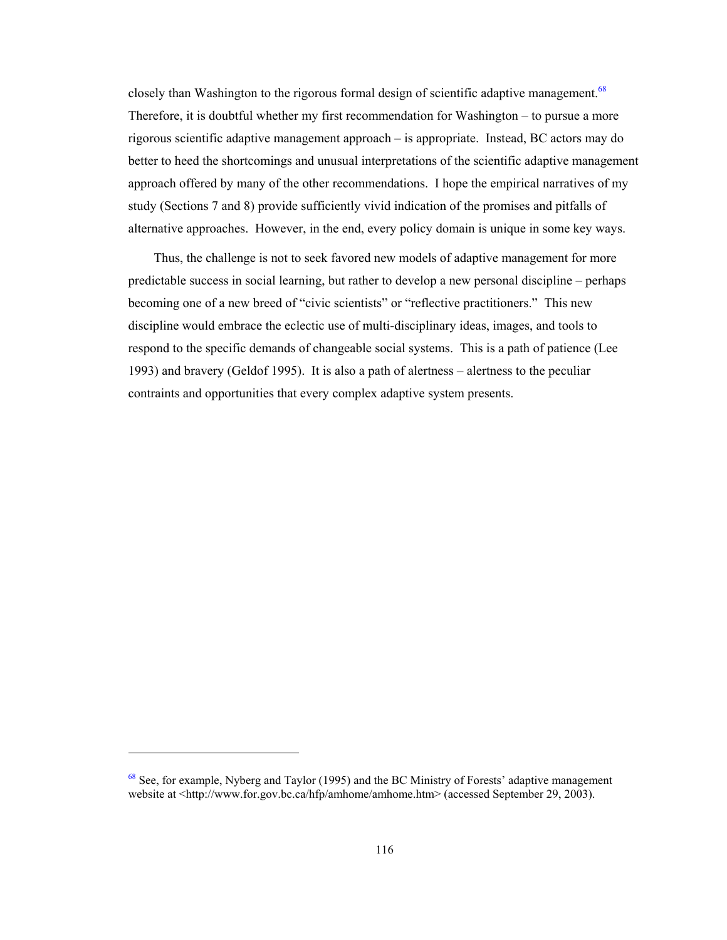closely than Washington to the rigorous formal design of scientific adaptive management.<sup>68</sup> Therefore, it is doubtful whether my first recommendation for Washington – to pursue a more rigorous scientific adaptive management approach – is appropriate. Instead, BC actors may do better to heed the shortcomings and unusual interpretations of the scientific adaptive management approach offered by many of the other recommendations. I hope the empirical narratives of my study (Sections 7 and 8) provide sufficiently vivid indication of the promises and pitfalls of alternative approaches. However, in the end, every policy domain is unique in some key ways.

Thus, the challenge is not to seek favored new models of adaptive management for more predictable success in social learning, but rather to develop a new personal discipline – perhaps becoming one of a new breed of "civic scientists" or "reflective practitioners." This new discipline would embrace the eclectic use of multi-disciplinary ideas, images, and tools to respond to the specific demands of changeable social systems. This is a path of patience (Lee 1993) and bravery (Geldof 1995). It is also a path of alertness – alertness to the peculiar contraints and opportunities that every complex adaptive system presents.

-

<sup>&</sup>lt;sup>68</sup> See, for example, Nyberg and Taylor (1995) and the BC Ministry of Forests' adaptive management website at <http://www.for.gov.bc.ca/hfp/amhome/amhome.htm> (accessed September 29, 2003).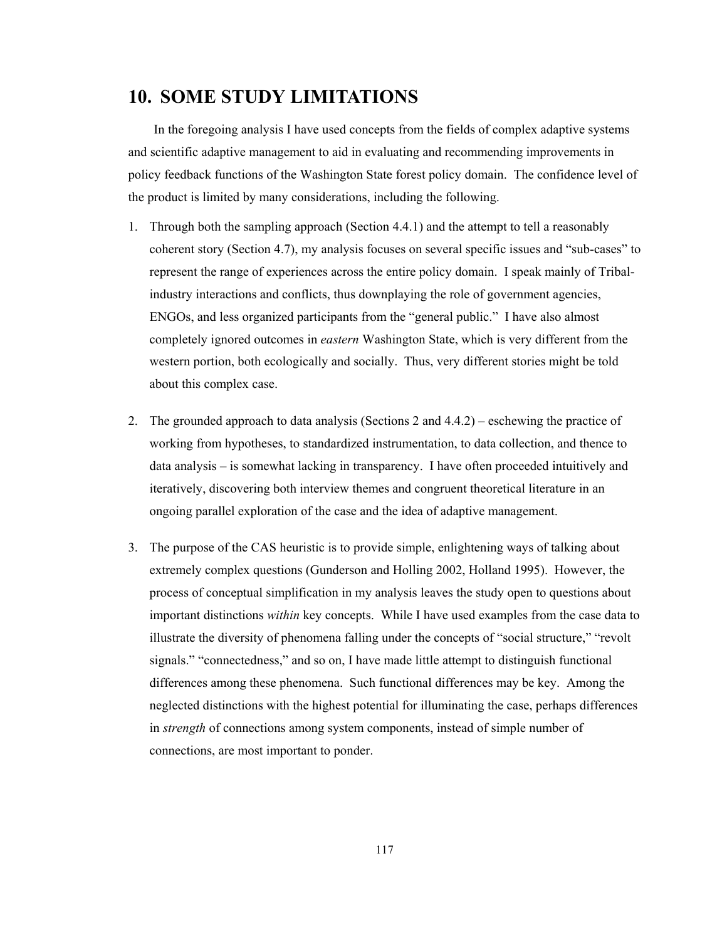# **10. SOME STUDY LIMITATIONS**

In the foregoing analysis I have used concepts from the fields of complex adaptive systems and scientific adaptive management to aid in evaluating and recommending improvements in policy feedback functions of the Washington State forest policy domain. The confidence level of the product is limited by many considerations, including the following.

- 1. Through both the sampling approach (Section 4.4.1) and the attempt to tell a reasonably coherent story (Section 4.7), my analysis focuses on several specific issues and "sub-cases" to represent the range of experiences across the entire policy domain. I speak mainly of Tribalindustry interactions and conflicts, thus downplaying the role of government agencies, ENGOs, and less organized participants from the "general public." I have also almost completely ignored outcomes in *eastern* Washington State, which is very different from the western portion, both ecologically and socially. Thus, very different stories might be told about this complex case.
- 2. The grounded approach to data analysis (Sections 2 and 4.4.2) eschewing the practice of working from hypotheses, to standardized instrumentation, to data collection, and thence to data analysis – is somewhat lacking in transparency. I have often proceeded intuitively and iteratively, discovering both interview themes and congruent theoretical literature in an ongoing parallel exploration of the case and the idea of adaptive management.
- 3. The purpose of the CAS heuristic is to provide simple, enlightening ways of talking about extremely complex questions (Gunderson and Holling 2002, Holland 1995). However, the process of conceptual simplification in my analysis leaves the study open to questions about important distinctions *within* key concepts. While I have used examples from the case data to illustrate the diversity of phenomena falling under the concepts of "social structure," "revolt signals." "connectedness," and so on, I have made little attempt to distinguish functional differences among these phenomena. Such functional differences may be key. Among the neglected distinctions with the highest potential for illuminating the case, perhaps differences in *strength* of connections among system components, instead of simple number of connections, are most important to ponder.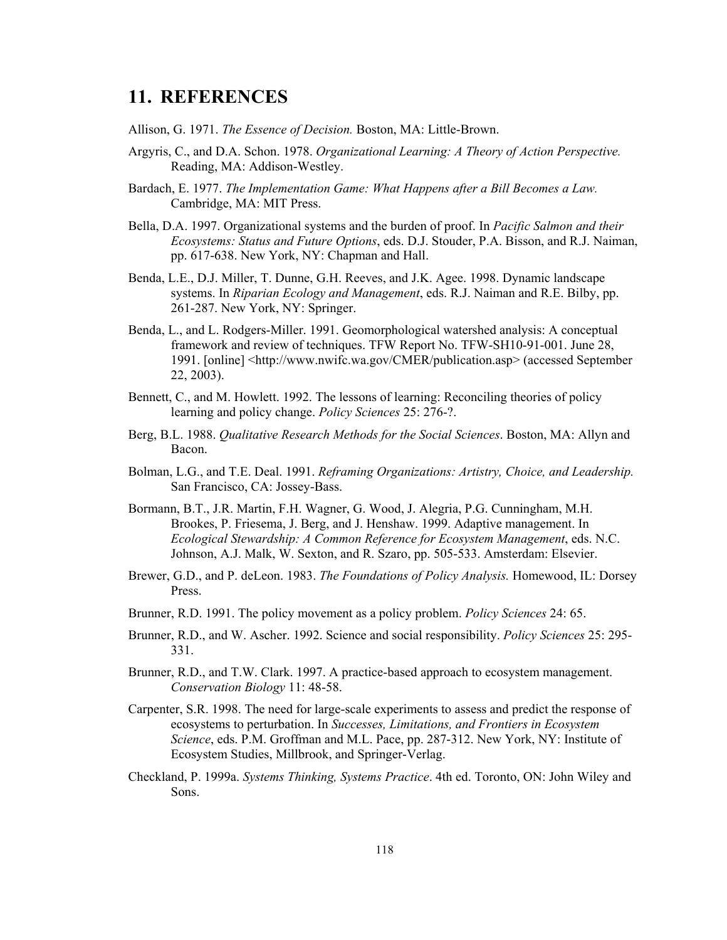# **11. REFERENCES**

Allison, G. 1971. *The Essence of Decision.* Boston, MA: Little-Brown.

- Argyris, C., and D.A. Schon. 1978. *Organizational Learning: A Theory of Action Perspective.* Reading, MA: Addison-Westley.
- Bardach, E. 1977. *The Implementation Game: What Happens after a Bill Becomes a Law.* Cambridge, MA: MIT Press.
- Bella, D.A. 1997. Organizational systems and the burden of proof. In *Pacific Salmon and their Ecosystems: Status and Future Options*, eds. D.J. Stouder, P.A. Bisson, and R.J. Naiman, pp. 617-638. New York, NY: Chapman and Hall.
- Benda, L.E., D.J. Miller, T. Dunne, G.H. Reeves, and J.K. Agee. 1998. Dynamic landscape systems. In *Riparian Ecology and Management*, eds. R.J. Naiman and R.E. Bilby, pp. 261-287. New York, NY: Springer.
- Benda, L., and L. Rodgers-Miller. 1991. Geomorphological watershed analysis: A conceptual framework and review of techniques. TFW Report No. TFW-SH10-91-001. June 28, 1991. [online] <http://www.nwifc.wa.gov/CMER/publication.asp> (accessed September 22, 2003).
- Bennett, C., and M. Howlett. 1992. The lessons of learning: Reconciling theories of policy learning and policy change. *Policy Sciences* 25: 276-?.
- Berg, B.L. 1988. *Qualitative Research Methods for the Social Sciences*. Boston, MA: Allyn and Bacon.
- Bolman, L.G., and T.E. Deal. 1991. *Reframing Organizations: Artistry, Choice, and Leadership.* San Francisco, CA: Jossey-Bass.
- Bormann, B.T., J.R. Martin, F.H. Wagner, G. Wood, J. Alegria, P.G. Cunningham, M.H. Brookes, P. Friesema, J. Berg, and J. Henshaw. 1999. Adaptive management. In *Ecological Stewardship: A Common Reference for Ecosystem Management*, eds. N.C. Johnson, A.J. Malk, W. Sexton, and R. Szaro, pp. 505-533. Amsterdam: Elsevier.
- Brewer, G.D., and P. deLeon. 1983. *The Foundations of Policy Analysis.* Homewood, IL: Dorsey Press.
- Brunner, R.D. 1991. The policy movement as a policy problem. *Policy Sciences* 24: 65.
- Brunner, R.D., and W. Ascher. 1992. Science and social responsibility. *Policy Sciences* 25: 295- 331.
- Brunner, R.D., and T.W. Clark. 1997. A practice-based approach to ecosystem management. *Conservation Biology* 11: 48-58.
- Carpenter, S.R. 1998. The need for large-scale experiments to assess and predict the response of ecosystems to perturbation. In *Successes, Limitations, and Frontiers in Ecosystem Science*, eds. P.M. Groffman and M.L. Pace, pp. 287-312. New York, NY: Institute of Ecosystem Studies, Millbrook, and Springer-Verlag.
- Checkland, P. 1999a. *Systems Thinking, Systems Practice*. 4th ed. Toronto, ON: John Wiley and Sons.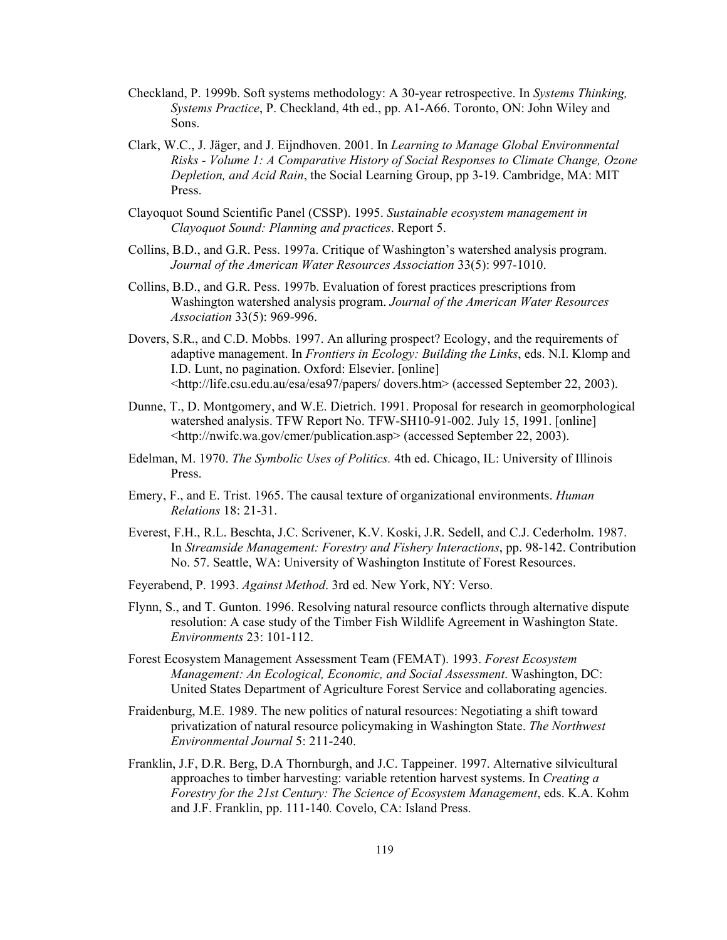- Checkland, P. 1999b. Soft systems methodology: A 30-year retrospective. In *Systems Thinking, Systems Practice*, P. Checkland, 4th ed., pp. A1-A66. Toronto, ON: John Wiley and Sons.
- Clark, W.C., J. Jäger, and J. Eijndhoven. 2001. In *Learning to Manage Global Environmental Risks - Volume 1: A Comparative History of Social Responses to Climate Change, Ozone Depletion, and Acid Rain*, the Social Learning Group, pp 3-19. Cambridge, MA: MIT Press.
- Clayoquot Sound Scientific Panel (CSSP). 1995. *Sustainable ecosystem management in Clayoquot Sound: Planning and practices*. Report 5.
- Collins, B.D., and G.R. Pess. 1997a. Critique of Washington's watershed analysis program. *Journal of the American Water Resources Association* 33(5): 997-1010.
- Collins, B.D., and G.R. Pess. 1997b. Evaluation of forest practices prescriptions from Washington watershed analysis program. *Journal of the American Water Resources Association* 33(5): 969-996.
- Dovers, S.R., and C.D. Mobbs. 1997. An alluring prospect? Ecology, and the requirements of adaptive management. In *Frontiers in Ecology: Building the Links*, eds. N.I. Klomp and I.D. Lunt, no pagination. Oxford: Elsevier. [online] <http://life.csu.edu.au/esa/esa97/papers/ dovers.htm> (accessed September 22, 2003).
- Dunne, T., D. Montgomery, and W.E. Dietrich. 1991. Proposal for research in geomorphological watershed analysis. TFW Report No. TFW-SH10-91-002. July 15, 1991. [online] <http://nwifc.wa.gov/cmer/publication.asp> (accessed September 22, 2003).
- Edelman, M. 1970. *The Symbolic Uses of Politics.* 4th ed. Chicago, IL: University of Illinois Press.
- Emery, F., and E. Trist. 1965. The causal texture of organizational environments. *Human Relations* 18: 21-31.
- Everest, F.H., R.L. Beschta, J.C. Scrivener, K.V. Koski, J.R. Sedell, and C.J. Cederholm. 1987. In *Streamside Management: Forestry and Fishery Interactions*, pp. 98-142. Contribution No. 57. Seattle, WA: University of Washington Institute of Forest Resources.
- Feyerabend, P. 1993. *Against Method*. 3rd ed. New York, NY: Verso.
- Flynn, S., and T. Gunton. 1996. Resolving natural resource conflicts through alternative dispute resolution: A case study of the Timber Fish Wildlife Agreement in Washington State. *Environments* 23: 101-112.
- Forest Ecosystem Management Assessment Team (FEMAT). 1993. *Forest Ecosystem Management: An Ecological, Economic, and Social Assessment*. Washington, DC: United States Department of Agriculture Forest Service and collaborating agencies.
- Fraidenburg, M.E. 1989. The new politics of natural resources: Negotiating a shift toward privatization of natural resource policymaking in Washington State. *The Northwest Environmental Journal* 5: 211-240.
- Franklin, J.F, D.R. Berg, D.A Thornburgh, and J.C. Tappeiner. 1997. Alternative silvicultural approaches to timber harvesting: variable retention harvest systems. In *Creating a Forestry for the 21st Century: The Science of Ecosystem Management*, eds. K.A. Kohm and J.F. Franklin, pp. 111-140*.* Covelo, CA: Island Press.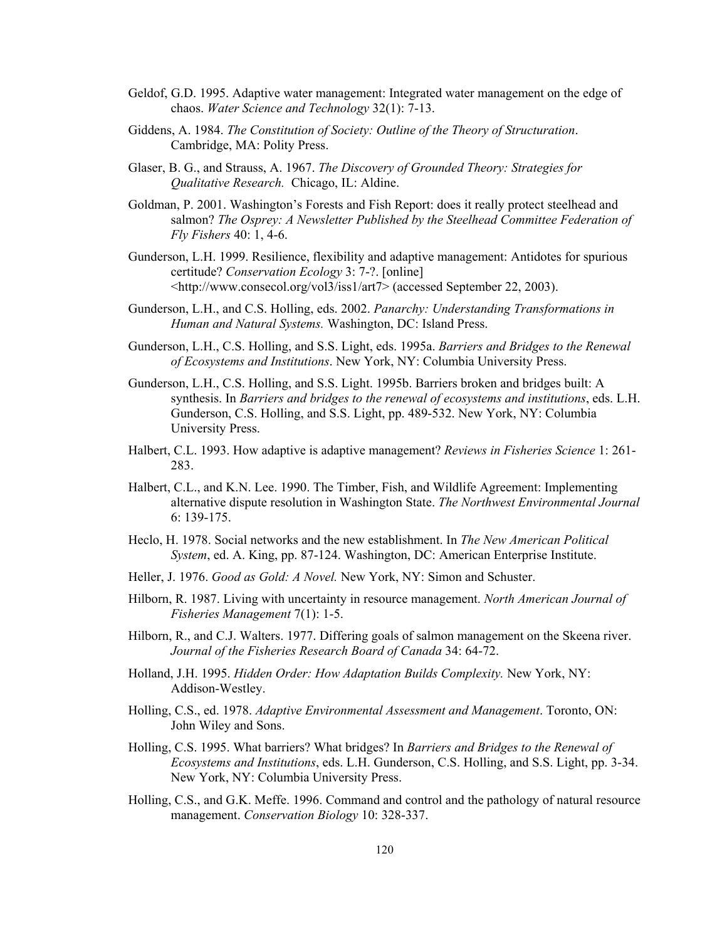- Geldof, G.D. 1995. Adaptive water management: Integrated water management on the edge of chaos. *Water Science and Technology* 32(1): 7-13.
- Giddens, A. 1984. *The Constitution of Society: Outline of the Theory of Structuration*. Cambridge, MA: Polity Press.
- Glaser, B. G., and Strauss, A. 1967. *The Discovery of Grounded Theory: Strategies for Qualitative Research.* Chicago, IL: Aldine.
- Goldman, P. 2001. Washington's Forests and Fish Report: does it really protect steelhead and salmon? *The Osprey: A Newsletter Published by the Steelhead Committee Federation of Fly Fishers* 40: 1, 4-6.
- Gunderson, L.H. 1999. Resilience, flexibility and adaptive management: Antidotes for spurious certitude? *Conservation Ecology* 3: 7-?. [online] <http://www.consecol.org/vol3/iss1/art7> (accessed September 22, 2003).
- Gunderson, L.H., and C.S. Holling, eds. 2002. *Panarchy: Understanding Transformations in Human and Natural Systems.* Washington, DC: Island Press.
- Gunderson, L.H., C.S. Holling, and S.S. Light, eds. 1995a. *Barriers and Bridges to the Renewal of Ecosystems and Institutions*. New York, NY: Columbia University Press.
- Gunderson, L.H., C.S. Holling, and S.S. Light. 1995b. Barriers broken and bridges built: A synthesis. In *Barriers and bridges to the renewal of ecosystems and institutions*, eds. L.H. Gunderson, C.S. Holling, and S.S. Light, pp. 489-532. New York, NY: Columbia University Press.
- Halbert, C.L. 1993. How adaptive is adaptive management? *Reviews in Fisheries Science* 1: 261- 283.
- Halbert, C.L., and K.N. Lee. 1990. The Timber, Fish, and Wildlife Agreement: Implementing alternative dispute resolution in Washington State. *The Northwest Environmental Journal* 6: 139-175.
- Heclo, H. 1978. Social networks and the new establishment. In *The New American Political System*, ed. A. King, pp. 87-124. Washington, DC: American Enterprise Institute.
- Heller, J. 1976. *Good as Gold: A Novel.* New York, NY: Simon and Schuster.
- Hilborn, R. 1987. Living with uncertainty in resource management. *North American Journal of Fisheries Management* 7(1): 1-5.
- Hilborn, R., and C.J. Walters. 1977. Differing goals of salmon management on the Skeena river. *Journal of the Fisheries Research Board of Canada* 34: 64-72.
- Holland, J.H. 1995. *Hidden Order: How Adaptation Builds Complexity.* New York, NY: Addison-Westley.
- Holling, C.S., ed. 1978. *Adaptive Environmental Assessment and Management*. Toronto, ON: John Wiley and Sons.
- Holling, C.S. 1995. What barriers? What bridges? In *Barriers and Bridges to the Renewal of Ecosystems and Institutions*, eds. L.H. Gunderson, C.S. Holling, and S.S. Light, pp. 3-34. New York, NY: Columbia University Press.
- Holling, C.S., and G.K. Meffe. 1996. Command and control and the pathology of natural resource management. *Conservation Biology* 10: 328-337.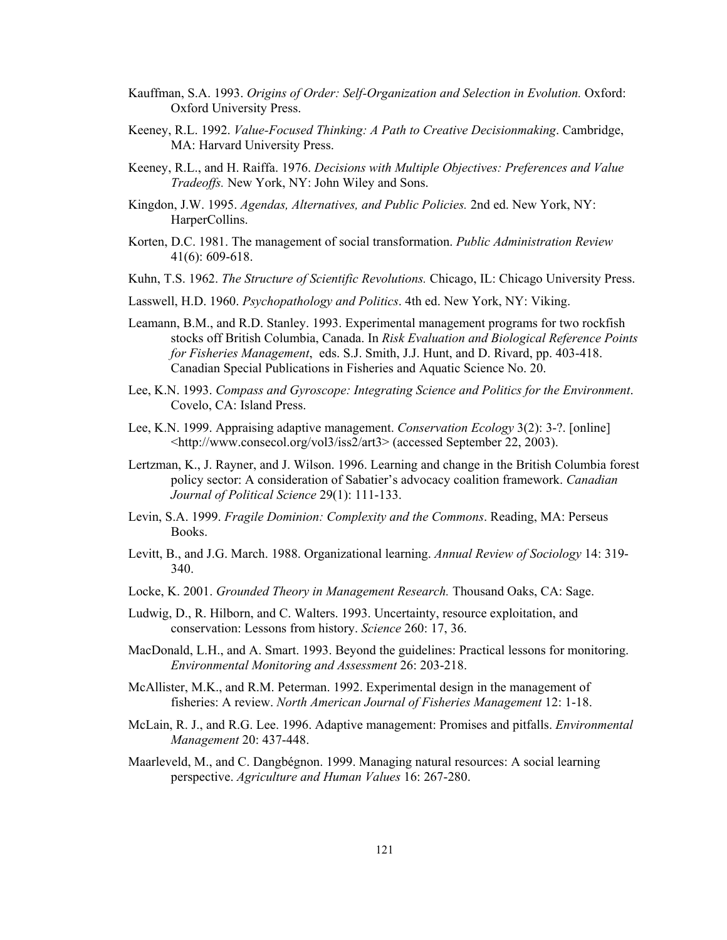- Kauffman, S.A. 1993. *Origins of Order: Self-Organization and Selection in Evolution.* Oxford: Oxford University Press.
- Keeney, R.L. 1992. *Value-Focused Thinking: A Path to Creative Decisionmaking*. Cambridge, MA: Harvard University Press.
- Keeney, R.L., and H. Raiffa. 1976. *Decisions with Multiple Objectives: Preferences and Value Tradeoffs.* New York, NY: John Wiley and Sons.
- Kingdon, J.W. 1995. *Agendas, Alternatives, and Public Policies.* 2nd ed. New York, NY: HarperCollins.
- Korten, D.C. 1981. The management of social transformation. *Public Administration Review* 41(6): 609-618.
- Kuhn, T.S. 1962. *The Structure of Scientific Revolutions.* Chicago, IL: Chicago University Press.
- Lasswell, H.D. 1960. *Psychopathology and Politics*. 4th ed. New York, NY: Viking.
- Leamann, B.M., and R.D. Stanley. 1993. Experimental management programs for two rockfish stocks off British Columbia, Canada. In *Risk Evaluation and Biological Reference Points for Fisheries Management*, eds. S.J. Smith, J.J. Hunt, and D. Rivard, pp. 403-418. Canadian Special Publications in Fisheries and Aquatic Science No. 20.
- Lee, K.N. 1993. *Compass and Gyroscope: Integrating Science and Politics for the Environment*. Covelo, CA: Island Press.
- Lee, K.N. 1999. Appraising adaptive management. *Conservation Ecology* 3(2): 3-?. [online] <http://www.consecol.org/vol3/iss2/art3> (accessed September 22, 2003).
- Lertzman, K., J. Rayner, and J. Wilson. 1996. Learning and change in the British Columbia forest policy sector: A consideration of Sabatier's advocacy coalition framework. *Canadian Journal of Political Science* 29(1): 111-133.
- Levin, S.A. 1999. *Fragile Dominion: Complexity and the Commons*. Reading, MA: Perseus Books.
- Levitt, B., and J.G. March. 1988. Organizational learning. *Annual Review of Sociology* 14: 319- 340.
- Locke, K. 2001. *Grounded Theory in Management Research.* Thousand Oaks, CA: Sage.
- Ludwig, D., R. Hilborn, and C. Walters. 1993. Uncertainty, resource exploitation, and conservation: Lessons from history. *Science* 260: 17, 36.
- MacDonald, L.H., and A. Smart. 1993. Beyond the guidelines: Practical lessons for monitoring. *Environmental Monitoring and Assessment* 26: 203-218.
- McAllister, M.K., and R.M. Peterman. 1992. Experimental design in the management of fisheries: A review. *North American Journal of Fisheries Management* 12: 1-18.
- McLain, R. J., and R.G. Lee. 1996. Adaptive management: Promises and pitfalls. *Environmental Management* 20: 437-448.
- Maarleveld, M., and C. Dangbégnon. 1999. Managing natural resources: A social learning perspective. *Agriculture and Human Values* 16: 267-280.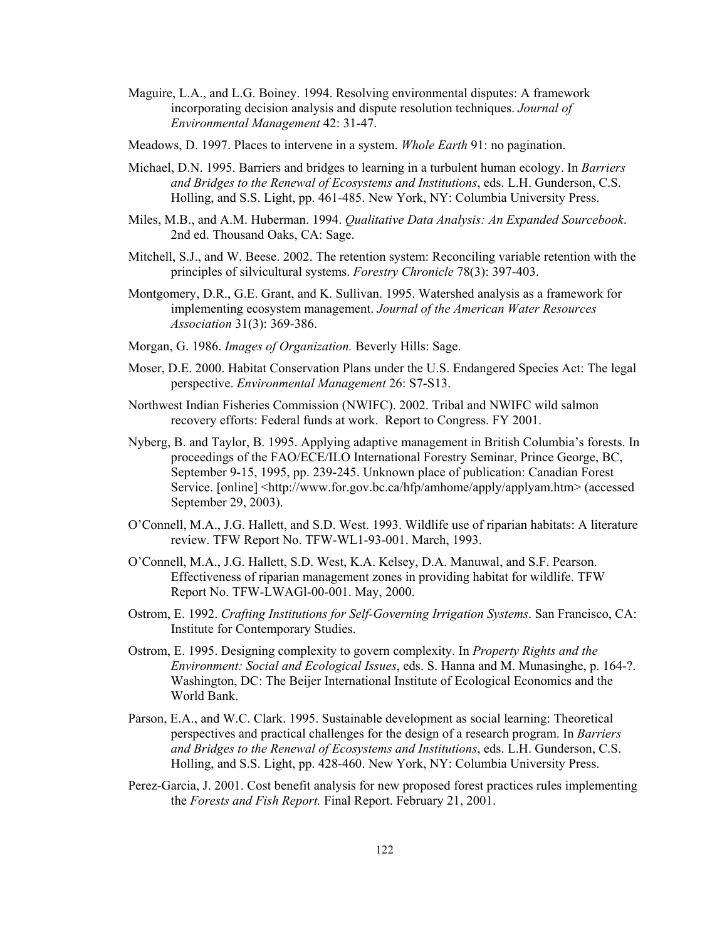- Maguire, L.A., and L.G. Boiney. 1994. Resolving environmental disputes: A framework incorporating decision analysis and dispute resolution techniques. *Journal of Environmental Management* 42: 31-47.
- Meadows, D. 1997. Places to intervene in a system. *Whole Earth* 91: no pagination.
- Michael, D.N. 1995. Barriers and bridges to learning in a turbulent human ecology. In *Barriers and Bridges to the Renewal of Ecosystems and Institutions*, eds. L.H. Gunderson, C.S. Holling, and S.S. Light, pp. 461-485. New York, NY: Columbia University Press.
- Miles, M.B., and A.M. Huberman. 1994. *Qualitative Data Analysis: An Expanded Sourcebook*. 2nd ed. Thousand Oaks, CA: Sage.
- Mitchell, S.J., and W. Beese. 2002. The retention system: Reconciling variable retention with the principles of silvicultural systems. *Forestry Chronicle* 78(3): 397-403.
- Montgomery, D.R., G.E. Grant, and K. Sullivan. 1995. Watershed analysis as a framework for implementing ecosystem management. *Journal of the American Water Resources Association* 31(3): 369-386.
- Morgan, G. 1986. *Images of Organization.* Beverly Hills: Sage.
- Moser, D.E. 2000. Habitat Conservation Plans under the U.S. Endangered Species Act: The legal perspective. *Environmental Management* 26: S7-S13.
- Northwest Indian Fisheries Commission (NWIFC). 2002. Tribal and NWIFC wild salmon recovery efforts: Federal funds at work. Report to Congress. FY 2001.
- Nyberg, B. and Taylor, B. 1995. Applying adaptive management in British Columbia's forests. In proceedings of the FAO/ECE/ILO International Forestry Seminar, Prince George, BC, September 9-15, 1995, pp. 239-245. Unknown place of publication: Canadian Forest Service. [online] <http://www.for.gov.bc.ca/hfp/amhome/apply/applyam.htm> (accessed September 29, 2003).
- O'Connell, M.A., J.G. Hallett, and S.D. West. 1993. Wildlife use of riparian habitats: A literature review. TFW Report No. TFW-WL1-93-001. March, 1993.
- O'Connell, M.A., J.G. Hallett, S.D. West, K.A. Kelsey, D.A. Manuwal, and S.F. Pearson. Effectiveness of riparian management zones in providing habitat for wildlife. TFW Report No. TFW-LWAGl-00-001. May, 2000.
- Ostrom, E. 1992. *Crafting Institutions for Self-Governing Irrigation Systems*. San Francisco, CA: Institute for Contemporary Studies.
- Ostrom, E. 1995. Designing complexity to govern complexity. In *Property Rights and the Environment: Social and Ecological Issues*, eds. S. Hanna and M. Munasinghe, p. 164-?. Washington, DC: The Beijer International Institute of Ecological Economics and the World Bank.
- Parson, E.A., and W.C. Clark. 1995. Sustainable development as social learning: Theoretical perspectives and practical challenges for the design of a research program. In *Barriers and Bridges to the Renewal of Ecosystems and Institutions*, eds. L.H. Gunderson, C.S. Holling, and S.S. Light, pp. 428-460. New York, NY: Columbia University Press.
- Perez-Garcia, J. 2001. Cost benefit analysis for new proposed forest practices rules implementing the *Forests and Fish Report.* Final Report. February 21, 2001.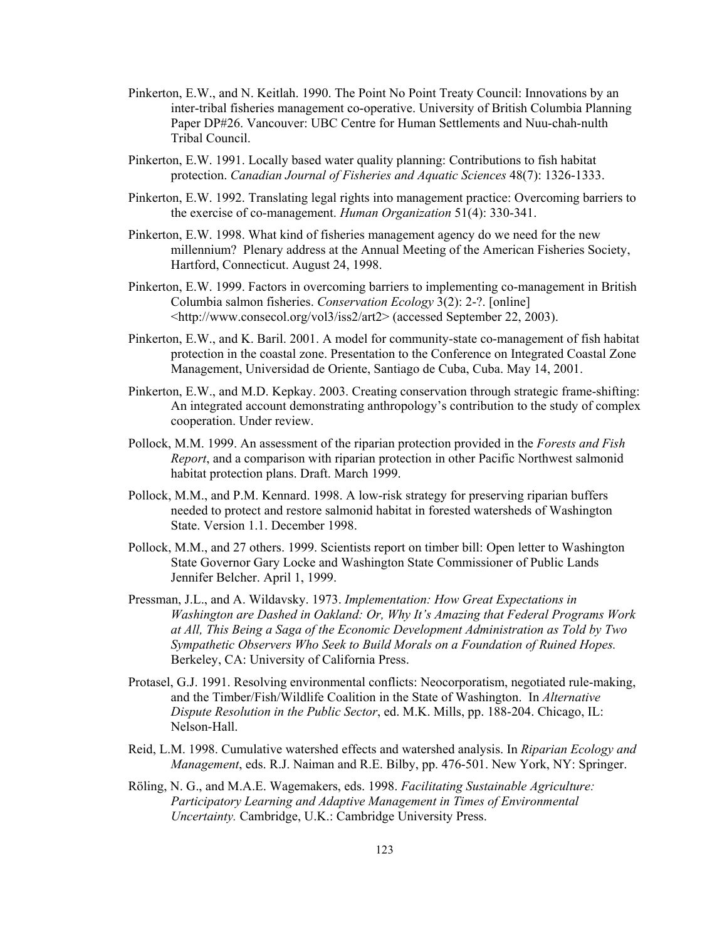- Pinkerton, E.W., and N. Keitlah. 1990. The Point No Point Treaty Council: Innovations by an inter-tribal fisheries management co-operative. University of British Columbia Planning Paper DP#26. Vancouver: UBC Centre for Human Settlements and Nuu-chah-nulth Tribal Council.
- Pinkerton, E.W. 1991. Locally based water quality planning: Contributions to fish habitat protection. *Canadian Journal of Fisheries and Aquatic Sciences* 48(7): 1326-1333.
- Pinkerton, E.W. 1992. Translating legal rights into management practice: Overcoming barriers to the exercise of co-management. *Human Organization* 51(4): 330-341.
- Pinkerton, E.W. 1998. What kind of fisheries management agency do we need for the new millennium? Plenary address at the Annual Meeting of the American Fisheries Society, Hartford, Connecticut. August 24, 1998.
- Pinkerton, E.W. 1999. Factors in overcoming barriers to implementing co-management in British Columbia salmon fisheries. *Conservation Ecology* 3(2): 2-?. [online] <http://www.consecol.org/vol3/iss2/art2> (accessed September 22, 2003).
- Pinkerton, E.W., and K. Baril. 2001. A model for community-state co-management of fish habitat protection in the coastal zone. Presentation to the Conference on Integrated Coastal Zone Management, Universidad de Oriente, Santiago de Cuba, Cuba. May 14, 2001.
- Pinkerton, E.W., and M.D. Kepkay. 2003. Creating conservation through strategic frame-shifting: An integrated account demonstrating anthropology's contribution to the study of complex cooperation. Under review.
- Pollock, M.M. 1999. An assessment of the riparian protection provided in the *Forests and Fish Report*, and a comparison with riparian protection in other Pacific Northwest salmonid habitat protection plans. Draft. March 1999.
- Pollock, M.M., and P.M. Kennard. 1998. A low-risk strategy for preserving riparian buffers needed to protect and restore salmonid habitat in forested watersheds of Washington State. Version 1.1. December 1998.
- Pollock, M.M., and 27 others. 1999. Scientists report on timber bill: Open letter to Washington State Governor Gary Locke and Washington State Commissioner of Public Lands Jennifer Belcher. April 1, 1999.
- Pressman, J.L., and A. Wildavsky. 1973. *Implementation: How Great Expectations in Washington are Dashed in Oakland: Or, Why It's Amazing that Federal Programs Work at All, This Being a Saga of the Economic Development Administration as Told by Two Sympathetic Observers Who Seek to Build Morals on a Foundation of Ruined Hopes.*  Berkeley, CA: University of California Press.
- Protasel, G.J. 1991. Resolving environmental conflicts: Neocorporatism, negotiated rule-making, and the Timber/Fish/Wildlife Coalition in the State of Washington. In *Alternative Dispute Resolution in the Public Sector*, ed. M.K. Mills, pp. 188-204. Chicago, IL: Nelson-Hall.
- Reid, L.M. 1998. Cumulative watershed effects and watershed analysis. In *Riparian Ecology and Management*, eds. R.J. Naiman and R.E. Bilby, pp. 476-501. New York, NY: Springer.
- Röling, N. G., and M.A.E. Wagemakers, eds. 1998. *Facilitating Sustainable Agriculture: Participatory Learning and Adaptive Management in Times of Environmental Uncertainty.* Cambridge, U.K.: Cambridge University Press.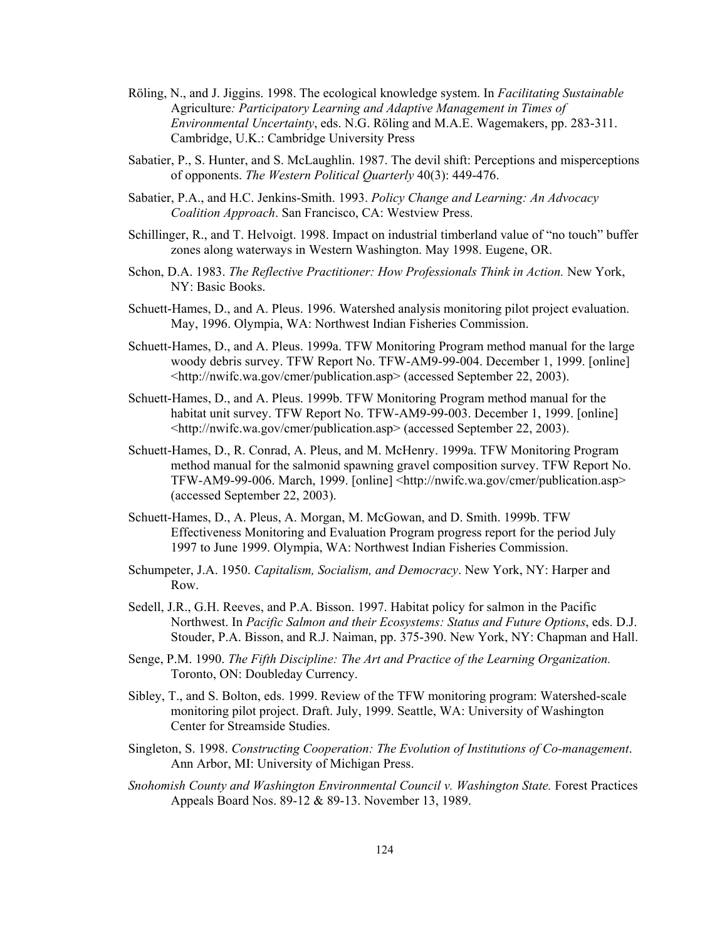- Röling, N., and J. Jiggins. 1998. The ecological knowledge system. In *Facilitating Sustainable*  Agriculture*: Participatory Learning and Adaptive Management in Times of Environmental Uncertainty*, eds. N.G. Röling and M.A.E. Wagemakers, pp. 283-311. Cambridge, U.K.: Cambridge University Press
- Sabatier, P., S. Hunter, and S. McLaughlin. 1987. The devil shift: Perceptions and misperceptions of opponents. *The Western Political Quarterly* 40(3): 449-476.
- Sabatier, P.A., and H.C. Jenkins-Smith. 1993. *Policy Change and Learning: An Advocacy Coalition Approach*. San Francisco, CA: Westview Press.
- Schillinger, R., and T. Helvoigt. 1998. Impact on industrial timberland value of "no touch" buffer zones along waterways in Western Washington. May 1998. Eugene, OR.
- Schon, D.A. 1983. *The Reflective Practitioner: How Professionals Think in Action.* New York, NY: Basic Books.
- Schuett-Hames, D., and A. Pleus. 1996. Watershed analysis monitoring pilot project evaluation. May, 1996. Olympia, WA: Northwest Indian Fisheries Commission.
- Schuett-Hames, D., and A. Pleus. 1999a. TFW Monitoring Program method manual for the large woody debris survey. TFW Report No. TFW-AM9-99-004. December 1, 1999. [online] <http://nwifc.wa.gov/cmer/publication.asp> (accessed September 22, 2003).
- Schuett-Hames, D., and A. Pleus. 1999b. TFW Monitoring Program method manual for the habitat unit survey. TFW Report No. TFW-AM9-99-003. December 1, 1999. [online] <http://nwifc.wa.gov/cmer/publication.asp> (accessed September 22, 2003).
- Schuett-Hames, D., R. Conrad, A. Pleus, and M. McHenry. 1999a. TFW Monitoring Program method manual for the salmonid spawning gravel composition survey. TFW Report No. TFW-AM9-99-006. March, 1999. [online] <http://nwifc.wa.gov/cmer/publication.asp> (accessed September 22, 2003).
- Schuett-Hames, D., A. Pleus, A. Morgan, M. McGowan, and D. Smith. 1999b. TFW Effectiveness Monitoring and Evaluation Program progress report for the period July 1997 to June 1999. Olympia, WA: Northwest Indian Fisheries Commission.
- Schumpeter, J.A. 1950. *Capitalism, Socialism, and Democracy*. New York, NY: Harper and Row.
- Sedell, J.R., G.H. Reeves, and P.A. Bisson. 1997. Habitat policy for salmon in the Pacific Northwest. In *Pacific Salmon and their Ecosystems: Status and Future Options*, eds. D.J. Stouder, P.A. Bisson, and R.J. Naiman, pp. 375-390. New York, NY: Chapman and Hall.
- Senge, P.M. 1990. *The Fifth Discipline: The Art and Practice of the Learning Organization.* Toronto, ON: Doubleday Currency.
- Sibley, T., and S. Bolton, eds. 1999. Review of the TFW monitoring program: Watershed-scale monitoring pilot project. Draft. July, 1999. Seattle, WA: University of Washington Center for Streamside Studies.
- Singleton, S. 1998. *Constructing Cooperation: The Evolution of Institutions of Co-management*. Ann Arbor, MI: University of Michigan Press.
- *Snohomish County and Washington Environmental Council v. Washington State.* Forest Practices Appeals Board Nos. 89-12 & 89-13. November 13, 1989.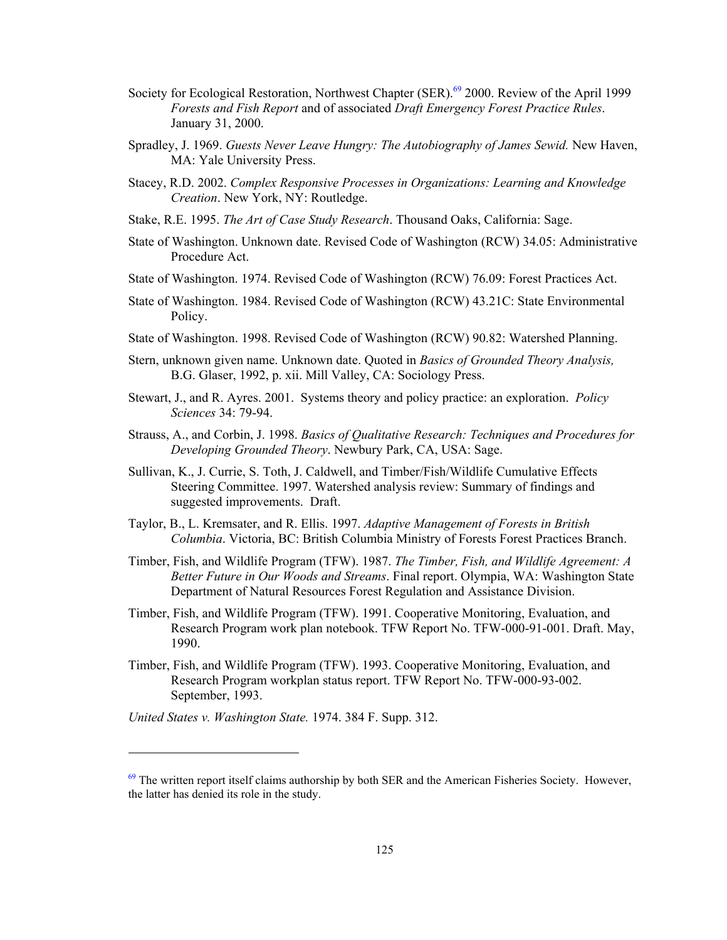- Society for Ecological Restoration, Northwest Chapter (SER).<sup>69</sup> 2000. Review of the April 1999 *Forests and Fish Report* and of associated *Draft Emergency Forest Practice Rules*. January 31, 2000.
- Spradley, J. 1969. *Guests Never Leave Hungry: The Autobiography of James Sewid.* New Haven, MA: Yale University Press.
- Stacey, R.D. 2002. *Complex Responsive Processes in Organizations: Learning and Knowledge Creation*. New York, NY: Routledge.
- Stake, R.E. 1995. *The Art of Case Study Research*. Thousand Oaks, California: Sage.
- State of Washington. Unknown date. Revised Code of Washington (RCW) 34.05: Administrative Procedure Act.
- State of Washington. 1974. Revised Code of Washington (RCW) 76.09: Forest Practices Act.
- State of Washington. 1984. Revised Code of Washington (RCW) 43.21C: State Environmental Policy.
- State of Washington. 1998. Revised Code of Washington (RCW) 90.82: Watershed Planning.
- Stern, unknown given name. Unknown date. Quoted in *Basics of Grounded Theory Analysis,*  B.G. Glaser, 1992, p. xii. Mill Valley, CA: Sociology Press.
- Stewart, J., and R. Ayres. 2001. Systems theory and policy practice: an exploration. *Policy Sciences* 34: 79-94.
- Strauss, A., and Corbin, J. 1998. *Basics of Qualitative Research: Techniques and Procedures for Developing Grounded Theory*. Newbury Park, CA, USA: Sage.
- Sullivan, K., J. Currie, S. Toth, J. Caldwell, and Timber/Fish/Wildlife Cumulative Effects Steering Committee. 1997. Watershed analysis review: Summary of findings and suggested improvements. Draft.
- Taylor, B., L. Kremsater, and R. Ellis. 1997. *Adaptive Management of Forests in British Columbia*. Victoria, BC: British Columbia Ministry of Forests Forest Practices Branch.
- Timber, Fish, and Wildlife Program (TFW). 1987. *The Timber, Fish, and Wildlife Agreement: A Better Future in Our Woods and Streams*. Final report. Olympia, WA: Washington State Department of Natural Resources Forest Regulation and Assistance Division.
- Timber, Fish, and Wildlife Program (TFW). 1991. Cooperative Monitoring, Evaluation, and Research Program work plan notebook. TFW Report No. TFW-000-91-001. Draft. May, 1990.
- Timber, Fish, and Wildlife Program (TFW). 1993. Cooperative Monitoring, Evaluation, and Research Program workplan status report. TFW Report No. TFW-000-93-002. September, 1993.
- *United States v. Washington State.* 1974. 384 F. Supp. 312.

1

<sup>&</sup>lt;sup>69</sup> The written report itself claims authorship by both SER and the American Fisheries Society. However, the latter has denied its role in the study.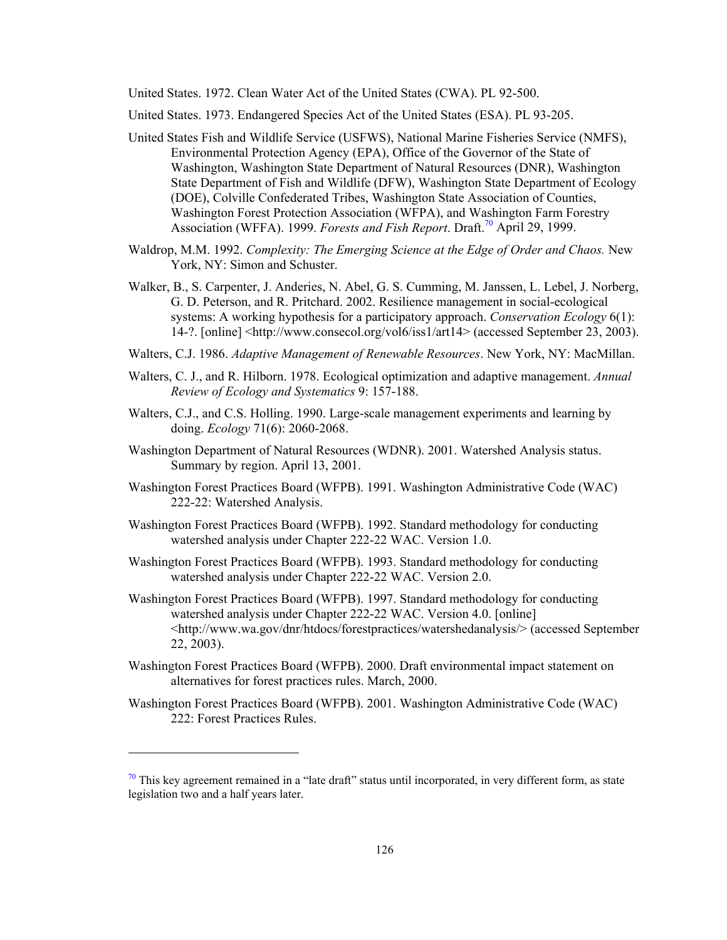United States. 1972. Clean Water Act of the United States (CWA). PL 92-500.

United States. 1973. Endangered Species Act of the United States (ESA). PL 93-205.

- United States Fish and Wildlife Service (USFWS), National Marine Fisheries Service (NMFS), Environmental Protection Agency (EPA), Office of the Governor of the State of Washington, Washington State Department of Natural Resources (DNR), Washington State Department of Fish and Wildlife (DFW), Washington State Department of Ecology (DOE), Colville Confederated Tribes, Washington State Association of Counties, Washington Forest Protection Association (WFPA), and Washington Farm Forestry Association (WFFA). 1999. *Forests and Fish Report*. Draft.<sup>70</sup> April 29, 1999.
- Waldrop, M.M. 1992. *Complexity: The Emerging Science at the Edge of Order and Chaos.* New York, NY: Simon and Schuster.
- Walker, B., S. Carpenter, J. Anderies, N. Abel, G. S. Cumming, M. Janssen, L. Lebel, J. Norberg, G. D. Peterson, and R. Pritchard. 2002. Resilience management in social-ecological systems: A working hypothesis for a participatory approach. *Conservation Ecology* 6(1): 14-?. [online] <http://www.consecol.org/vol6/iss1/art14> (accessed September 23, 2003).
- Walters, C.J. 1986. *Adaptive Management of Renewable Resources*. New York, NY: MacMillan.
- Walters, C. J., and R. Hilborn. 1978. Ecological optimization and adaptive management. *Annual Review of Ecology and Systematics* 9: 157-188.
- Walters, C.J., and C.S. Holling. 1990. Large-scale management experiments and learning by doing. *Ecology* 71(6): 2060-2068.
- Washington Department of Natural Resources (WDNR). 2001. Watershed Analysis status. Summary by region. April 13, 2001.
- Washington Forest Practices Board (WFPB). 1991. Washington Administrative Code (WAC) 222-22: Watershed Analysis.
- Washington Forest Practices Board (WFPB). 1992. Standard methodology for conducting watershed analysis under Chapter 222-22 WAC. Version 1.0.
- Washington Forest Practices Board (WFPB). 1993. Standard methodology for conducting watershed analysis under Chapter 222-22 WAC. Version 2.0.
- Washington Forest Practices Board (WFPB). 1997. Standard methodology for conducting watershed analysis under Chapter 222-22 WAC. Version 4.0. [online] <http://www.wa.gov/dnr/htdocs/forestpractices/watershedanalysis/> (accessed September 22, 2003).
- Washington Forest Practices Board (WFPB). 2000. Draft environmental impact statement on alternatives for forest practices rules. March, 2000.
- Washington Forest Practices Board (WFPB). 2001. Washington Administrative Code (WAC) 222: Forest Practices Rules.

1

 $\frac{70}{10}$  This key agreement remained in a "late draft" status until incorporated, in very different form, as state legislation two and a half years later.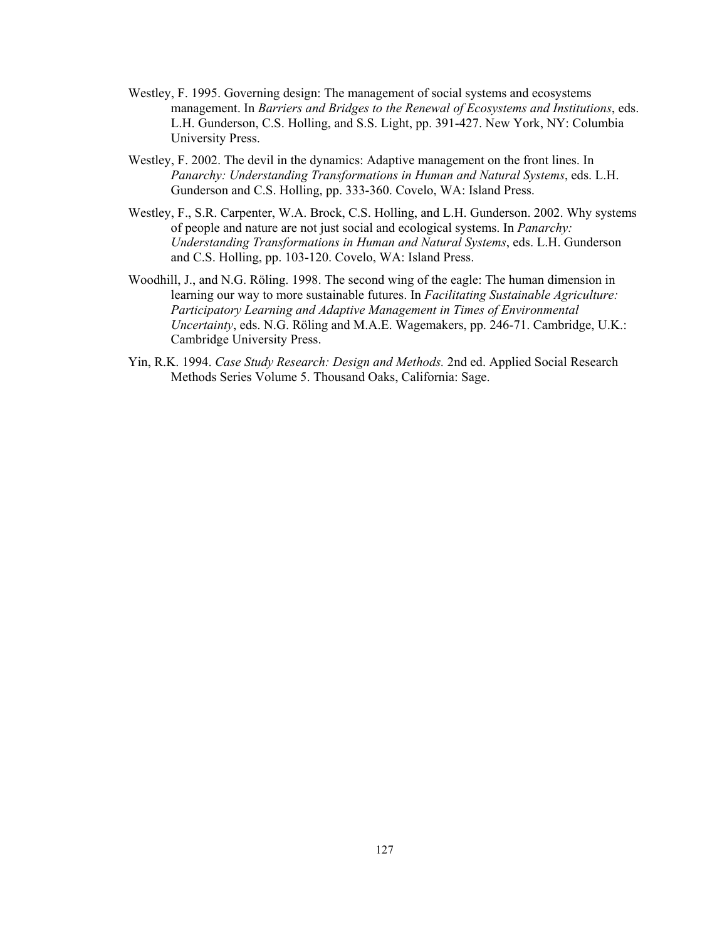- Westley, F. 1995. Governing design: The management of social systems and ecosystems management. In *Barriers and Bridges to the Renewal of Ecosystems and Institutions*, eds. L.H. Gunderson, C.S. Holling, and S.S. Light, pp. 391-427. New York, NY: Columbia University Press.
- Westley, F. 2002. The devil in the dynamics: Adaptive management on the front lines. In *Panarchy: Understanding Transformations in Human and Natural Systems*, eds. L.H. Gunderson and C.S. Holling, pp. 333-360. Covelo, WA: Island Press.
- Westley, F., S.R. Carpenter, W.A. Brock, C.S. Holling, and L.H. Gunderson. 2002. Why systems of people and nature are not just social and ecological systems. In *Panarchy: Understanding Transformations in Human and Natural Systems*, eds. L.H. Gunderson and C.S. Holling, pp. 103-120. Covelo, WA: Island Press.
- Woodhill, J., and N.G. Röling. 1998. The second wing of the eagle: The human dimension in learning our way to more sustainable futures. In *Facilitating Sustainable Agriculture: Participatory Learning and Adaptive Management in Times of Environmental Uncertainty*, eds. N.G. Röling and M.A.E. Wagemakers, pp. 246-71. Cambridge, U.K.: Cambridge University Press.
- Yin, R.K. 1994. *Case Study Research: Design and Methods.* 2nd ed. Applied Social Research Methods Series Volume 5. Thousand Oaks, California: Sage.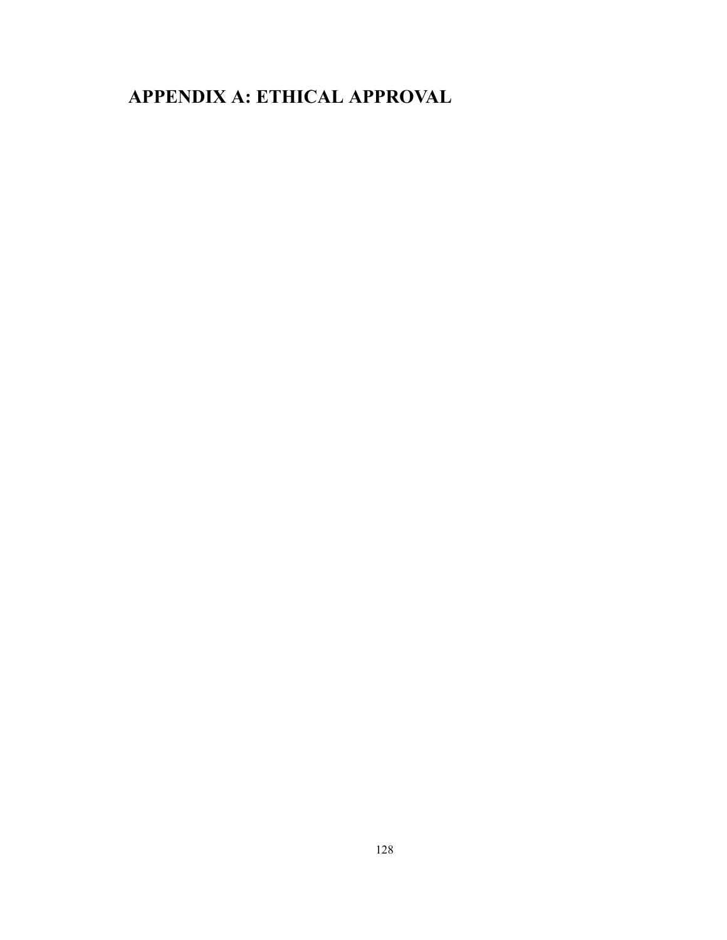# **APPENDIX A: ETHICAL APPROVAL**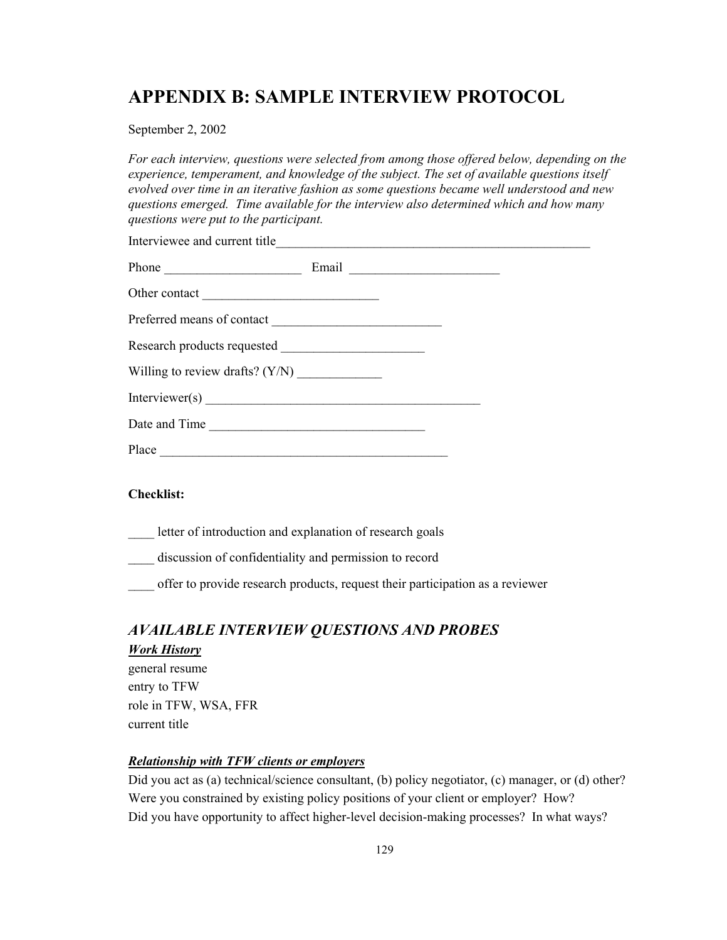# **APPENDIX B: SAMPLE INTERVIEW PROTOCOL**

September 2, 2002

*For each interview, questions were selected from among those offered below, depending on the experience, temperament, and knowledge of the subject. The set of available questions itself evolved over time in an iterative fashion as some questions became well understood and new questions emerged. Time available for the interview also determined which and how many questions were put to the participant.* 

| Interviewee and current title |  |  |
|-------------------------------|--|--|
|                               |  |  |
|                               |  |  |
| Preferred means of contact    |  |  |
|                               |  |  |
|                               |  |  |
|                               |  |  |
| Date and Time                 |  |  |
|                               |  |  |

#### **Checklist:**

letter of introduction and explanation of research goals

discussion of confidentiality and permission to record

offer to provide research products, request their participation as a reviewer

## *AVAILABLE INTERVIEW QUESTIONS AND PROBES*

## *Work History*

general resume entry to TFW role in TFW, WSA, FFR current title

#### *Relationship with TFW clients or employers*

Did you act as (a) technical/science consultant, (b) policy negotiator, (c) manager, or (d) other? Were you constrained by existing policy positions of your client or employer? How? Did you have opportunity to affect higher-level decision-making processes? In what ways?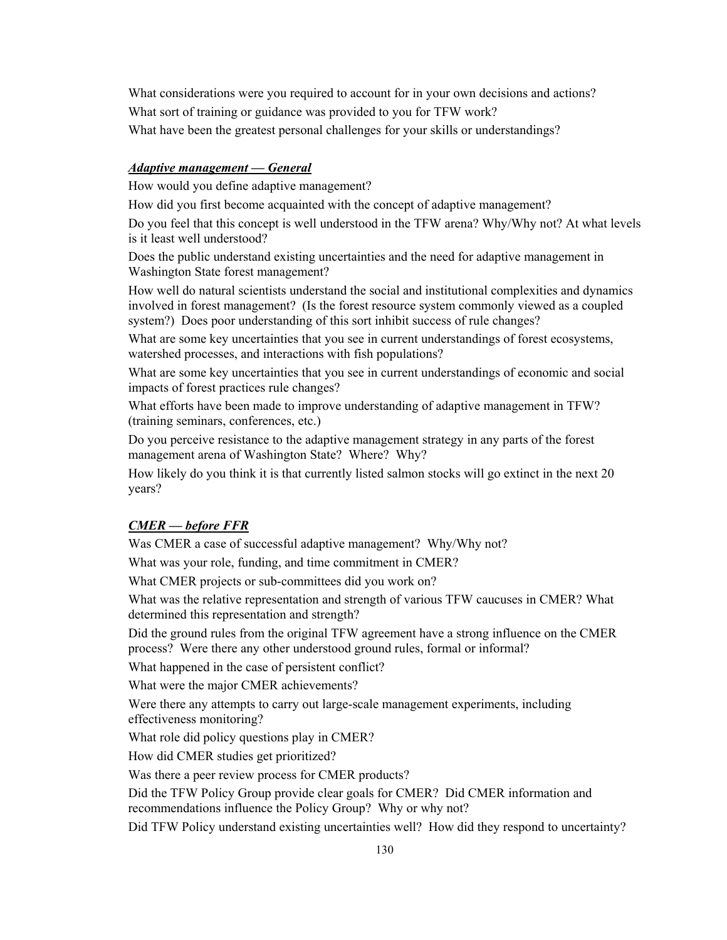What considerations were you required to account for in your own decisions and actions? What sort of training or guidance was provided to you for TFW work? What have been the greatest personal challenges for your skills or understandings?

#### *Adaptive management — General*

How would you define adaptive management?

How did you first become acquainted with the concept of adaptive management?

Do you feel that this concept is well understood in the TFW arena? Why/Why not? At what levels is it least well understood?

Does the public understand existing uncertainties and the need for adaptive management in Washington State forest management?

How well do natural scientists understand the social and institutional complexities and dynamics involved in forest management? (Is the forest resource system commonly viewed as a coupled system?) Does poor understanding of this sort inhibit success of rule changes?

What are some key uncertainties that you see in current understandings of forest ecosystems, watershed processes, and interactions with fish populations?

What are some key uncertainties that you see in current understandings of economic and social impacts of forest practices rule changes?

What efforts have been made to improve understanding of adaptive management in TFW? (training seminars, conferences, etc.)

Do you perceive resistance to the adaptive management strategy in any parts of the forest management arena of Washington State? Where? Why?

How likely do you think it is that currently listed salmon stocks will go extinct in the next 20 years?

## *CMER — before FFR*

Was CMER a case of successful adaptive management? Why/Why not?

What was your role, funding, and time commitment in CMER?

What CMER projects or sub-committees did you work on?

What was the relative representation and strength of various TFW caucuses in CMER? What determined this representation and strength?

Did the ground rules from the original TFW agreement have a strong influence on the CMER process? Were there any other understood ground rules, formal or informal?

What happened in the case of persistent conflict?

What were the major CMER achievements?

Were there any attempts to carry out large-scale management experiments, including effectiveness monitoring?

What role did policy questions play in CMER?

How did CMER studies get prioritized?

Was there a peer review process for CMER products?

Did the TFW Policy Group provide clear goals for CMER? Did CMER information and recommendations influence the Policy Group? Why or why not?

Did TFW Policy understand existing uncertainties well? How did they respond to uncertainty?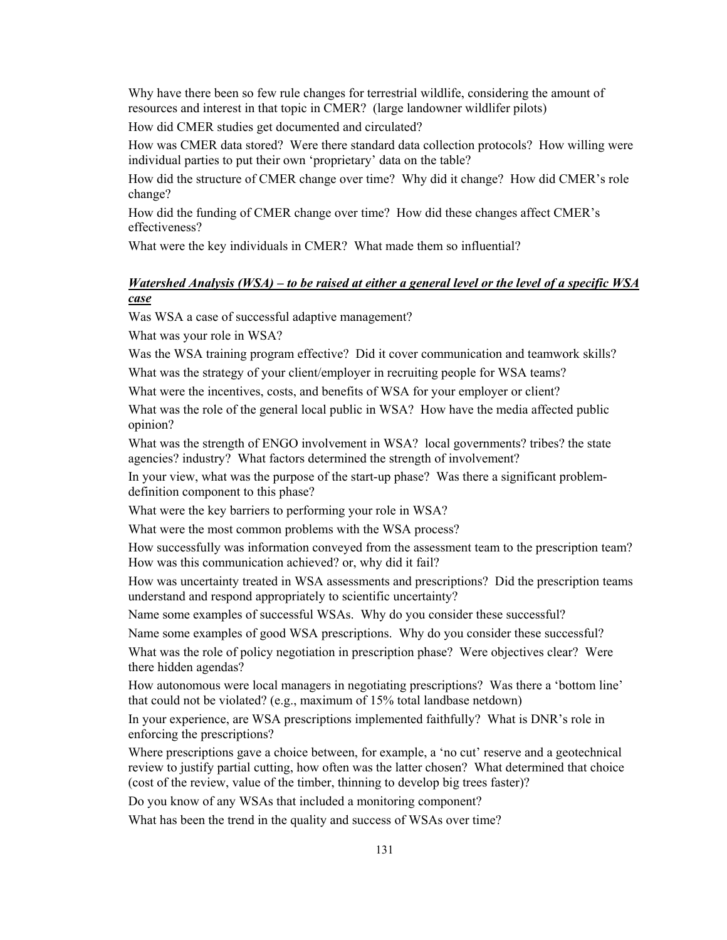Why have there been so few rule changes for terrestrial wildlife, considering the amount of resources and interest in that topic in CMER? (large landowner wildlifer pilots)

How did CMER studies get documented and circulated?

How was CMER data stored? Were there standard data collection protocols? How willing were individual parties to put their own 'proprietary' data on the table?

How did the structure of CMER change over time? Why did it change? How did CMER's role change?

How did the funding of CMER change over time? How did these changes affect CMER's effectiveness?

What were the key individuals in CMER? What made them so influential?

## *Watershed Analysis (WSA) – to be raised at either a general level or the level of a specific WSA case*

Was WSA a case of successful adaptive management?

What was your role in WSA?

Was the WSA training program effective? Did it cover communication and teamwork skills?

What was the strategy of your client/employer in recruiting people for WSA teams?

What were the incentives, costs, and benefits of WSA for your employer or client?

What was the role of the general local public in WSA? How have the media affected public opinion?

What was the strength of ENGO involvement in WSA? local governments? tribes? the state agencies? industry? What factors determined the strength of involvement?

In your view, what was the purpose of the start-up phase? Was there a significant problemdefinition component to this phase?

What were the key barriers to performing your role in WSA?

What were the most common problems with the WSA process?

How successfully was information conveyed from the assessment team to the prescription team? How was this communication achieved? or, why did it fail?

How was uncertainty treated in WSA assessments and prescriptions? Did the prescription teams understand and respond appropriately to scientific uncertainty?

Name some examples of successful WSAs. Why do you consider these successful?

Name some examples of good WSA prescriptions. Why do you consider these successful?

What was the role of policy negotiation in prescription phase? Were objectives clear? Were there hidden agendas?

How autonomous were local managers in negotiating prescriptions? Was there a 'bottom line' that could not be violated? (e.g., maximum of 15% total landbase netdown)

In your experience, are WSA prescriptions implemented faithfully? What is DNR's role in enforcing the prescriptions?

Where prescriptions gave a choice between, for example, a 'no cut' reserve and a geotechnical review to justify partial cutting, how often was the latter chosen? What determined that choice (cost of the review, value of the timber, thinning to develop big trees faster)?

Do you know of any WSAs that included a monitoring component?

What has been the trend in the quality and success of WSAs over time?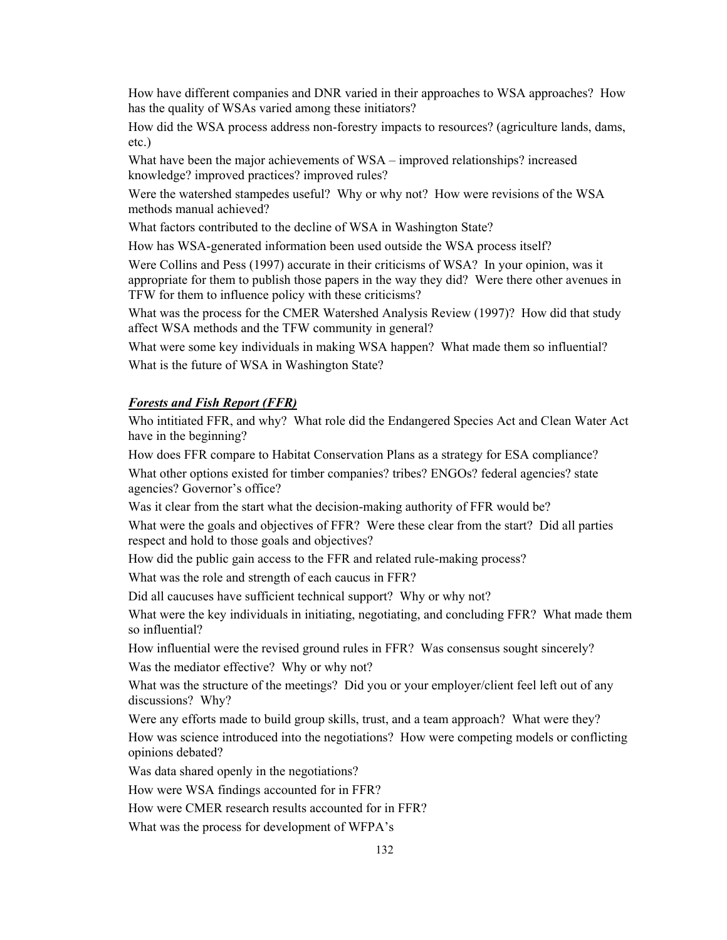How have different companies and DNR varied in their approaches to WSA approaches? How has the quality of WSAs varied among these initiators?

How did the WSA process address non-forestry impacts to resources? (agriculture lands, dams, etc.)

What have been the major achievements of WSA – improved relationships? increased knowledge? improved practices? improved rules?

Were the watershed stampedes useful? Why or why not? How were revisions of the WSA methods manual achieved?

What factors contributed to the decline of WSA in Washington State?

How has WSA-generated information been used outside the WSA process itself?

Were Collins and Pess (1997) accurate in their criticisms of WSA? In your opinion, was it appropriate for them to publish those papers in the way they did? Were there other avenues in TFW for them to influence policy with these criticisms?

What was the process for the CMER Watershed Analysis Review (1997)? How did that study affect WSA methods and the TFW community in general?

What were some key individuals in making WSA happen? What made them so influential? What is the future of WSA in Washington State?

#### *Forests and Fish Report (FFR)*

Who intitiated FFR, and why? What role did the Endangered Species Act and Clean Water Act have in the beginning?

How does FFR compare to Habitat Conservation Plans as a strategy for ESA compliance? What other options existed for timber companies? tribes? ENGOs? federal agencies? state agencies? Governor's office?

Was it clear from the start what the decision-making authority of FFR would be?

What were the goals and objectives of FFR? Were these clear from the start? Did all parties respect and hold to those goals and objectives?

How did the public gain access to the FFR and related rule-making process?

What was the role and strength of each caucus in FFR?

Did all caucuses have sufficient technical support? Why or why not?

What were the key individuals in initiating, negotiating, and concluding FFR? What made them so influential?

How influential were the revised ground rules in FFR? Was consensus sought sincerely? Was the mediator effective? Why or why not?

What was the structure of the meetings? Did you or your employer/client feel left out of any discussions? Why?

Were any efforts made to build group skills, trust, and a team approach? What were they? How was science introduced into the negotiations? How were competing models or conflicting opinions debated?

Was data shared openly in the negotiations?

How were WSA findings accounted for in FFR?

How were CMER research results accounted for in FFR?

What was the process for development of WFPA's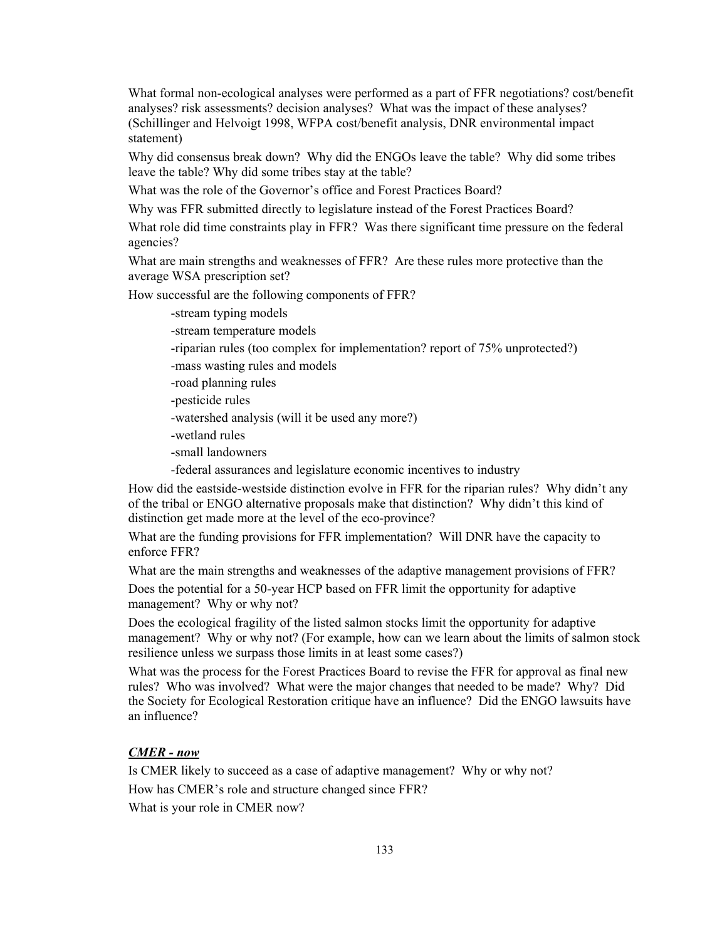What formal non-ecological analyses were performed as a part of FFR negotiations? cost/benefit analyses? risk assessments? decision analyses? What was the impact of these analyses? (Schillinger and Helvoigt 1998, WFPA cost/benefit analysis, DNR environmental impact statement)

Why did consensus break down? Why did the ENGOs leave the table? Why did some tribes leave the table? Why did some tribes stay at the table?

What was the role of the Governor's office and Forest Practices Board?

Why was FFR submitted directly to legislature instead of the Forest Practices Board?

What role did time constraints play in FFR? Was there significant time pressure on the federal agencies?

What are main strengths and weaknesses of FFR? Are these rules more protective than the average WSA prescription set?

How successful are the following components of FFR?

-stream typing models

-stream temperature models

-riparian rules (too complex for implementation? report of 75% unprotected?)

-mass wasting rules and models

- -road planning rules
- -pesticide rules
- -watershed analysis (will it be used any more?)
- -wetland rules
- -small landowners
- -federal assurances and legislature economic incentives to industry

How did the eastside-westside distinction evolve in FFR for the riparian rules? Why didn't any of the tribal or ENGO alternative proposals make that distinction? Why didn't this kind of distinction get made more at the level of the eco-province?

What are the funding provisions for FFR implementation? Will DNR have the capacity to enforce FFR?

What are the main strengths and weaknesses of the adaptive management provisions of FFR?

Does the potential for a 50-year HCP based on FFR limit the opportunity for adaptive management? Why or why not?

Does the ecological fragility of the listed salmon stocks limit the opportunity for adaptive management? Why or why not? (For example, how can we learn about the limits of salmon stock resilience unless we surpass those limits in at least some cases?)

What was the process for the Forest Practices Board to revise the FFR for approval as final new rules? Who was involved? What were the major changes that needed to be made? Why? Did the Society for Ecological Restoration critique have an influence? Did the ENGO lawsuits have an influence?

#### *CMER - now*

Is CMER likely to succeed as a case of adaptive management? Why or why not? How has CMER's role and structure changed since FFR? What is your role in CMER now?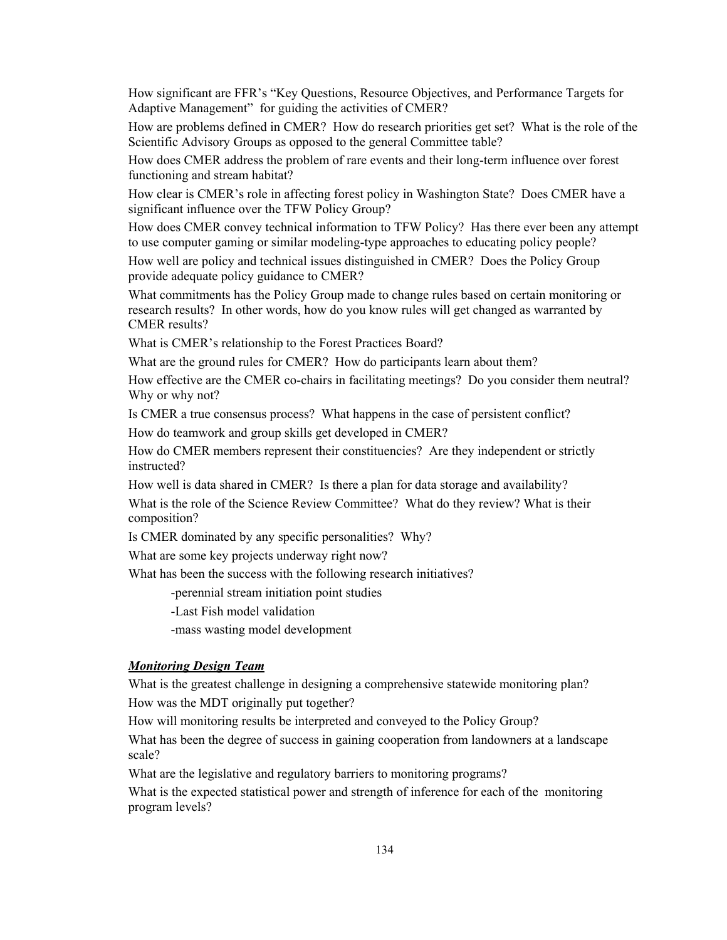How significant are FFR's "Key Questions, Resource Objectives, and Performance Targets for Adaptive Management" for guiding the activities of CMER?

How are problems defined in CMER? How do research priorities get set? What is the role of the Scientific Advisory Groups as opposed to the general Committee table?

How does CMER address the problem of rare events and their long-term influence over forest functioning and stream habitat?

How clear is CMER's role in affecting forest policy in Washington State? Does CMER have a significant influence over the TFW Policy Group?

How does CMER convey technical information to TFW Policy? Has there ever been any attempt to use computer gaming or similar modeling-type approaches to educating policy people?

How well are policy and technical issues distinguished in CMER? Does the Policy Group provide adequate policy guidance to CMER?

What commitments has the Policy Group made to change rules based on certain monitoring or research results? In other words, how do you know rules will get changed as warranted by CMER results?

What is CMER's relationship to the Forest Practices Board?

What are the ground rules for CMER? How do participants learn about them?

How effective are the CMER co-chairs in facilitating meetings? Do you consider them neutral? Why or why not?

Is CMER a true consensus process? What happens in the case of persistent conflict?

How do teamwork and group skills get developed in CMER?

How do CMER members represent their constituencies? Are they independent or strictly instructed?

How well is data shared in CMER? Is there a plan for data storage and availability?

What is the role of the Science Review Committee? What do they review? What is their composition?

Is CMER dominated by any specific personalities? Why?

What are some key projects underway right now?

What has been the success with the following research initiatives?

-perennial stream initiation point studies

-Last Fish model validation

-mass wasting model development

#### *Monitoring Design Team*

What is the greatest challenge in designing a comprehensive statewide monitoring plan? How was the MDT originally put together?

How will monitoring results be interpreted and conveyed to the Policy Group?

What has been the degree of success in gaining cooperation from landowners at a landscape scale?

What are the legislative and regulatory barriers to monitoring programs?

What is the expected statistical power and strength of inference for each of the monitoring program levels?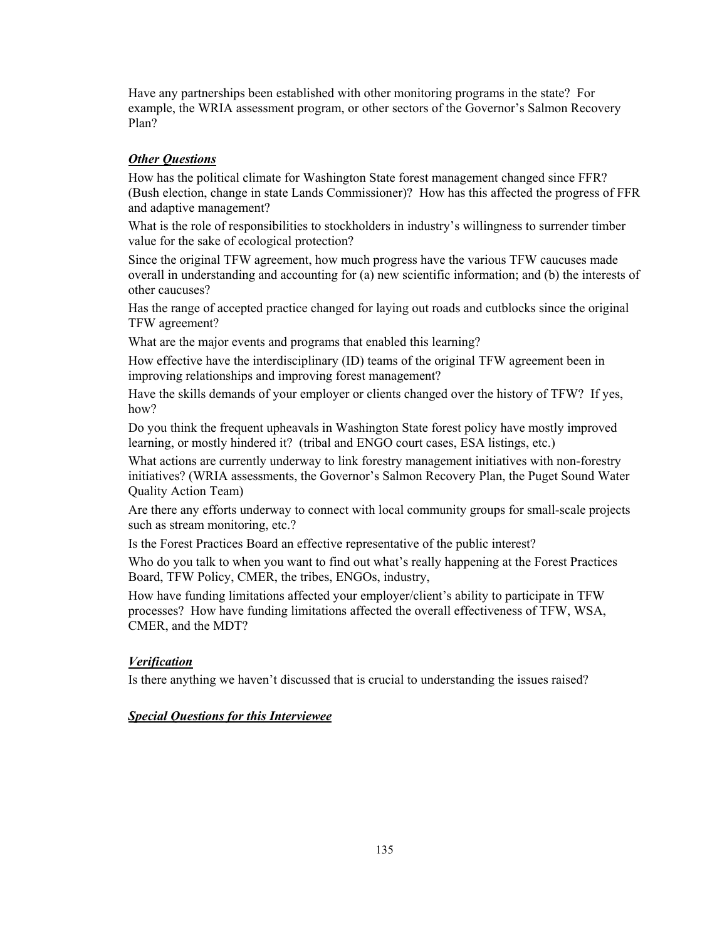Have any partnerships been established with other monitoring programs in the state? For example, the WRIA assessment program, or other sectors of the Governor's Salmon Recovery Plan?

#### *Other Questions*

How has the political climate for Washington State forest management changed since FFR? (Bush election, change in state Lands Commissioner)? How has this affected the progress of FFR and adaptive management?

What is the role of responsibilities to stockholders in industry's willingness to surrender timber value for the sake of ecological protection?

Since the original TFW agreement, how much progress have the various TFW caucuses made overall in understanding and accounting for (a) new scientific information; and (b) the interests of other caucuses?

Has the range of accepted practice changed for laying out roads and cutblocks since the original TFW agreement?

What are the major events and programs that enabled this learning?

How effective have the interdisciplinary (ID) teams of the original TFW agreement been in improving relationships and improving forest management?

Have the skills demands of your employer or clients changed over the history of TFW? If yes, how?

Do you think the frequent upheavals in Washington State forest policy have mostly improved learning, or mostly hindered it? (tribal and ENGO court cases, ESA listings, etc.)

What actions are currently underway to link forestry management initiatives with non-forestry initiatives? (WRIA assessments, the Governor's Salmon Recovery Plan, the Puget Sound Water Quality Action Team)

Are there any efforts underway to connect with local community groups for small-scale projects such as stream monitoring, etc.?

Is the Forest Practices Board an effective representative of the public interest?

Who do you talk to when you want to find out what's really happening at the Forest Practices Board, TFW Policy, CMER, the tribes, ENGOs, industry,

How have funding limitations affected your employer/client's ability to participate in TFW processes? How have funding limitations affected the overall effectiveness of TFW, WSA, CMER, and the MDT?

#### *Verification*

Is there anything we haven't discussed that is crucial to understanding the issues raised?

#### *Special Questions for this Interviewee*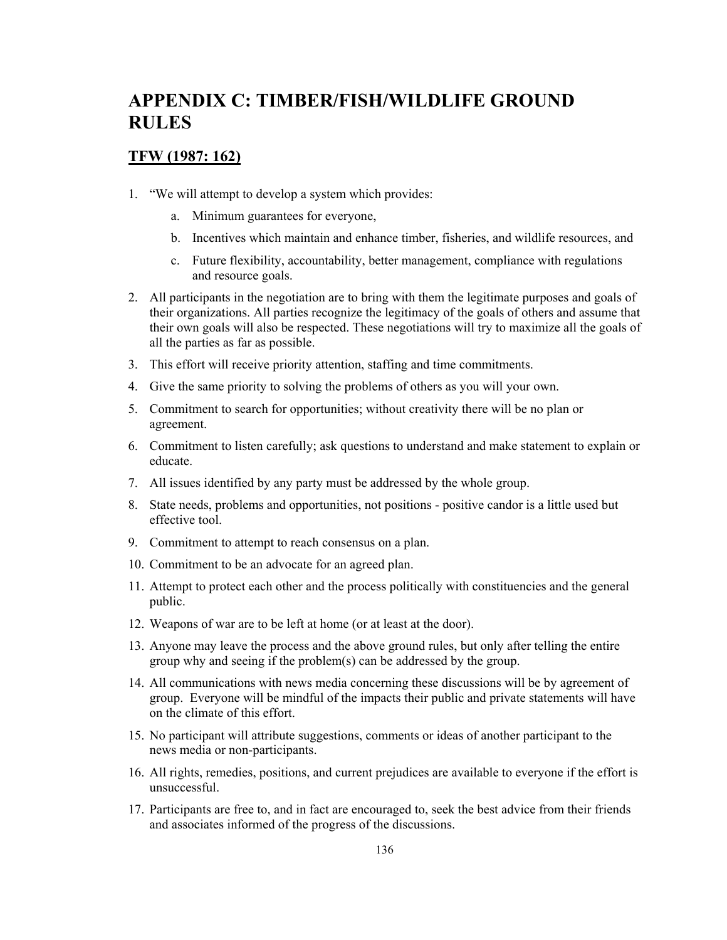# **APPENDIX C: TIMBER/FISH/WILDLIFE GROUND RULES**

### **TFW (1987: 162)**

- 1. "We will attempt to develop a system which provides:
	- a. Minimum guarantees for everyone,
	- b. Incentives which maintain and enhance timber, fisheries, and wildlife resources, and
	- c. Future flexibility, accountability, better management, compliance with regulations and resource goals.
- 2. All participants in the negotiation are to bring with them the legitimate purposes and goals of their organizations. All parties recognize the legitimacy of the goals of others and assume that their own goals will also be respected. These negotiations will try to maximize all the goals of all the parties as far as possible.
- 3. This effort will receive priority attention, staffing and time commitments.
- 4. Give the same priority to solving the problems of others as you will your own.
- 5. Commitment to search for opportunities; without creativity there will be no plan or agreement.
- 6. Commitment to listen carefully; ask questions to understand and make statement to explain or educate.
- 7. All issues identified by any party must be addressed by the whole group.
- 8. State needs, problems and opportunities, not positions positive candor is a little used but effective tool.
- 9. Commitment to attempt to reach consensus on a plan.
- 10. Commitment to be an advocate for an agreed plan.
- 11. Attempt to protect each other and the process politically with constituencies and the general public.
- 12. Weapons of war are to be left at home (or at least at the door).
- 13. Anyone may leave the process and the above ground rules, but only after telling the entire group why and seeing if the problem(s) can be addressed by the group.
- 14. All communications with news media concerning these discussions will be by agreement of group. Everyone will be mindful of the impacts their public and private statements will have on the climate of this effort.
- 15. No participant will attribute suggestions, comments or ideas of another participant to the news media or non-participants.
- 16. All rights, remedies, positions, and current prejudices are available to everyone if the effort is unsuccessful.
- 17. Participants are free to, and in fact are encouraged to, seek the best advice from their friends and associates informed of the progress of the discussions.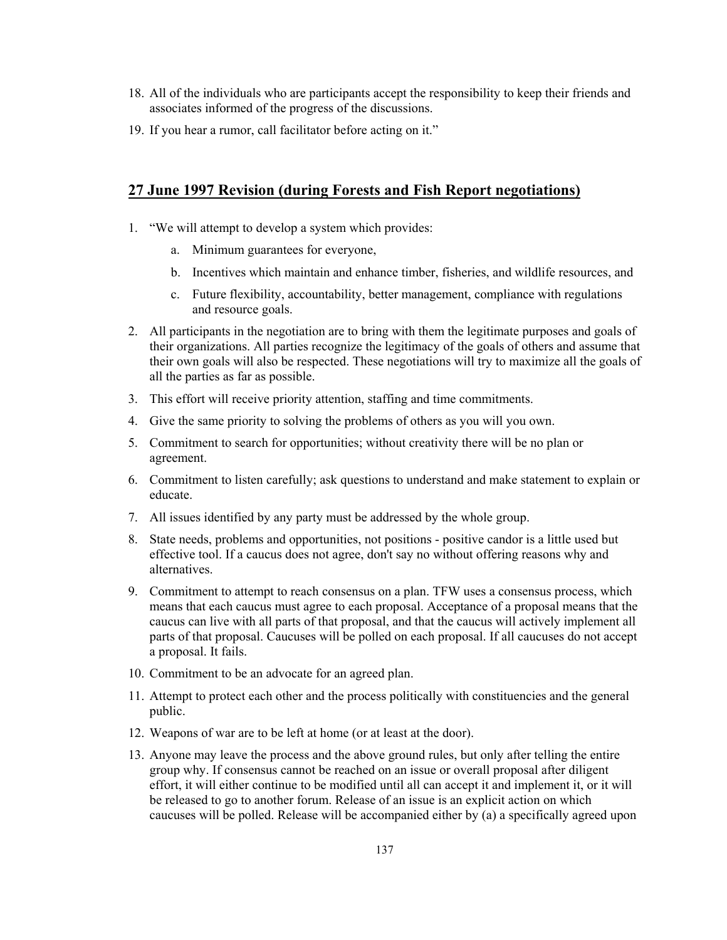- 18. All of the individuals who are participants accept the responsibility to keep their friends and associates informed of the progress of the discussions.
- 19. If you hear a rumor, call facilitator before acting on it."

## **27 June 1997 Revision (during Forests and Fish Report negotiations)**

- 1. "We will attempt to develop a system which provides:
	- a. Minimum guarantees for everyone,
	- b. Incentives which maintain and enhance timber, fisheries, and wildlife resources, and
	- c. Future flexibility, accountability, better management, compliance with regulations and resource goals.
- 2. All participants in the negotiation are to bring with them the legitimate purposes and goals of their organizations. All parties recognize the legitimacy of the goals of others and assume that their own goals will also be respected. These negotiations will try to maximize all the goals of all the parties as far as possible.
- 3. This effort will receive priority attention, staffing and time commitments.
- 4. Give the same priority to solving the problems of others as you will you own.
- 5. Commitment to search for opportunities; without creativity there will be no plan or agreement.
- 6. Commitment to listen carefully; ask questions to understand and make statement to explain or educate.
- 7. All issues identified by any party must be addressed by the whole group.
- 8. State needs, problems and opportunities, not positions positive candor is a little used but effective tool. If a caucus does not agree, don't say no without offering reasons why and alternatives.
- 9. Commitment to attempt to reach consensus on a plan. TFW uses a consensus process, which means that each caucus must agree to each proposal. Acceptance of a proposal means that the caucus can live with all parts of that proposal, and that the caucus will actively implement all parts of that proposal. Caucuses will be polled on each proposal. If all caucuses do not accept a proposal. It fails.
- 10. Commitment to be an advocate for an agreed plan.
- 11. Attempt to protect each other and the process politically with constituencies and the general public.
- 12. Weapons of war are to be left at home (or at least at the door).
- 13. Anyone may leave the process and the above ground rules, but only after telling the entire group why. If consensus cannot be reached on an issue or overall proposal after diligent effort, it will either continue to be modified until all can accept it and implement it, or it will be released to go to another forum. Release of an issue is an explicit action on which caucuses will be polled. Release will be accompanied either by (a) a specifically agreed upon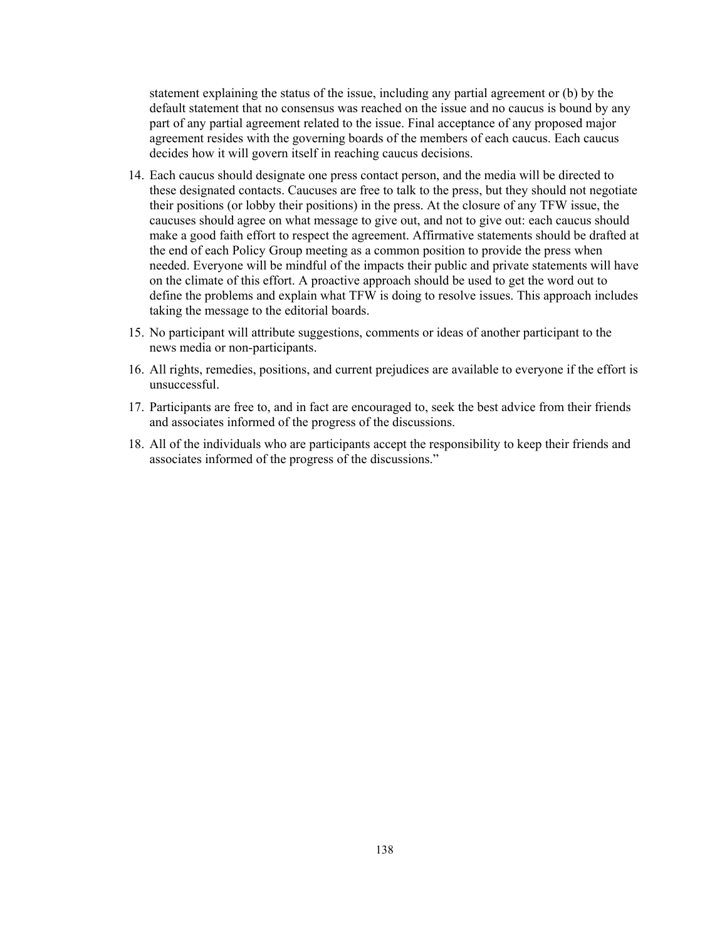statement explaining the status of the issue, including any partial agreement or (b) by the default statement that no consensus was reached on the issue and no caucus is bound by any part of any partial agreement related to the issue. Final acceptance of any proposed major agreement resides with the governing boards of the members of each caucus. Each caucus decides how it will govern itself in reaching caucus decisions.

- 14. Each caucus should designate one press contact person, and the media will be directed to these designated contacts. Caucuses are free to talk to the press, but they should not negotiate their positions (or lobby their positions) in the press. At the closure of any TFW issue, the caucuses should agree on what message to give out, and not to give out: each caucus should make a good faith effort to respect the agreement. Affirmative statements should be drafted at the end of each Policy Group meeting as a common position to provide the press when needed. Everyone will be mindful of the impacts their public and private statements will have on the climate of this effort. A proactive approach should be used to get the word out to define the problems and explain what TFW is doing to resolve issues. This approach includes taking the message to the editorial boards.
- 15. No participant will attribute suggestions, comments or ideas of another participant to the news media or non-participants.
- 16. All rights, remedies, positions, and current prejudices are available to everyone if the effort is unsuccessful.
- 17. Participants are free to, and in fact are encouraged to, seek the best advice from their friends and associates informed of the progress of the discussions.
- 18. All of the individuals who are participants accept the responsibility to keep their friends and associates informed of the progress of the discussions."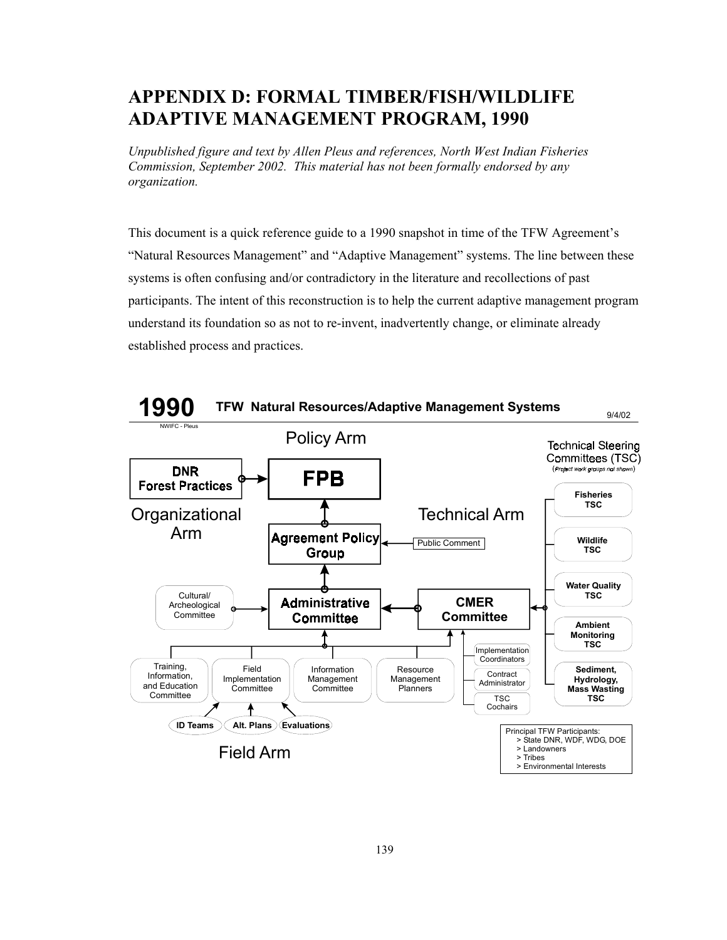## **APPENDIX D: FORMAL TIMBER/FISH/WILDLIFE ADAPTIVE MANAGEMENT PROGRAM, 1990**

*Unpublished figure and text by Allen Pleus and references, North West Indian Fisheries Commission, September 2002. This material has not been formally endorsed by any organization.* 

This document is a quick reference guide to a 1990 snapshot in time of the TFW Agreement's "Natural Resources Management" and "Adaptive Management" systems. The line between these systems is often confusing and/or contradictory in the literature and recollections of past participants. The intent of this reconstruction is to help the current adaptive management program understand its foundation so as not to re-invent, inadvertently change, or eliminate already established process and practices.

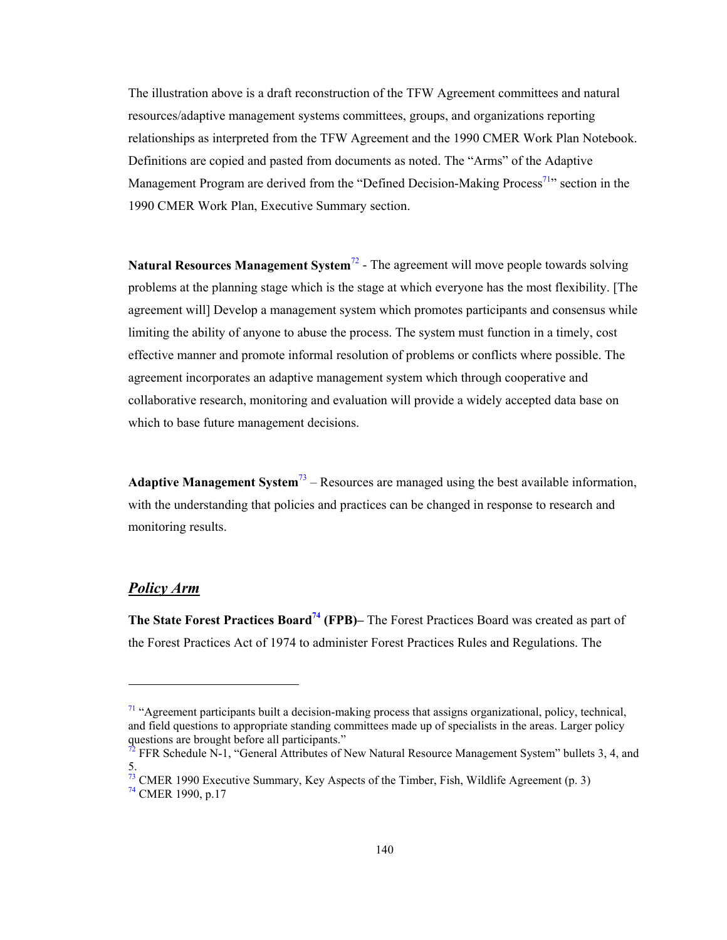The illustration above is a draft reconstruction of the TFW Agreement committees and natural resources/adaptive management systems committees, groups, and organizations reporting relationships as interpreted from the TFW Agreement and the 1990 CMER Work Plan Notebook. Definitions are copied and pasted from documents as noted. The "Arms" of the Adaptive Management Program are derived from the "Defined Decision-Making Process<sup>71</sup>" section in the 1990 CMER Work Plan, Executive Summary section.

**Natural Resources Management System<sup>72</sup> -** The agreement will move people towards solving problems at the planning stage which is the stage at which everyone has the most flexibility. [The agreement will] Develop a management system which promotes participants and consensus while limiting the ability of anyone to abuse the process. The system must function in a timely, cost effective manner and promote informal resolution of problems or conflicts where possible. The agreement incorporates an adaptive management system which through cooperative and collaborative research, monitoring and evaluation will provide a widely accepted data base on which to base future management decisions.

**Adaptive Management System**73 – Resources are managed using the best available information, with the understanding that policies and practices can be changed in response to research and monitoring results.

### *Policy Arm*

1

**The State Forest Practices Board74 (FPB)–** The Forest Practices Board was created as part of the Forest Practices Act of 1974 to administer Forest Practices Rules and Regulations. The

 $71$  "Agreement participants built a decision-making process that assigns organizational, policy, technical, and field questions to appropriate standing committees made up of specialists in the areas. Larger policy questions are brought before all participants."

<sup>&</sup>lt;sup>2</sup> FFR Schedule N-1, "General Attributes of New Natural Resource Management System" bullets 3, 4, and 5.

 $73$  CMER 1990 Executive Summary, Key Aspects of the Timber, Fish, Wildlife Agreement (p. 3)  $74$  CMER 1990, p.17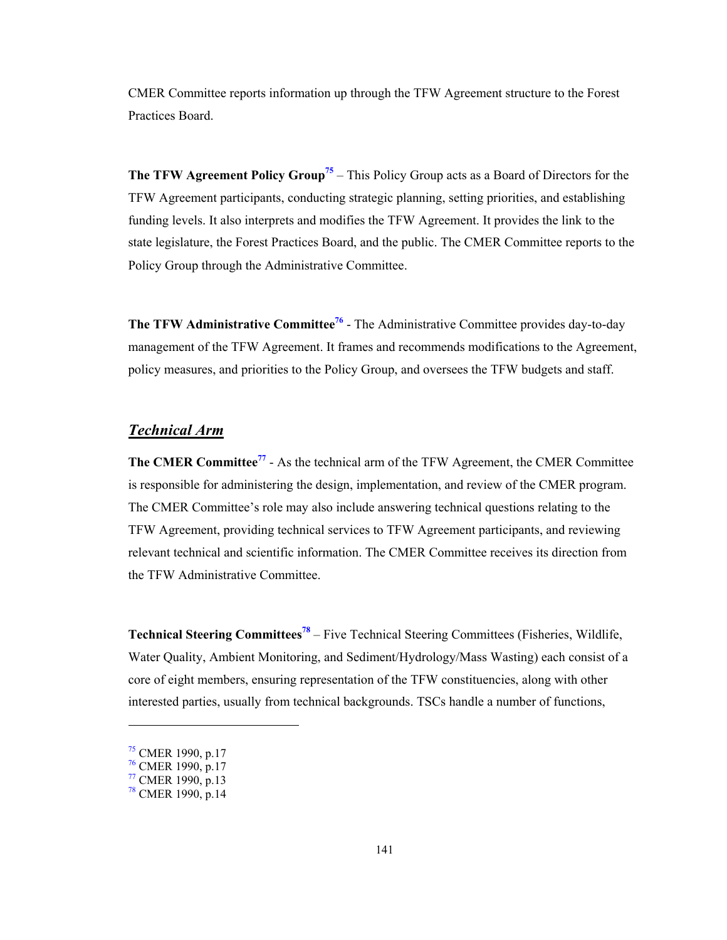CMER Committee reports information up through the TFW Agreement structure to the Forest Practices Board.

**The TFW Agreement Policy Group<sup>75</sup>** – This Policy Group acts as a Board of Directors for the TFW Agreement participants, conducting strategic planning, setting priorities, and establishing funding levels. It also interprets and modifies the TFW Agreement. It provides the link to the state legislature, the Forest Practices Board, and the public. The CMER Committee reports to the Policy Group through the Administrative Committee.

**The TFW Administrative Committee<sup>76</sup>** - The Administrative Committee provides day-to-day management of the TFW Agreement. It frames and recommends modifications to the Agreement, policy measures, and priorities to the Policy Group, and oversees the TFW budgets and staff.

## *Technical Arm*

**The CMER Committee**<sup>77</sup> - As the technical arm of the TFW Agreement, the CMER Committee is responsible for administering the design, implementation, and review of the CMER program. The CMER Committee's role may also include answering technical questions relating to the TFW Agreement, providing technical services to TFW Agreement participants, and reviewing relevant technical and scientific information. The CMER Committee receives its direction from the TFW Administrative Committee.

**Technical Steering Committees<sup>78</sup>** – Five Technical Steering Committees (Fisheries, Wildlife, Water Quality, Ambient Monitoring, and Sediment/Hydrology/Mass Wasting) each consist of a core of eight members, ensuring representation of the TFW constituencies, along with other interested parties, usually from technical backgrounds. TSCs handle a number of functions,

l

 $\frac{75}{12}$  CMER 1990, p.17

<sup>&</sup>lt;sup>76</sup> CMER 1990, p.17

<sup>&</sup>lt;sup>77</sup> CMER 1990, p.13

 $78$  CMER 1990, p.14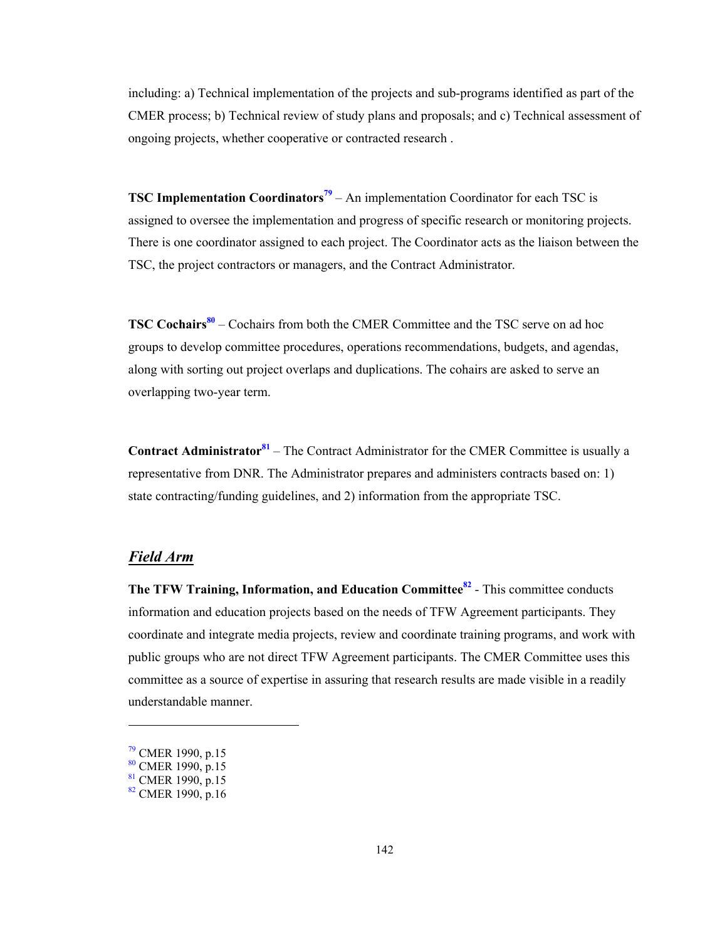including: a) Technical implementation of the projects and sub-programs identified as part of the CMER process; b) Technical review of study plans and proposals; and c) Technical assessment of ongoing projects, whether cooperative or contracted research .

**TSC Implementation Coordinators<sup>79</sup>** – An implementation Coordinator for each TSC is assigned to oversee the implementation and progress of specific research or monitoring projects. There is one coordinator assigned to each project. The Coordinator acts as the liaison between the TSC, the project contractors or managers, and the Contract Administrator.

**TSC Cochairs<sup>80</sup>** – Cochairs from both the CMER Committee and the TSC serve on ad hoc groups to develop committee procedures, operations recommendations, budgets, and agendas, along with sorting out project overlaps and duplications. The cohairs are asked to serve an overlapping two-year term.

**Contract Administrator**<sup>81</sup> – The Contract Administrator for the CMER Committee is usually a representative from DNR. The Administrator prepares and administers contracts based on: 1) state contracting/funding guidelines, and 2) information from the appropriate TSC.

### *Field Arm*

**The TFW Training, Information, and Education Committee<sup>82</sup>** - This committee conducts information and education projects based on the needs of TFW Agreement participants. They coordinate and integrate media projects, review and coordinate training programs, and work with public groups who are not direct TFW Agreement participants. The CMER Committee uses this committee as a source of expertise in assuring that research results are made visible in a readily understandable manner.

l

<sup>79</sup> CMER 1990, p.15

 $80$  CMER 1990, p.15

 $81$  CMER 1990, p.15

 $82$  CMER 1990, p.16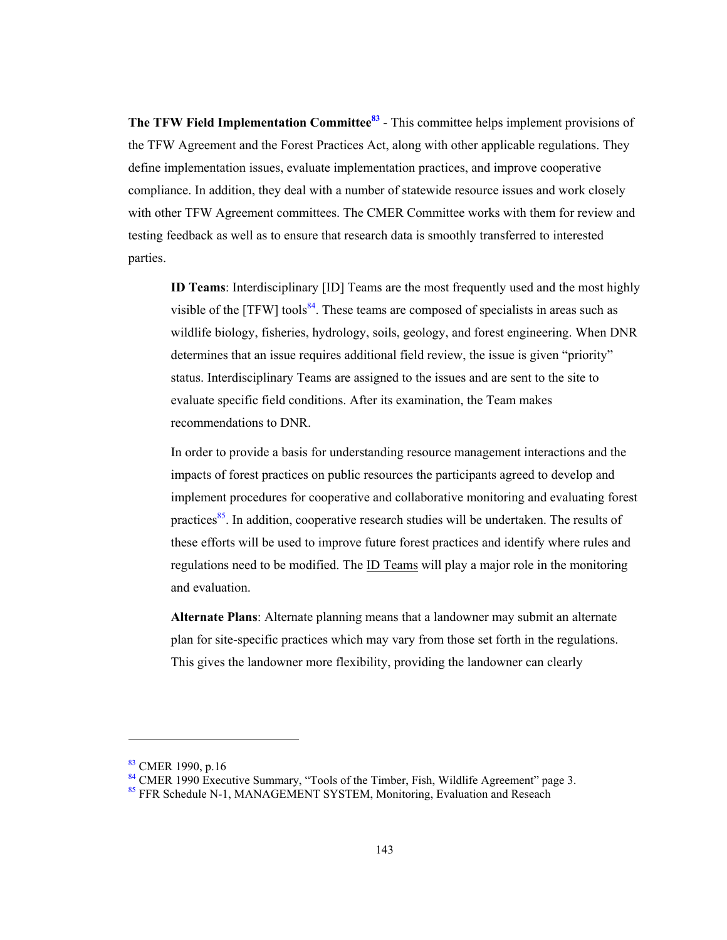**The TFW Field Implementation Committee**<sup>83</sup> - This committee helps implement provisions of the TFW Agreement and the Forest Practices Act, along with other applicable regulations. They define implementation issues, evaluate implementation practices, and improve cooperative compliance. In addition, they deal with a number of statewide resource issues and work closely with other TFW Agreement committees. The CMER Committee works with them for review and testing feedback as well as to ensure that research data is smoothly transferred to interested parties.

**ID Teams**: Interdisciplinary [ID] Teams are the most frequently used and the most highly visible of the  $[TFW]$  tools<sup>84</sup>. These teams are composed of specialists in areas such as wildlife biology, fisheries, hydrology, soils, geology, and forest engineering. When DNR determines that an issue requires additional field review, the issue is given "priority" status. Interdisciplinary Teams are assigned to the issues and are sent to the site to evaluate specific field conditions. After its examination, the Team makes recommendations to DNR.

In order to provide a basis for understanding resource management interactions and the impacts of forest practices on public resources the participants agreed to develop and implement procedures for cooperative and collaborative monitoring and evaluating forest practices $85$ . In addition, cooperative research studies will be undertaken. The results of these efforts will be used to improve future forest practices and identify where rules and regulations need to be modified. The **ID** Teams will play a major role in the monitoring and evaluation.

**Alternate Plans**: Alternate planning means that a landowner may submit an alternate plan for site-specific practices which may vary from those set forth in the regulations. This gives the landowner more flexibility, providing the landowner can clearly

1

 $83$  CMER 1990, p.16

<sup>&</sup>lt;sup>84</sup> CMER 1990 Executive Summary, "Tools of the Timber, Fish, Wildlife Agreement" page 3.

<sup>&</sup>lt;sup>85</sup> FFR Schedule N-1, MANAGEMENT SYSTEM, Monitoring, Evaluation and Reseach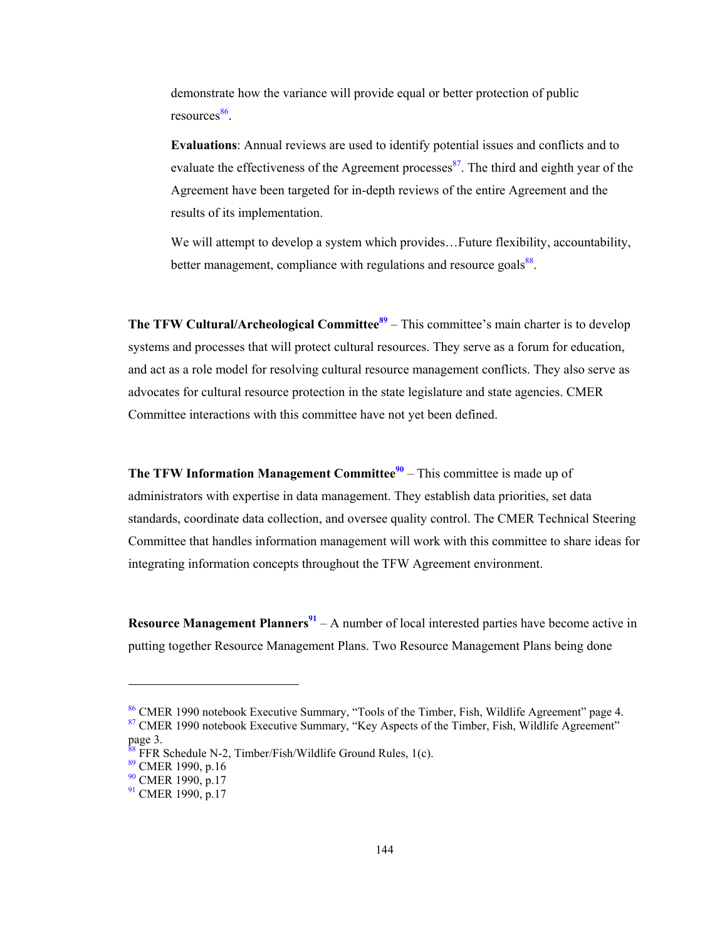demonstrate how the variance will provide equal or better protection of public  $resources<sup>86</sup>$ .

**Evaluations**: Annual reviews are used to identify potential issues and conflicts and to evaluate the effectiveness of the Agreement processes $\frac{87}{3}$ . The third and eighth year of the Agreement have been targeted for in-depth reviews of the entire Agreement and the results of its implementation.

We will attempt to develop a system which provides...Future flexibility, accountability, better management, compliance with regulations and resource goals<sup>88</sup>.

**The TFW Cultural/Archeological Committee<sup>89</sup> – This committee's main charter is to develop** systems and processes that will protect cultural resources. They serve as a forum for education, and act as a role model for resolving cultural resource management conflicts. They also serve as advocates for cultural resource protection in the state legislature and state agencies. CMER Committee interactions with this committee have not yet been defined.

**The TFW Information Management Committee**<sup>90</sup> – This committee is made up of administrators with expertise in data management. They establish data priorities, set data standards, coordinate data collection, and oversee quality control. The CMER Technical Steering Committee that handles information management will work with this committee to share ideas for integrating information concepts throughout the TFW Agreement environment.

**Resource Management Planners<sup>91</sup>** – A number of local interested parties have become active in putting together Resource Management Plans. Two Resource Management Plans being done

l

<sup>86</sup> CMER 1990 notebook Executive Summary, "Tools of the Timber, Fish, Wildlife Agreement" page 4. <sup>87</sup> CMER 1990 notebook Executive Summary, "Key Aspects of the Timber, Fish, Wildlife Agreement"

page 3.

FFR Schedule N-2, Timber/Fish/Wildlife Ground Rules, 1(c).

<sup>89</sup> CMER 1990, p.16

 $90$  CMER 1990, p.17

<sup>&</sup>lt;sup>91</sup> CMER 1990, p.17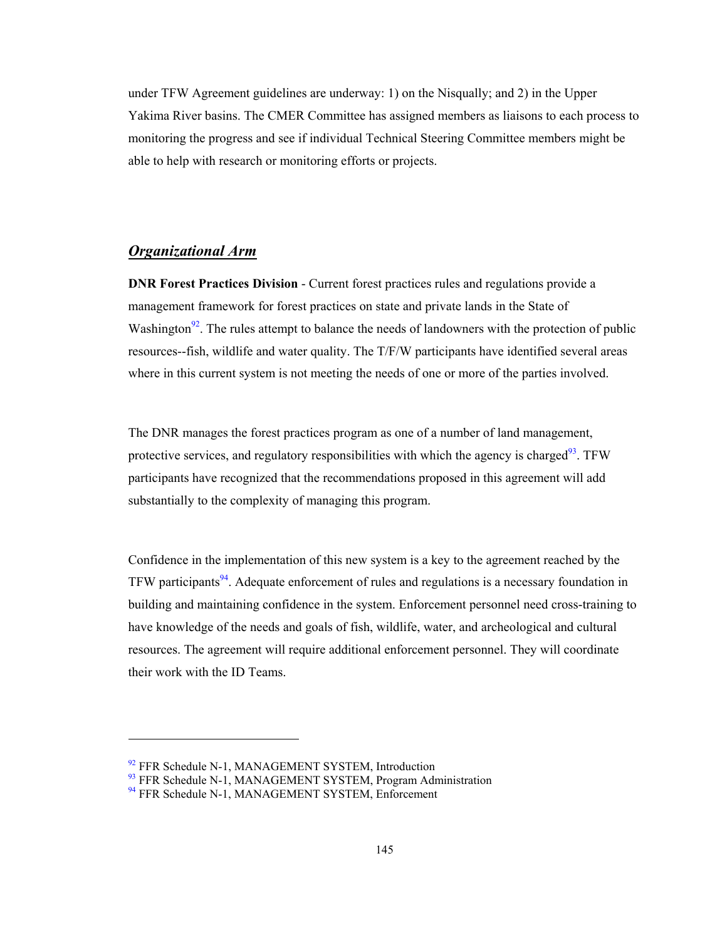under TFW Agreement guidelines are underway: 1) on the Nisqually; and 2) in the Upper Yakima River basins. The CMER Committee has assigned members as liaisons to each process to monitoring the progress and see if individual Technical Steering Committee members might be able to help with research or monitoring efforts or projects.

#### *Organizational Arm*

**DNR Forest Practices Division** - Current forest practices rules and regulations provide a management framework for forest practices on state and private lands in the State of Washington<sup>92</sup>. The rules attempt to balance the needs of landowners with the protection of public resources--fish, wildlife and water quality. The T/F/W participants have identified several areas where in this current system is not meeting the needs of one or more of the parties involved.

The DNR manages the forest practices program as one of a number of land management, protective services, and regulatory responsibilities with which the agency is charged<sup>93</sup>. TFW participants have recognized that the recommendations proposed in this agreement will add substantially to the complexity of managing this program.

Confidence in the implementation of this new system is a key to the agreement reached by the TFW participants<sup>94</sup>. Adequate enforcement of rules and regulations is a necessary foundation in building and maintaining confidence in the system. Enforcement personnel need cross-training to have knowledge of the needs and goals of fish, wildlife, water, and archeological and cultural resources. The agreement will require additional enforcement personnel. They will coordinate their work with the ID Teams.

1

<sup>&</sup>lt;sup>92</sup> FFR Schedule N-1, MANAGEMENT SYSTEM, Introduction

<sup>&</sup>lt;sup>93</sup> FFR Schedule N-1, MANAGEMENT SYSTEM, Program Administration <sup>94</sup> FFR Schedule N-1, MANAGEMENT SYSTEM, Enforcement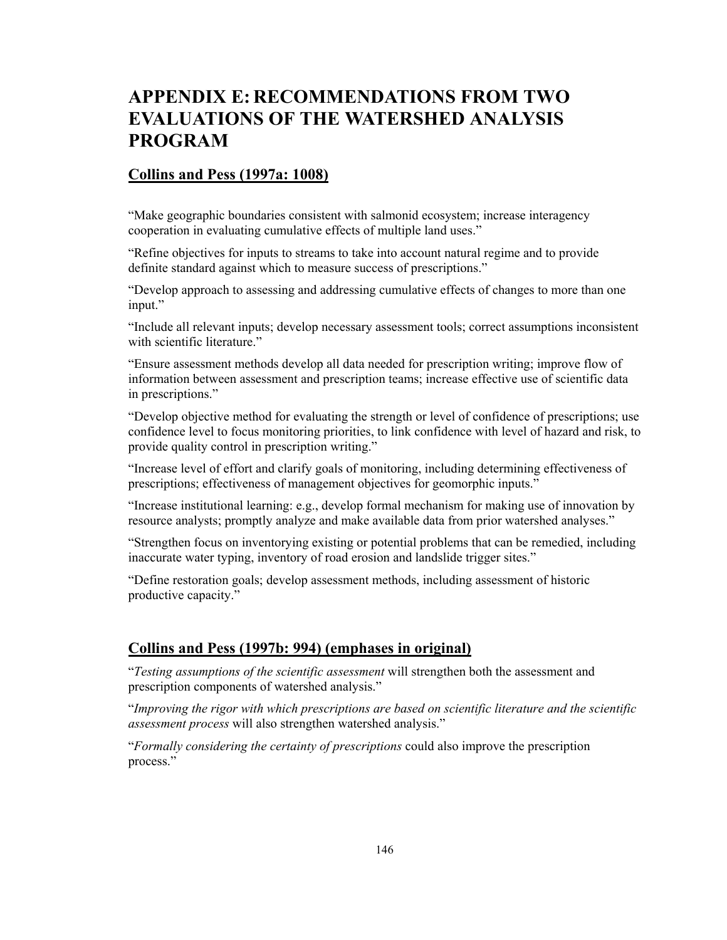# **APPENDIX E: RECOMMENDATIONS FROM TWO EVALUATIONS OF THE WATERSHED ANALYSIS PROGRAM**

## **Collins and Pess (1997a: 1008)**

"Make geographic boundaries consistent with salmonid ecosystem; increase interagency cooperation in evaluating cumulative effects of multiple land uses."

"Refine objectives for inputs to streams to take into account natural regime and to provide definite standard against which to measure success of prescriptions."

"Develop approach to assessing and addressing cumulative effects of changes to more than one input."

"Include all relevant inputs; develop necessary assessment tools; correct assumptions inconsistent with scientific literature."

"Ensure assessment methods develop all data needed for prescription writing; improve flow of information between assessment and prescription teams; increase effective use of scientific data in prescriptions."

"Develop objective method for evaluating the strength or level of confidence of prescriptions; use confidence level to focus monitoring priorities, to link confidence with level of hazard and risk, to provide quality control in prescription writing."

"Increase level of effort and clarify goals of monitoring, including determining effectiveness of prescriptions; effectiveness of management objectives for geomorphic inputs."

"Increase institutional learning: e.g., develop formal mechanism for making use of innovation by resource analysts; promptly analyze and make available data from prior watershed analyses."

"Strengthen focus on inventorying existing or potential problems that can be remedied, including inaccurate water typing, inventory of road erosion and landslide trigger sites."

"Define restoration goals; develop assessment methods, including assessment of historic productive capacity."

## **Collins and Pess (1997b: 994) (emphases in original)**

"*Testing assumptions of the scientific assessment* will strengthen both the assessment and prescription components of watershed analysis."

"*Improving the rigor with which prescriptions are based on scientific literature and the scientific assessment process* will also strengthen watershed analysis."

"*Formally considering the certainty of prescriptions* could also improve the prescription process."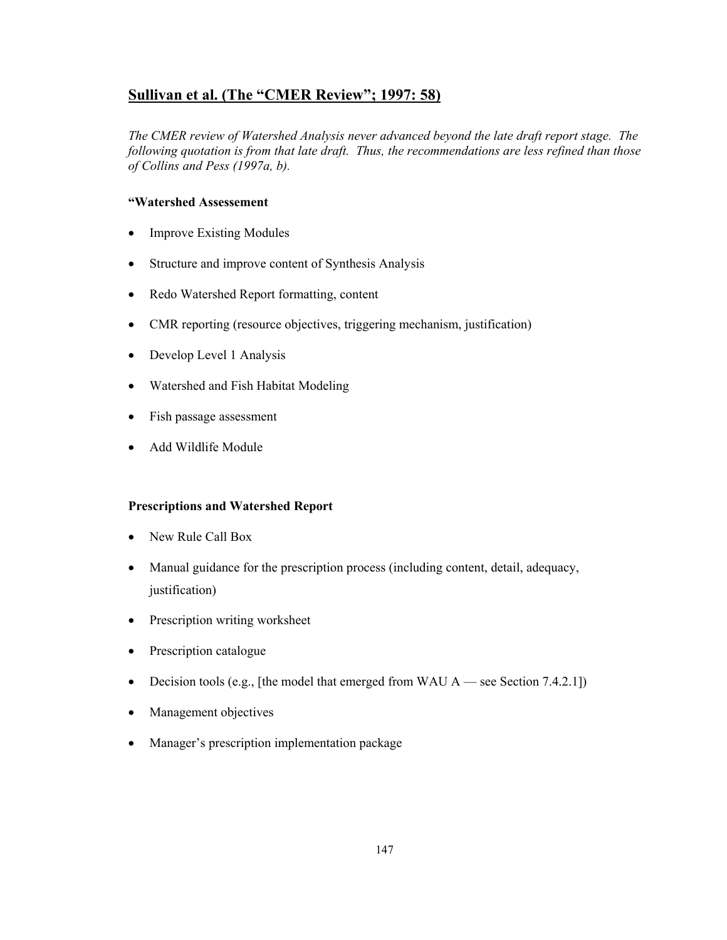## **Sullivan et al. (The "CMER Review"; 1997: 58)**

*The CMER review of Watershed Analysis never advanced beyond the late draft report stage. The following quotation is from that late draft. Thus, the recommendations are less refined than those of Collins and Pess (1997a, b).* 

### **"Watershed Assessement**

- Improve Existing Modules
- Structure and improve content of Synthesis Analysis
- Redo Watershed Report formatting, content
- CMR reporting (resource objectives, triggering mechanism, justification)
- Develop Level 1 Analysis
- Watershed and Fish Habitat Modeling
- Fish passage assessment
- Add Wildlife Module

#### **Prescriptions and Watershed Report**

- New Rule Call Box
- Manual guidance for the prescription process (including content, detail, adequacy, justification)
- Prescription writing worksheet
- Prescription catalogue
- Decision tools (e.g., [the model that emerged from WAU  $A$  see Section 7.4.2.1])
- Management objectives
- Manager's prescription implementation package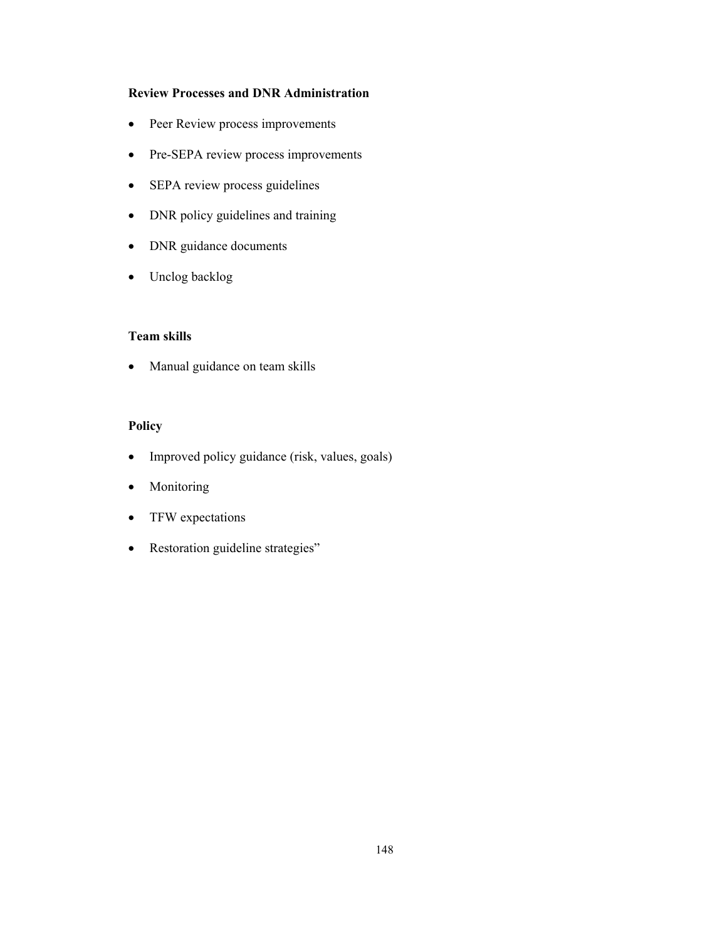## **Review Processes and DNR Administration**

- Peer Review process improvements
- Pre-SEPA review process improvements
- SEPA review process guidelines
- DNR policy guidelines and training
- DNR guidance documents
- Unclog backlog

### **Team skills**

• Manual guidance on team skills

## **Policy**

- Improved policy guidance (risk, values, goals)
- Monitoring
- TFW expectations
- Restoration guideline strategies"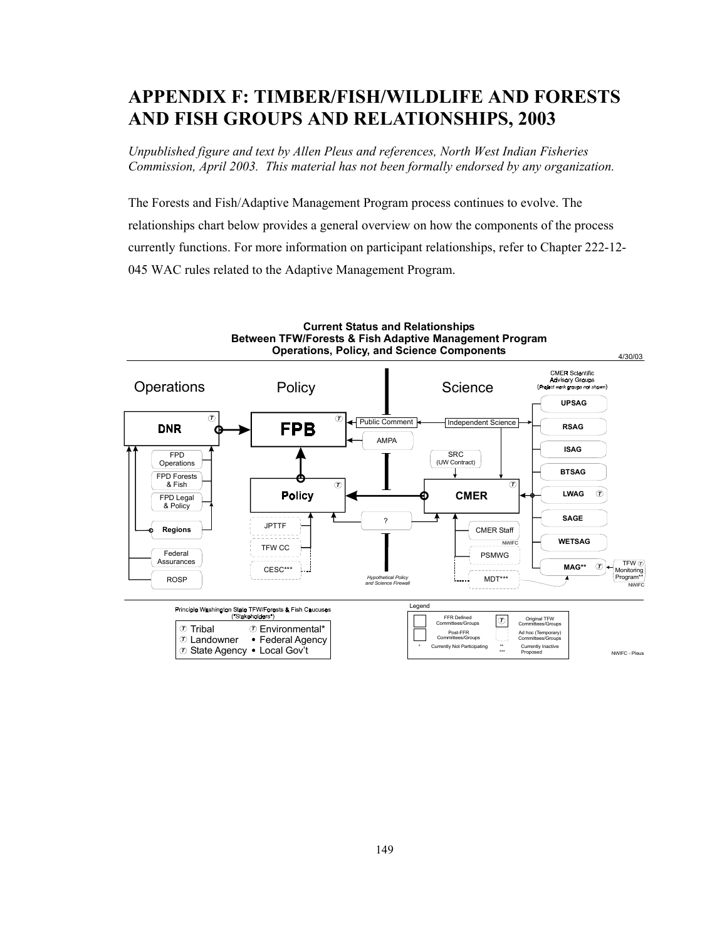# **APPENDIX F: TIMBER/FISH/WILDLIFE AND FORESTS AND FISH GROUPS AND RELATIONSHIPS, 2003**

*Unpublished figure and text by Allen Pleus and references, North West Indian Fisheries Commission, April 2003. This material has not been formally endorsed by any organization.* 

The Forests and Fish/Adaptive Management Program process continues to evolve. The relationships chart below provides a general overview on how the components of the process currently functions. For more information on participant relationships, refer to Chapter 222-12- 045 WAC rules related to the Adaptive Management Program.

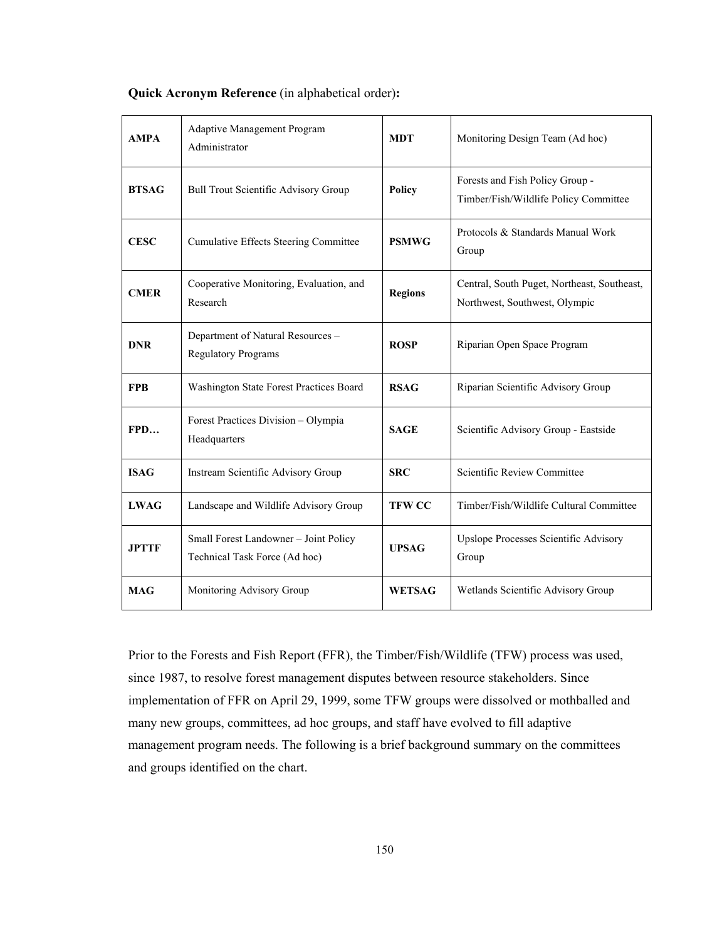| <b>AMPA</b>  | <b>Adaptive Management Program</b><br>Administrator                    | <b>MDT</b>     | Monitoring Design Team (Ad hoc)                                              |
|--------------|------------------------------------------------------------------------|----------------|------------------------------------------------------------------------------|
| <b>BTSAG</b> | <b>Bull Trout Scientific Advisory Group</b>                            | <b>Policy</b>  | Forests and Fish Policy Group -<br>Timber/Fish/Wildlife Policy Committee     |
| <b>CESC</b>  | <b>Cumulative Effects Steering Committee</b>                           | <b>PSMWG</b>   | Protocols & Standards Manual Work<br>Group                                   |
| <b>CMER</b>  | Cooperative Monitoring, Evaluation, and<br>Research                    | <b>Regions</b> | Central, South Puget, Northeast, Southeast,<br>Northwest, Southwest, Olympic |
| <b>DNR</b>   | Department of Natural Resources -<br><b>Regulatory Programs</b>        | <b>ROSP</b>    | Riparian Open Space Program                                                  |
| <b>FPB</b>   | Washington State Forest Practices Board                                | <b>RSAG</b>    | Riparian Scientific Advisory Group                                           |
| FPD          | Forest Practices Division - Olympia<br>Headquarters                    | <b>SAGE</b>    | Scientific Advisory Group - Eastside                                         |
| <b>ISAG</b>  | Instream Scientific Advisory Group                                     | <b>SRC</b>     | Scientific Review Committee                                                  |
| <b>LWAG</b>  | Landscape and Wildlife Advisory Group                                  | <b>TFW CC</b>  | Timber/Fish/Wildlife Cultural Committee                                      |
| <b>JPTTF</b> | Small Forest Landowner - Joint Policy<br>Technical Task Force (Ad hoc) | <b>UPSAG</b>   | Upslope Processes Scientific Advisory<br>Group                               |
| <b>MAG</b>   | Monitoring Advisory Group                                              | <b>WETSAG</b>  | Wetlands Scientific Advisory Group                                           |

#### **Quick Acronym Reference** (in alphabetical order)**:**

Prior to the Forests and Fish Report (FFR), the Timber/Fish/Wildlife (TFW) process was used, since 1987, to resolve forest management disputes between resource stakeholders. Since implementation of FFR on April 29, 1999, some TFW groups were dissolved or mothballed and many new groups, committees, ad hoc groups, and staff have evolved to fill adaptive management program needs. The following is a brief background summary on the committees and groups identified on the chart.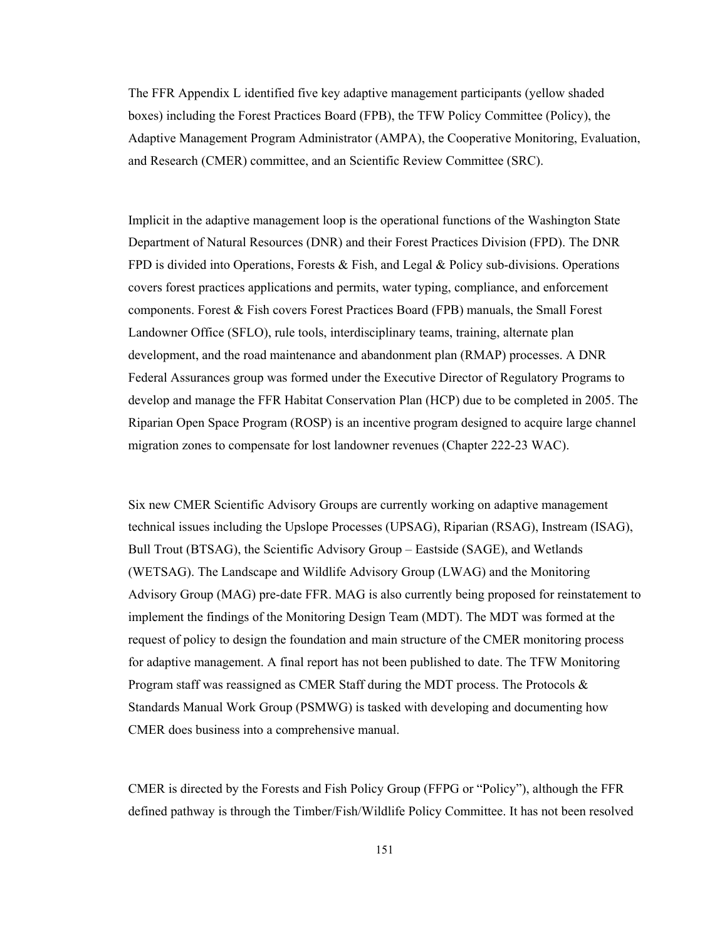The FFR Appendix L identified five key adaptive management participants (yellow shaded boxes) including the Forest Practices Board (FPB), the TFW Policy Committee (Policy), the Adaptive Management Program Administrator (AMPA), the Cooperative Monitoring, Evaluation, and Research (CMER) committee, and an Scientific Review Committee (SRC).

Implicit in the adaptive management loop is the operational functions of the Washington State Department of Natural Resources (DNR) and their Forest Practices Division (FPD). The DNR FPD is divided into Operations, Forests & Fish, and Legal & Policy sub-divisions. Operations covers forest practices applications and permits, water typing, compliance, and enforcement components. Forest & Fish covers Forest Practices Board (FPB) manuals, the Small Forest Landowner Office (SFLO), rule tools, interdisciplinary teams, training, alternate plan development, and the road maintenance and abandonment plan (RMAP) processes. A DNR Federal Assurances group was formed under the Executive Director of Regulatory Programs to develop and manage the FFR Habitat Conservation Plan (HCP) due to be completed in 2005. The Riparian Open Space Program (ROSP) is an incentive program designed to acquire large channel migration zones to compensate for lost landowner revenues (Chapter 222-23 WAC).

Six new CMER Scientific Advisory Groups are currently working on adaptive management technical issues including the Upslope Processes (UPSAG), Riparian (RSAG), Instream (ISAG), Bull Trout (BTSAG), the Scientific Advisory Group – Eastside (SAGE), and Wetlands (WETSAG). The Landscape and Wildlife Advisory Group (LWAG) and the Monitoring Advisory Group (MAG) pre-date FFR. MAG is also currently being proposed for reinstatement to implement the findings of the Monitoring Design Team (MDT). The MDT was formed at the request of policy to design the foundation and main structure of the CMER monitoring process for adaptive management. A final report has not been published to date. The TFW Monitoring Program staff was reassigned as CMER Staff during the MDT process. The Protocols  $\&$ Standards Manual Work Group (PSMWG) is tasked with developing and documenting how CMER does business into a comprehensive manual.

CMER is directed by the Forests and Fish Policy Group (FFPG or "Policy"), although the FFR defined pathway is through the Timber/Fish/Wildlife Policy Committee. It has not been resolved